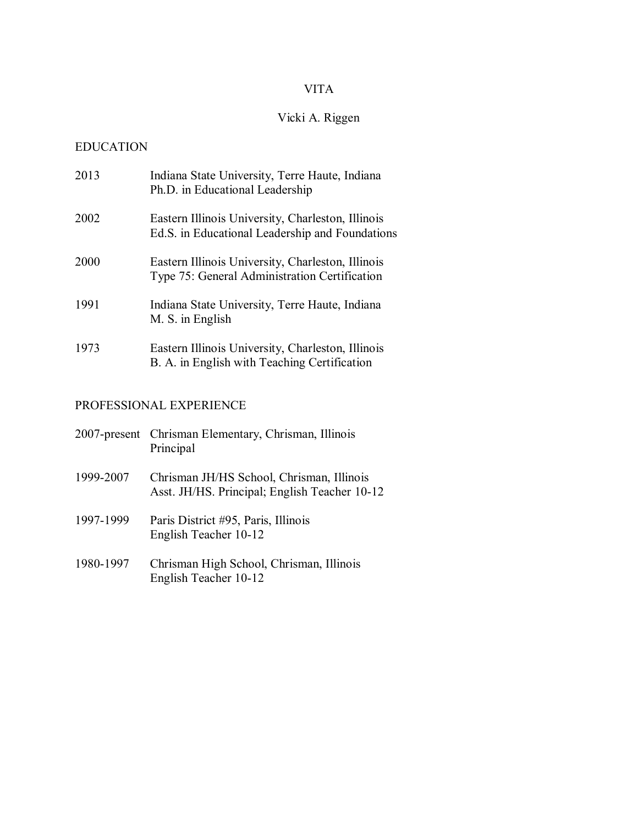## VITA

# Vicki A. Riggen

### EDUCATION

| 2013 | Indiana State University, Terre Haute, Indiana<br>Ph.D. in Educational Leadership                    |
|------|------------------------------------------------------------------------------------------------------|
| 2002 | Eastern Illinois University, Charleston, Illinois<br>Ed.S. in Educational Leadership and Foundations |
| 2000 | Eastern Illinois University, Charleston, Illinois<br>Type 75: General Administration Certification   |
| 1991 | Indiana State University, Terre Haute, Indiana<br>M. S. in English                                   |
| 1973 | Eastern Illinois University, Charleston, Illinois<br>B. A. in English with Teaching Certification    |

### PROFESSIONAL EXPERIENCE

|           | 2007-present Chrisman Elementary, Chrisman, Illinois<br>Principal                          |
|-----------|--------------------------------------------------------------------------------------------|
| 1999-2007 | Chrisman JH/HS School, Chrisman, Illinois<br>Asst. JH/HS. Principal; English Teacher 10-12 |
| 1997-1999 | Paris District #95, Paris, Illinois<br>English Teacher 10-12                               |
| 1980-1997 | Chrisman High School, Chrisman, Illinois<br>English Teacher 10-12                          |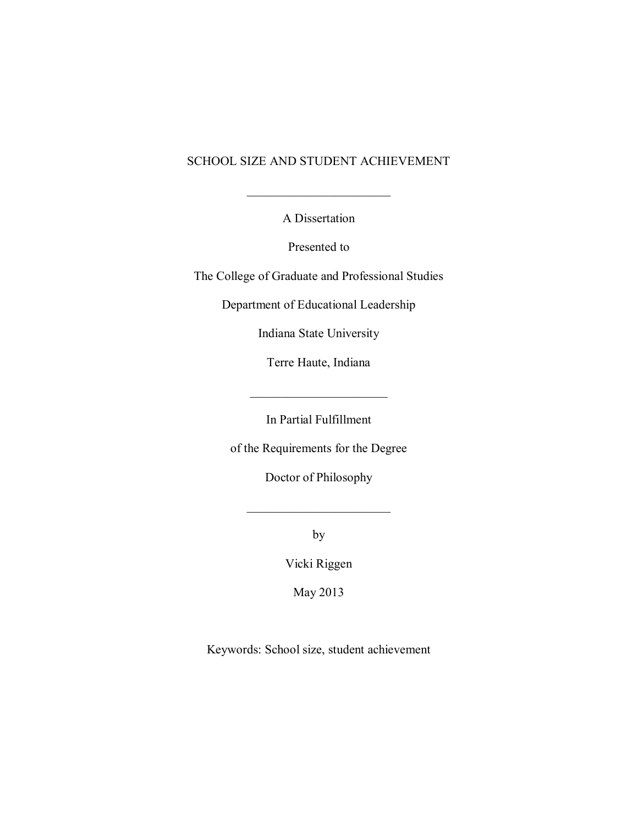### SCHOOL SIZE AND STUDENT ACHIEVEMENT

A Dissertation

 $\frac{1}{\sqrt{2}}$ 

Presented to

The College of Graduate and Professional Studies

Department of Educational Leadership

Indiana State University

Terre Haute, Indiana

 $\mathcal{L}_\text{max}$ 

In Partial Fulfillment

of the Requirements for the Degree

Doctor of Philosophy

by

 $\overline{\phantom{a}}$  , where  $\overline{\phantom{a}}$ 

Vicki Riggen

May 2013

Keywords: School size, student achievement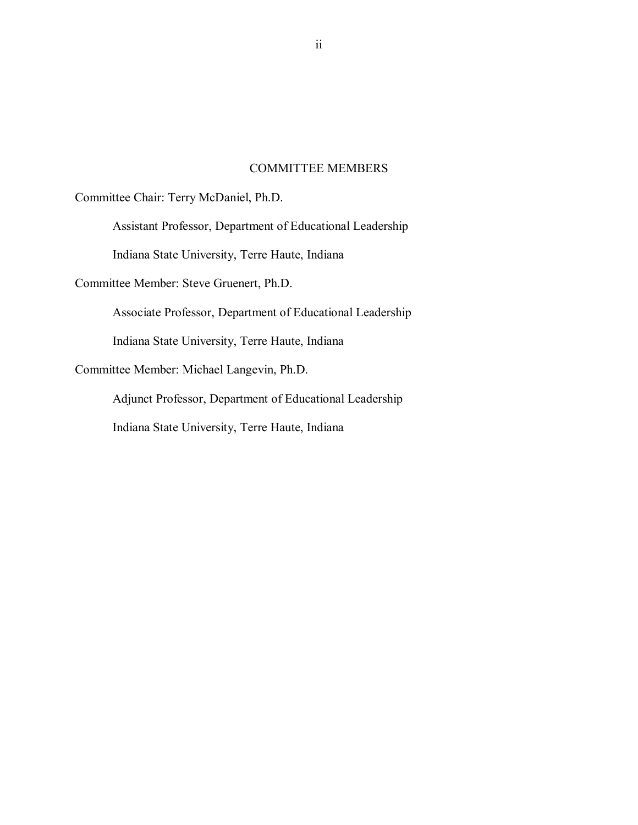#### COMMITTEE MEMBERS

Committee Chair: Terry McDaniel, Ph.D.

Assistant Professor, Department of Educational Leadership

Indiana State University, Terre Haute, Indiana

Committee Member: Steve Gruenert, Ph.D.

Associate Professor, Department of Educational Leadership

Indiana State University, Terre Haute, Indiana

Committee Member: Michael Langevin, Ph.D.

Adjunct Professor, Department of Educational Leadership Indiana State University, Terre Haute, Indiana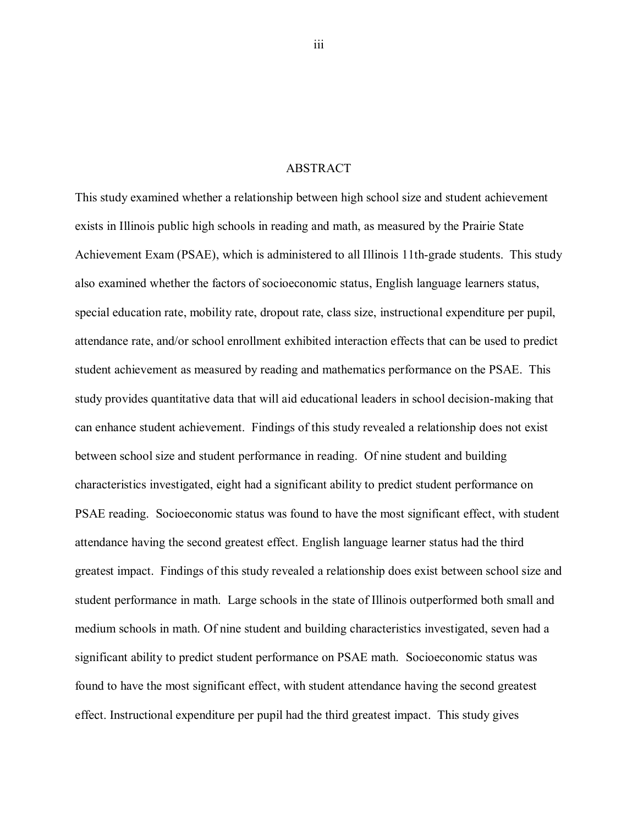#### ABSTRACT

This study examined whether a relationship between high school size and student achievement exists in Illinois public high schools in reading and math, as measured by the Prairie State Achievement Exam (PSAE), which is administered to all Illinois 11th-grade students. This study also examined whether the factors of socioeconomic status, English language learners status, special education rate, mobility rate, dropout rate, class size, instructional expenditure per pupil, attendance rate, and/or school enrollment exhibited interaction effects that can be used to predict student achievement as measured by reading and mathematics performance on the PSAE. This study provides quantitative data that will aid educational leaders in school decision-making that can enhance student achievement. Findings of this study revealed a relationship does not exist between school size and student performance in reading. Of nine student and building characteristics investigated, eight had a significant ability to predict student performance on PSAE reading. Socioeconomic status was found to have the most significant effect, with student attendance having the second greatest effect. English language learner status had the third greatest impact. Findings of this study revealed a relationship does exist between school size and student performance in math. Large schools in the state of Illinois outperformed both small and medium schools in math. Of nine student and building characteristics investigated, seven had a significant ability to predict student performance on PSAE math. Socioeconomic status was found to have the most significant effect, with student attendance having the second greatest effect. Instructional expenditure per pupil had the third greatest impact. This study gives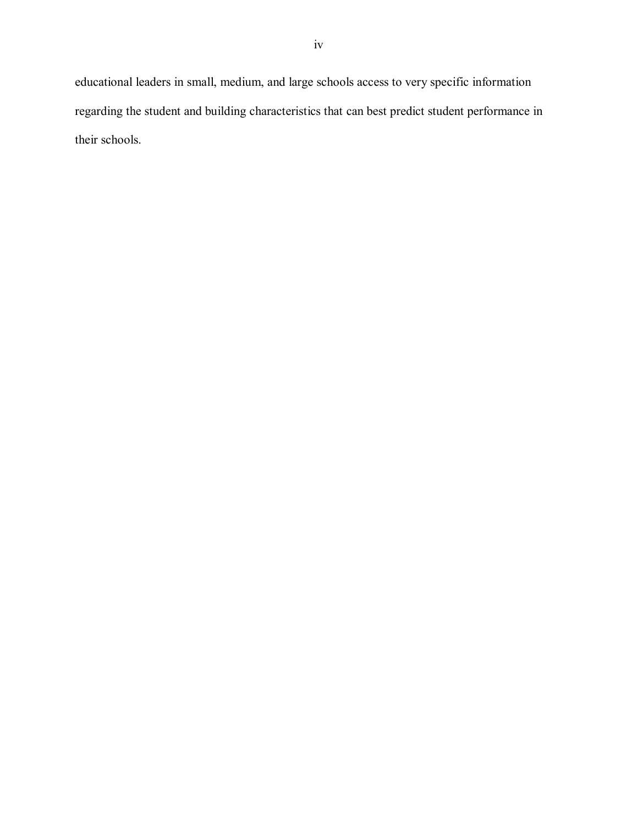educational leaders in small, medium, and large schools access to very specific information regarding the student and building characteristics that can best predict student performance in their schools.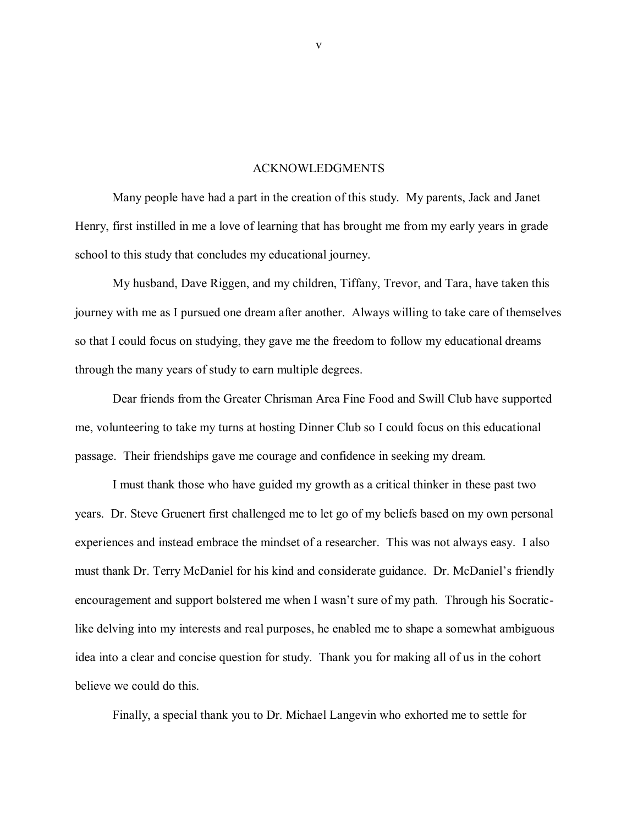#### ACKNOWLEDGMENTS

Many people have had a part in the creation of this study. My parents, Jack and Janet Henry, first instilled in me a love of learning that has brought me from my early years in grade school to this study that concludes my educational journey.

My husband, Dave Riggen, and my children, Tiffany, Trevor, and Tara, have taken this journey with me as I pursued one dream after another. Always willing to take care of themselves so that I could focus on studying, they gave me the freedom to follow my educational dreams through the many years of study to earn multiple degrees.

Dear friends from the Greater Chrisman Area Fine Food and Swill Club have supported me, volunteering to take my turns at hosting Dinner Club so I could focus on this educational passage. Their friendships gave me courage and confidence in seeking my dream.

I must thank those who have guided my growth as a critical thinker in these past two years. Dr. Steve Gruenert first challenged me to let go of my beliefs based on my own personal experiences and instead embrace the mindset of a researcher. This was not always easy. I also must thank Dr. Terry McDaniel for his kind and considerate guidance. Dr. McDaniel"s friendly encouragement and support bolstered me when I wasn"t sure of my path. Through his Socraticlike delving into my interests and real purposes, he enabled me to shape a somewhat ambiguous idea into a clear and concise question for study. Thank you for making all of us in the cohort believe we could do this.

Finally, a special thank you to Dr. Michael Langevin who exhorted me to settle for

v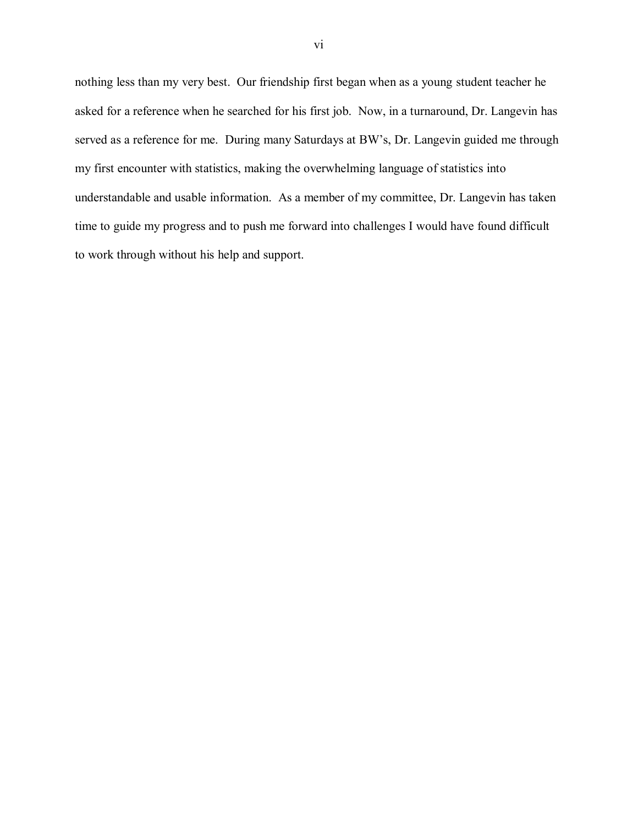nothing less than my very best. Our friendship first began when as a young student teacher he asked for a reference when he searched for his first job. Now, in a turnaround, Dr. Langevin has served as a reference for me. During many Saturdays at BW"s, Dr. Langevin guided me through my first encounter with statistics, making the overwhelming language of statistics into understandable and usable information. As a member of my committee, Dr. Langevin has taken time to guide my progress and to push me forward into challenges I would have found difficult to work through without his help and support.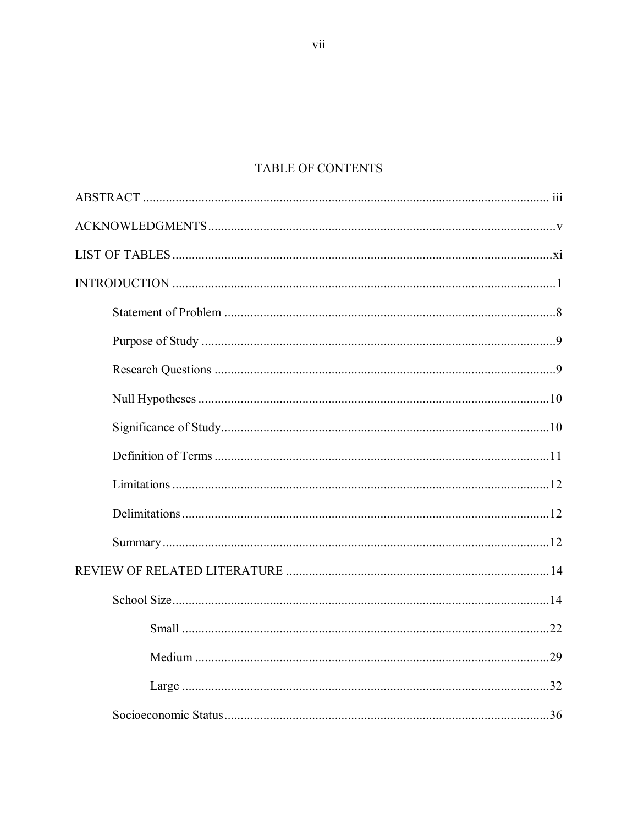### TABLE OF CONTENTS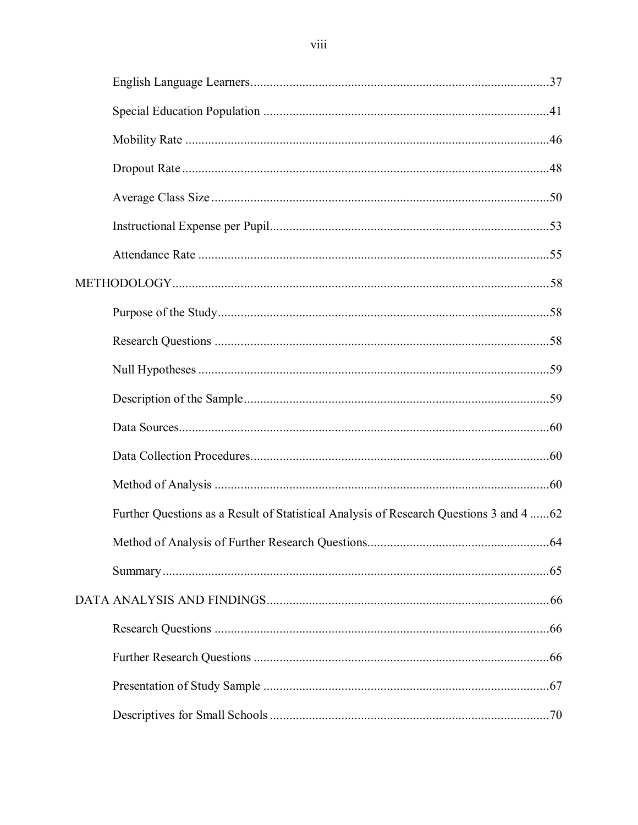| Further Questions as a Result of Statistical Analysis of Research Questions 3 and 4 62 |  |
|----------------------------------------------------------------------------------------|--|
|                                                                                        |  |
|                                                                                        |  |
|                                                                                        |  |
|                                                                                        |  |
|                                                                                        |  |
|                                                                                        |  |
|                                                                                        |  |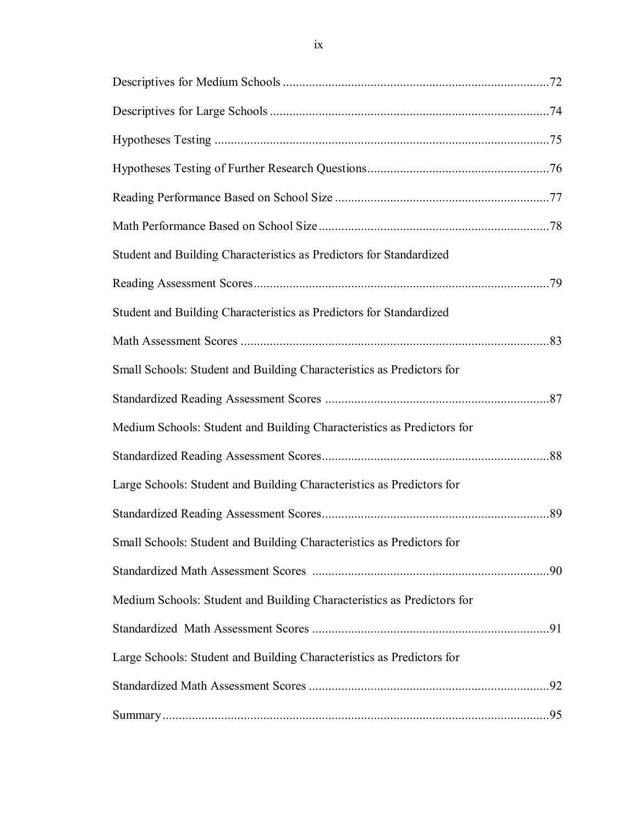| Student and Building Characteristics as Predictors for Standardized    |     |
|------------------------------------------------------------------------|-----|
|                                                                        |     |
| Student and Building Characteristics as Predictors for Standardized    |     |
|                                                                        |     |
| Small Schools: Student and Building Characteristics as Predictors for  |     |
|                                                                        |     |
| Medium Schools: Student and Building Characteristics as Predictors for |     |
|                                                                        |     |
| Large Schools: Student and Building Characteristics as Predictors for  |     |
|                                                                        |     |
| Small Schools: Student and Building Characteristics as Predictors for  |     |
|                                                                        | .90 |
| Medium Schools: Student and Building Characteristics as Predictors for |     |
|                                                                        |     |
| Large Schools: Student and Building Characteristics as Predictors for  |     |
|                                                                        |     |
|                                                                        |     |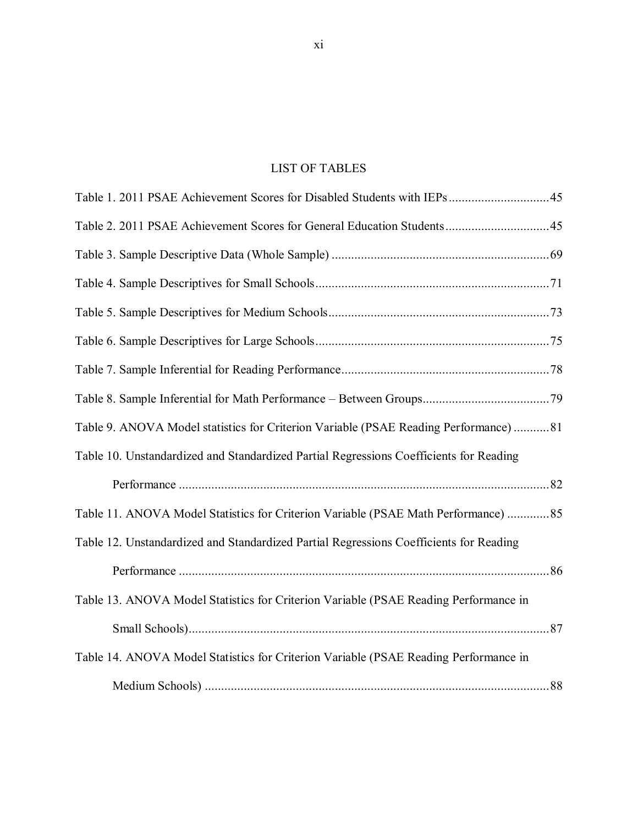### LIST OF TABLES

| Table 9. ANOVA Model statistics for Criterion Variable (PSAE Reading Performance) 81   |  |
|----------------------------------------------------------------------------------------|--|
| Table 10. Unstandardized and Standardized Partial Regressions Coefficients for Reading |  |
|                                                                                        |  |
| Table 11. ANOVA Model Statistics for Criterion Variable (PSAE Math Performance) 85     |  |
| Table 12. Unstandardized and Standardized Partial Regressions Coefficients for Reading |  |
|                                                                                        |  |
| Table 13. ANOVA Model Statistics for Criterion Variable (PSAE Reading Performance in   |  |
|                                                                                        |  |
| Table 14. ANOVA Model Statistics for Criterion Variable (PSAE Reading Performance in   |  |
|                                                                                        |  |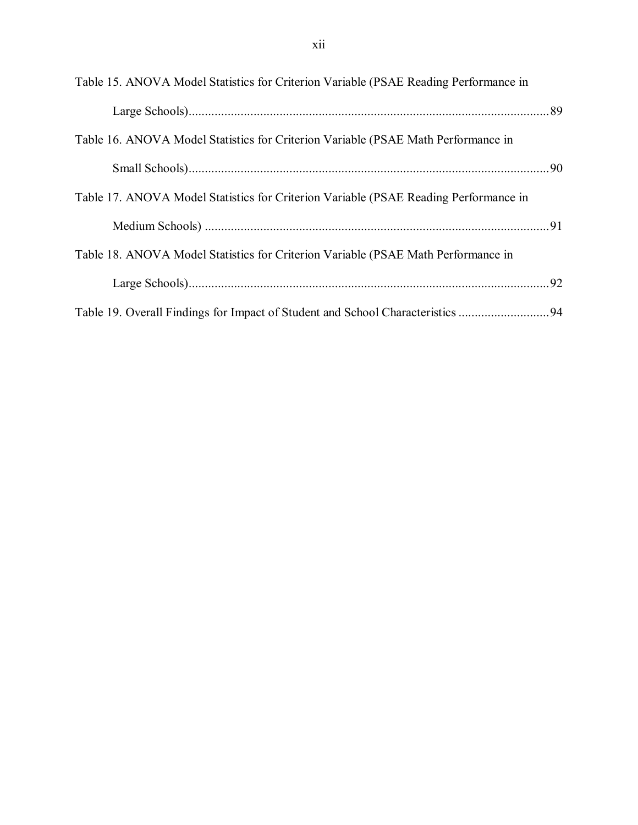| Table 15. ANOVA Model Statistics for Criterion Variable (PSAE Reading Performance in |  |
|--------------------------------------------------------------------------------------|--|
|                                                                                      |  |
| Table 16. ANOVA Model Statistics for Criterion Variable (PSAE Math Performance in    |  |
|                                                                                      |  |
| Table 17. ANOVA Model Statistics for Criterion Variable (PSAE Reading Performance in |  |
|                                                                                      |  |
| Table 18. ANOVA Model Statistics for Criterion Variable (PSAE Math Performance in    |  |
|                                                                                      |  |
| Table 19. Overall Findings for Impact of Student and School Characteristics 94       |  |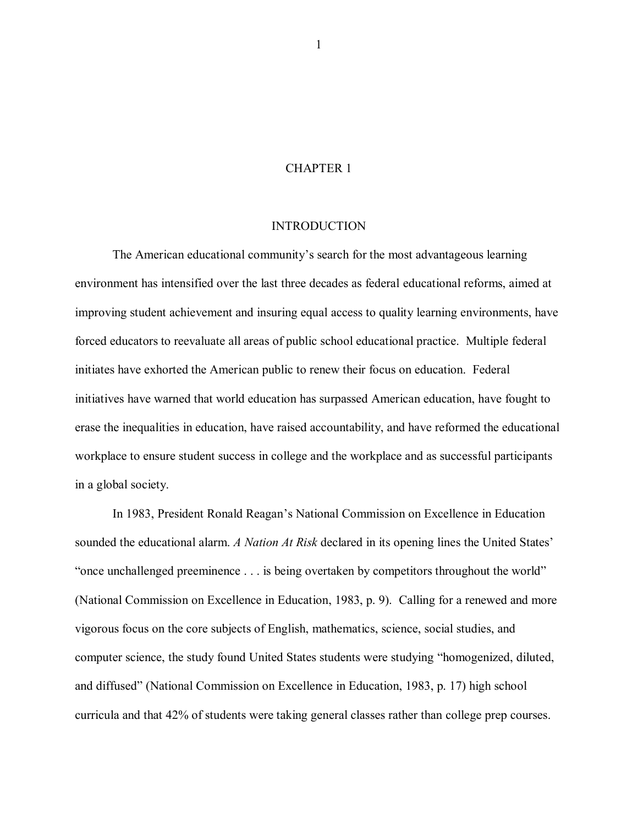#### CHAPTER 1

#### INTRODUCTION

The American educational community"s search for the most advantageous learning environment has intensified over the last three decades as federal educational reforms, aimed at improving student achievement and insuring equal access to quality learning environments, have forced educators to reevaluate all areas of public school educational practice. Multiple federal initiates have exhorted the American public to renew their focus on education. Federal initiatives have warned that world education has surpassed American education, have fought to erase the inequalities in education, have raised accountability, and have reformed the educational workplace to ensure student success in college and the workplace and as successful participants in a global society.

In 1983, President Ronald Reagan"s National Commission on Excellence in Education sounded the educational alarm. *A Nation At Risk* declared in its opening lines the United States" "once unchallenged preeminence . . . is being overtaken by competitors throughout the world" (National Commission on Excellence in Education, 1983, p. 9). Calling for a renewed and more vigorous focus on the core subjects of English, mathematics, science, social studies, and computer science, the study found United States students were studying "homogenized, diluted, and diffused" (National Commission on Excellence in Education, 1983, p. 17) high school curricula and that 42% of students were taking general classes rather than college prep courses.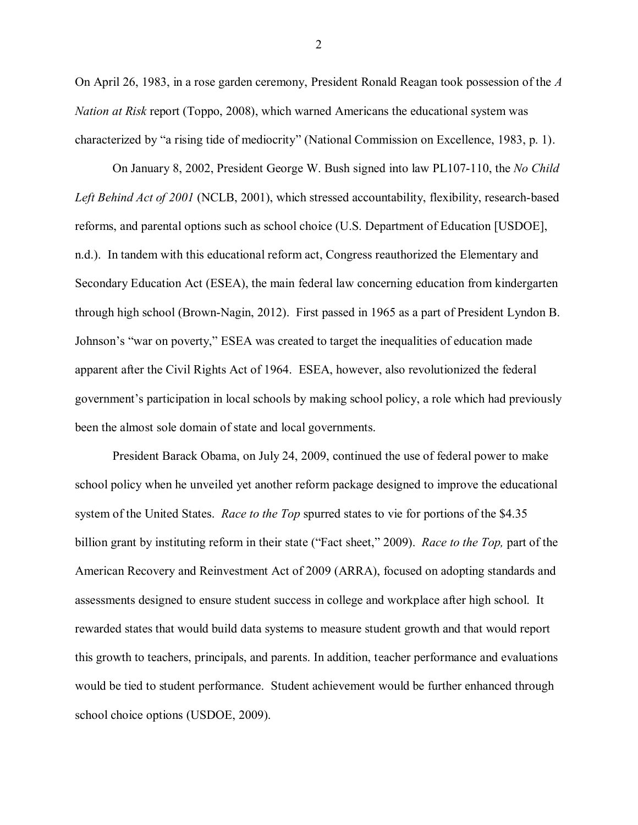On April 26, 1983, in a rose garden ceremony, President Ronald Reagan took possession of the *A Nation at Risk* report (Toppo, 2008), which warned Americans the educational system was characterized by "a rising tide of mediocrity" (National Commission on Excellence, 1983, p. 1).

On January 8, 2002, President George W. Bush signed into law PL107-110, the *No Child*  Left Behind Act of 2001 (NCLB, 2001), which stressed accountability, flexibility, research-based reforms, and parental options such as school choice (U.S. Department of Education [USDOE], n.d.). In tandem with this educational reform act, Congress reauthorized the Elementary and Secondary Education Act (ESEA), the main federal law concerning education from kindergarten through high school (Brown-Nagin, 2012). First passed in 1965 as a part of President Lyndon B. Johnson"s "war on poverty," ESEA was created to target the inequalities of education made apparent after the Civil Rights Act of 1964. ESEA, however, also revolutionized the federal government"s participation in local schools by making school policy, a role which had previously been the almost sole domain of state and local governments.

President Barack Obama, on July 24, 2009, continued the use of federal power to make school policy when he unveiled yet another reform package designed to improve the educational system of the United States. *Race to the Top* spurred states to vie for portions of the \$4.35 billion grant by instituting reform in their state ("Fact sheet," 2009). *Race to the Top,* part of the American Recovery and Reinvestment Act of 2009 (ARRA), focused on adopting standards and assessments designed to ensure student success in college and workplace after high school. It rewarded states that would build data systems to measure student growth and that would report this growth to teachers, principals, and parents. In addition, teacher performance and evaluations would be tied to student performance. Student achievement would be further enhanced through school choice options (USDOE, 2009).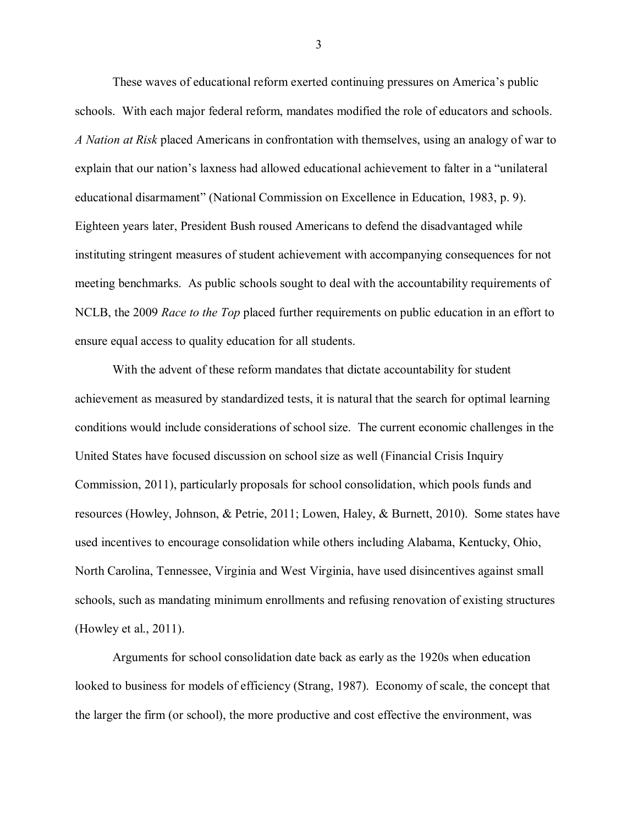These waves of educational reform exerted continuing pressures on America"s public schools. With each major federal reform, mandates modified the role of educators and schools. *A Nation at Risk* placed Americans in confrontation with themselves, using an analogy of war to explain that our nation"s laxness had allowed educational achievement to falter in a "unilateral educational disarmament" (National Commission on Excellence in Education, 1983, p. 9). Eighteen years later, President Bush roused Americans to defend the disadvantaged while instituting stringent measures of student achievement with accompanying consequences for not meeting benchmarks. As public schools sought to deal with the accountability requirements of NCLB, the 2009 *Race to the Top* placed further requirements on public education in an effort to ensure equal access to quality education for all students.

With the advent of these reform mandates that dictate accountability for student achievement as measured by standardized tests, it is natural that the search for optimal learning conditions would include considerations of school size. The current economic challenges in the United States have focused discussion on school size as well (Financial Crisis Inquiry Commission, 2011), particularly proposals for school consolidation, which pools funds and resources (Howley, Johnson, & Petrie, 2011; Lowen, Haley, & Burnett, 2010). Some states have used incentives to encourage consolidation while others including Alabama, Kentucky, Ohio, North Carolina, Tennessee, Virginia and West Virginia, have used disincentives against small schools, such as mandating minimum enrollments and refusing renovation of existing structures (Howley et al., 2011).

Arguments for school consolidation date back as early as the 1920s when education looked to business for models of efficiency (Strang, 1987). Economy of scale, the concept that the larger the firm (or school), the more productive and cost effective the environment, was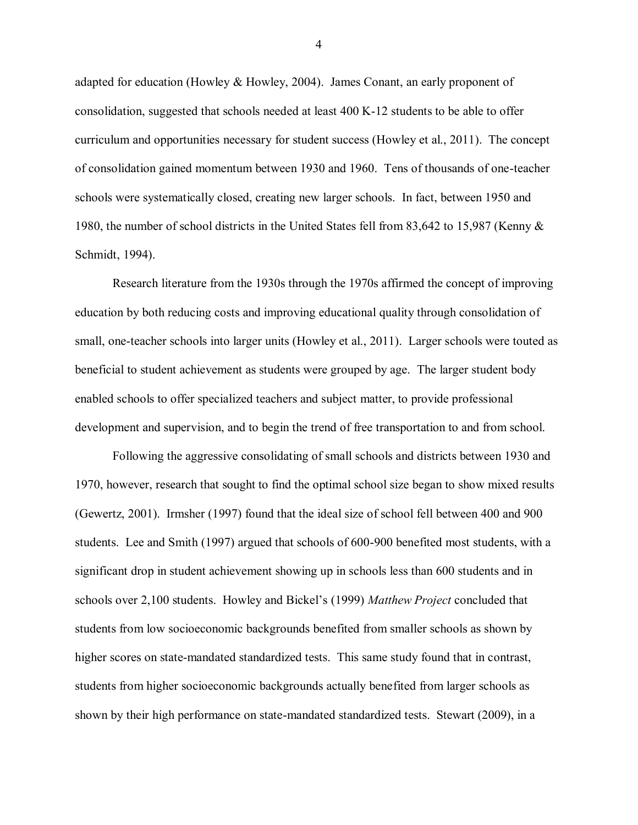adapted for education (Howley & Howley, 2004). James Conant, an early proponent of consolidation, suggested that schools needed at least 400 K-12 students to be able to offer curriculum and opportunities necessary for student success (Howley et al., 2011). The concept of consolidation gained momentum between 1930 and 1960. Tens of thousands of one-teacher schools were systematically closed, creating new larger schools. In fact, between 1950 and 1980, the number of school districts in the United States fell from 83,642 to 15,987 (Kenny & Schmidt, 1994).

Research literature from the 1930s through the 1970s affirmed the concept of improving education by both reducing costs and improving educational quality through consolidation of small, one-teacher schools into larger units (Howley et al., 2011). Larger schools were touted as beneficial to student achievement as students were grouped by age. The larger student body enabled schools to offer specialized teachers and subject matter, to provide professional development and supervision, and to begin the trend of free transportation to and from school.

Following the aggressive consolidating of small schools and districts between 1930 and 1970, however, research that sought to find the optimal school size began to show mixed results (Gewertz, 2001). Irmsher (1997) found that the ideal size of school fell between 400 and 900 students. Lee and Smith (1997) argued that schools of 600-900 benefited most students, with a significant drop in student achievement showing up in schools less than 600 students and in schools over 2,100 students. Howley and Bickel"s (1999) *Matthew Project* concluded that students from low socioeconomic backgrounds benefited from smaller schools as shown by higher scores on state-mandated standardized tests. This same study found that in contrast, students from higher socioeconomic backgrounds actually benefited from larger schools as shown by their high performance on state-mandated standardized tests. Stewart (2009), in a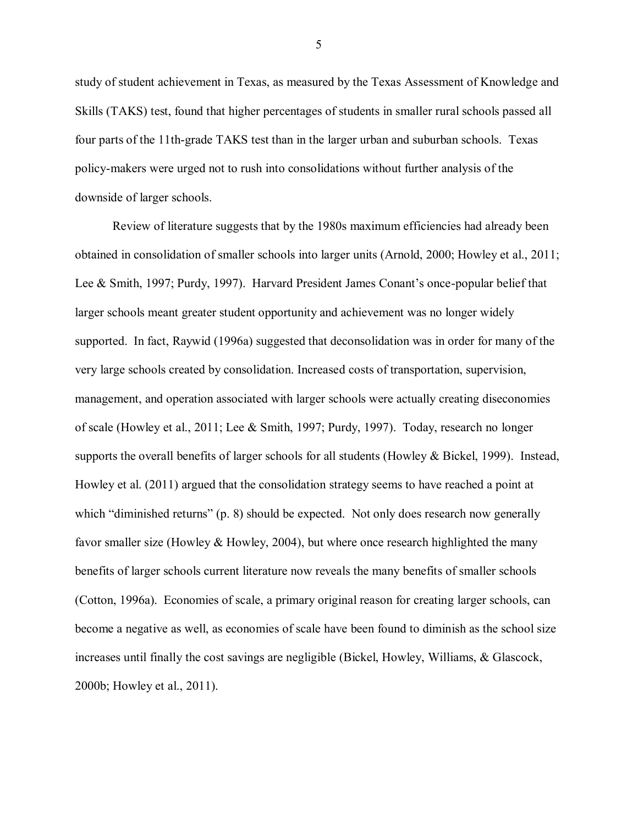study of student achievement in Texas, as measured by the Texas Assessment of Knowledge and Skills (TAKS) test, found that higher percentages of students in smaller rural schools passed all four parts of the 11th-grade TAKS test than in the larger urban and suburban schools. Texas policy-makers were urged not to rush into consolidations without further analysis of the downside of larger schools.

Review of literature suggests that by the 1980s maximum efficiencies had already been obtained in consolidation of smaller schools into larger units (Arnold, 2000; Howley et al., 2011; Lee & Smith, 1997; Purdy, 1997). Harvard President James Conant's once-popular belief that larger schools meant greater student opportunity and achievement was no longer widely supported. In fact, Raywid (1996a) suggested that deconsolidation was in order for many of the very large schools created by consolidation. Increased costs of transportation, supervision, management, and operation associated with larger schools were actually creating diseconomies of scale (Howley et al., 2011; Lee & Smith, 1997; Purdy, 1997). Today, research no longer supports the overall benefits of larger schools for all students (Howley & Bickel, 1999). Instead, Howley et al. (2011) argued that the consolidation strategy seems to have reached a point at which "diminished returns" (p. 8) should be expected. Not only does research now generally favor smaller size (Howley & Howley, 2004), but where once research highlighted the many benefits of larger schools current literature now reveals the many benefits of smaller schools (Cotton, 1996a). Economies of scale, a primary original reason for creating larger schools, can become a negative as well, as economies of scale have been found to diminish as the school size increases until finally the cost savings are negligible (Bickel, Howley, Williams, & Glascock, 2000b; Howley et al., 2011).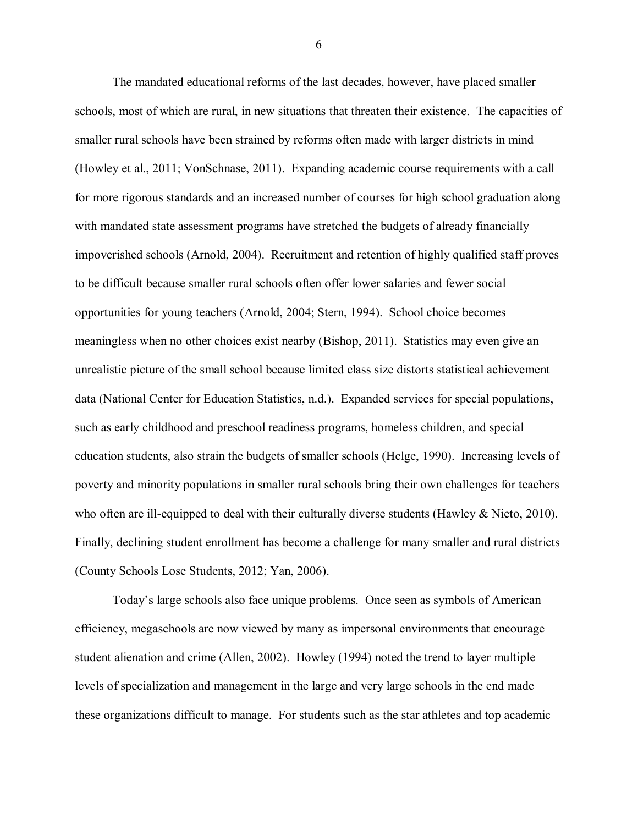The mandated educational reforms of the last decades, however, have placed smaller schools, most of which are rural, in new situations that threaten their existence. The capacities of smaller rural schools have been strained by reforms often made with larger districts in mind (Howley et al., 2011; VonSchnase, 2011). Expanding academic course requirements with a call for more rigorous standards and an increased number of courses for high school graduation along with mandated state assessment programs have stretched the budgets of already financially impoverished schools (Arnold, 2004). Recruitment and retention of highly qualified staff proves to be difficult because smaller rural schools often offer lower salaries and fewer social opportunities for young teachers (Arnold, 2004; Stern, 1994). School choice becomes meaningless when no other choices exist nearby (Bishop, 2011). Statistics may even give an unrealistic picture of the small school because limited class size distorts statistical achievement data (National Center for Education Statistics, n.d.). Expanded services for special populations, such as early childhood and preschool readiness programs, homeless children, and special education students, also strain the budgets of smaller schools (Helge, 1990). Increasing levels of poverty and minority populations in smaller rural schools bring their own challenges for teachers who often are ill-equipped to deal with their culturally diverse students (Hawley & Nieto, 2010). Finally, declining student enrollment has become a challenge for many smaller and rural districts (County Schools Lose Students, 2012; Yan, 2006).

Today"s large schools also face unique problems. Once seen as symbols of American efficiency, megaschools are now viewed by many as impersonal environments that encourage student alienation and crime (Allen, 2002). Howley (1994) noted the trend to layer multiple levels of specialization and management in the large and very large schools in the end made these organizations difficult to manage. For students such as the star athletes and top academic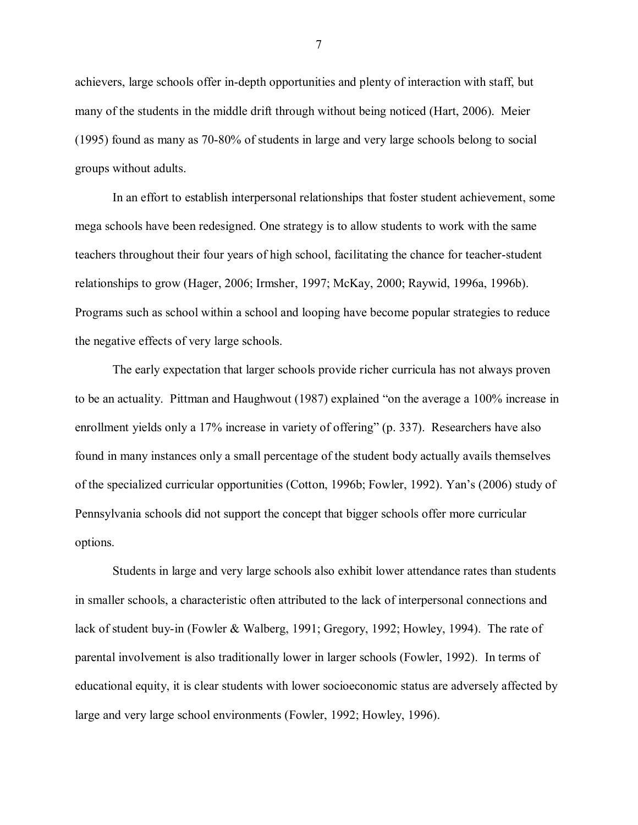achievers, large schools offer in-depth opportunities and plenty of interaction with staff, but many of the students in the middle drift through without being noticed (Hart, 2006). Meier (1995) found as many as 70-80% of students in large and very large schools belong to social groups without adults.

In an effort to establish interpersonal relationships that foster student achievement, some mega schools have been redesigned. One strategy is to allow students to work with the same teachers throughout their four years of high school, facilitating the chance for teacher-student relationships to grow (Hager, 2006; Irmsher, 1997; McKay, 2000; Raywid, 1996a, 1996b). Programs such as school within a school and looping have become popular strategies to reduce the negative effects of very large schools.

The early expectation that larger schools provide richer curricula has not always proven to be an actuality. Pittman and Haughwout (1987) explained "on the average a 100% increase in enrollment yields only a 17% increase in variety of offering" (p. 337). Researchers have also found in many instances only a small percentage of the student body actually avails themselves of the specialized curricular opportunities (Cotton, 1996b; Fowler, 1992). Yan"s (2006) study of Pennsylvania schools did not support the concept that bigger schools offer more curricular options.

Students in large and very large schools also exhibit lower attendance rates than students in smaller schools, a characteristic often attributed to the lack of interpersonal connections and lack of student buy-in (Fowler & Walberg, 1991; Gregory, 1992; Howley, 1994). The rate of parental involvement is also traditionally lower in larger schools (Fowler, 1992). In terms of educational equity, it is clear students with lower socioeconomic status are adversely affected by large and very large school environments (Fowler, 1992; Howley, 1996).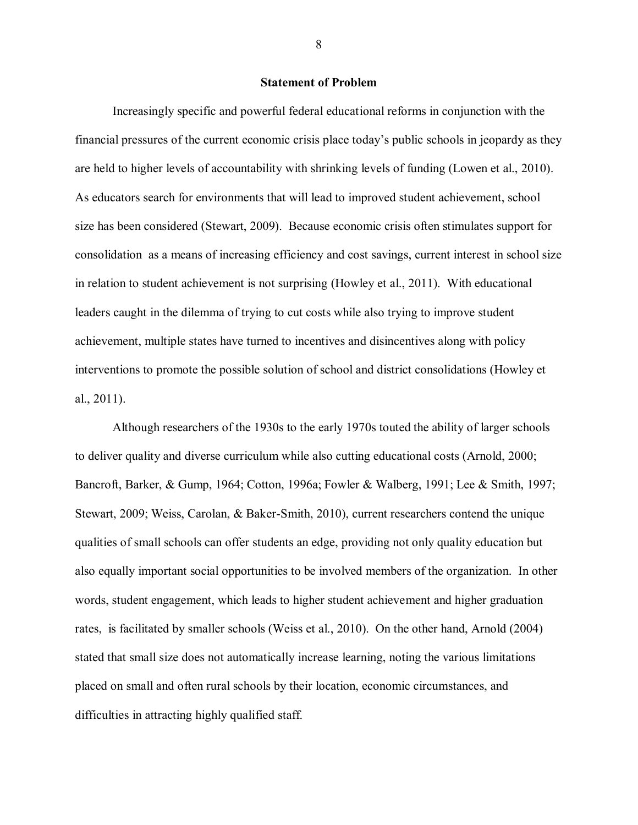#### **Statement of Problem**

Increasingly specific and powerful federal educational reforms in conjunction with the financial pressures of the current economic crisis place today"s public schools in jeopardy as they are held to higher levels of accountability with shrinking levels of funding (Lowen et al., 2010). As educators search for environments that will lead to improved student achievement, school size has been considered (Stewart, 2009). Because economic crisis often stimulates support for consolidation as a means of increasing efficiency and cost savings, current interest in school size in relation to student achievement is not surprising (Howley et al., 2011). With educational leaders caught in the dilemma of trying to cut costs while also trying to improve student achievement, multiple states have turned to incentives and disincentives along with policy interventions to promote the possible solution of school and district consolidations (Howley et al., 2011).

Although researchers of the 1930s to the early 1970s touted the ability of larger schools to deliver quality and diverse curriculum while also cutting educational costs (Arnold, 2000; Bancroft, Barker, & Gump, 1964; Cotton, 1996a; Fowler & Walberg, 1991; Lee & Smith, 1997; Stewart, 2009; Weiss, Carolan, & Baker-Smith, 2010), current researchers contend the unique qualities of small schools can offer students an edge, providing not only quality education but also equally important social opportunities to be involved members of the organization. In other words, student engagement, which leads to higher student achievement and higher graduation rates, is facilitated by smaller schools (Weiss et al., 2010). On the other hand, Arnold (2004) stated that small size does not automatically increase learning, noting the various limitations placed on small and often rural schools by their location, economic circumstances, and difficulties in attracting highly qualified staff.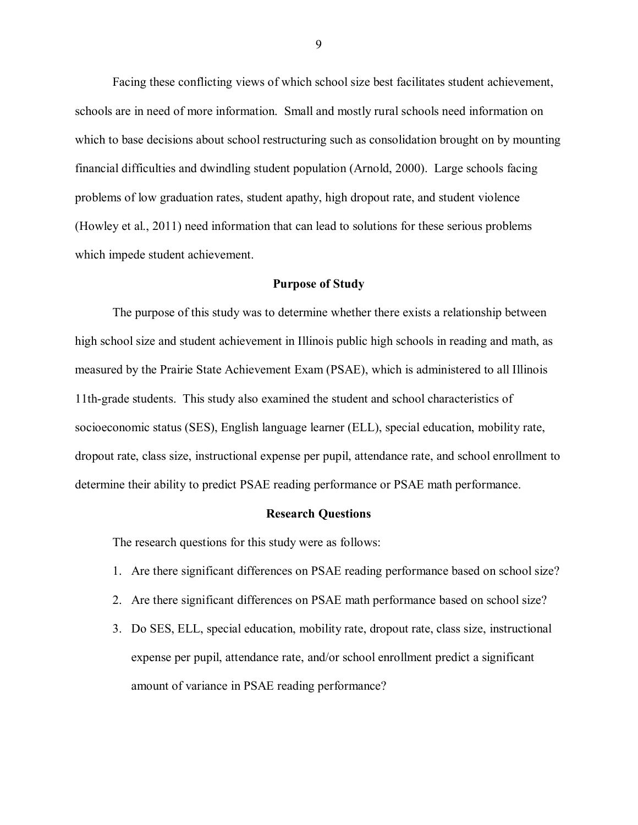Facing these conflicting views of which school size best facilitates student achievement, schools are in need of more information. Small and mostly rural schools need information on which to base decisions about school restructuring such as consolidation brought on by mounting financial difficulties and dwindling student population (Arnold, 2000). Large schools facing problems of low graduation rates, student apathy, high dropout rate, and student violence (Howley et al., 2011) need information that can lead to solutions for these serious problems which impede student achievement.

#### **Purpose of Study**

The purpose of this study was to determine whether there exists a relationship between high school size and student achievement in Illinois public high schools in reading and math, as measured by the Prairie State Achievement Exam (PSAE), which is administered to all Illinois 11th-grade students. This study also examined the student and school characteristics of socioeconomic status (SES), English language learner (ELL), special education, mobility rate, dropout rate, class size, instructional expense per pupil, attendance rate, and school enrollment to determine their ability to predict PSAE reading performance or PSAE math performance.

#### **Research Questions**

The research questions for this study were as follows:

- 1. Are there significant differences on PSAE reading performance based on school size?
- 2. Are there significant differences on PSAE math performance based on school size?
- 3. Do SES, ELL, special education, mobility rate, dropout rate, class size, instructional expense per pupil, attendance rate, and/or school enrollment predict a significant amount of variance in PSAE reading performance?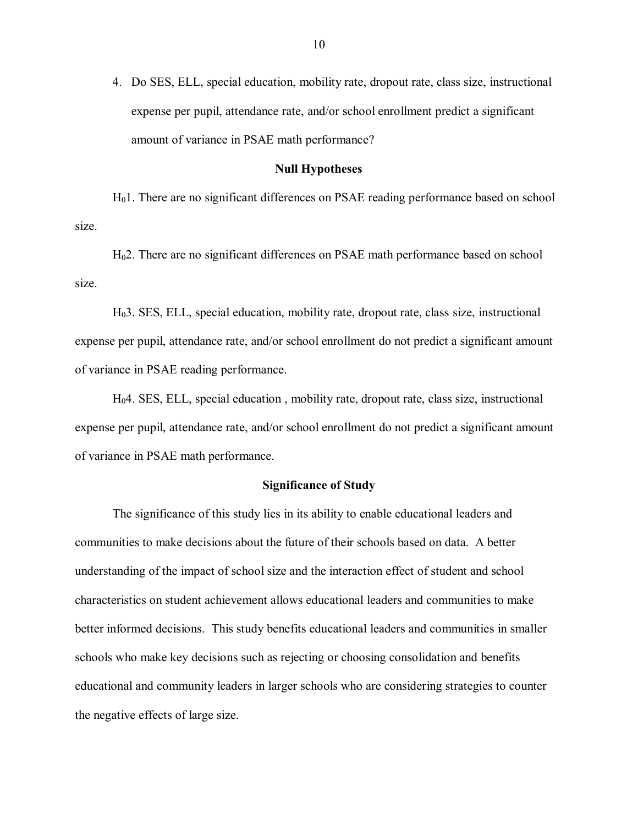4. Do SES, ELL, special education, mobility rate, dropout rate, class size, instructional expense per pupil, attendance rate, and/or school enrollment predict a significant amount of variance in PSAE math performance?

#### **Null Hypotheses**

H01. There are no significant differences on PSAE reading performance based on school size.

H02. There are no significant differences on PSAE math performance based on school size.

H03. SES, ELL, special education, mobility rate, dropout rate, class size, instructional expense per pupil, attendance rate, and/or school enrollment do not predict a significant amount of variance in PSAE reading performance.

H04. SES, ELL, special education , mobility rate, dropout rate, class size, instructional expense per pupil, attendance rate, and/or school enrollment do not predict a significant amount of variance in PSAE math performance.

#### **Significance of Study**

The significance of this study lies in its ability to enable educational leaders and communities to make decisions about the future of their schools based on data. A better understanding of the impact of school size and the interaction effect of student and school characteristics on student achievement allows educational leaders and communities to make better informed decisions. This study benefits educational leaders and communities in smaller schools who make key decisions such as rejecting or choosing consolidation and benefits educational and community leaders in larger schools who are considering strategies to counter the negative effects of large size.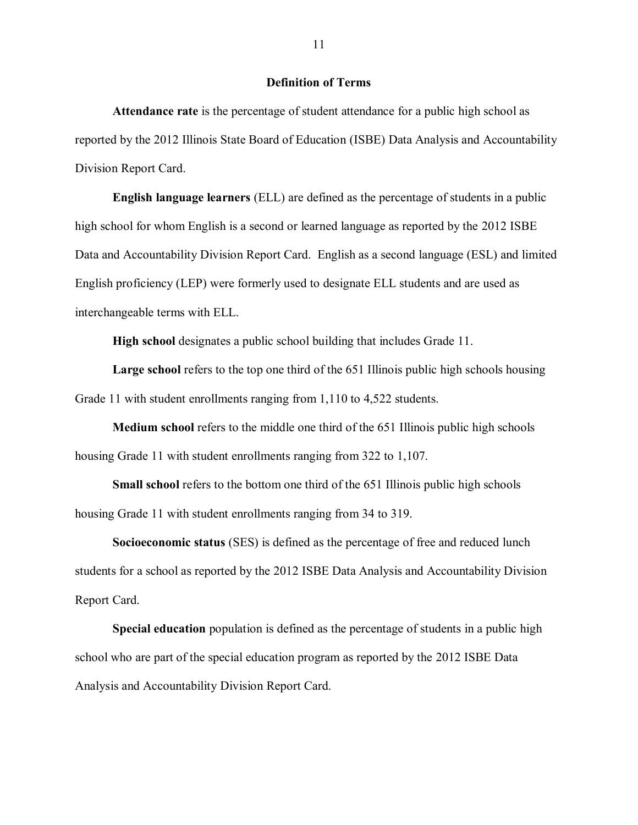#### **Definition of Terms**

**Attendance rate** is the percentage of student attendance for a public high school as reported by the 2012 Illinois State Board of Education (ISBE) Data Analysis and Accountability Division Report Card.

**English language learners** (ELL) are defined as the percentage of students in a public high school for whom English is a second or learned language as reported by the 2012 ISBE Data and Accountability Division Report Card. English as a second language (ESL) and limited English proficiency (LEP) were formerly used to designate ELL students and are used as interchangeable terms with ELL.

**High school** designates a public school building that includes Grade 11.

**Large school** refers to the top one third of the 651 Illinois public high schools housing Grade 11 with student enrollments ranging from 1,110 to 4,522 students.

**Medium school** refers to the middle one third of the 651 Illinois public high schools housing Grade 11 with student enrollments ranging from 322 to 1,107.

**Small school** refers to the bottom one third of the 651 Illinois public high schools housing Grade 11 with student enrollments ranging from 34 to 319.

**Socioeconomic status** (SES) is defined as the percentage of free and reduced lunch students for a school as reported by the 2012 ISBE Data Analysis and Accountability Division Report Card.

**Special education** population is defined as the percentage of students in a public high school who are part of the special education program as reported by the 2012 ISBE Data Analysis and Accountability Division Report Card.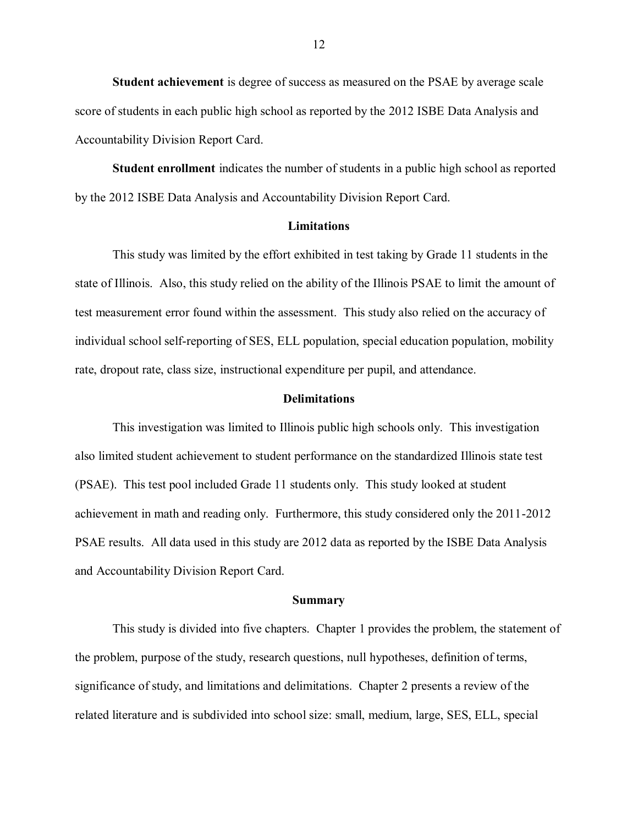**Student achievement** is degree of success as measured on the PSAE by average scale score of students in each public high school as reported by the 2012 ISBE Data Analysis and Accountability Division Report Card.

**Student enrollment** indicates the number of students in a public high school as reported by the 2012 ISBE Data Analysis and Accountability Division Report Card.

#### **Limitations**

This study was limited by the effort exhibited in test taking by Grade 11 students in the state of Illinois. Also, this study relied on the ability of the Illinois PSAE to limit the amount of test measurement error found within the assessment. This study also relied on the accuracy of individual school self-reporting of SES, ELL population, special education population, mobility rate, dropout rate, class size, instructional expenditure per pupil, and attendance.

#### **Delimitations**

This investigation was limited to Illinois public high schools only. This investigation also limited student achievement to student performance on the standardized Illinois state test (PSAE). This test pool included Grade 11 students only. This study looked at student achievement in math and reading only. Furthermore, this study considered only the 2011-2012 PSAE results. All data used in this study are 2012 data as reported by the ISBE Data Analysis and Accountability Division Report Card.

#### **Summary**

This study is divided into five chapters. Chapter 1 provides the problem, the statement of the problem, purpose of the study, research questions, null hypotheses, definition of terms, significance of study, and limitations and delimitations. Chapter 2 presents a review of the related literature and is subdivided into school size: small, medium, large, SES, ELL, special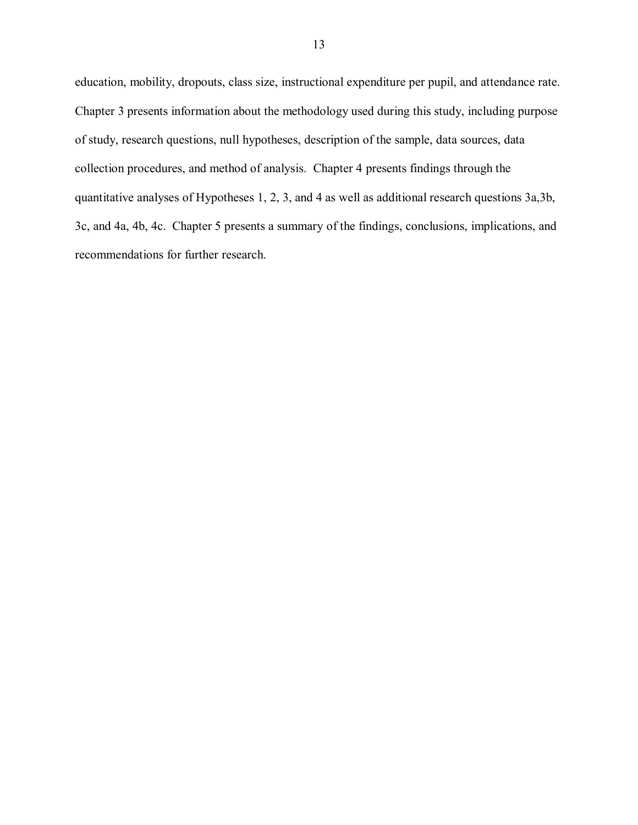education, mobility, dropouts, class size, instructional expenditure per pupil, and attendance rate. Chapter 3 presents information about the methodology used during this study, including purpose of study, research questions, null hypotheses, description of the sample, data sources, data collection procedures, and method of analysis. Chapter 4 presents findings through the quantitative analyses of Hypotheses 1, 2, 3, and 4 as well as additional research questions 3a,3b, 3c, and 4a, 4b, 4c. Chapter 5 presents a summary of the findings, conclusions, implications, and recommendations for further research.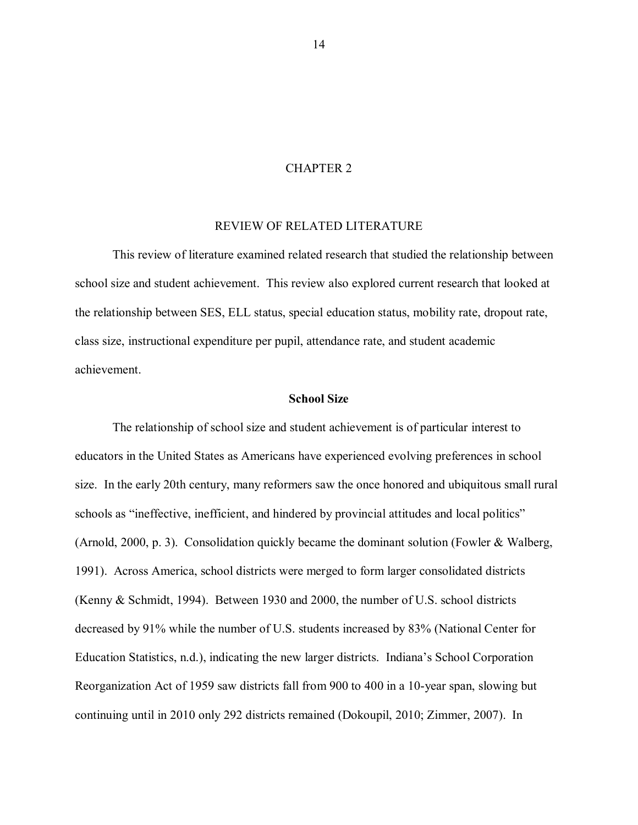#### CHAPTER 2

#### REVIEW OF RELATED LITERATURE

This review of literature examined related research that studied the relationship between school size and student achievement. This review also explored current research that looked at the relationship between SES, ELL status, special education status, mobility rate, dropout rate, class size, instructional expenditure per pupil, attendance rate, and student academic achievement.

#### **School Size**

The relationship of school size and student achievement is of particular interest to educators in the United States as Americans have experienced evolving preferences in school size. In the early 20th century, many reformers saw the once honored and ubiquitous small rural schools as "ineffective, inefficient, and hindered by provincial attitudes and local politics" (Arnold, 2000, p. 3). Consolidation quickly became the dominant solution (Fowler & Walberg, 1991). Across America, school districts were merged to form larger consolidated districts (Kenny & Schmidt, 1994). Between 1930 and 2000, the number of U.S. school districts decreased by 91% while the number of U.S. students increased by 83% (National Center for Education Statistics, n.d.), indicating the new larger districts. Indiana"s School Corporation Reorganization Act of 1959 saw districts fall from 900 to 400 in a 10-year span, slowing but continuing until in 2010 only 292 districts remained (Dokoupil, 2010; Zimmer, 2007). In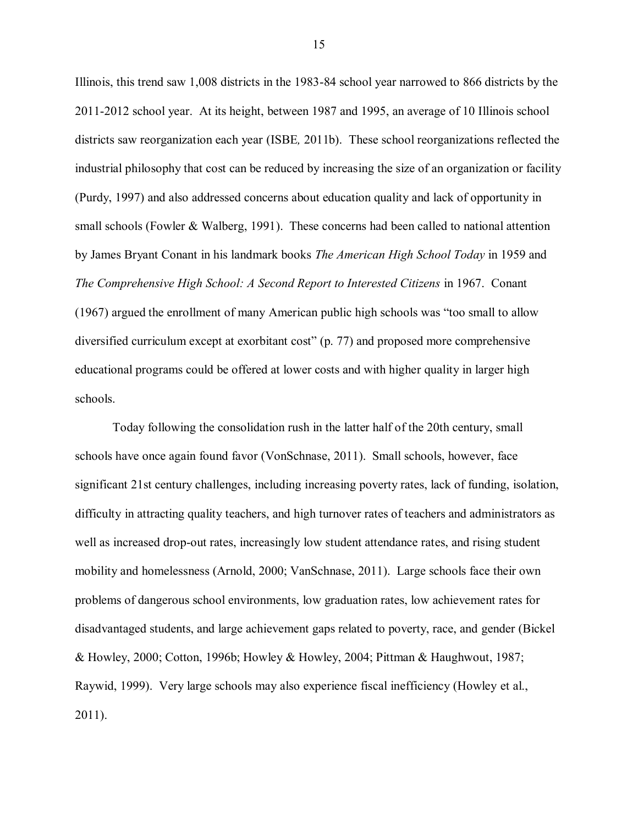Illinois, this trend saw 1,008 districts in the 1983-84 school year narrowed to 866 districts by the 2011-2012 school year. At its height, between 1987 and 1995, an average of 10 Illinois school districts saw reorganization each year (ISBE*,* 2011b). These school reorganizations reflected the industrial philosophy that cost can be reduced by increasing the size of an organization or facility (Purdy, 1997) and also addressed concerns about education quality and lack of opportunity in small schools (Fowler & Walberg, 1991). These concerns had been called to national attention by James Bryant Conant in his landmark books *The American High School Today* in 1959 and *The Comprehensive High School: A Second Report to Interested Citizens* in 1967. Conant (1967) argued the enrollment of many American public high schools was "too small to allow diversified curriculum except at exorbitant cost" (p. 77) and proposed more comprehensive educational programs could be offered at lower costs and with higher quality in larger high schools.

Today following the consolidation rush in the latter half of the 20th century, small schools have once again found favor (VonSchnase, 2011). Small schools, however, face significant 21st century challenges, including increasing poverty rates, lack of funding, isolation, difficulty in attracting quality teachers, and high turnover rates of teachers and administrators as well as increased drop-out rates, increasingly low student attendance rates, and rising student mobility and homelessness (Arnold, 2000; VanSchnase, 2011). Large schools face their own problems of dangerous school environments, low graduation rates, low achievement rates for disadvantaged students, and large achievement gaps related to poverty, race, and gender (Bickel & Howley, 2000; Cotton, 1996b; Howley & Howley, 2004; Pittman & Haughwout, 1987; Raywid, 1999). Very large schools may also experience fiscal inefficiency (Howley et al., 2011).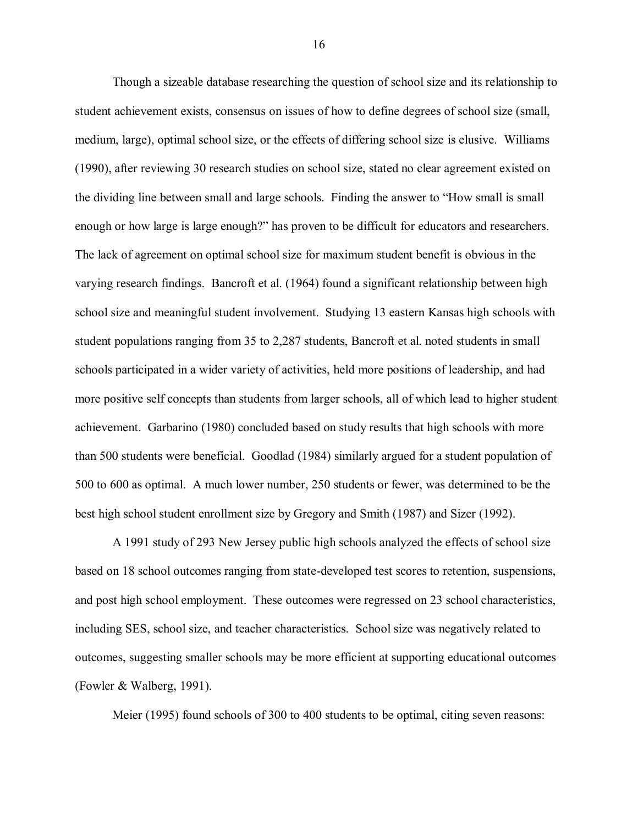Though a sizeable database researching the question of school size and its relationship to student achievement exists, consensus on issues of how to define degrees of school size (small, medium, large), optimal school size, or the effects of differing school size is elusive. Williams (1990), after reviewing 30 research studies on school size, stated no clear agreement existed on the dividing line between small and large schools. Finding the answer to "How small is small enough or how large is large enough?" has proven to be difficult for educators and researchers. The lack of agreement on optimal school size for maximum student benefit is obvious in the varying research findings. Bancroft et al. (1964) found a significant relationship between high school size and meaningful student involvement. Studying 13 eastern Kansas high schools with student populations ranging from 35 to 2,287 students, Bancroft et al. noted students in small schools participated in a wider variety of activities, held more positions of leadership, and had more positive self concepts than students from larger schools, all of which lead to higher student achievement. Garbarino (1980) concluded based on study results that high schools with more than 500 students were beneficial. Goodlad (1984) similarly argued for a student population of 500 to 600 as optimal. A much lower number, 250 students or fewer, was determined to be the best high school student enrollment size by Gregory and Smith (1987) and Sizer (1992).

A 1991 study of 293 New Jersey public high schools analyzed the effects of school size based on 18 school outcomes ranging from state-developed test scores to retention, suspensions, and post high school employment. These outcomes were regressed on 23 school characteristics, including SES, school size, and teacher characteristics. School size was negatively related to outcomes, suggesting smaller schools may be more efficient at supporting educational outcomes (Fowler & Walberg, 1991).

Meier (1995) found schools of 300 to 400 students to be optimal, citing seven reasons: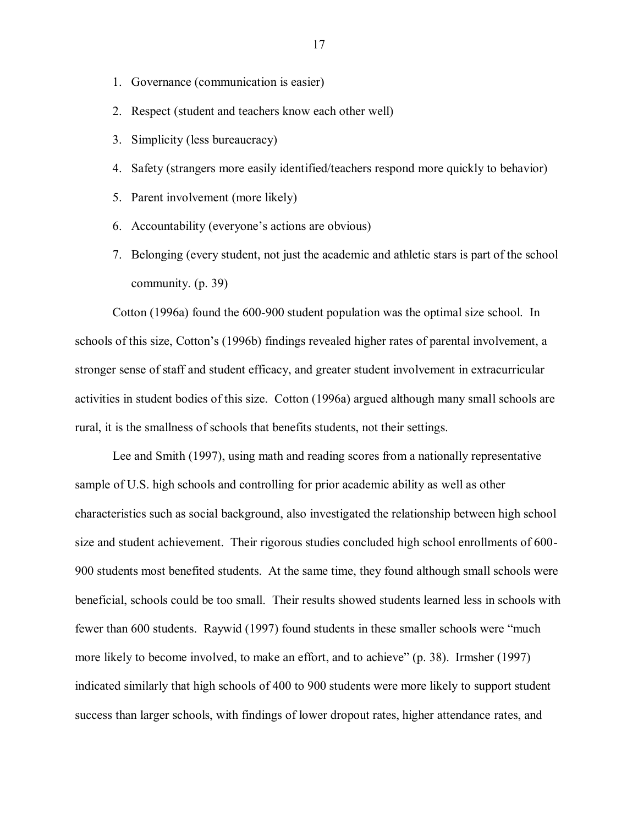- 1. Governance (communication is easier)
- 2. Respect (student and teachers know each other well)
- 3. Simplicity (less bureaucracy)
- 4. Safety (strangers more easily identified/teachers respond more quickly to behavior)
- 5. Parent involvement (more likely)
- 6. Accountability (everyone"s actions are obvious)
- 7. Belonging (every student, not just the academic and athletic stars is part of the school community. (p. 39)

Cotton (1996a) found the 600-900 student population was the optimal size school. In schools of this size, Cotton"s (1996b) findings revealed higher rates of parental involvement, a stronger sense of staff and student efficacy, and greater student involvement in extracurricular activities in student bodies of this size. Cotton (1996a) argued although many small schools are rural, it is the smallness of schools that benefits students, not their settings.

Lee and Smith (1997), using math and reading scores from a nationally representative sample of U.S. high schools and controlling for prior academic ability as well as other characteristics such as social background, also investigated the relationship between high school size and student achievement. Their rigorous studies concluded high school enrollments of 600- 900 students most benefited students. At the same time, they found although small schools were beneficial, schools could be too small. Their results showed students learned less in schools with fewer than 600 students. Raywid (1997) found students in these smaller schools were "much more likely to become involved, to make an effort, and to achieve" (p. 38). Irmsher (1997) indicated similarly that high schools of 400 to 900 students were more likely to support student success than larger schools, with findings of lower dropout rates, higher attendance rates, and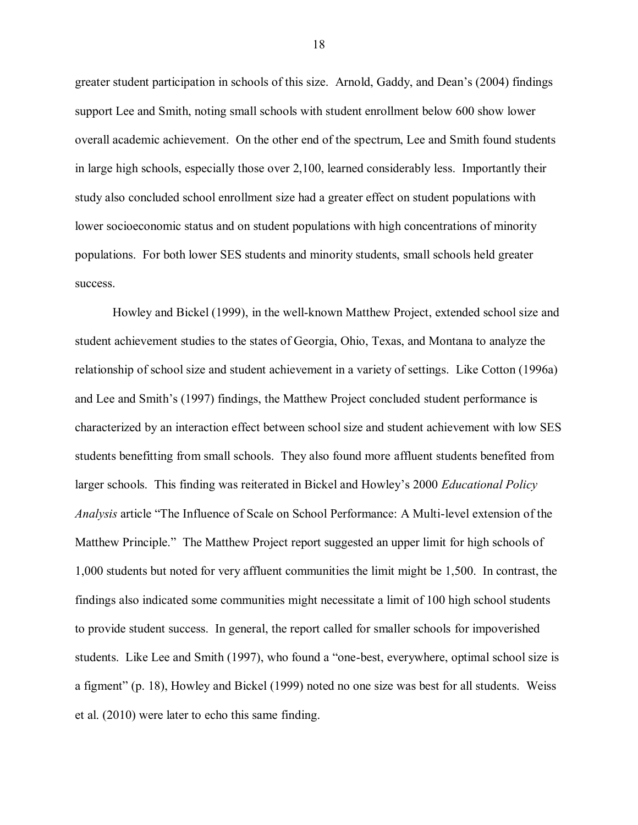greater student participation in schools of this size. Arnold, Gaddy, and Dean"s (2004) findings support Lee and Smith, noting small schools with student enrollment below 600 show lower overall academic achievement. On the other end of the spectrum, Lee and Smith found students in large high schools, especially those over 2,100, learned considerably less. Importantly their study also concluded school enrollment size had a greater effect on student populations with lower socioeconomic status and on student populations with high concentrations of minority populations. For both lower SES students and minority students, small schools held greater success.

Howley and Bickel (1999), in the well-known Matthew Project, extended school size and student achievement studies to the states of Georgia, Ohio, Texas, and Montana to analyze the relationship of school size and student achievement in a variety of settings. Like Cotton (1996a) and Lee and Smith's (1997) findings, the Matthew Project concluded student performance is characterized by an interaction effect between school size and student achievement with low SES students benefitting from small schools. They also found more affluent students benefited from larger schools. This finding was reiterated in Bickel and Howley"s 2000 *Educational Policy Analysis* article "The Influence of Scale on School Performance: A Multi-level extension of the Matthew Principle." The Matthew Project report suggested an upper limit for high schools of 1,000 students but noted for very affluent communities the limit might be 1,500. In contrast, the findings also indicated some communities might necessitate a limit of 100 high school students to provide student success. In general, the report called for smaller schools for impoverished students. Like Lee and Smith (1997), who found a "one-best, everywhere, optimal school size is a figment" (p. 18), Howley and Bickel (1999) noted no one size was best for all students. Weiss et al. (2010) were later to echo this same finding.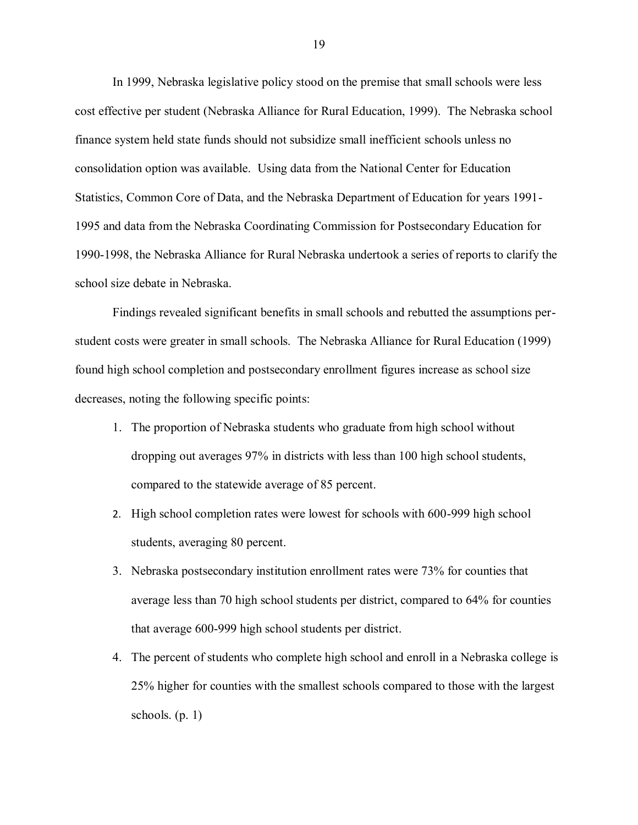In 1999, Nebraska legislative policy stood on the premise that small schools were less cost effective per student (Nebraska Alliance for Rural Education, 1999). The Nebraska school finance system held state funds should not subsidize small inefficient schools unless no consolidation option was available. Using data from the National Center for Education Statistics, Common Core of Data, and the Nebraska Department of Education for years 1991- 1995 and data from the Nebraska Coordinating Commission for Postsecondary Education for 1990-1998, the Nebraska Alliance for Rural Nebraska undertook a series of reports to clarify the school size debate in Nebraska.

Findings revealed significant benefits in small schools and rebutted the assumptions perstudent costs were greater in small schools. The Nebraska Alliance for Rural Education (1999) found high school completion and postsecondary enrollment figures increase as school size decreases, noting the following specific points:

- 1. The proportion of Nebraska students who graduate from high school without dropping out averages 97% in districts with less than 100 high school students, compared to the statewide average of 85 percent.
- 2. High school completion rates were lowest for schools with 600-999 high school students, averaging 80 percent.
- 3. Nebraska postsecondary institution enrollment rates were 73% for counties that average less than 70 high school students per district, compared to 64% for counties that average 600-999 high school students per district.
- 4. The percent of students who complete high school and enroll in a Nebraska college is 25% higher for counties with the smallest schools compared to those with the largest schools.  $(p, 1)$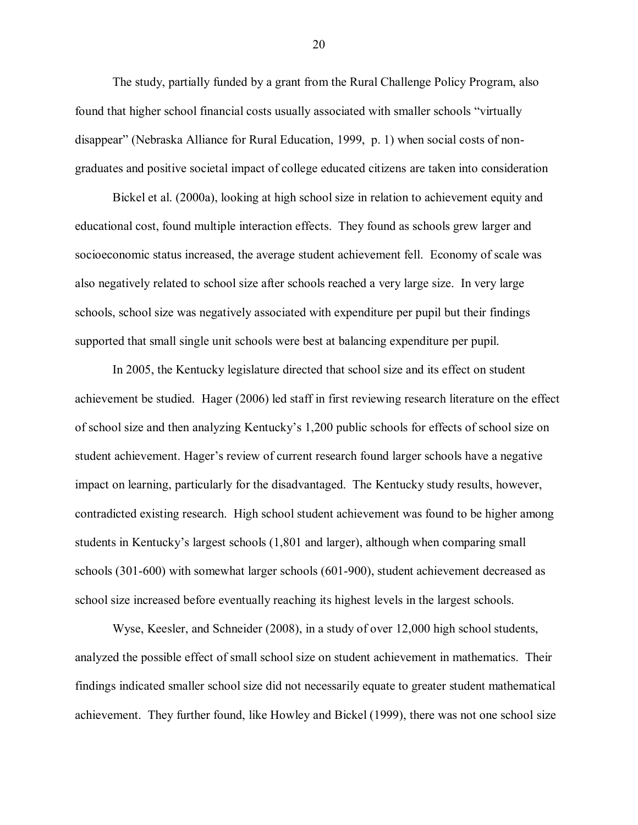The study, partially funded by a grant from the Rural Challenge Policy Program, also found that higher school financial costs usually associated with smaller schools "virtually disappear" (Nebraska Alliance for Rural Education, 1999, p. 1) when social costs of nongraduates and positive societal impact of college educated citizens are taken into consideration

Bickel et al. (2000a), looking at high school size in relation to achievement equity and educational cost, found multiple interaction effects. They found as schools grew larger and socioeconomic status increased, the average student achievement fell. Economy of scale was also negatively related to school size after schools reached a very large size. In very large schools, school size was negatively associated with expenditure per pupil but their findings supported that small single unit schools were best at balancing expenditure per pupil.

In 2005, the Kentucky legislature directed that school size and its effect on student achievement be studied. Hager (2006) led staff in first reviewing research literature on the effect of school size and then analyzing Kentucky"s 1,200 public schools for effects of school size on student achievement. Hager"s review of current research found larger schools have a negative impact on learning, particularly for the disadvantaged. The Kentucky study results, however, contradicted existing research. High school student achievement was found to be higher among students in Kentucky"s largest schools (1,801 and larger), although when comparing small schools (301-600) with somewhat larger schools (601-900), student achievement decreased as school size increased before eventually reaching its highest levels in the largest schools.

Wyse, Keesler, and Schneider (2008), in a study of over 12,000 high school students, analyzed the possible effect of small school size on student achievement in mathematics. Their findings indicated smaller school size did not necessarily equate to greater student mathematical achievement. They further found, like Howley and Bickel (1999), there was not one school size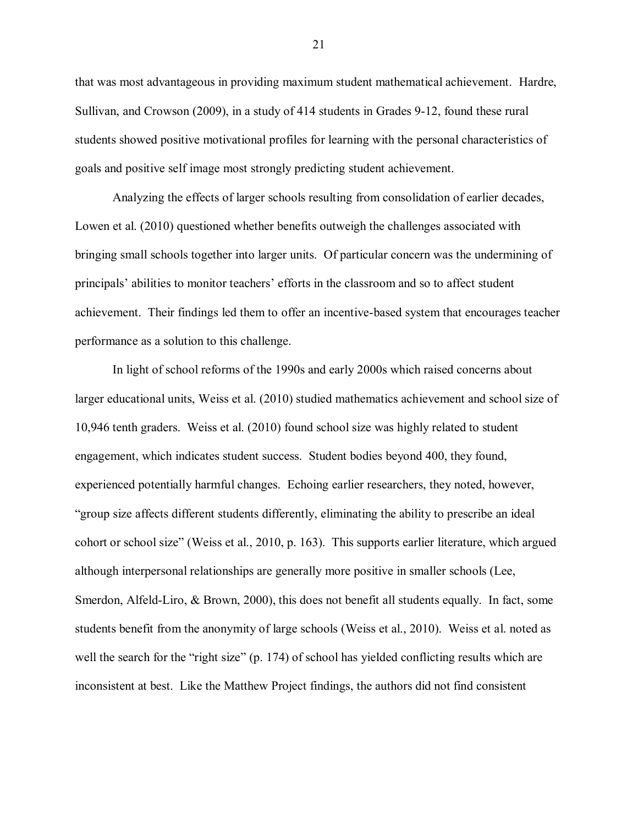that was most advantageous in providing maximum student mathematical achievement. Hardre, Sullivan, and Crowson (2009), in a study of 414 students in Grades 9-12, found these rural students showed positive motivational profiles for learning with the personal characteristics of goals and positive self image most strongly predicting student achievement.

Analyzing the effects of larger schools resulting from consolidation of earlier decades, Lowen et al. (2010) questioned whether benefits outweigh the challenges associated with bringing small schools together into larger units. Of particular concern was the undermining of principals' abilities to monitor teachers' efforts in the classroom and so to affect student achievement. Their findings led them to offer an incentive-based system that encourages teacher performance as a solution to this challenge.

In light of school reforms of the 1990s and early 2000s which raised concerns about larger educational units, Weiss et al. (2010) studied mathematics achievement and school size of 10,946 tenth graders. Weiss et al. (2010) found school size was highly related to student engagement, which indicates student success. Student bodies beyond 400, they found, experienced potentially harmful changes. Echoing earlier researchers, they noted, however, "group size affects different students differently, eliminating the ability to prescribe an ideal cohort or school size" (Weiss et al., 2010, p. 163). This supports earlier literature, which argued although interpersonal relationships are generally more positive in smaller schools (Lee, Smerdon, Alfeld-Liro, & Brown, 2000), this does not benefit all students equally. In fact, some students benefit from the anonymity of large schools (Weiss et al., 2010). Weiss et al. noted as well the search for the "right size" (p. 174) of school has yielded conflicting results which are inconsistent at best. Like the Matthew Project findings, the authors did not find consistent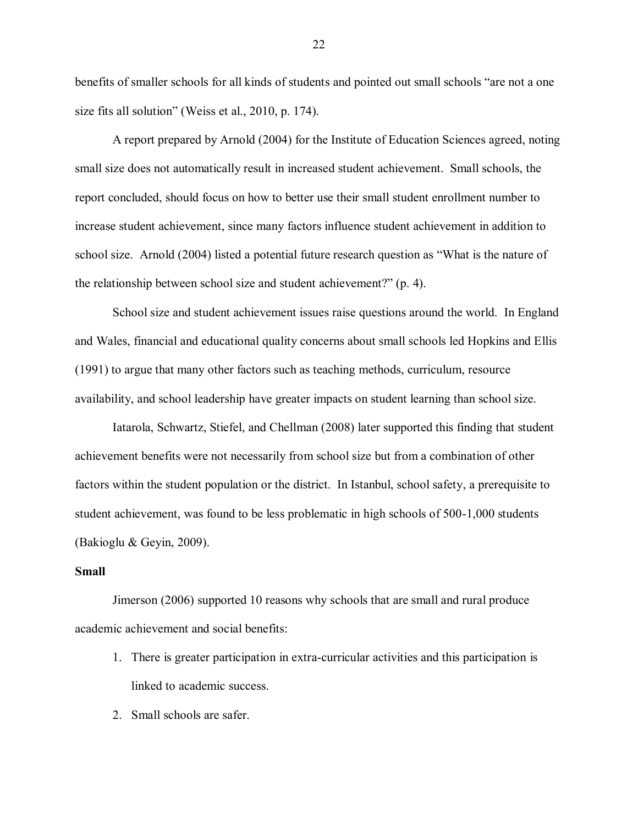benefits of smaller schools for all kinds of students and pointed out small schools "are not a one size fits all solution" (Weiss et al., 2010, p. 174).

A report prepared by Arnold (2004) for the Institute of Education Sciences agreed, noting small size does not automatically result in increased student achievement. Small schools, the report concluded, should focus on how to better use their small student enrollment number to increase student achievement, since many factors influence student achievement in addition to school size. Arnold (2004) listed a potential future research question as "What is the nature of the relationship between school size and student achievement?" (p. 4).

School size and student achievement issues raise questions around the world. In England and Wales, financial and educational quality concerns about small schools led Hopkins and Ellis (1991) to argue that many other factors such as teaching methods, curriculum, resource availability, and school leadership have greater impacts on student learning than school size.

Iatarola, Schwartz, Stiefel, and Chellman (2008) later supported this finding that student achievement benefits were not necessarily from school size but from a combination of other factors within the student population or the district. In Istanbul, school safety, a prerequisite to student achievement, was found to be less problematic in high schools of 500-1,000 students (Bakioglu & Geyin, 2009).

#### **Small**

Jimerson (2006) supported 10 reasons why schools that are small and rural produce academic achievement and social benefits:

- 1. There is greater participation in extra-curricular activities and this participation is linked to academic success.
- 2. Small schools are safer.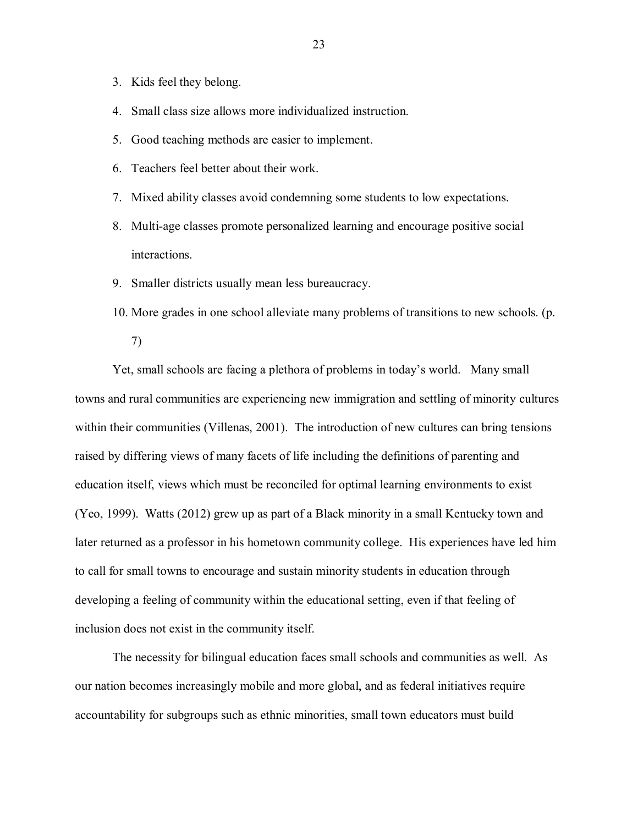- 3. Kids feel they belong.
- 4. Small class size allows more individualized instruction.
- 5. Good teaching methods are easier to implement.
- 6. Teachers feel better about their work.
- 7. Mixed ability classes avoid condemning some students to low expectations.
- 8. Multi-age classes promote personalized learning and encourage positive social interactions.
- 9. Smaller districts usually mean less bureaucracy.
- 10. More grades in one school alleviate many problems of transitions to new schools. (p.

7)

Yet, small schools are facing a plethora of problems in today"s world. Many small towns and rural communities are experiencing new immigration and settling of minority cultures within their communities (Villenas, 2001). The introduction of new cultures can bring tensions raised by differing views of many facets of life including the definitions of parenting and education itself, views which must be reconciled for optimal learning environments to exist (Yeo, 1999). Watts (2012) grew up as part of a Black minority in a small Kentucky town and later returned as a professor in his hometown community college. His experiences have led him to call for small towns to encourage and sustain minority students in education through developing a feeling of community within the educational setting, even if that feeling of inclusion does not exist in the community itself.

The necessity for bilingual education faces small schools and communities as well. As our nation becomes increasingly mobile and more global, and as federal initiatives require accountability for subgroups such as ethnic minorities, small town educators must build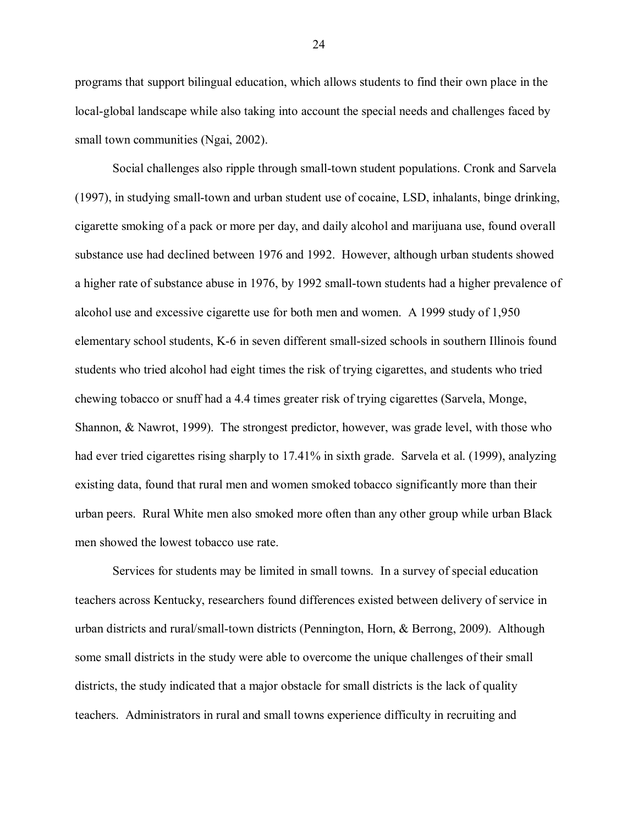programs that support bilingual education, which allows students to find their own place in the local-global landscape while also taking into account the special needs and challenges faced by small town communities (Ngai, 2002).

Social challenges also ripple through small-town student populations. Cronk and Sarvela (1997), in studying small-town and urban student use of cocaine, LSD, inhalants, binge drinking, cigarette smoking of a pack or more per day, and daily alcohol and marijuana use, found overall substance use had declined between 1976 and 1992. However, although urban students showed a higher rate of substance abuse in 1976, by 1992 small-town students had a higher prevalence of alcohol use and excessive cigarette use for both men and women. A 1999 study of 1,950 elementary school students, K-6 in seven different small-sized schools in southern Illinois found students who tried alcohol had eight times the risk of trying cigarettes, and students who tried chewing tobacco or snuff had a 4.4 times greater risk of trying cigarettes (Sarvela, Monge, Shannon, & Nawrot, 1999). The strongest predictor, however, was grade level, with those who had ever tried cigarettes rising sharply to 17.41% in sixth grade. Sarvela et al. (1999), analyzing existing data, found that rural men and women smoked tobacco significantly more than their urban peers. Rural White men also smoked more often than any other group while urban Black men showed the lowest tobacco use rate.

Services for students may be limited in small towns. In a survey of special education teachers across Kentucky, researchers found differences existed between delivery of service in urban districts and rural/small-town districts (Pennington, Horn, & Berrong, 2009). Although some small districts in the study were able to overcome the unique challenges of their small districts, the study indicated that a major obstacle for small districts is the lack of quality teachers. Administrators in rural and small towns experience difficulty in recruiting and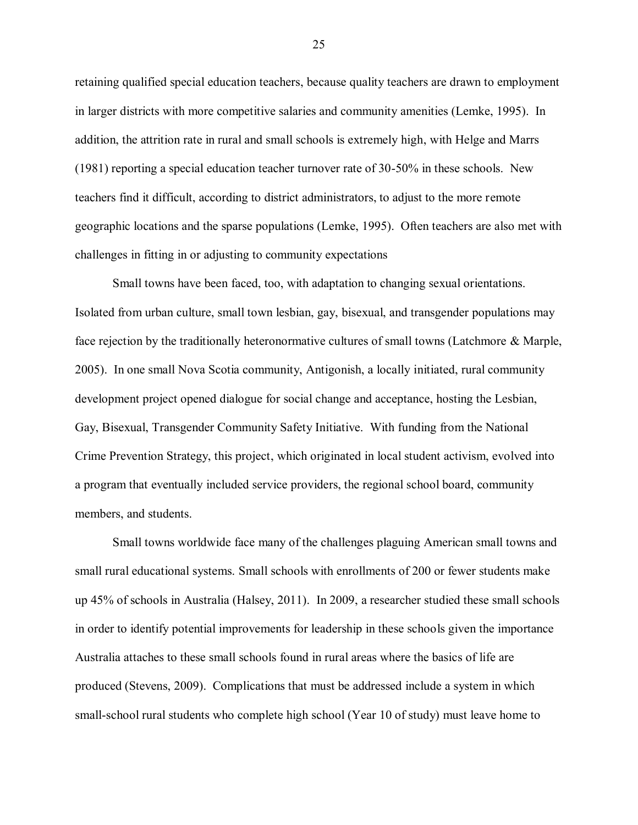retaining qualified special education teachers, because quality teachers are drawn to employment in larger districts with more competitive salaries and community amenities (Lemke, 1995). In addition, the attrition rate in rural and small schools is extremely high, with Helge and Marrs (1981) reporting a special education teacher turnover rate of 30-50% in these schools. New teachers find it difficult, according to district administrators, to adjust to the more remote geographic locations and the sparse populations (Lemke, 1995). Often teachers are also met with challenges in fitting in or adjusting to community expectations

Small towns have been faced, too, with adaptation to changing sexual orientations. Isolated from urban culture, small town lesbian, gay, bisexual, and transgender populations may face rejection by the traditionally heteronormative cultures of small towns (Latchmore & Marple, 2005). In one small Nova Scotia community, Antigonish, a locally initiated, rural community development project opened dialogue for social change and acceptance, hosting the Lesbian, Gay, Bisexual, Transgender Community Safety Initiative. With funding from the National Crime Prevention Strategy, this project, which originated in local student activism, evolved into a program that eventually included service providers, the regional school board, community members, and students.

Small towns worldwide face many of the challenges plaguing American small towns and small rural educational systems. Small schools with enrollments of 200 or fewer students make up 45% of schools in Australia (Halsey, 2011). In 2009, a researcher studied these small schools in order to identify potential improvements for leadership in these schools given the importance Australia attaches to these small schools found in rural areas where the basics of life are produced (Stevens, 2009). Complications that must be addressed include a system in which small-school rural students who complete high school (Year 10 of study) must leave home to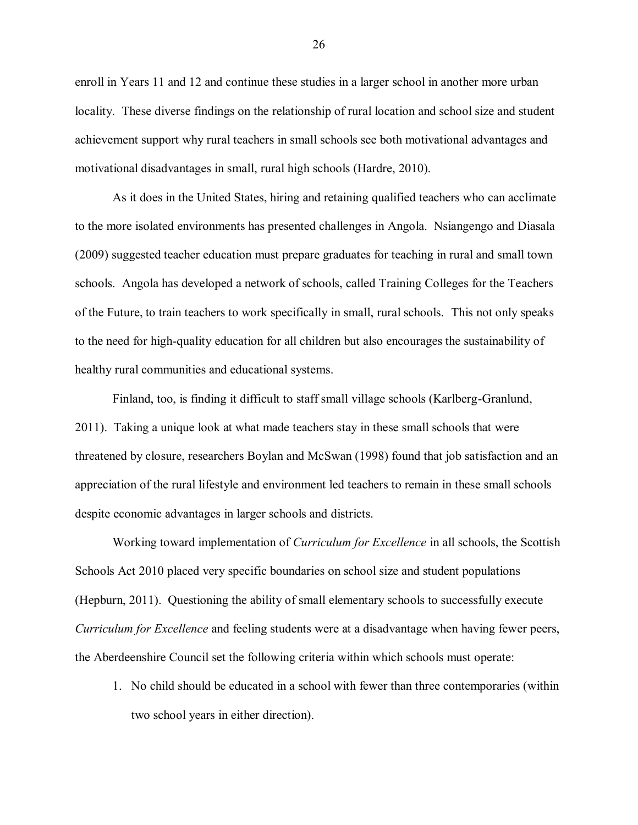enroll in Years 11 and 12 and continue these studies in a larger school in another more urban locality. These diverse findings on the relationship of rural location and school size and student achievement support why rural teachers in small schools see both motivational advantages and motivational disadvantages in small, rural high schools (Hardre, 2010).

As it does in the United States, hiring and retaining qualified teachers who can acclimate to the more isolated environments has presented challenges in Angola. Nsiangengo and Diasala (2009) suggested teacher education must prepare graduates for teaching in rural and small town schools. Angola has developed a network of schools, called Training Colleges for the Teachers of the Future, to train teachers to work specifically in small, rural schools. This not only speaks to the need for high-quality education for all children but also encourages the sustainability of healthy rural communities and educational systems.

Finland, too, is finding it difficult to staff small village schools (Karlberg-Granlund, 2011). Taking a unique look at what made teachers stay in these small schools that were threatened by closure, researchers Boylan and McSwan (1998) found that job satisfaction and an appreciation of the rural lifestyle and environment led teachers to remain in these small schools despite economic advantages in larger schools and districts.

Working toward implementation of *Curriculum for Excellence* in all schools, the Scottish Schools Act 2010 placed very specific boundaries on school size and student populations (Hepburn, 2011). Questioning the ability of small elementary schools to successfully execute *Curriculum for Excellence* and feeling students were at a disadvantage when having fewer peers, the Aberdeenshire Council set the following criteria within which schools must operate:

1. No child should be educated in a school with fewer than three contemporaries (within two school years in either direction).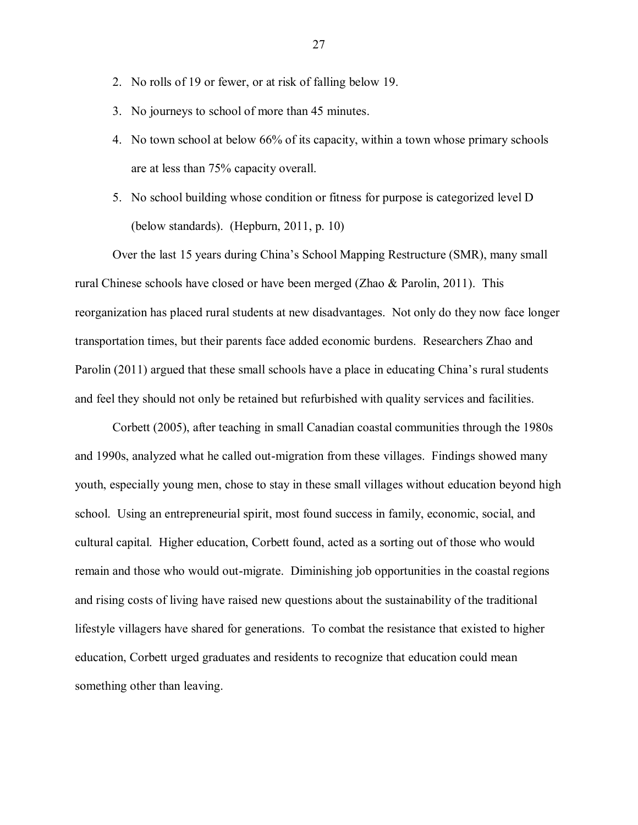- 2. No rolls of 19 or fewer, or at risk of falling below 19.
- 3. No journeys to school of more than 45 minutes.
- 4. No town school at below 66% of its capacity, within a town whose primary schools are at less than 75% capacity overall.
- 5. No school building whose condition or fitness for purpose is categorized level D (below standards). (Hepburn, 2011, p. 10)

Over the last 15 years during China"s School Mapping Restructure (SMR), many small rural Chinese schools have closed or have been merged (Zhao & Parolin, 2011). This reorganization has placed rural students at new disadvantages. Not only do they now face longer transportation times, but their parents face added economic burdens. Researchers Zhao and Parolin (2011) argued that these small schools have a place in educating China's rural students and feel they should not only be retained but refurbished with quality services and facilities.

Corbett (2005), after teaching in small Canadian coastal communities through the 1980s and 1990s, analyzed what he called out-migration from these villages. Findings showed many youth, especially young men, chose to stay in these small villages without education beyond high school. Using an entrepreneurial spirit, most found success in family, economic, social, and cultural capital. Higher education, Corbett found, acted as a sorting out of those who would remain and those who would out-migrate. Diminishing job opportunities in the coastal regions and rising costs of living have raised new questions about the sustainability of the traditional lifestyle villagers have shared for generations. To combat the resistance that existed to higher education, Corbett urged graduates and residents to recognize that education could mean something other than leaving.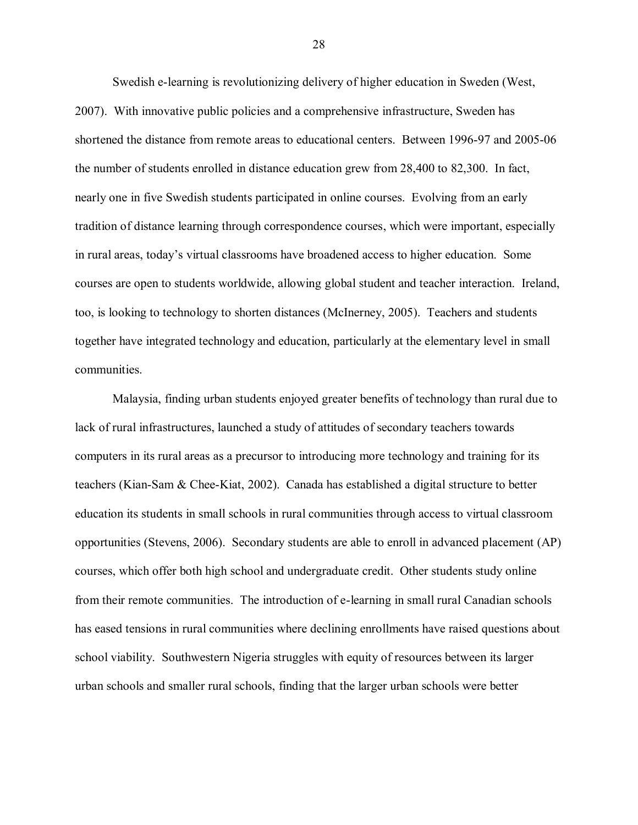Swedish e-learning is revolutionizing delivery of higher education in Sweden (West, 2007). With innovative public policies and a comprehensive infrastructure, Sweden has shortened the distance from remote areas to educational centers. Between 1996-97 and 2005-06 the number of students enrolled in distance education grew from 28,400 to 82,300. In fact, nearly one in five Swedish students participated in online courses. Evolving from an early tradition of distance learning through correspondence courses, which were important, especially in rural areas, today"s virtual classrooms have broadened access to higher education. Some courses are open to students worldwide, allowing global student and teacher interaction. Ireland, too, is looking to technology to shorten distances (McInerney, 2005). Teachers and students together have integrated technology and education, particularly at the elementary level in small communities.

Malaysia, finding urban students enjoyed greater benefits of technology than rural due to lack of rural infrastructures, launched a study of attitudes of secondary teachers towards computers in its rural areas as a precursor to introducing more technology and training for its teachers (Kian-Sam & Chee-Kiat, 2002). Canada has established a digital structure to better education its students in small schools in rural communities through access to virtual classroom opportunities (Stevens, 2006). Secondary students are able to enroll in advanced placement (AP) courses, which offer both high school and undergraduate credit. Other students study online from their remote communities. The introduction of e-learning in small rural Canadian schools has eased tensions in rural communities where declining enrollments have raised questions about school viability. Southwestern Nigeria struggles with equity of resources between its larger urban schools and smaller rural schools, finding that the larger urban schools were better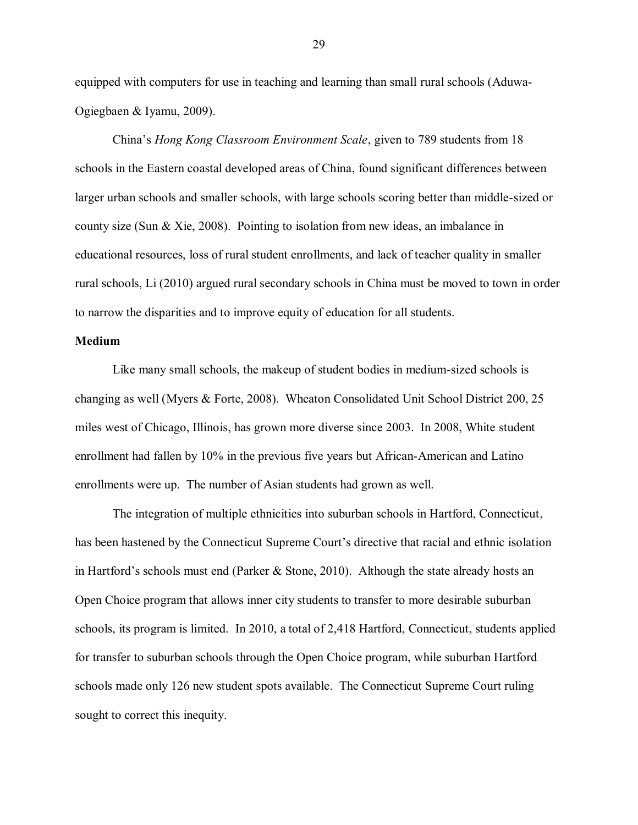equipped with computers for use in teaching and learning than small rural schools (Aduwa-Ogiegbaen & Iyamu, 2009).

China"s *Hong Kong Classroom Environment Scale*, given to 789 students from 18 schools in the Eastern coastal developed areas of China, found significant differences between larger urban schools and smaller schools, with large schools scoring better than middle-sized or county size (Sun & Xie, 2008). Pointing to isolation from new ideas, an imbalance in educational resources, loss of rural student enrollments, and lack of teacher quality in smaller rural schools, Li (2010) argued rural secondary schools in China must be moved to town in order to narrow the disparities and to improve equity of education for all students.

# **Medium**

Like many small schools, the makeup of student bodies in medium-sized schools is changing as well (Myers & Forte, 2008). Wheaton Consolidated Unit School District 200, 25 miles west of Chicago, Illinois, has grown more diverse since 2003. In 2008, White student enrollment had fallen by 10% in the previous five years but African-American and Latino enrollments were up. The number of Asian students had grown as well.

The integration of multiple ethnicities into suburban schools in Hartford, Connecticut, has been hastened by the Connecticut Supreme Court's directive that racial and ethnic isolation in Hartford's schools must end (Parker  $\&$  Stone, 2010). Although the state already hosts an Open Choice program that allows inner city students to transfer to more desirable suburban schools, its program is limited. In 2010, a total of 2,418 Hartford, Connecticut, students applied for transfer to suburban schools through the Open Choice program, while suburban Hartford schools made only 126 new student spots available. The Connecticut Supreme Court ruling sought to correct this inequity.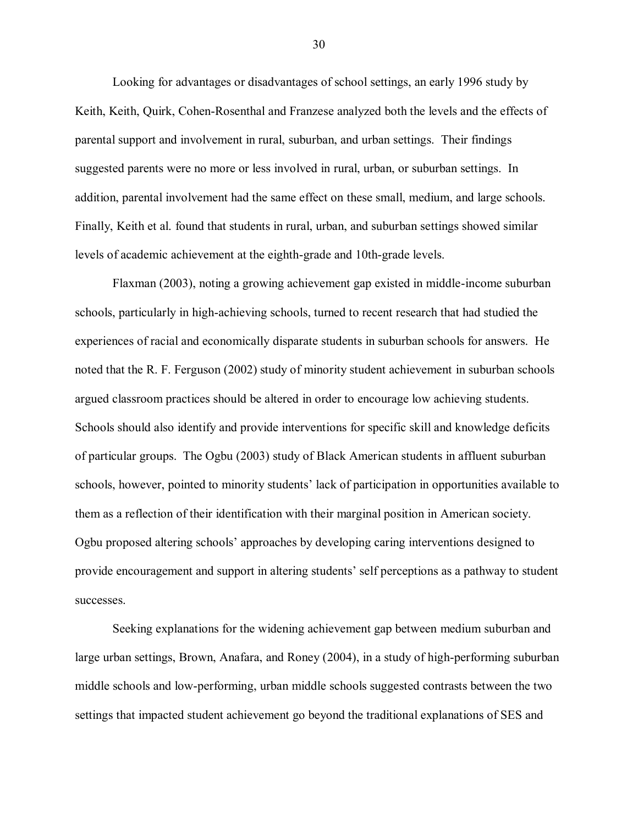Looking for advantages or disadvantages of school settings, an early 1996 study by Keith, Keith, Quirk, Cohen-Rosenthal and Franzese analyzed both the levels and the effects of parental support and involvement in rural, suburban, and urban settings. Their findings suggested parents were no more or less involved in rural, urban, or suburban settings. In addition, parental involvement had the same effect on these small, medium, and large schools. Finally, Keith et al. found that students in rural, urban, and suburban settings showed similar levels of academic achievement at the eighth-grade and 10th-grade levels.

Flaxman (2003), noting a growing achievement gap existed in middle-income suburban schools, particularly in high-achieving schools, turned to recent research that had studied the experiences of racial and economically disparate students in suburban schools for answers. He noted that the R. F. Ferguson (2002) study of minority student achievement in suburban schools argued classroom practices should be altered in order to encourage low achieving students. Schools should also identify and provide interventions for specific skill and knowledge deficits of particular groups. The Ogbu (2003) study of Black American students in affluent suburban schools, however, pointed to minority students' lack of participation in opportunities available to them as a reflection of their identification with their marginal position in American society. Ogbu proposed altering schools" approaches by developing caring interventions designed to provide encouragement and support in altering students' self perceptions as a pathway to student successes.

Seeking explanations for the widening achievement gap between medium suburban and large urban settings, Brown, Anafara, and Roney (2004), in a study of high-performing suburban middle schools and low-performing, urban middle schools suggested contrasts between the two settings that impacted student achievement go beyond the traditional explanations of SES and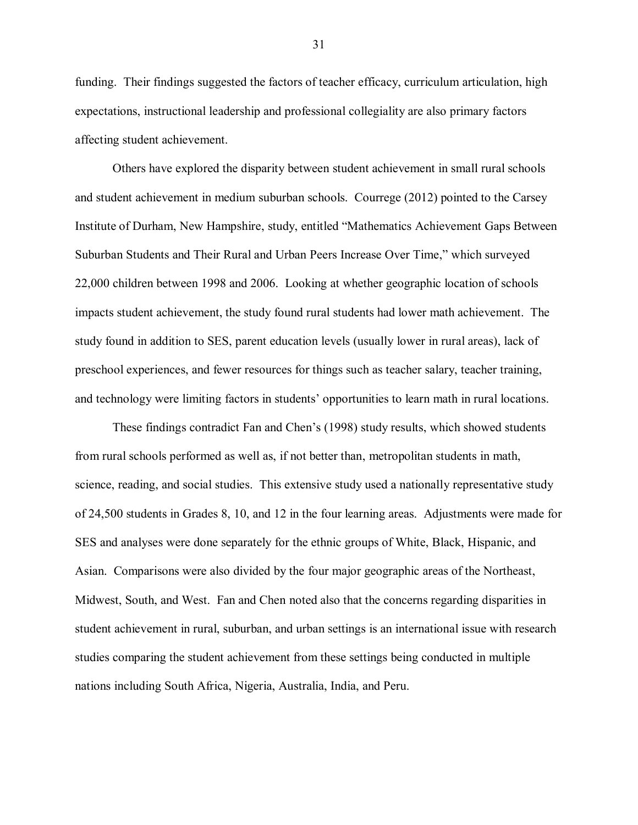funding. Their findings suggested the factors of teacher efficacy, curriculum articulation, high expectations, instructional leadership and professional collegiality are also primary factors affecting student achievement.

Others have explored the disparity between student achievement in small rural schools and student achievement in medium suburban schools. Courrege (2012) pointed to the Carsey Institute of Durham, New Hampshire, study, entitled "Mathematics Achievement Gaps Between Suburban Students and Their Rural and Urban Peers Increase Over Time," which surveyed 22,000 children between 1998 and 2006. Looking at whether geographic location of schools impacts student achievement, the study found rural students had lower math achievement. The study found in addition to SES, parent education levels (usually lower in rural areas), lack of preschool experiences, and fewer resources for things such as teacher salary, teacher training, and technology were limiting factors in students" opportunities to learn math in rural locations.

These findings contradict Fan and Chen"s (1998) study results, which showed students from rural schools performed as well as, if not better than, metropolitan students in math, science, reading, and social studies. This extensive study used a nationally representative study of 24,500 students in Grades 8, 10, and 12 in the four learning areas. Adjustments were made for SES and analyses were done separately for the ethnic groups of White, Black, Hispanic, and Asian. Comparisons were also divided by the four major geographic areas of the Northeast, Midwest, South, and West. Fan and Chen noted also that the concerns regarding disparities in student achievement in rural, suburban, and urban settings is an international issue with research studies comparing the student achievement from these settings being conducted in multiple nations including South Africa, Nigeria, Australia, India, and Peru.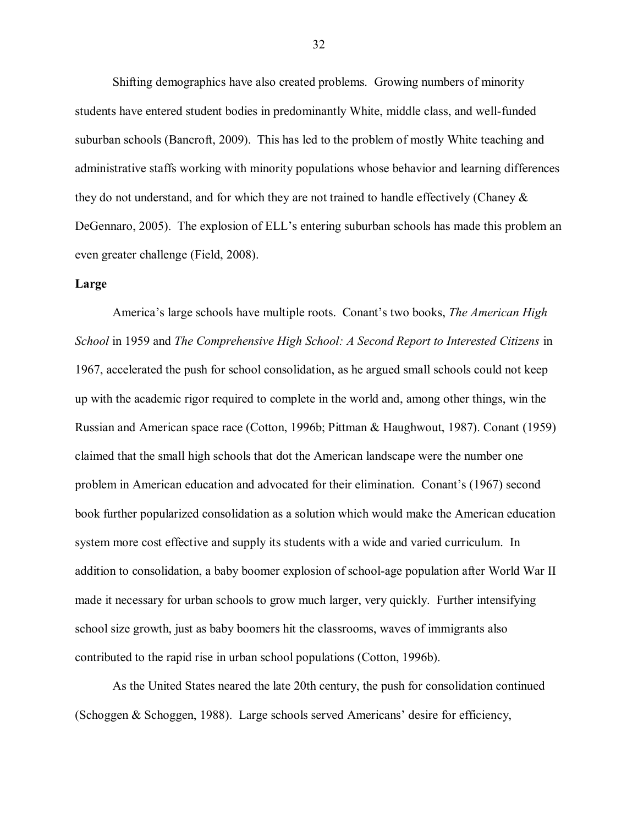Shifting demographics have also created problems. Growing numbers of minority students have entered student bodies in predominantly White, middle class, and well-funded suburban schools (Bancroft, 2009). This has led to the problem of mostly White teaching and administrative staffs working with minority populations whose behavior and learning differences they do not understand, and for which they are not trained to handle effectively (Chaney & DeGennaro, 2005). The explosion of ELL's entering suburban schools has made this problem an even greater challenge (Field, 2008).

### **Large**

America"s large schools have multiple roots. Conant"s two books, *The American High School* in 1959 and *The Comprehensive High School: A Second Report to Interested Citizens* in 1967, accelerated the push for school consolidation, as he argued small schools could not keep up with the academic rigor required to complete in the world and, among other things, win the Russian and American space race (Cotton, 1996b; Pittman & Haughwout, 1987). Conant (1959) claimed that the small high schools that dot the American landscape were the number one problem in American education and advocated for their elimination. Conant"s (1967) second book further popularized consolidation as a solution which would make the American education system more cost effective and supply its students with a wide and varied curriculum. In addition to consolidation, a baby boomer explosion of school-age population after World War II made it necessary for urban schools to grow much larger, very quickly. Further intensifying school size growth, just as baby boomers hit the classrooms, waves of immigrants also contributed to the rapid rise in urban school populations (Cotton, 1996b).

As the United States neared the late 20th century, the push for consolidation continued (Schoggen & Schoggen, 1988). Large schools served Americans" desire for efficiency,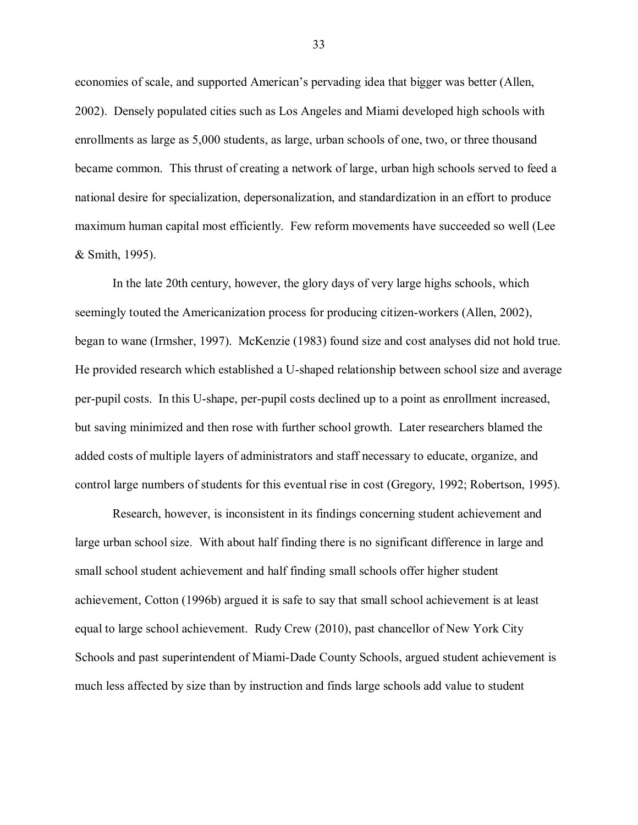economies of scale, and supported American"s pervading idea that bigger was better (Allen, 2002). Densely populated cities such as Los Angeles and Miami developed high schools with enrollments as large as 5,000 students, as large, urban schools of one, two, or three thousand became common. This thrust of creating a network of large, urban high schools served to feed a national desire for specialization, depersonalization, and standardization in an effort to produce maximum human capital most efficiently. Few reform movements have succeeded so well (Lee & Smith, 1995).

In the late 20th century, however, the glory days of very large highs schools, which seemingly touted the Americanization process for producing citizen-workers (Allen, 2002), began to wane (Irmsher, 1997). McKenzie (1983) found size and cost analyses did not hold true. He provided research which established a U-shaped relationship between school size and average per-pupil costs. In this U-shape, per-pupil costs declined up to a point as enrollment increased, but saving minimized and then rose with further school growth. Later researchers blamed the added costs of multiple layers of administrators and staff necessary to educate, organize, and control large numbers of students for this eventual rise in cost (Gregory, 1992; Robertson, 1995).

Research, however, is inconsistent in its findings concerning student achievement and large urban school size. With about half finding there is no significant difference in large and small school student achievement and half finding small schools offer higher student achievement, Cotton (1996b) argued it is safe to say that small school achievement is at least equal to large school achievement. Rudy Crew (2010), past chancellor of New York City Schools and past superintendent of Miami-Dade County Schools, argued student achievement is much less affected by size than by instruction and finds large schools add value to student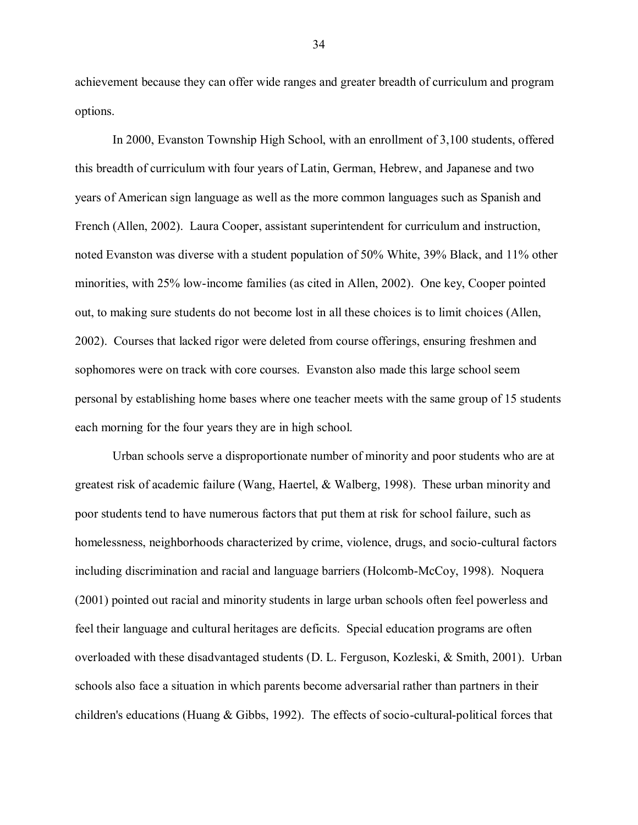achievement because they can offer wide ranges and greater breadth of curriculum and program options.

In 2000, Evanston Township High School, with an enrollment of 3,100 students, offered this breadth of curriculum with four years of Latin, German, Hebrew, and Japanese and two years of American sign language as well as the more common languages such as Spanish and French (Allen, 2002). Laura Cooper, assistant superintendent for curriculum and instruction, noted Evanston was diverse with a student population of 50% White, 39% Black, and 11% other minorities, with 25% low-income families (as cited in Allen, 2002). One key, Cooper pointed out, to making sure students do not become lost in all these choices is to limit choices (Allen, 2002). Courses that lacked rigor were deleted from course offerings, ensuring freshmen and sophomores were on track with core courses. Evanston also made this large school seem personal by establishing home bases where one teacher meets with the same group of 15 students each morning for the four years they are in high school.

Urban schools serve a disproportionate number of minority and poor students who are at greatest risk of academic failure (Wang, Haertel, & Walberg, 1998). These urban minority and poor students tend to have numerous factors that put them at risk for school failure, such as homelessness, neighborhoods characterized by crime, violence, drugs, and socio-cultural factors including discrimination and racial and language barriers (Holcomb-McCoy, 1998). Noquera (2001) pointed out racial and minority students in large urban schools often feel powerless and feel their language and cultural heritages are deficits. Special education programs are often overloaded with these disadvantaged students (D. L. Ferguson, Kozleski, & Smith, 2001). Urban schools also face a situation in which parents become adversarial rather than partners in their children's educations (Huang & Gibbs, 1992). The effects of socio-cultural-political forces that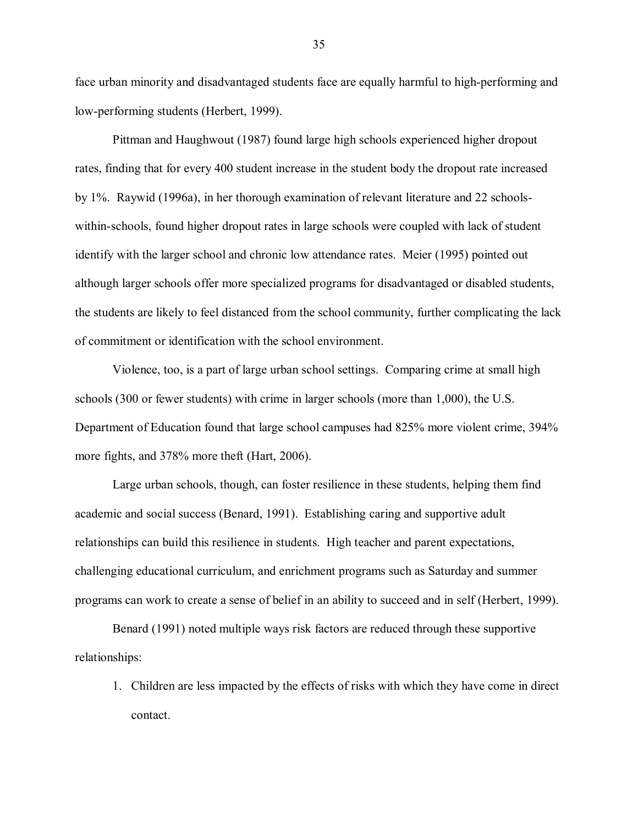face urban minority and disadvantaged students face are equally harmful to high-performing and low-performing students (Herbert, 1999).

Pittman and Haughwout (1987) found large high schools experienced higher dropout rates, finding that for every 400 student increase in the student body the dropout rate increased by 1%. Raywid (1996a), in her thorough examination of relevant literature and 22 schoolswithin-schools, found higher dropout rates in large schools were coupled with lack of student identify with the larger school and chronic low attendance rates. Meier (1995) pointed out although larger schools offer more specialized programs for disadvantaged or disabled students, the students are likely to feel distanced from the school community, further complicating the lack of commitment or identification with the school environment.

Violence, too, is a part of large urban school settings. Comparing crime at small high schools (300 or fewer students) with crime in larger schools (more than 1,000), the U.S. Department of Education found that large school campuses had 825% more violent crime, 394% more fights, and 378% more theft (Hart, 2006).

Large urban schools, though, can foster resilience in these students, helping them find academic and social success (Benard, 1991). Establishing caring and supportive adult relationships can build this resilience in students. High teacher and parent expectations, challenging educational curriculum, and enrichment programs such as Saturday and summer programs can work to create a sense of belief in an ability to succeed and in self (Herbert, 1999).

Benard (1991) noted multiple ways risk factors are reduced through these supportive relationships:

1. Children are less impacted by the effects of risks with which they have come in direct contact.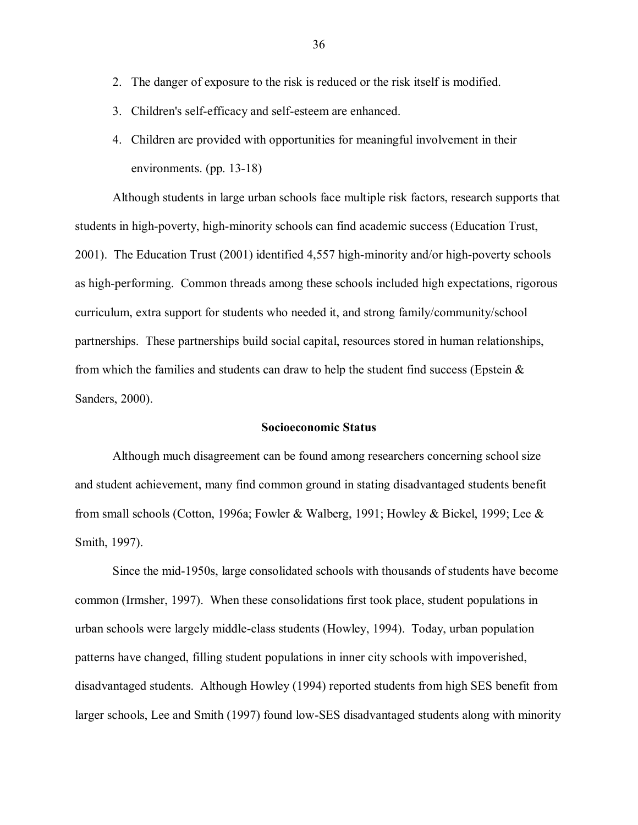- 2. The danger of exposure to the risk is reduced or the risk itself is modified.
- 3. Children's self-efficacy and self-esteem are enhanced.
- 4. Children are provided with opportunities for meaningful involvement in their environments. (pp. 13-18)

Although students in large urban schools face multiple risk factors, research supports that students in high-poverty, high-minority schools can find academic success (Education Trust, 2001). The Education Trust (2001) identified 4,557 high-minority and/or high-poverty schools as high-performing. Common threads among these schools included high expectations, rigorous curriculum, extra support for students who needed it, and strong family/community/school partnerships. These partnerships build social capital, resources stored in human relationships, from which the families and students can draw to help the student find success (Epstein  $\&$ Sanders, 2000).

### **Socioeconomic Status**

Although much disagreement can be found among researchers concerning school size and student achievement, many find common ground in stating disadvantaged students benefit from small schools (Cotton, 1996a; Fowler & Walberg, 1991; Howley & Bickel, 1999; Lee & Smith, 1997).

Since the mid-1950s, large consolidated schools with thousands of students have become common (Irmsher, 1997). When these consolidations first took place, student populations in urban schools were largely middle-class students (Howley, 1994). Today, urban population patterns have changed, filling student populations in inner city schools with impoverished, disadvantaged students. Although Howley (1994) reported students from high SES benefit from larger schools, Lee and Smith (1997) found low-SES disadvantaged students along with minority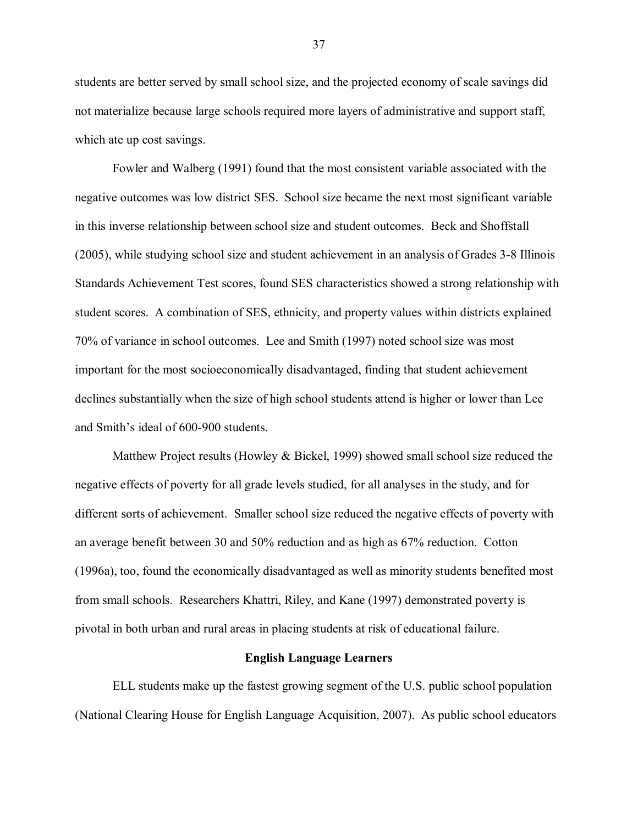students are better served by small school size, and the projected economy of scale savings did not materialize because large schools required more layers of administrative and support staff, which ate up cost savings.

Fowler and Walberg (1991) found that the most consistent variable associated with the negative outcomes was low district SES. School size became the next most significant variable in this inverse relationship between school size and student outcomes. Beck and Shoffstall (2005), while studying school size and student achievement in an analysis of Grades 3-8 Illinois Standards Achievement Test scores, found SES characteristics showed a strong relationship with student scores. A combination of SES, ethnicity, and property values within districts explained 70% of variance in school outcomes. Lee and Smith (1997) noted school size was most important for the most socioeconomically disadvantaged, finding that student achievement declines substantially when the size of high school students attend is higher or lower than Lee and Smith"s ideal of 600-900 students.

Matthew Project results (Howley & Bickel, 1999) showed small school size reduced the negative effects of poverty for all grade levels studied, for all analyses in the study, and for different sorts of achievement. Smaller school size reduced the negative effects of poverty with an average benefit between 30 and 50% reduction and as high as 67% reduction. Cotton (1996a), too, found the economically disadvantaged as well as minority students benefited most from small schools. Researchers Khattri, Riley, and Kane (1997) demonstrated poverty is pivotal in both urban and rural areas in placing students at risk of educational failure.

#### **English Language Learners**

ELL students make up the fastest growing segment of the U.S. public school population (National Clearing House for English Language Acquisition, 2007). As public school educators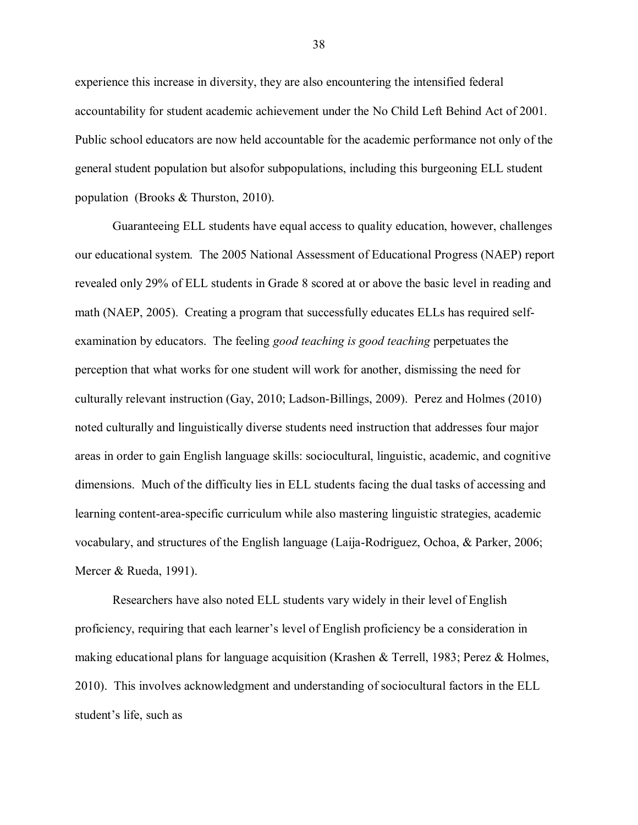experience this increase in diversity, they are also encountering the intensified federal accountability for student academic achievement under the No Child Left Behind Act of 2001*.* Public school educators are now held accountable for the academic performance not only of the general student population but alsofor subpopulations, including this burgeoning ELL student population (Brooks & Thurston, 2010).

Guaranteeing ELL students have equal access to quality education, however, challenges our educational system. The 2005 National Assessment of Educational Progress (NAEP) report revealed only 29% of ELL students in Grade 8 scored at or above the basic level in reading and math (NAEP, 2005). Creating a program that successfully educates ELLs has required selfexamination by educators. The feeling *good teaching is good teaching* perpetuates the perception that what works for one student will work for another, dismissing the need for culturally relevant instruction (Gay, 2010; Ladson-Billings, 2009). Perez and Holmes (2010) noted culturally and linguistically diverse students need instruction that addresses four major areas in order to gain English language skills: sociocultural, linguistic, academic, and cognitive dimensions. Much of the difficulty lies in ELL students facing the dual tasks of accessing and learning content-area-specific curriculum while also mastering linguistic strategies, academic vocabulary, and structures of the English language (Laija-Rodriguez, Ochoa, & Parker, 2006; Mercer & Rueda, 1991).

Researchers have also noted ELL students vary widely in their level of English proficiency, requiring that each learner"s level of English proficiency be a consideration in making educational plans for language acquisition (Krashen & Terrell, 1983; Perez & Holmes, 2010). This involves acknowledgment and understanding of sociocultural factors in the ELL student"s life, such as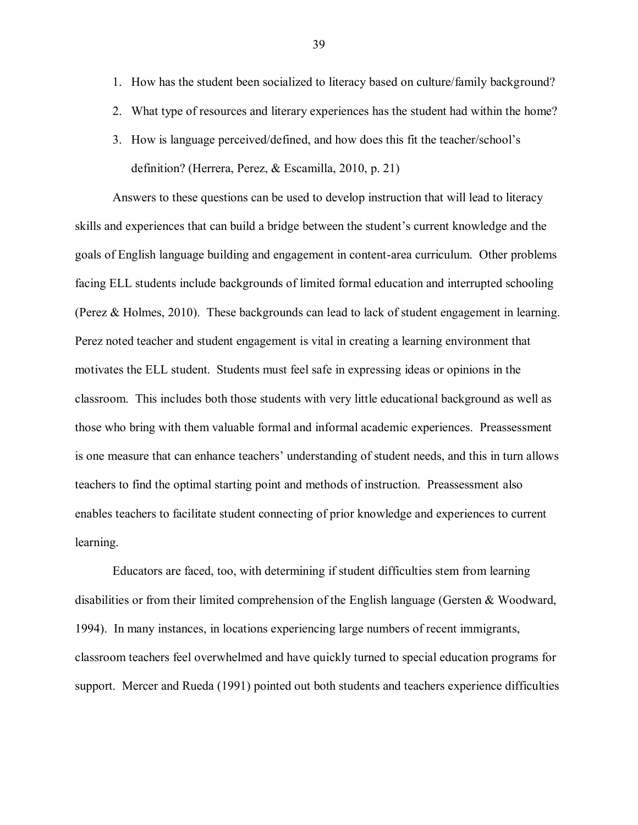- 1. How has the student been socialized to literacy based on culture/family background?
- 2. What type of resources and literary experiences has the student had within the home?
- 3. How is language perceived/defined, and how does this fit the teacher/school"s definition? (Herrera, Perez, & Escamilla, 2010, p. 21)

Answers to these questions can be used to develop instruction that will lead to literacy skills and experiences that can build a bridge between the student's current knowledge and the goals of English language building and engagement in content-area curriculum. Other problems facing ELL students include backgrounds of limited formal education and interrupted schooling (Perez & Holmes, 2010). These backgrounds can lead to lack of student engagement in learning. Perez noted teacher and student engagement is vital in creating a learning environment that motivates the ELL student. Students must feel safe in expressing ideas or opinions in the classroom. This includes both those students with very little educational background as well as those who bring with them valuable formal and informal academic experiences. Preassessment is one measure that can enhance teachers" understanding of student needs, and this in turn allows teachers to find the optimal starting point and methods of instruction. Preassessment also enables teachers to facilitate student connecting of prior knowledge and experiences to current learning.

Educators are faced, too, with determining if student difficulties stem from learning disabilities or from their limited comprehension of the English language (Gersten & Woodward, 1994). In many instances, in locations experiencing large numbers of recent immigrants, classroom teachers feel overwhelmed and have quickly turned to special education programs for support. Mercer and Rueda (1991) pointed out both students and teachers experience difficulties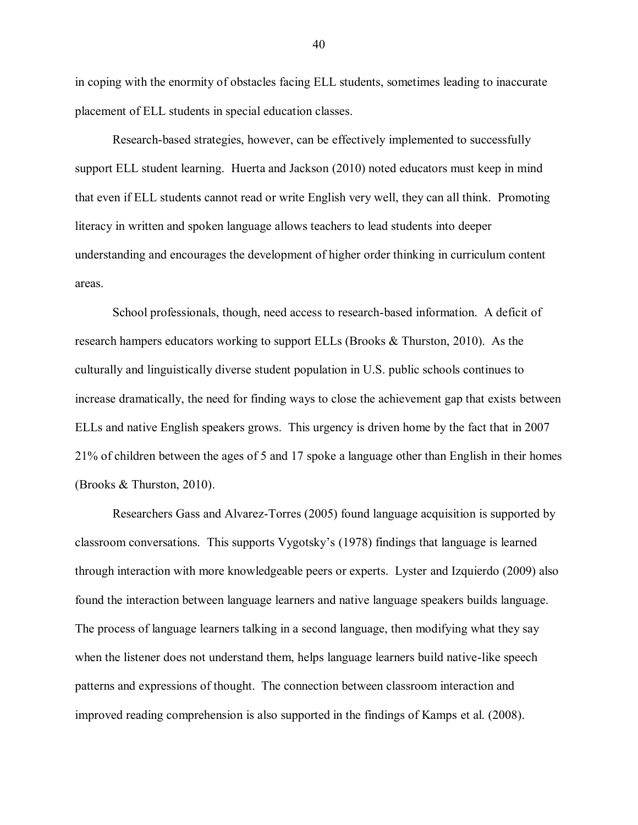in coping with the enormity of obstacles facing ELL students, sometimes leading to inaccurate placement of ELL students in special education classes.

Research-based strategies, however, can be effectively implemented to successfully support ELL student learning. Huerta and Jackson (2010) noted educators must keep in mind that even if ELL students cannot read or write English very well, they can all think. Promoting literacy in written and spoken language allows teachers to lead students into deeper understanding and encourages the development of higher order thinking in curriculum content areas.

School professionals, though, need access to research-based information. A deficit of research hampers educators working to support ELLs (Brooks & Thurston, 2010). As the culturally and linguistically diverse student population in U.S. public schools continues to increase dramatically, the need for finding ways to close the achievement gap that exists between ELLs and native English speakers grows. This urgency is driven home by the fact that in 2007 21% of children between the ages of 5 and 17 spoke a language other than English in their homes (Brooks & Thurston, 2010).

Researchers Gass and Alvarez-Torres (2005) found language acquisition is supported by classroom conversations. This supports Vygotsky"s (1978) findings that language is learned through interaction with more knowledgeable peers or experts. Lyster and Izquierdo (2009) also found the interaction between language learners and native language speakers builds language. The process of language learners talking in a second language, then modifying what they say when the listener does not understand them, helps language learners build native-like speech patterns and expressions of thought. The connection between classroom interaction and improved reading comprehension is also supported in the findings of Kamps et al. (2008).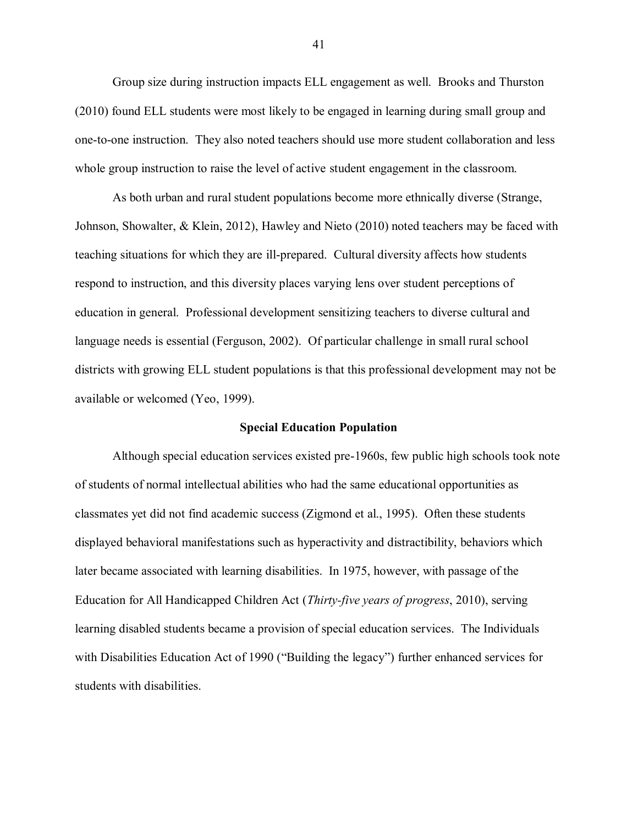Group size during instruction impacts ELL engagement as well. Brooks and Thurston (2010) found ELL students were most likely to be engaged in learning during small group and one-to-one instruction. They also noted teachers should use more student collaboration and less whole group instruction to raise the level of active student engagement in the classroom.

As both urban and rural student populations become more ethnically diverse (Strange, Johnson, Showalter, & Klein, 2012), Hawley and Nieto (2010) noted teachers may be faced with teaching situations for which they are ill-prepared. Cultural diversity affects how students respond to instruction, and this diversity places varying lens over student perceptions of education in general. Professional development sensitizing teachers to diverse cultural and language needs is essential (Ferguson, 2002). Of particular challenge in small rural school districts with growing ELL student populations is that this professional development may not be available or welcomed (Yeo, 1999).

#### **Special Education Population**

Although special education services existed pre-1960s, few public high schools took note of students of normal intellectual abilities who had the same educational opportunities as classmates yet did not find academic success (Zigmond et al., 1995). Often these students displayed behavioral manifestations such as hyperactivity and distractibility, behaviors which later became associated with learning disabilities. In 1975, however, with passage of the Education for All Handicapped Children Act (*Thirty-five years of progress*, 2010), serving learning disabled students became a provision of special education services. The Individuals with Disabilities Education Act of 1990 ("Building the legacy") further enhanced services for students with disabilities.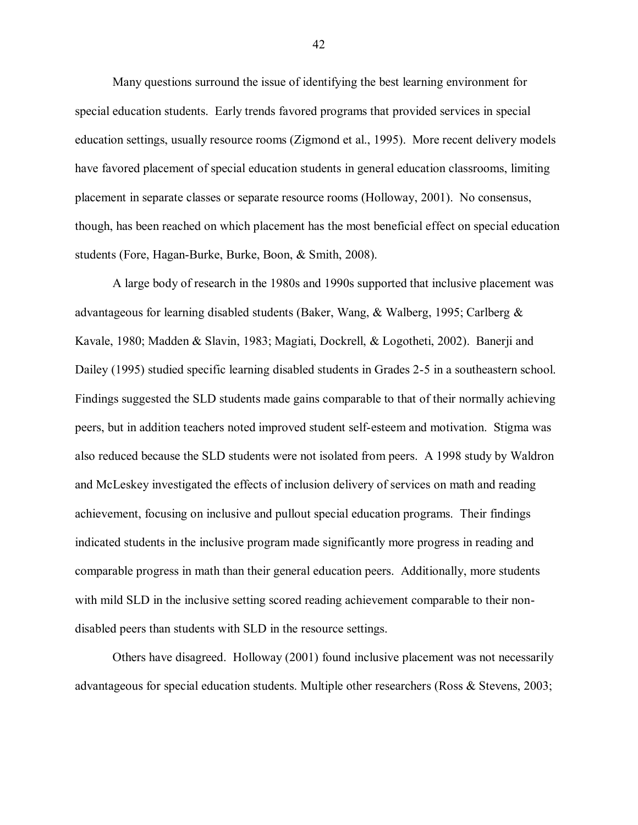Many questions surround the issue of identifying the best learning environment for special education students. Early trends favored programs that provided services in special education settings, usually resource rooms (Zigmond et al., 1995). More recent delivery models have favored placement of special education students in general education classrooms, limiting placement in separate classes or separate resource rooms (Holloway, 2001). No consensus, though, has been reached on which placement has the most beneficial effect on special education students (Fore, Hagan-Burke, Burke, Boon, & Smith, 2008).

A large body of research in the 1980s and 1990s supported that inclusive placement was advantageous for learning disabled students (Baker, Wang, & Walberg, 1995; Carlberg & Kavale, 1980; Madden & Slavin, 1983; Magiati, Dockrell, & Logotheti, 2002). Banerji and Dailey (1995) studied specific learning disabled students in Grades 2-5 in a southeastern school. Findings suggested the SLD students made gains comparable to that of their normally achieving peers, but in addition teachers noted improved student self-esteem and motivation. Stigma was also reduced because the SLD students were not isolated from peers. A 1998 study by Waldron and McLeskey investigated the effects of inclusion delivery of services on math and reading achievement, focusing on inclusive and pullout special education programs. Their findings indicated students in the inclusive program made significantly more progress in reading and comparable progress in math than their general education peers. Additionally, more students with mild SLD in the inclusive setting scored reading achievement comparable to their nondisabled peers than students with SLD in the resource settings.

Others have disagreed. Holloway (2001) found inclusive placement was not necessarily advantageous for special education students. Multiple other researchers (Ross & Stevens, 2003;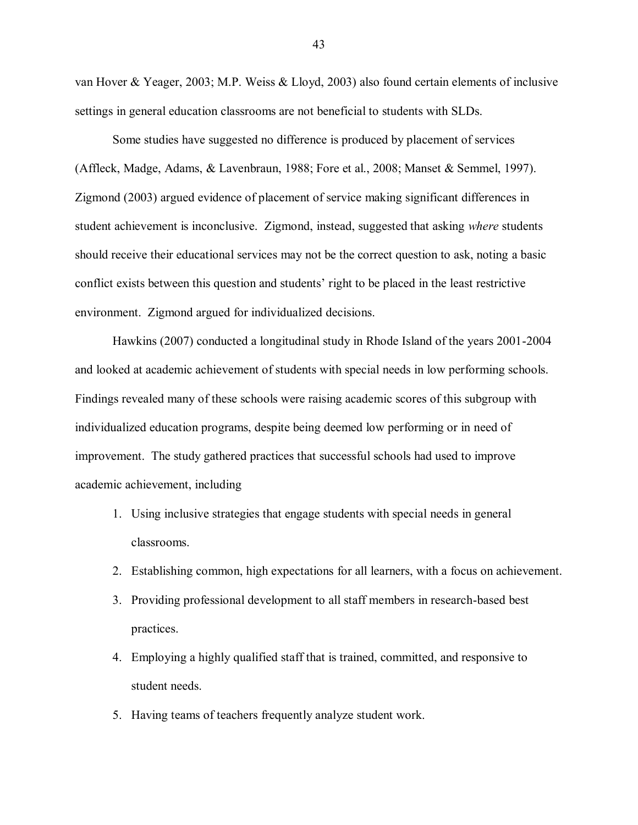van Hover & Yeager, 2003; M.P. Weiss & Lloyd, 2003) also found certain elements of inclusive settings in general education classrooms are not beneficial to students with SLDs.

Some studies have suggested no difference is produced by placement of services (Affleck, Madge, Adams, & Lavenbraun, 1988; Fore et al., 2008; Manset & Semmel, 1997). Zigmond (2003) argued evidence of placement of service making significant differences in student achievement is inconclusive. Zigmond, instead, suggested that asking *where* students should receive their educational services may not be the correct question to ask, noting a basic conflict exists between this question and students' right to be placed in the least restrictive environment. Zigmond argued for individualized decisions.

Hawkins (2007) conducted a longitudinal study in Rhode Island of the years 2001-2004 and looked at academic achievement of students with special needs in low performing schools. Findings revealed many of these schools were raising academic scores of this subgroup with individualized education programs, despite being deemed low performing or in need of improvement. The study gathered practices that successful schools had used to improve academic achievement, including

- 1. Using inclusive strategies that engage students with special needs in general classrooms.
- 2. Establishing common, high expectations for all learners, with a focus on achievement.
- 3. Providing professional development to all staff members in research-based best practices.
- 4. Employing a highly qualified staff that is trained, committed, and responsive to student needs.
- 5. Having teams of teachers frequently analyze student work.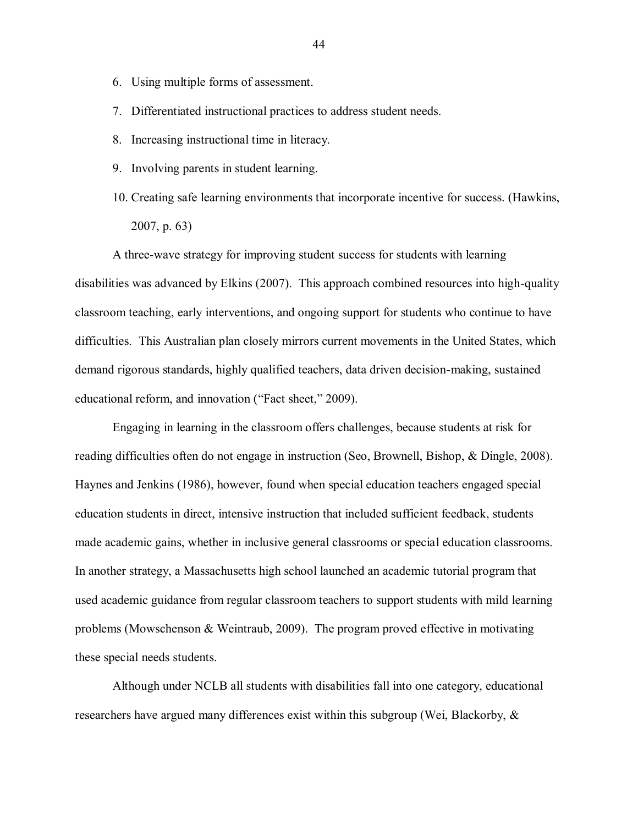- 6. Using multiple forms of assessment.
- 7. Differentiated instructional practices to address student needs.
- 8. Increasing instructional time in literacy.
- 9. Involving parents in student learning.
- 10. Creating safe learning environments that incorporate incentive for success. (Hawkins, 2007, p. 63)

A three-wave strategy for improving student success for students with learning disabilities was advanced by Elkins (2007). This approach combined resources into high-quality classroom teaching, early interventions, and ongoing support for students who continue to have difficulties. This Australian plan closely mirrors current movements in the United States, which demand rigorous standards, highly qualified teachers, data driven decision-making, sustained educational reform, and innovation ("Fact sheet," 2009).

Engaging in learning in the classroom offers challenges, because students at risk for reading difficulties often do not engage in instruction (Seo, Brownell, Bishop, & Dingle, 2008). Haynes and Jenkins (1986), however, found when special education teachers engaged special education students in direct, intensive instruction that included sufficient feedback, students made academic gains, whether in inclusive general classrooms or special education classrooms. In another strategy, a Massachusetts high school launched an academic tutorial program that used academic guidance from regular classroom teachers to support students with mild learning problems (Mowschenson & Weintraub, 2009). The program proved effective in motivating these special needs students.

Although under NCLB all students with disabilities fall into one category, educational researchers have argued many differences exist within this subgroup (Wei, Blackorby, &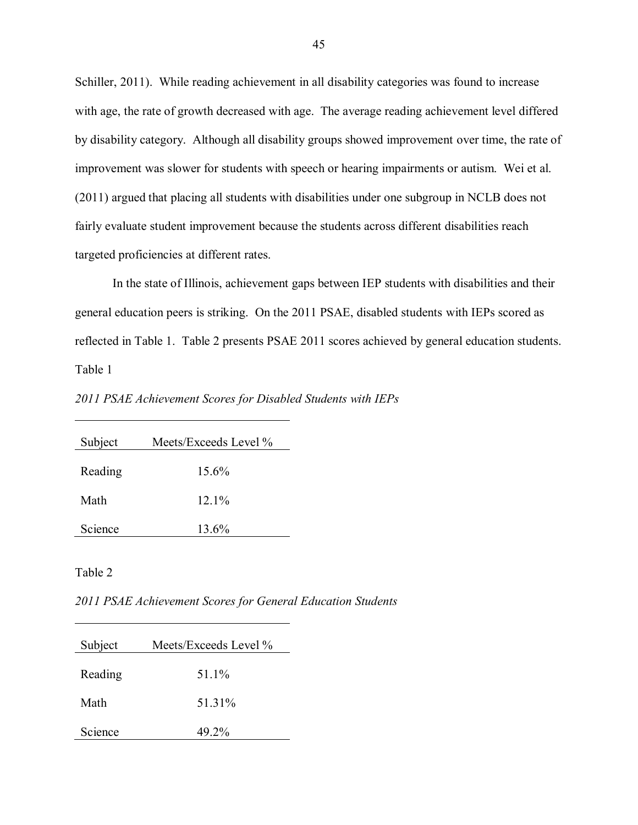Schiller, 2011). While reading achievement in all disability categories was found to increase with age, the rate of growth decreased with age. The average reading achievement level differed by disability category. Although all disability groups showed improvement over time, the rate of improvement was slower for students with speech or hearing impairments or autism. Wei et al. (2011) argued that placing all students with disabilities under one subgroup in NCLB does not fairly evaluate student improvement because the students across different disabilities reach targeted proficiencies at different rates.

In the state of Illinois, achievement gaps between IEP students with disabilities and their general education peers is striking. On the 2011 PSAE, disabled students with IEPs scored as reflected in Table 1. Table 2 presents PSAE 2011 scores achieved by general education students. Table 1

*2011 PSAE Achievement Scores for Disabled Students with IEPs*

| Subject | Meets/Exceeds Level % |
|---------|-----------------------|
| Reading | $15.6\%$              |
|         |                       |
| Math    | $12.1\%$              |
| Science | $13.6\%$              |
|         |                       |

Table 2

*2011 PSAE Achievement Scores for General Education Students*

| Subject | Meets/Exceeds Level % |
|---------|-----------------------|
| Reading | 51 1%                 |
| Math    | 51.31%                |
| Science | 49.2%                 |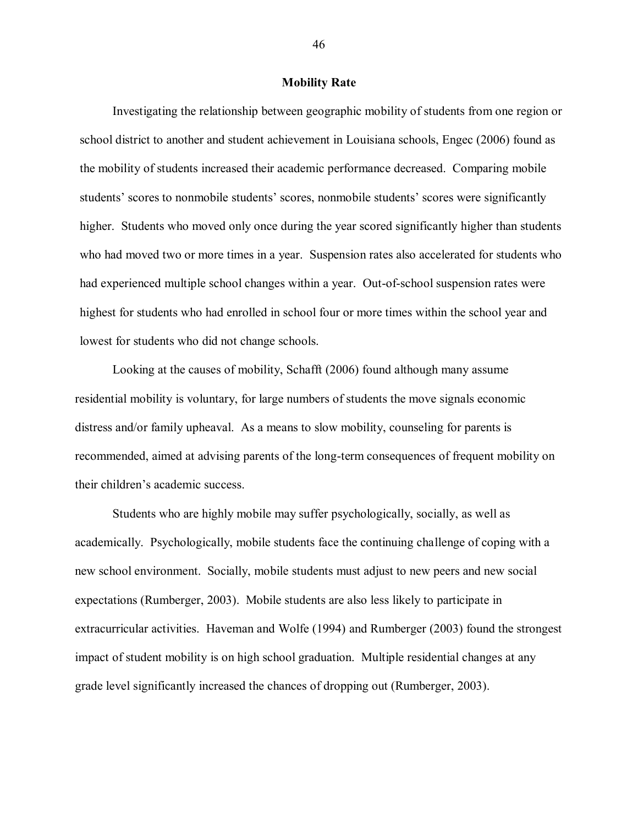#### **Mobility Rate**

Investigating the relationship between geographic mobility of students from one region or school district to another and student achievement in Louisiana schools, Engec (2006) found as the mobility of students increased their academic performance decreased. Comparing mobile students' scores to nonmobile students' scores, nonmobile students' scores were significantly higher. Students who moved only once during the year scored significantly higher than students who had moved two or more times in a year. Suspension rates also accelerated for students who had experienced multiple school changes within a year. Out-of-school suspension rates were highest for students who had enrolled in school four or more times within the school year and lowest for students who did not change schools.

Looking at the causes of mobility, Schafft (2006) found although many assume residential mobility is voluntary, for large numbers of students the move signals economic distress and/or family upheaval. As a means to slow mobility, counseling for parents is recommended, aimed at advising parents of the long-term consequences of frequent mobility on their children"s academic success.

Students who are highly mobile may suffer psychologically, socially, as well as academically. Psychologically, mobile students face the continuing challenge of coping with a new school environment. Socially, mobile students must adjust to new peers and new social expectations (Rumberger, 2003). Mobile students are also less likely to participate in extracurricular activities. Haveman and Wolfe (1994) and Rumberger (2003) found the strongest impact of student mobility is on high school graduation. Multiple residential changes at any grade level significantly increased the chances of dropping out (Rumberger, 2003).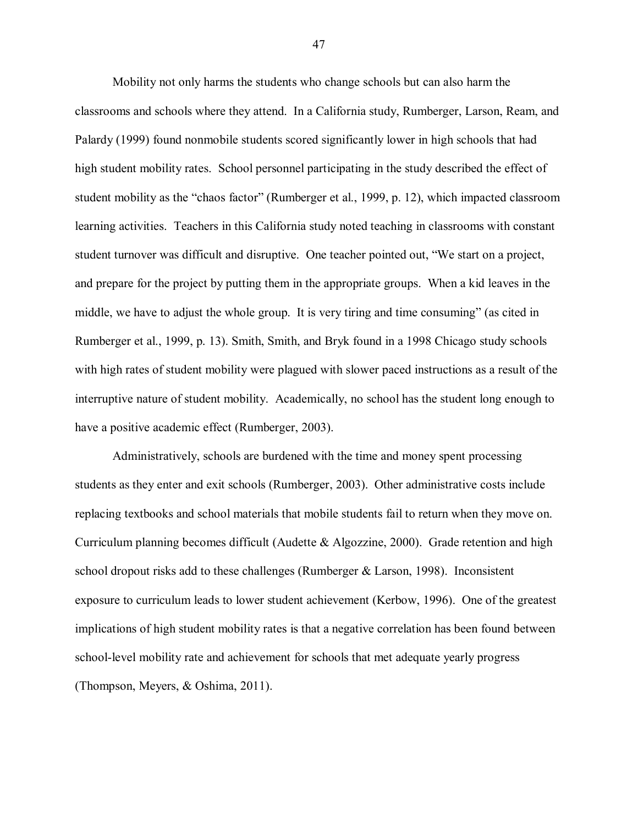Mobility not only harms the students who change schools but can also harm the classrooms and schools where they attend. In a California study, Rumberger, Larson, Ream, and Palardy (1999) found nonmobile students scored significantly lower in high schools that had high student mobility rates. School personnel participating in the study described the effect of student mobility as the "chaos factor" (Rumberger et al., 1999, p. 12), which impacted classroom learning activities. Teachers in this California study noted teaching in classrooms with constant student turnover was difficult and disruptive. One teacher pointed out, "We start on a project, and prepare for the project by putting them in the appropriate groups. When a kid leaves in the middle, we have to adjust the whole group. It is very tiring and time consuming" (as cited in Rumberger et al., 1999, p. 13). Smith, Smith, and Bryk found in a 1998 Chicago study schools with high rates of student mobility were plagued with slower paced instructions as a result of the interruptive nature of student mobility. Academically, no school has the student long enough to have a positive academic effect (Rumberger, 2003).

Administratively, schools are burdened with the time and money spent processing students as they enter and exit schools (Rumberger, 2003). Other administrative costs include replacing textbooks and school materials that mobile students fail to return when they move on. Curriculum planning becomes difficult (Audette & Algozzine, 2000). Grade retention and high school dropout risks add to these challenges (Rumberger & Larson, 1998). Inconsistent exposure to curriculum leads to lower student achievement (Kerbow, 1996). One of the greatest implications of high student mobility rates is that a negative correlation has been found between school-level mobility rate and achievement for schools that met adequate yearly progress (Thompson, Meyers, & Oshima, 2011).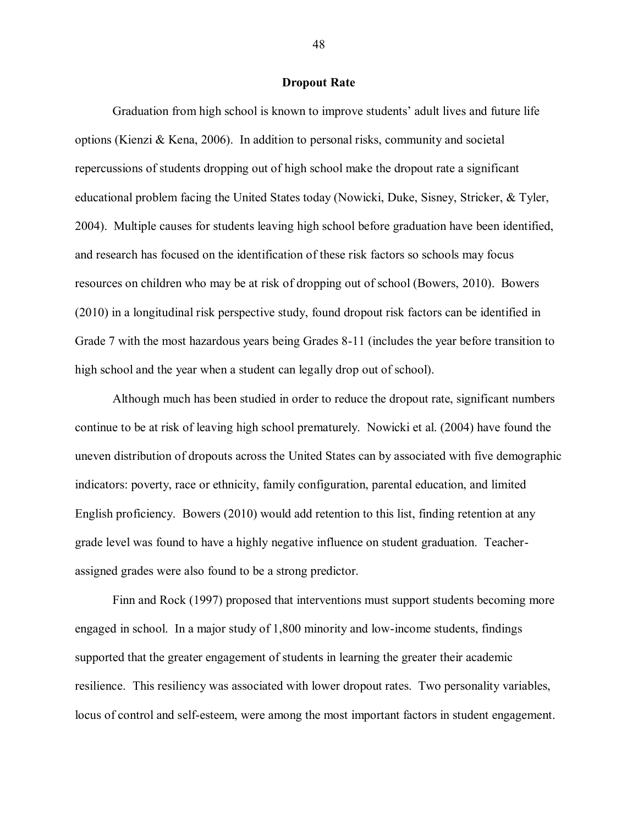#### **Dropout Rate**

Graduation from high school is known to improve students" adult lives and future life options (Kienzi & Kena, 2006). In addition to personal risks, community and societal repercussions of students dropping out of high school make the dropout rate a significant educational problem facing the United States today (Nowicki, Duke, Sisney, Stricker, & Tyler, 2004). Multiple causes for students leaving high school before graduation have been identified, and research has focused on the identification of these risk factors so schools may focus resources on children who may be at risk of dropping out of school (Bowers, 2010). Bowers (2010) in a longitudinal risk perspective study, found dropout risk factors can be identified in Grade 7 with the most hazardous years being Grades 8-11 (includes the year before transition to high school and the year when a student can legally drop out of school).

Although much has been studied in order to reduce the dropout rate, significant numbers continue to be at risk of leaving high school prematurely. Nowicki et al. (2004) have found the uneven distribution of dropouts across the United States can by associated with five demographic indicators: poverty, race or ethnicity, family configuration, parental education, and limited English proficiency. Bowers (2010) would add retention to this list, finding retention at any grade level was found to have a highly negative influence on student graduation. Teacherassigned grades were also found to be a strong predictor.

Finn and Rock (1997) proposed that interventions must support students becoming more engaged in school. In a major study of 1,800 minority and low-income students, findings supported that the greater engagement of students in learning the greater their academic resilience. This resiliency was associated with lower dropout rates. Two personality variables, locus of control and self-esteem, were among the most important factors in student engagement.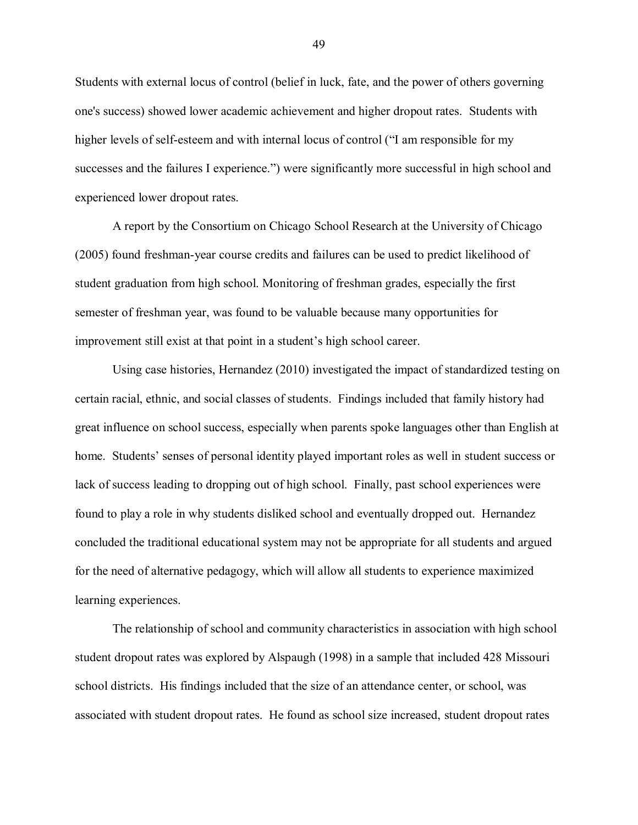Students with external locus of control (belief in luck, fate, and the power of others governing one's success) showed lower academic achievement and higher dropout rates. Students with higher levels of self-esteem and with internal locus of control ("I am responsible for my successes and the failures I experience.") were significantly more successful in high school and experienced lower dropout rates.

A report by the Consortium on Chicago School Research at the University of Chicago (2005) found freshman-year course credits and failures can be used to predict likelihood of student graduation from high school. Monitoring of freshman grades, especially the first semester of freshman year, was found to be valuable because many opportunities for improvement still exist at that point in a student's high school career.

Using case histories, Hernandez (2010) investigated the impact of standardized testing on certain racial, ethnic, and social classes of students. Findings included that family history had great influence on school success, especially when parents spoke languages other than English at home. Students' senses of personal identity played important roles as well in student success or lack of success leading to dropping out of high school. Finally, past school experiences were found to play a role in why students disliked school and eventually dropped out. Hernandez concluded the traditional educational system may not be appropriate for all students and argued for the need of alternative pedagogy, which will allow all students to experience maximized learning experiences.

The relationship of school and community characteristics in association with high school student dropout rates was explored by Alspaugh (1998) in a sample that included 428 Missouri school districts. His findings included that the size of an attendance center, or school, was associated with student dropout rates. He found as school size increased, student dropout rates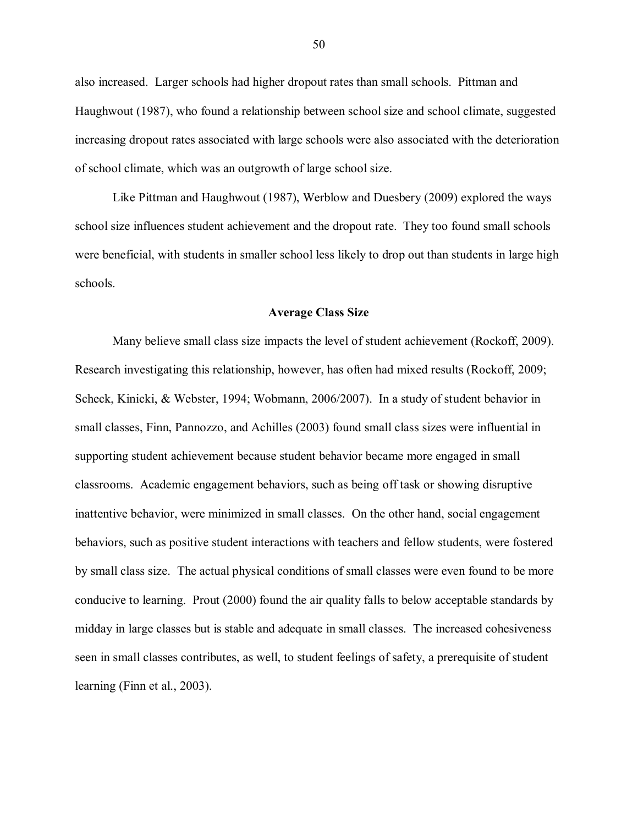also increased. Larger schools had higher dropout rates than small schools. Pittman and Haughwout (1987), who found a relationship between school size and school climate, suggested increasing dropout rates associated with large schools were also associated with the deterioration of school climate, which was an outgrowth of large school size.

Like Pittman and Haughwout (1987), Werblow and Duesbery (2009) explored the ways school size influences student achievement and the dropout rate. They too found small schools were beneficial, with students in smaller school less likely to drop out than students in large high schools.

#### **Average Class Size**

Many believe small class size impacts the level of student achievement (Rockoff, 2009). Research investigating this relationship, however, has often had mixed results (Rockoff, 2009; Scheck, Kinicki, & Webster, 1994; Wobmann, 2006/2007). In a study of student behavior in small classes, Finn, Pannozzo, and Achilles (2003) found small class sizes were influential in supporting student achievement because student behavior became more engaged in small classrooms. Academic engagement behaviors, such as being off task or showing disruptive inattentive behavior, were minimized in small classes. On the other hand, social engagement behaviors, such as positive student interactions with teachers and fellow students, were fostered by small class size. The actual physical conditions of small classes were even found to be more conducive to learning. Prout (2000) found the air quality falls to below acceptable standards by midday in large classes but is stable and adequate in small classes. The increased cohesiveness seen in small classes contributes, as well, to student feelings of safety, a prerequisite of student learning (Finn et al., 2003).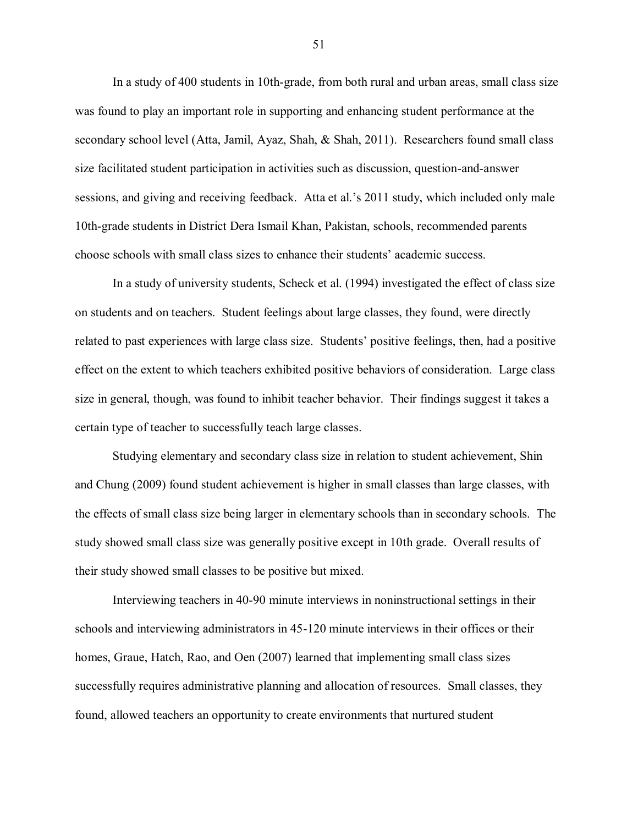In a study of 400 students in 10th-grade, from both rural and urban areas, small class size was found to play an important role in supporting and enhancing student performance at the secondary school level (Atta, Jamil, Ayaz, Shah, & Shah, 2011). Researchers found small class size facilitated student participation in activities such as discussion, question-and-answer sessions, and giving and receiving feedback. Atta et al."s 2011 study, which included only male 10th-grade students in District Dera Ismail Khan, Pakistan, schools, recommended parents choose schools with small class sizes to enhance their students" academic success.

In a study of university students, Scheck et al. (1994) investigated the effect of class size on students and on teachers. Student feelings about large classes, they found, were directly related to past experiences with large class size. Students" positive feelings, then, had a positive effect on the extent to which teachers exhibited positive behaviors of consideration. Large class size in general, though, was found to inhibit teacher behavior. Their findings suggest it takes a certain type of teacher to successfully teach large classes.

Studying elementary and secondary class size in relation to student achievement, Shin and Chung (2009) found student achievement is higher in small classes than large classes, with the effects of small class size being larger in elementary schools than in secondary schools. The study showed small class size was generally positive except in 10th grade. Overall results of their study showed small classes to be positive but mixed.

Interviewing teachers in 40-90 minute interviews in noninstructional settings in their schools and interviewing administrators in 45-120 minute interviews in their offices or their homes, Graue, Hatch, Rao, and Oen (2007) learned that implementing small class sizes successfully requires administrative planning and allocation of resources. Small classes, they found, allowed teachers an opportunity to create environments that nurtured student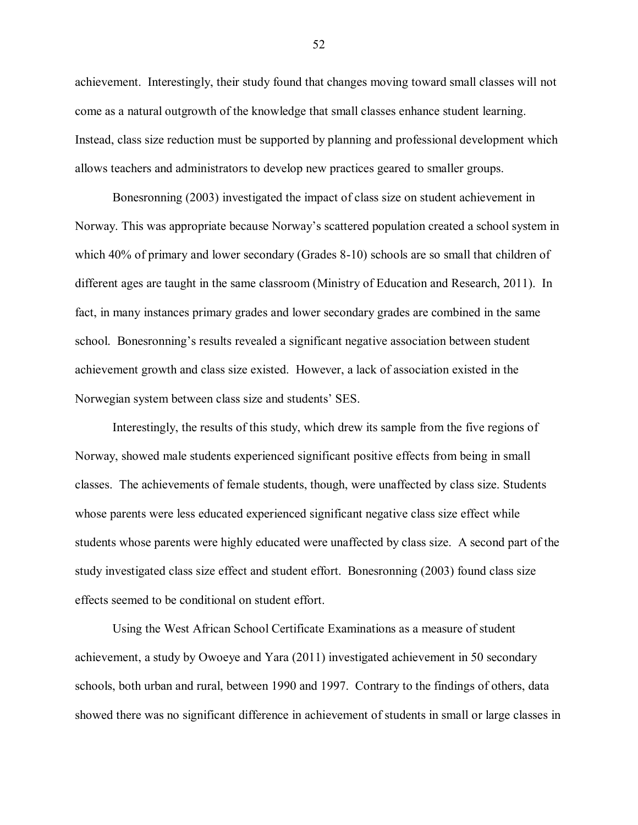achievement. Interestingly, their study found that changes moving toward small classes will not come as a natural outgrowth of the knowledge that small classes enhance student learning. Instead, class size reduction must be supported by planning and professional development which allows teachers and administrators to develop new practices geared to smaller groups.

Bonesronning (2003) investigated the impact of class size on student achievement in Norway. This was appropriate because Norway"s scattered population created a school system in which 40% of primary and lower secondary (Grades 8-10) schools are so small that children of different ages are taught in the same classroom (Ministry of Education and Research, 2011). In fact, in many instances primary grades and lower secondary grades are combined in the same school. Bonesronning"s results revealed a significant negative association between student achievement growth and class size existed. However, a lack of association existed in the Norwegian system between class size and students" SES.

Interestingly, the results of this study, which drew its sample from the five regions of Norway, showed male students experienced significant positive effects from being in small classes. The achievements of female students, though, were unaffected by class size. Students whose parents were less educated experienced significant negative class size effect while students whose parents were highly educated were unaffected by class size. A second part of the study investigated class size effect and student effort. Bonesronning (2003) found class size effects seemed to be conditional on student effort.

Using the West African School Certificate Examinations as a measure of student achievement, a study by Owoeye and Yara (2011) investigated achievement in 50 secondary schools, both urban and rural, between 1990 and 1997. Contrary to the findings of others, data showed there was no significant difference in achievement of students in small or large classes in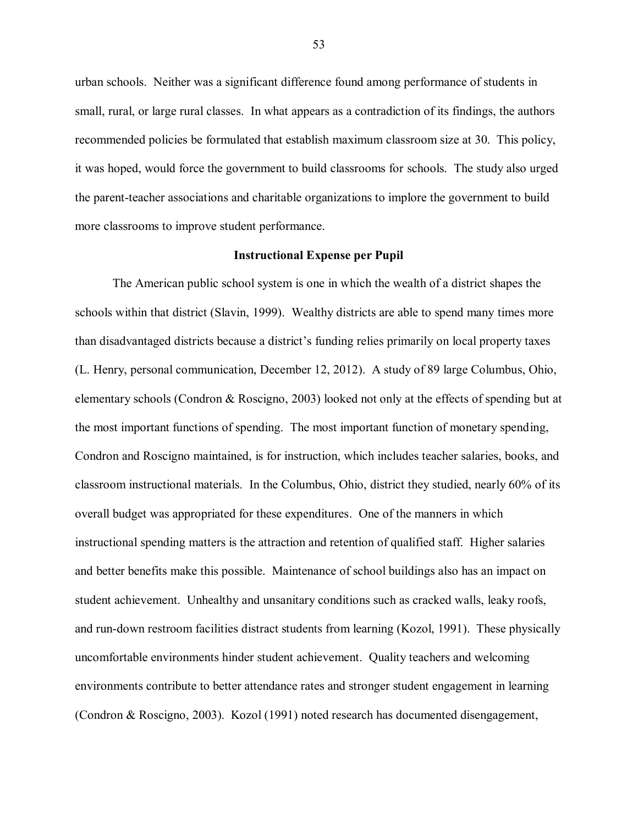urban schools. Neither was a significant difference found among performance of students in small, rural, or large rural classes. In what appears as a contradiction of its findings, the authors recommended policies be formulated that establish maximum classroom size at 30. This policy, it was hoped, would force the government to build classrooms for schools. The study also urged the parent-teacher associations and charitable organizations to implore the government to build more classrooms to improve student performance.

### **Instructional Expense per Pupil**

The American public school system is one in which the wealth of a district shapes the schools within that district (Slavin, 1999). Wealthy districts are able to spend many times more than disadvantaged districts because a district"s funding relies primarily on local property taxes (L. Henry, personal communication, December 12, 2012). A study of 89 large Columbus, Ohio, elementary schools (Condron & Roscigno, 2003) looked not only at the effects of spending but at the most important functions of spending. The most important function of monetary spending, Condron and Roscigno maintained, is for instruction, which includes teacher salaries, books, and classroom instructional materials. In the Columbus, Ohio, district they studied, nearly 60% of its overall budget was appropriated for these expenditures. One of the manners in which instructional spending matters is the attraction and retention of qualified staff. Higher salaries and better benefits make this possible. Maintenance of school buildings also has an impact on student achievement. Unhealthy and unsanitary conditions such as cracked walls, leaky roofs, and run-down restroom facilities distract students from learning (Kozol, 1991). These physically uncomfortable environments hinder student achievement. Quality teachers and welcoming environments contribute to better attendance rates and stronger student engagement in learning (Condron & Roscigno, 2003). Kozol (1991) noted research has documented disengagement,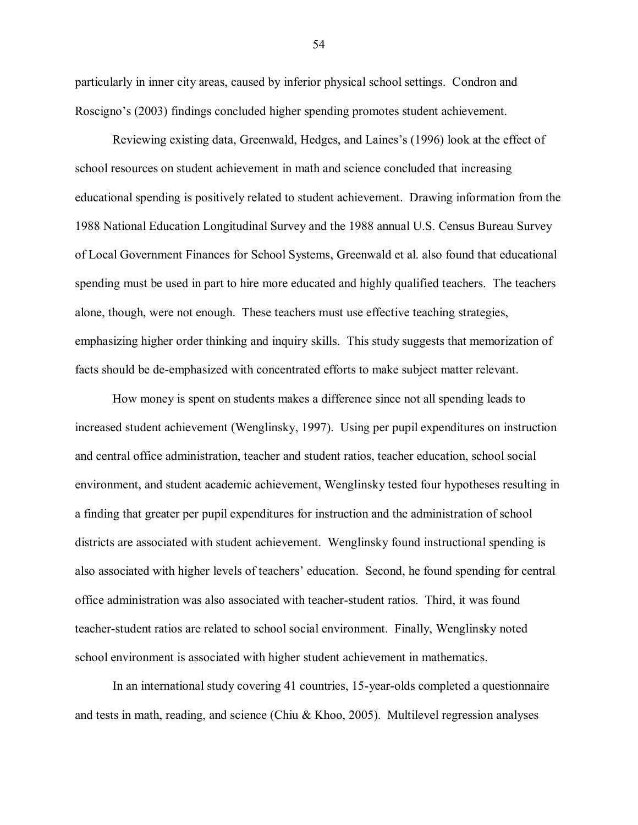particularly in inner city areas, caused by inferior physical school settings. Condron and Roscigno's (2003) findings concluded higher spending promotes student achievement.

Reviewing existing data, Greenwald, Hedges, and Laines"s (1996) look at the effect of school resources on student achievement in math and science concluded that increasing educational spending is positively related to student achievement. Drawing information from the 1988 National Education Longitudinal Survey and the 1988 annual U.S. Census Bureau Survey of Local Government Finances for School Systems, Greenwald et al. also found that educational spending must be used in part to hire more educated and highly qualified teachers. The teachers alone, though, were not enough. These teachers must use effective teaching strategies, emphasizing higher order thinking and inquiry skills. This study suggests that memorization of facts should be de-emphasized with concentrated efforts to make subject matter relevant.

How money is spent on students makes a difference since not all spending leads to increased student achievement (Wenglinsky, 1997). Using per pupil expenditures on instruction and central office administration, teacher and student ratios, teacher education, school social environment, and student academic achievement, Wenglinsky tested four hypotheses resulting in a finding that greater per pupil expenditures for instruction and the administration of school districts are associated with student achievement. Wenglinsky found instructional spending is also associated with higher levels of teachers" education. Second, he found spending for central office administration was also associated with teacher-student ratios. Third, it was found teacher-student ratios are related to school social environment. Finally, Wenglinsky noted school environment is associated with higher student achievement in mathematics.

In an international study covering 41 countries, 15-year-olds completed a questionnaire and tests in math, reading, and science (Chiu & Khoo, 2005). Multilevel regression analyses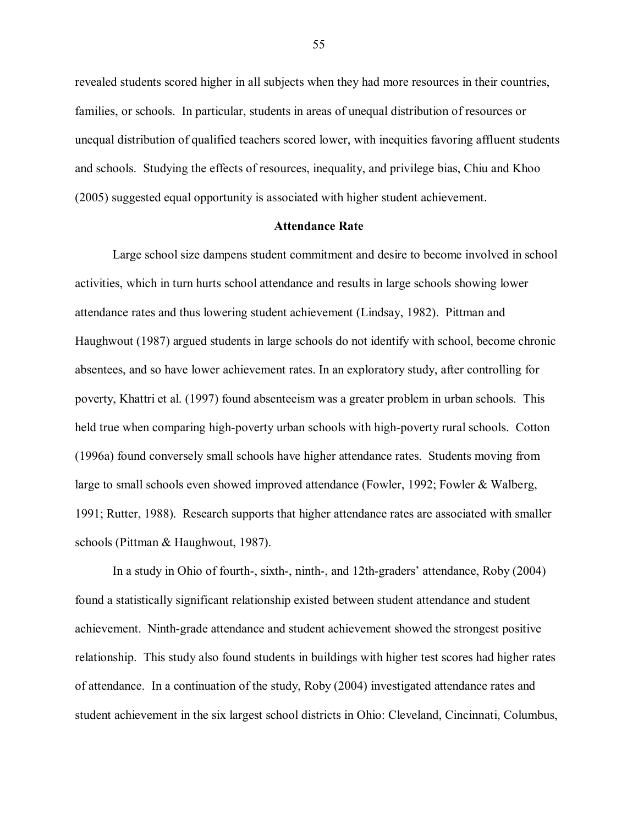revealed students scored higher in all subjects when they had more resources in their countries, families, or schools. In particular, students in areas of unequal distribution of resources or unequal distribution of qualified teachers scored lower, with inequities favoring affluent students and schools. Studying the effects of resources, inequality, and privilege bias, Chiu and Khoo (2005) suggested equal opportunity is associated with higher student achievement.

### **Attendance Rate**

Large school size dampens student commitment and desire to become involved in school activities, which in turn hurts school attendance and results in large schools showing lower attendance rates and thus lowering student achievement (Lindsay, 1982). Pittman and Haughwout (1987) argued students in large schools do not identify with school, become chronic absentees, and so have lower achievement rates. In an exploratory study, after controlling for poverty, Khattri et al. (1997) found absenteeism was a greater problem in urban schools. This held true when comparing high-poverty urban schools with high-poverty rural schools. Cotton (1996a) found conversely small schools have higher attendance rates. Students moving from large to small schools even showed improved attendance (Fowler, 1992; Fowler & Walberg, 1991; Rutter, 1988). Research supports that higher attendance rates are associated with smaller schools (Pittman & Haughwout, 1987).

In a study in Ohio of fourth-, sixth-, ninth-, and 12th-graders' attendance, Roby (2004) found a statistically significant relationship existed between student attendance and student achievement. Ninth-grade attendance and student achievement showed the strongest positive relationship. This study also found students in buildings with higher test scores had higher rates of attendance. In a continuation of the study, Roby (2004) investigated attendance rates and student achievement in the six largest school districts in Ohio: Cleveland, Cincinnati, Columbus,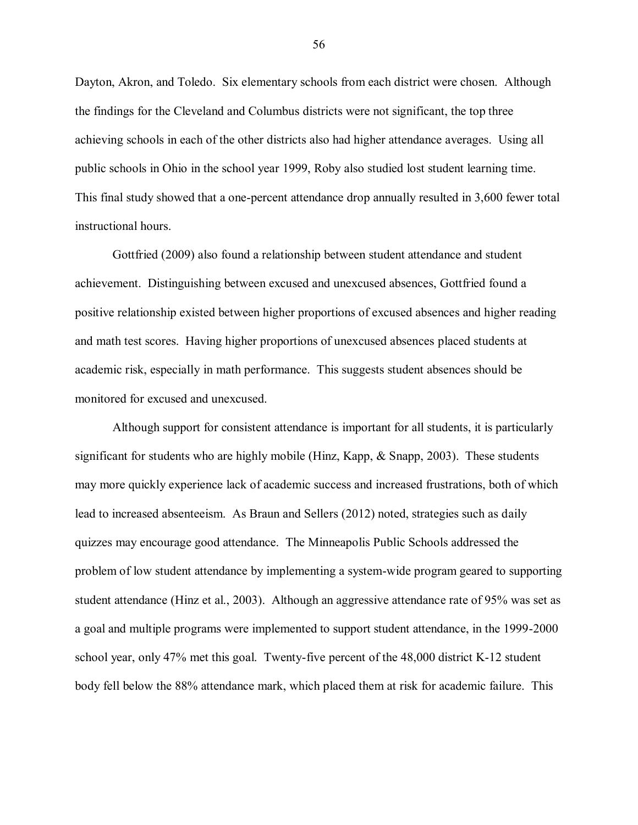Dayton, Akron, and Toledo. Six elementary schools from each district were chosen. Although the findings for the Cleveland and Columbus districts were not significant, the top three achieving schools in each of the other districts also had higher attendance averages. Using all public schools in Ohio in the school year 1999, Roby also studied lost student learning time. This final study showed that a one-percent attendance drop annually resulted in 3,600 fewer total instructional hours.

Gottfried (2009) also found a relationship between student attendance and student achievement. Distinguishing between excused and unexcused absences, Gottfried found a positive relationship existed between higher proportions of excused absences and higher reading and math test scores. Having higher proportions of unexcused absences placed students at academic risk, especially in math performance. This suggests student absences should be monitored for excused and unexcused.

Although support for consistent attendance is important for all students, it is particularly significant for students who are highly mobile (Hinz, Kapp,  $\&$  Snapp, 2003). These students may more quickly experience lack of academic success and increased frustrations, both of which lead to increased absenteeism. As Braun and Sellers (2012) noted, strategies such as daily quizzes may encourage good attendance. The Minneapolis Public Schools addressed the problem of low student attendance by implementing a system-wide program geared to supporting student attendance (Hinz et al., 2003). Although an aggressive attendance rate of 95% was set as a goal and multiple programs were implemented to support student attendance, in the 1999-2000 school year, only 47% met this goal. Twenty-five percent of the 48,000 district K-12 student body fell below the 88% attendance mark, which placed them at risk for academic failure. This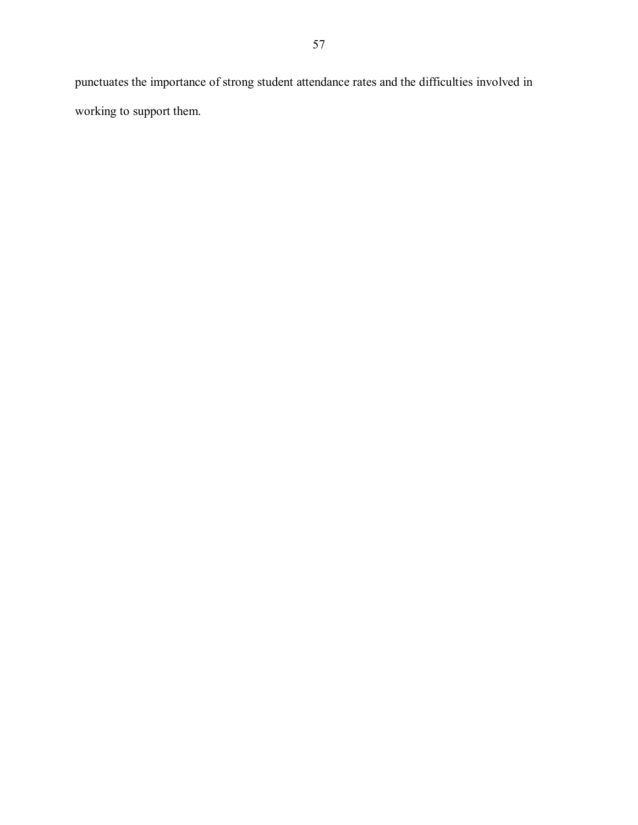punctuates the importance of strong student attendance rates and the difficulties involved in working to support them.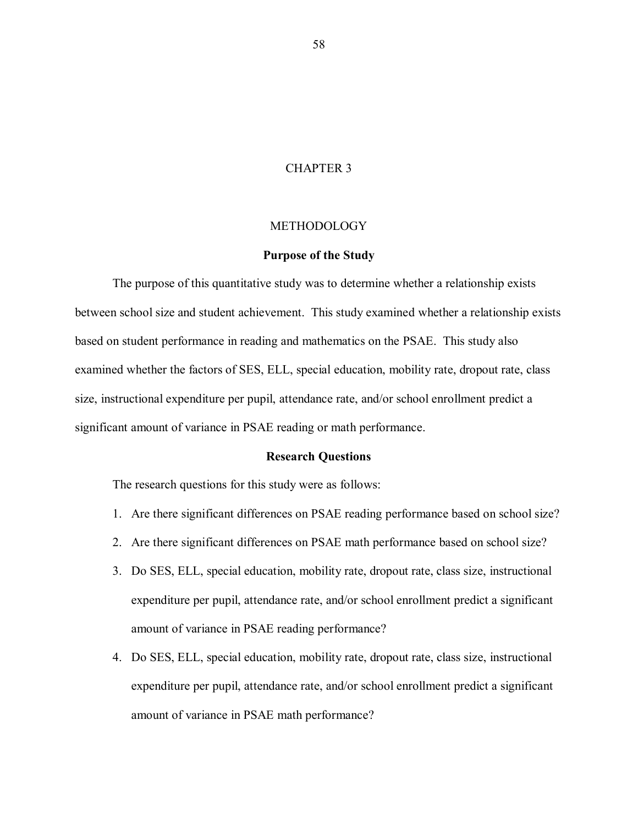### CHAPTER 3

### **METHODOLOGY**

### **Purpose of the Study**

The purpose of this quantitative study was to determine whether a relationship exists between school size and student achievement. This study examined whether a relationship exists based on student performance in reading and mathematics on the PSAE. This study also examined whether the factors of SES, ELL, special education, mobility rate, dropout rate, class size, instructional expenditure per pupil, attendance rate, and/or school enrollment predict a significant amount of variance in PSAE reading or math performance.

### **Research Questions**

The research questions for this study were as follows:

- 1. Are there significant differences on PSAE reading performance based on school size?
- 2. Are there significant differences on PSAE math performance based on school size?
- 3. Do SES, ELL, special education, mobility rate, dropout rate, class size, instructional expenditure per pupil, attendance rate, and/or school enrollment predict a significant amount of variance in PSAE reading performance?
- 4. Do SES, ELL, special education, mobility rate, dropout rate, class size, instructional expenditure per pupil, attendance rate, and/or school enrollment predict a significant amount of variance in PSAE math performance?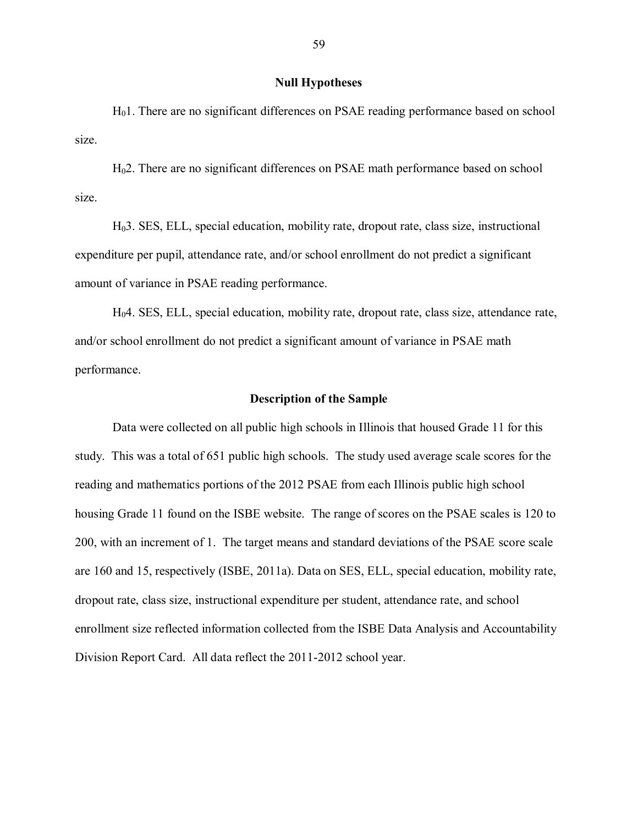### **Null Hypotheses**

H01. There are no significant differences on PSAE reading performance based on school size.

H02. There are no significant differences on PSAE math performance based on school size.

H03. SES, ELL, special education, mobility rate, dropout rate, class size, instructional expenditure per pupil, attendance rate, and/or school enrollment do not predict a significant amount of variance in PSAE reading performance.

H04. SES, ELL, special education, mobility rate, dropout rate, class size, attendance rate, and/or school enrollment do not predict a significant amount of variance in PSAE math performance.

# **Description of the Sample**

Data were collected on all public high schools in Illinois that housed Grade 11 for this study. This was a total of 651 public high schools. The study used average scale scores for the reading and mathematics portions of the 2012 PSAE from each Illinois public high school housing Grade 11 found on the ISBE website. The range of scores on the PSAE scales is 120 to 200, with an increment of 1. The target means and standard deviations of the PSAE score scale are 160 and 15, respectively (ISBE, 2011a). Data on SES, ELL, special education, mobility rate, dropout rate, class size, instructional expenditure per student, attendance rate, and school enrollment size reflected information collected from the ISBE Data Analysis and Accountability Division Report Card. All data reflect the 2011-2012 school year.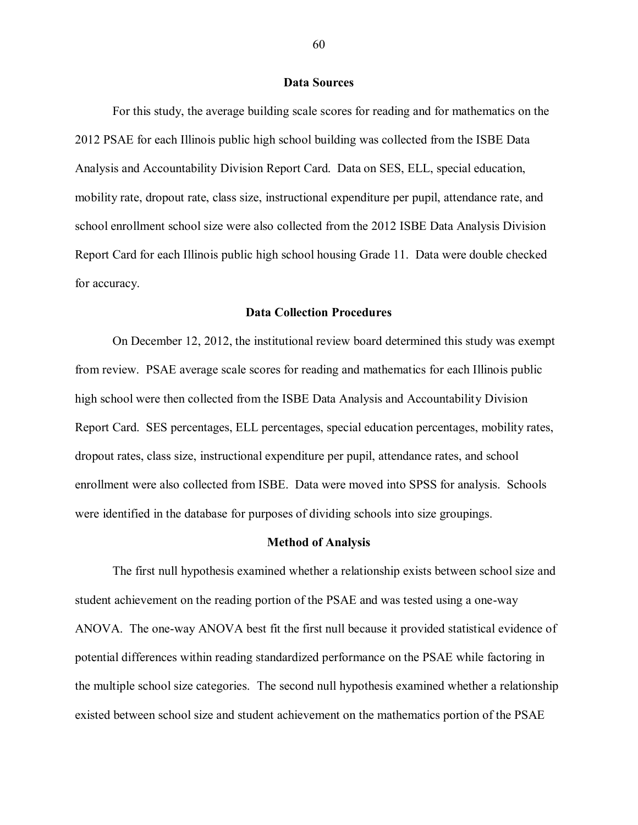#### **Data Sources**

For this study, the average building scale scores for reading and for mathematics on the 2012 PSAE for each Illinois public high school building was collected from the ISBE Data Analysis and Accountability Division Report Card. Data on SES, ELL, special education, mobility rate, dropout rate, class size, instructional expenditure per pupil, attendance rate, and school enrollment school size were also collected from the 2012 ISBE Data Analysis Division Report Card for each Illinois public high school housing Grade 11. Data were double checked for accuracy.

#### **Data Collection Procedures**

On December 12, 2012, the institutional review board determined this study was exempt from review. PSAE average scale scores for reading and mathematics for each Illinois public high school were then collected from the ISBE Data Analysis and Accountability Division Report Card. SES percentages, ELL percentages, special education percentages, mobility rates, dropout rates, class size, instructional expenditure per pupil, attendance rates, and school enrollment were also collected from ISBE. Data were moved into SPSS for analysis. Schools were identified in the database for purposes of dividing schools into size groupings.

#### **Method of Analysis**

The first null hypothesis examined whether a relationship exists between school size and student achievement on the reading portion of the PSAE and was tested using a one-way ANOVA. The one-way ANOVA best fit the first null because it provided statistical evidence of potential differences within reading standardized performance on the PSAE while factoring in the multiple school size categories. The second null hypothesis examined whether a relationship existed between school size and student achievement on the mathematics portion of the PSAE

60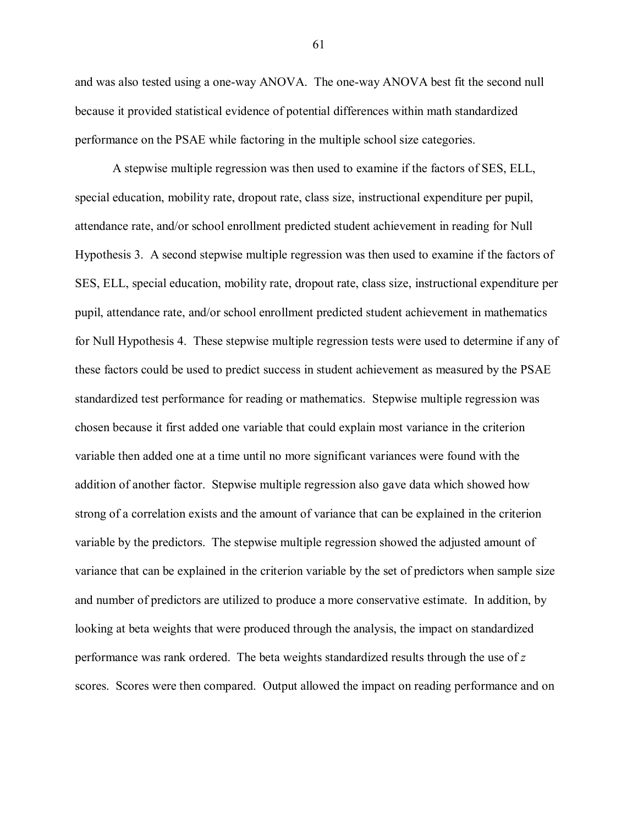and was also tested using a one-way ANOVA. The one-way ANOVA best fit the second null because it provided statistical evidence of potential differences within math standardized performance on the PSAE while factoring in the multiple school size categories.

A stepwise multiple regression was then used to examine if the factors of SES, ELL, special education, mobility rate, dropout rate, class size, instructional expenditure per pupil, attendance rate, and/or school enrollment predicted student achievement in reading for Null Hypothesis 3. A second stepwise multiple regression was then used to examine if the factors of SES, ELL, special education, mobility rate, dropout rate, class size, instructional expenditure per pupil, attendance rate, and/or school enrollment predicted student achievement in mathematics for Null Hypothesis 4. These stepwise multiple regression tests were used to determine if any of these factors could be used to predict success in student achievement as measured by the PSAE standardized test performance for reading or mathematics. Stepwise multiple regression was chosen because it first added one variable that could explain most variance in the criterion variable then added one at a time until no more significant variances were found with the addition of another factor. Stepwise multiple regression also gave data which showed how strong of a correlation exists and the amount of variance that can be explained in the criterion variable by the predictors. The stepwise multiple regression showed the adjusted amount of variance that can be explained in the criterion variable by the set of predictors when sample size and number of predictors are utilized to produce a more conservative estimate. In addition, by looking at beta weights that were produced through the analysis, the impact on standardized performance was rank ordered. The beta weights standardized results through the use of *z* scores. Scores were then compared. Output allowed the impact on reading performance and on

61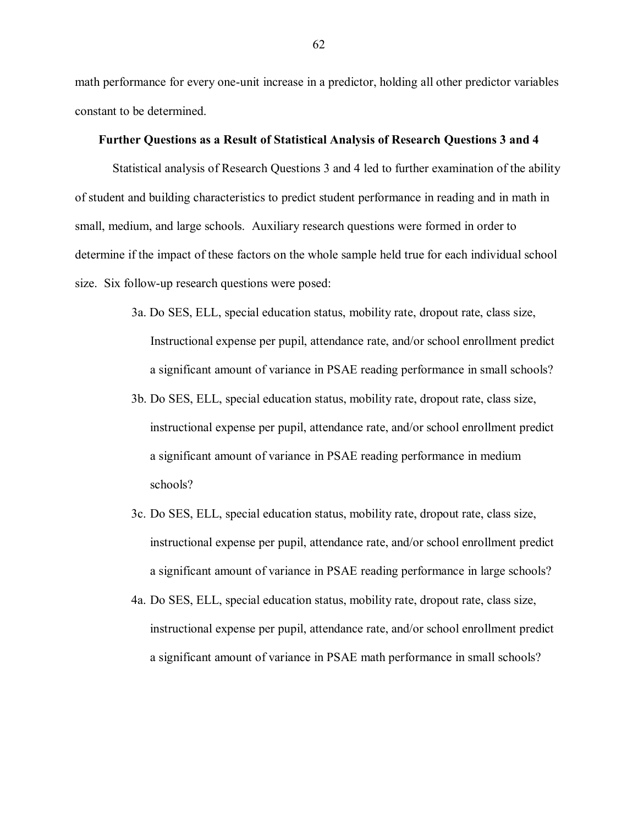math performance for every one-unit increase in a predictor, holding all other predictor variables constant to be determined.

## **Further Questions as a Result of Statistical Analysis of Research Questions 3 and 4**

Statistical analysis of Research Questions 3 and 4 led to further examination of the ability of student and building characteristics to predict student performance in reading and in math in small, medium, and large schools. Auxiliary research questions were formed in order to determine if the impact of these factors on the whole sample held true for each individual school size. Six follow-up research questions were posed:

- 3a. Do SES, ELL, special education status, mobility rate, dropout rate, class size, Instructional expense per pupil, attendance rate, and/or school enrollment predict a significant amount of variance in PSAE reading performance in small schools?
- 3b. Do SES, ELL, special education status, mobility rate, dropout rate, class size, instructional expense per pupil, attendance rate, and/or school enrollment predict a significant amount of variance in PSAE reading performance in medium schools?
- 3c. Do SES, ELL, special education status, mobility rate, dropout rate, class size, instructional expense per pupil, attendance rate, and/or school enrollment predict a significant amount of variance in PSAE reading performance in large schools?
- 4a. Do SES, ELL, special education status, mobility rate, dropout rate, class size, instructional expense per pupil, attendance rate, and/or school enrollment predict a significant amount of variance in PSAE math performance in small schools?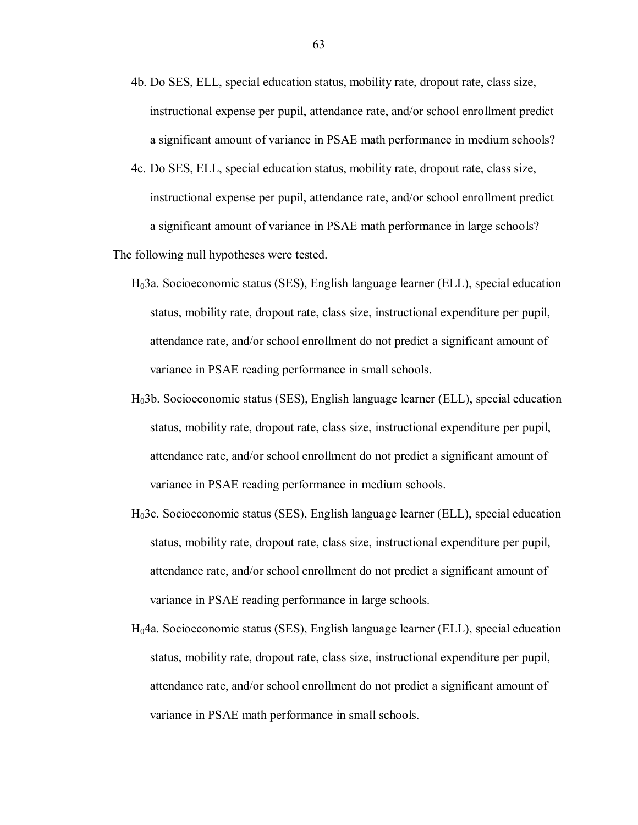- 4b. Do SES, ELL, special education status, mobility rate, dropout rate, class size, instructional expense per pupil, attendance rate, and/or school enrollment predict a significant amount of variance in PSAE math performance in medium schools?
- 4c. Do SES, ELL, special education status, mobility rate, dropout rate, class size, instructional expense per pupil, attendance rate, and/or school enrollment predict a significant amount of variance in PSAE math performance in large schools?

The following null hypotheses were tested.

- H03a. Socioeconomic status (SES), English language learner (ELL), special education status, mobility rate, dropout rate, class size, instructional expenditure per pupil, attendance rate, and/or school enrollment do not predict a significant amount of variance in PSAE reading performance in small schools.
- H03b. Socioeconomic status (SES), English language learner (ELL), special education status, mobility rate, dropout rate, class size, instructional expenditure per pupil, attendance rate, and/or school enrollment do not predict a significant amount of variance in PSAE reading performance in medium schools.
- H03c. Socioeconomic status (SES), English language learner (ELL), special education status, mobility rate, dropout rate, class size, instructional expenditure per pupil, attendance rate, and/or school enrollment do not predict a significant amount of variance in PSAE reading performance in large schools.
- H04a. Socioeconomic status (SES), English language learner (ELL), special education status, mobility rate, dropout rate, class size, instructional expenditure per pupil, attendance rate, and/or school enrollment do not predict a significant amount of variance in PSAE math performance in small schools.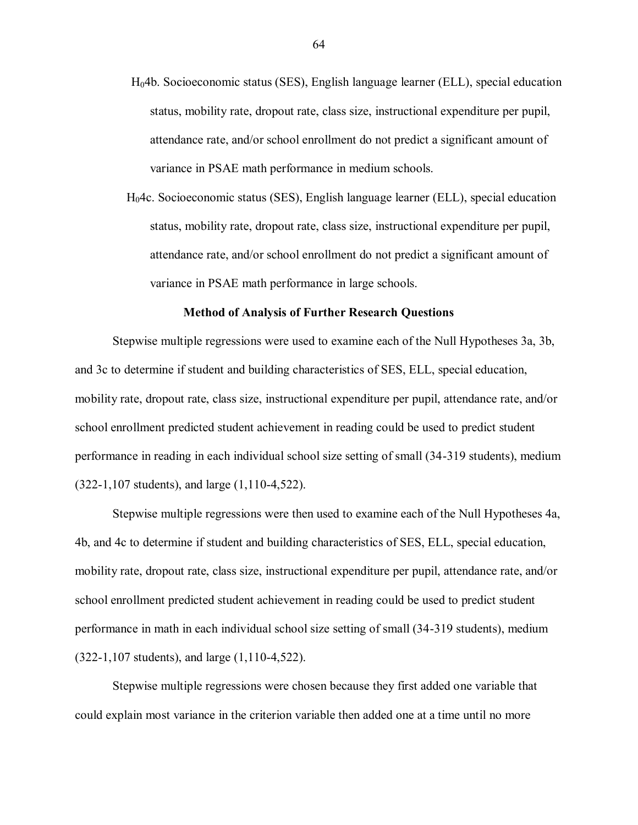- H04b. Socioeconomic status (SES), English language learner (ELL), special education status, mobility rate, dropout rate, class size, instructional expenditure per pupil, attendance rate, and/or school enrollment do not predict a significant amount of variance in PSAE math performance in medium schools.
- H04c. Socioeconomic status (SES), English language learner (ELL), special education status, mobility rate, dropout rate, class size, instructional expenditure per pupil, attendance rate, and/or school enrollment do not predict a significant amount of variance in PSAE math performance in large schools.

#### **Method of Analysis of Further Research Questions**

Stepwise multiple regressions were used to examine each of the Null Hypotheses 3a, 3b, and 3c to determine if student and building characteristics of SES, ELL, special education, mobility rate, dropout rate, class size, instructional expenditure per pupil, attendance rate, and/or school enrollment predicted student achievement in reading could be used to predict student performance in reading in each individual school size setting of small (34-319 students), medium (322-1,107 students), and large (1,110-4,522).

Stepwise multiple regressions were then used to examine each of the Null Hypotheses 4a, 4b, and 4c to determine if student and building characteristics of SES, ELL, special education, mobility rate, dropout rate, class size, instructional expenditure per pupil, attendance rate, and/or school enrollment predicted student achievement in reading could be used to predict student performance in math in each individual school size setting of small (34-319 students), medium (322-1,107 students), and large (1,110-4,522).

Stepwise multiple regressions were chosen because they first added one variable that could explain most variance in the criterion variable then added one at a time until no more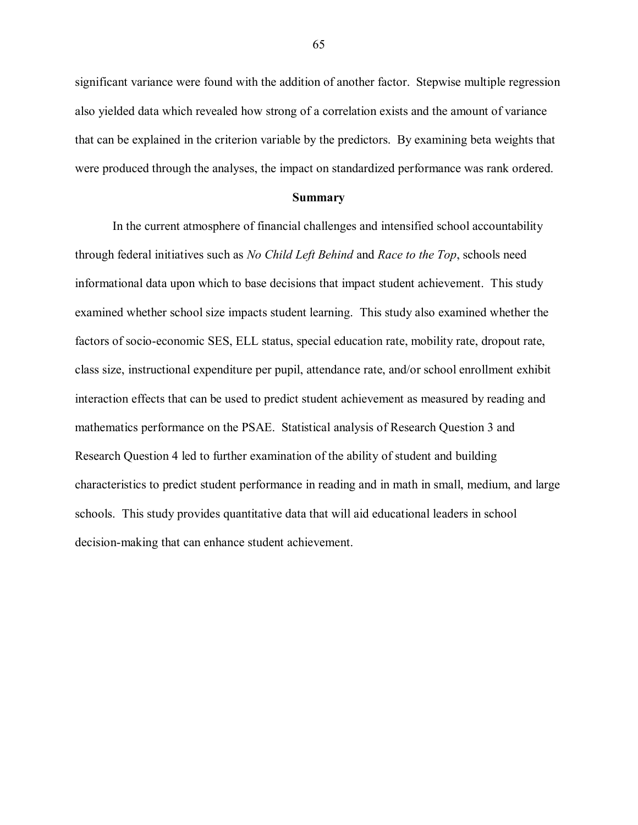significant variance were found with the addition of another factor. Stepwise multiple regression also yielded data which revealed how strong of a correlation exists and the amount of variance that can be explained in the criterion variable by the predictors. By examining beta weights that were produced through the analyses, the impact on standardized performance was rank ordered.

#### **Summary**

In the current atmosphere of financial challenges and intensified school accountability through federal initiatives such as *No Child Left Behind* and *Race to the Top*, schools need informational data upon which to base decisions that impact student achievement. This study examined whether school size impacts student learning. This study also examined whether the factors of socio-economic SES, ELL status, special education rate, mobility rate, dropout rate, class size, instructional expenditure per pupil, attendance rate, and/or school enrollment exhibit interaction effects that can be used to predict student achievement as measured by reading and mathematics performance on the PSAE. Statistical analysis of Research Question 3 and Research Question 4 led to further examination of the ability of student and building characteristics to predict student performance in reading and in math in small, medium, and large schools. This study provides quantitative data that will aid educational leaders in school decision-making that can enhance student achievement.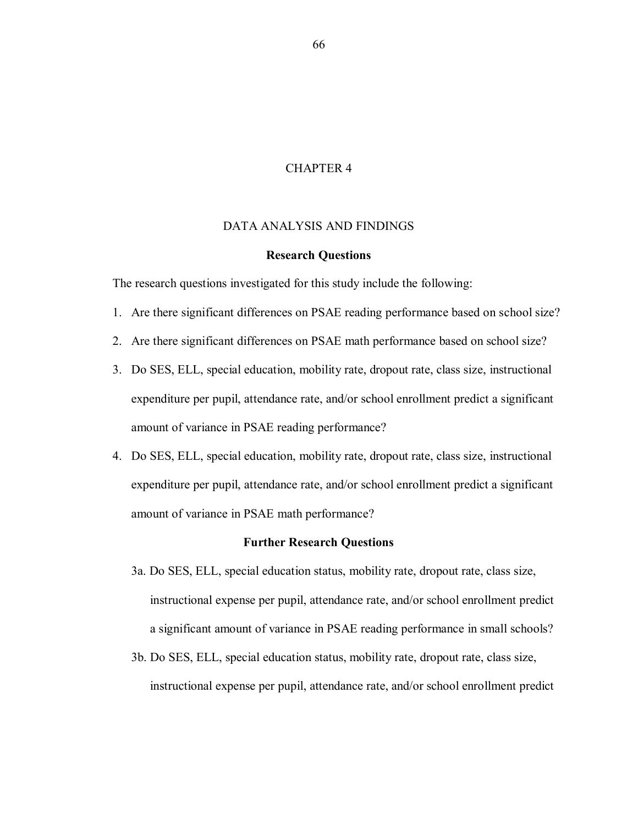## CHAPTER 4

# DATA ANALYSIS AND FINDINGS

### **Research Questions**

The research questions investigated for this study include the following:

- 1. Are there significant differences on PSAE reading performance based on school size?
- 2. Are there significant differences on PSAE math performance based on school size?
- 3. Do SES, ELL, special education, mobility rate, dropout rate, class size, instructional expenditure per pupil, attendance rate, and/or school enrollment predict a significant amount of variance in PSAE reading performance?
- 4. Do SES, ELL, special education, mobility rate, dropout rate, class size, instructional expenditure per pupil, attendance rate, and/or school enrollment predict a significant amount of variance in PSAE math performance?

### **Further Research Questions**

- 3a. Do SES, ELL, special education status, mobility rate, dropout rate, class size, instructional expense per pupil, attendance rate, and/or school enrollment predict a significant amount of variance in PSAE reading performance in small schools?
- 3b. Do SES, ELL, special education status, mobility rate, dropout rate, class size, instructional expense per pupil, attendance rate, and/or school enrollment predict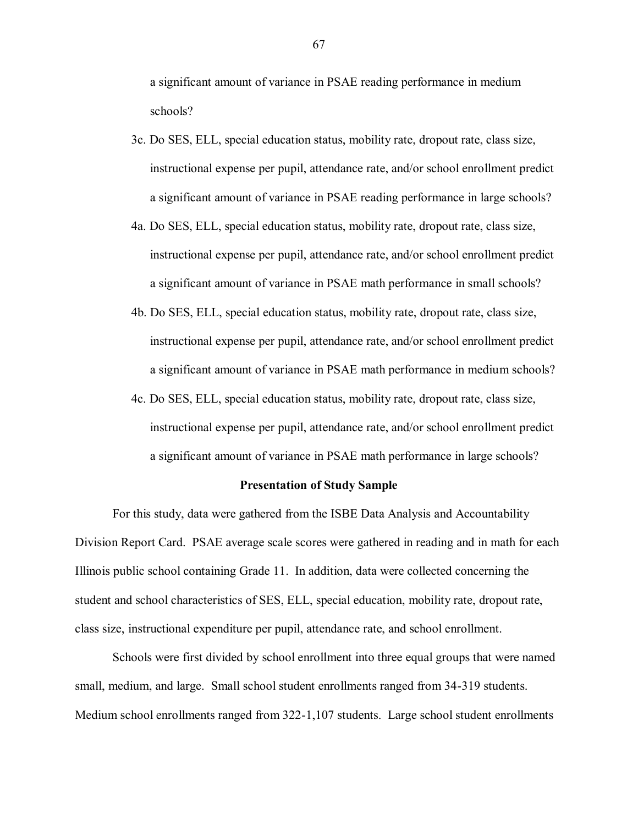a significant amount of variance in PSAE reading performance in medium schools?

- 3c. Do SES, ELL, special education status, mobility rate, dropout rate, class size, instructional expense per pupil, attendance rate, and/or school enrollment predict a significant amount of variance in PSAE reading performance in large schools?
- 4a. Do SES, ELL, special education status, mobility rate, dropout rate, class size, instructional expense per pupil, attendance rate, and/or school enrollment predict a significant amount of variance in PSAE math performance in small schools?
- 4b. Do SES, ELL, special education status, mobility rate, dropout rate, class size, instructional expense per pupil, attendance rate, and/or school enrollment predict a significant amount of variance in PSAE math performance in medium schools?
- 4c. Do SES, ELL, special education status, mobility rate, dropout rate, class size, instructional expense per pupil, attendance rate, and/or school enrollment predict a significant amount of variance in PSAE math performance in large schools?

#### **Presentation of Study Sample**

For this study, data were gathered from the ISBE Data Analysis and Accountability Division Report Card. PSAE average scale scores were gathered in reading and in math for each Illinois public school containing Grade 11. In addition, data were collected concerning the student and school characteristics of SES, ELL, special education, mobility rate, dropout rate, class size, instructional expenditure per pupil, attendance rate, and school enrollment.

Schools were first divided by school enrollment into three equal groups that were named small, medium, and large. Small school student enrollments ranged from 34-319 students. Medium school enrollments ranged from 322-1,107 students. Large school student enrollments

67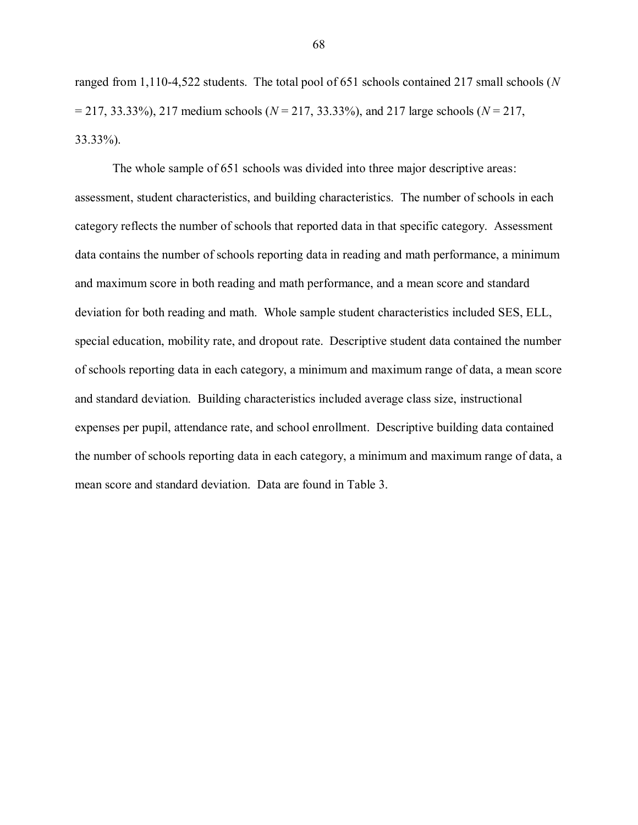ranged from 1,110-4,522 students. The total pool of 651 schools contained 217 small schools (*N* = 217, 33.33%), 217 medium schools (*N* = 217, 33.33%), and 217 large schools (*N* = 217, 33.33%).

The whole sample of 651 schools was divided into three major descriptive areas: assessment, student characteristics, and building characteristics. The number of schools in each category reflects the number of schools that reported data in that specific category. Assessment data contains the number of schools reporting data in reading and math performance, a minimum and maximum score in both reading and math performance, and a mean score and standard deviation for both reading and math. Whole sample student characteristics included SES, ELL, special education, mobility rate, and dropout rate. Descriptive student data contained the number of schools reporting data in each category, a minimum and maximum range of data, a mean score and standard deviation. Building characteristics included average class size, instructional expenses per pupil, attendance rate, and school enrollment. Descriptive building data contained the number of schools reporting data in each category, a minimum and maximum range of data, a mean score and standard deviation. Data are found in Table 3.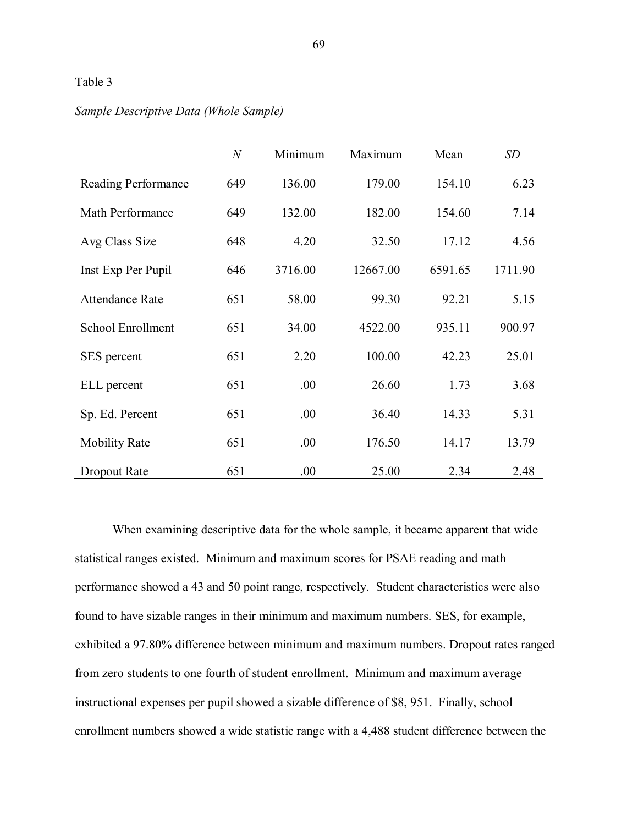|                          | $\boldsymbol{N}$ | Minimum | Maximum  | Mean    | SD      |
|--------------------------|------------------|---------|----------|---------|---------|
| Reading Performance      | 649              | 136.00  | 179.00   | 154.10  | 6.23    |
| Math Performance         | 649              | 132.00  | 182.00   | 154.60  | 7.14    |
| Avg Class Size           | 648              | 4.20    | 32.50    | 17.12   | 4.56    |
| Inst Exp Per Pupil       | 646              | 3716.00 | 12667.00 | 6591.65 | 1711.90 |
| <b>Attendance Rate</b>   | 651              | 58.00   | 99.30    | 92.21   | 5.15    |
| <b>School Enrollment</b> | 651              | 34.00   | 4522.00  | 935.11  | 900.97  |
| SES percent              | 651              | 2.20    | 100.00   | 42.23   | 25.01   |
| ELL percent              | 651              | .00     | 26.60    | 1.73    | 3.68    |
| Sp. Ed. Percent          | 651              | .00.    | 36.40    | 14.33   | 5.31    |
| <b>Mobility Rate</b>     | 651              | .00.    | 176.50   | 14.17   | 13.79   |
| Dropout Rate             | 651              | .00     | 25.00    | 2.34    | 2.48    |

# *Sample Descriptive Data (Whole Sample)*

When examining descriptive data for the whole sample, it became apparent that wide statistical ranges existed. Minimum and maximum scores for PSAE reading and math performance showed a 43 and 50 point range, respectively. Student characteristics were also found to have sizable ranges in their minimum and maximum numbers. SES, for example, exhibited a 97.80% difference between minimum and maximum numbers. Dropout rates ranged from zero students to one fourth of student enrollment. Minimum and maximum average instructional expenses per pupil showed a sizable difference of \$8, 951. Finally, school enrollment numbers showed a wide statistic range with a 4,488 student difference between the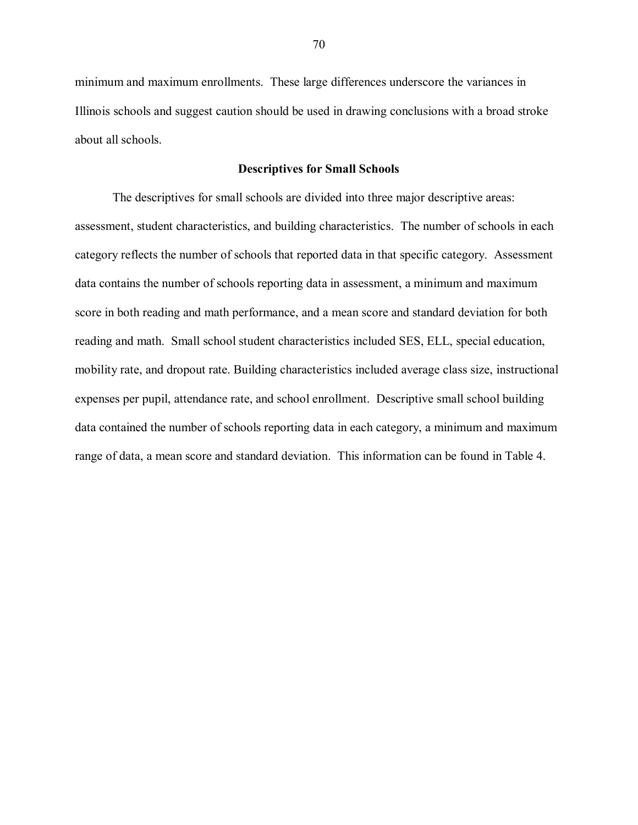minimum and maximum enrollments. These large differences underscore the variances in Illinois schools and suggest caution should be used in drawing conclusions with a broad stroke about all schools.

#### **Descriptives for Small Schools**

The descriptives for small schools are divided into three major descriptive areas: assessment, student characteristics, and building characteristics. The number of schools in each category reflects the number of schools that reported data in that specific category. Assessment data contains the number of schools reporting data in assessment, a minimum and maximum score in both reading and math performance, and a mean score and standard deviation for both reading and math. Small school student characteristics included SES, ELL, special education, mobility rate, and dropout rate. Building characteristics included average class size, instructional expenses per pupil, attendance rate, and school enrollment. Descriptive small school building data contained the number of schools reporting data in each category, a minimum and maximum range of data, a mean score and standard deviation. This information can be found in Table 4.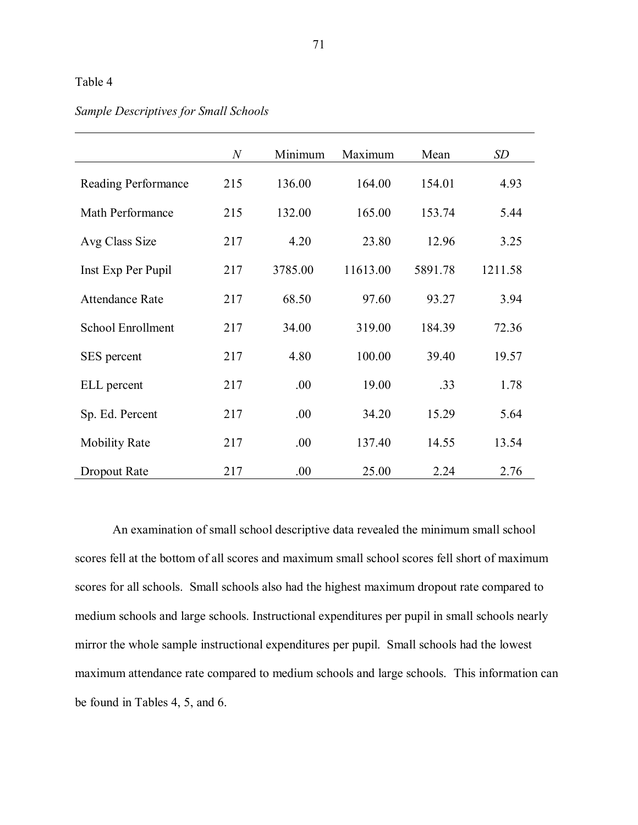|                          | $\boldsymbol{N}$ | Minimum | Maximum  | Mean    | SD      |
|--------------------------|------------------|---------|----------|---------|---------|
| Reading Performance      | 215              | 136.00  | 164.00   | 154.01  | 4.93    |
| Math Performance         | 215              | 132.00  | 165.00   | 153.74  | 5.44    |
| Avg Class Size           | 217              | 4.20    | 23.80    | 12.96   | 3.25    |
| Inst Exp Per Pupil       | 217              | 3785.00 | 11613.00 | 5891.78 | 1211.58 |
| <b>Attendance Rate</b>   | 217              | 68.50   | 97.60    | 93.27   | 3.94    |
| <b>School Enrollment</b> | 217              | 34.00   | 319.00   | 184.39  | 72.36   |
| SES percent              | 217              | 4.80    | 100.00   | 39.40   | 19.57   |
| ELL percent              | 217              | .00     | 19.00    | .33     | 1.78    |
| Sp. Ed. Percent          | 217              | .00     | 34.20    | 15.29   | 5.64    |
| <b>Mobility Rate</b>     | 217              | .00.    | 137.40   | 14.55   | 13.54   |
| Dropout Rate             | 217              | .00     | 25.00    | 2.24    | 2.76    |

# *Sample Descriptives for Small Schools*

An examination of small school descriptive data revealed the minimum small school scores fell at the bottom of all scores and maximum small school scores fell short of maximum scores for all schools. Small schools also had the highest maximum dropout rate compared to medium schools and large schools. Instructional expenditures per pupil in small schools nearly mirror the whole sample instructional expenditures per pupil. Small schools had the lowest maximum attendance rate compared to medium schools and large schools. This information can be found in Tables 4, 5, and 6.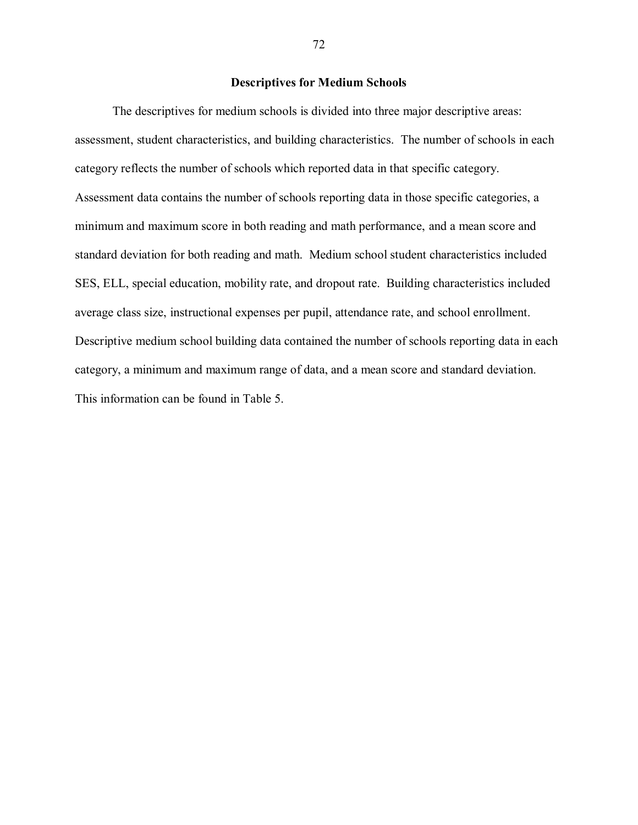## **Descriptives for Medium Schools**

The descriptives for medium schools is divided into three major descriptive areas: assessment, student characteristics, and building characteristics. The number of schools in each category reflects the number of schools which reported data in that specific category. Assessment data contains the number of schools reporting data in those specific categories, a minimum and maximum score in both reading and math performance, and a mean score and standard deviation for both reading and math. Medium school student characteristics included SES, ELL, special education, mobility rate, and dropout rate. Building characteristics included average class size, instructional expenses per pupil, attendance rate, and school enrollment. Descriptive medium school building data contained the number of schools reporting data in each category, a minimum and maximum range of data, and a mean score and standard deviation. This information can be found in Table 5.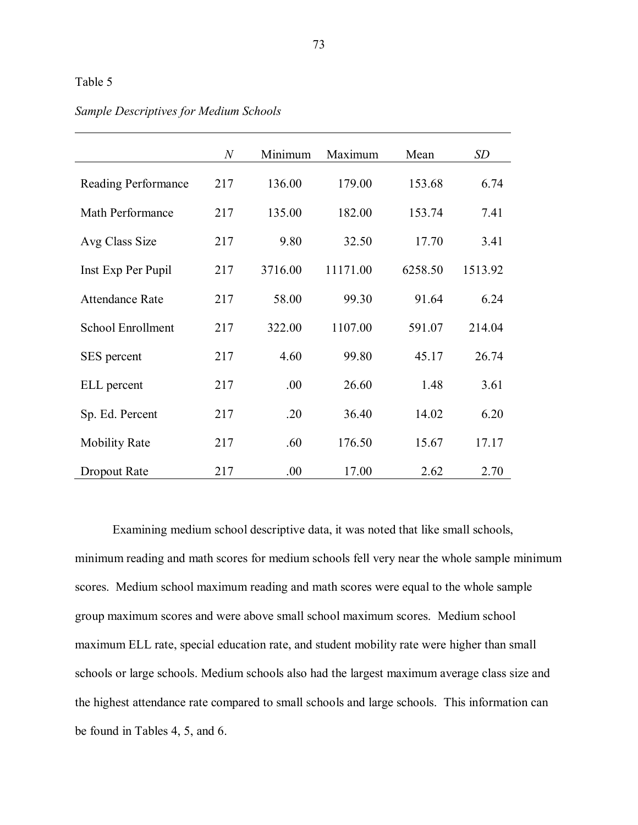|                          | $\boldsymbol{N}$ | Minimum | Maximum  | Mean    | SD      |
|--------------------------|------------------|---------|----------|---------|---------|
| Reading Performance      | 217              | 136.00  | 179.00   | 153.68  | 6.74    |
| Math Performance         | 217              | 135.00  | 182.00   | 153.74  | 7.41    |
| Avg Class Size           | 217              | 9.80    | 32.50    | 17.70   | 3.41    |
| Inst Exp Per Pupil       | 217              | 3716.00 | 11171.00 | 6258.50 | 1513.92 |
| <b>Attendance Rate</b>   | 217              | 58.00   | 99.30    | 91.64   | 6.24    |
| <b>School Enrollment</b> | 217              | 322.00  | 1107.00  | 591.07  | 214.04  |
| SES percent              | 217              | 4.60    | 99.80    | 45.17   | 26.74   |
| ELL percent              | 217              | .00.    | 26.60    | 1.48    | 3.61    |
| Sp. Ed. Percent          | 217              | .20     | 36.40    | 14.02   | 6.20    |
| <b>Mobility Rate</b>     | 217              | .60     | 176.50   | 15.67   | 17.17   |
| Dropout Rate             | 217              | .00.    | 17.00    | 2.62    | 2.70    |

# *Sample Descriptives for Medium Schools*

Examining medium school descriptive data, it was noted that like small schools, minimum reading and math scores for medium schools fell very near the whole sample minimum scores. Medium school maximum reading and math scores were equal to the whole sample group maximum scores and were above small school maximum scores. Medium school maximum ELL rate, special education rate, and student mobility rate were higher than small schools or large schools. Medium schools also had the largest maximum average class size and the highest attendance rate compared to small schools and large schools. This information can be found in Tables 4, 5, and 6.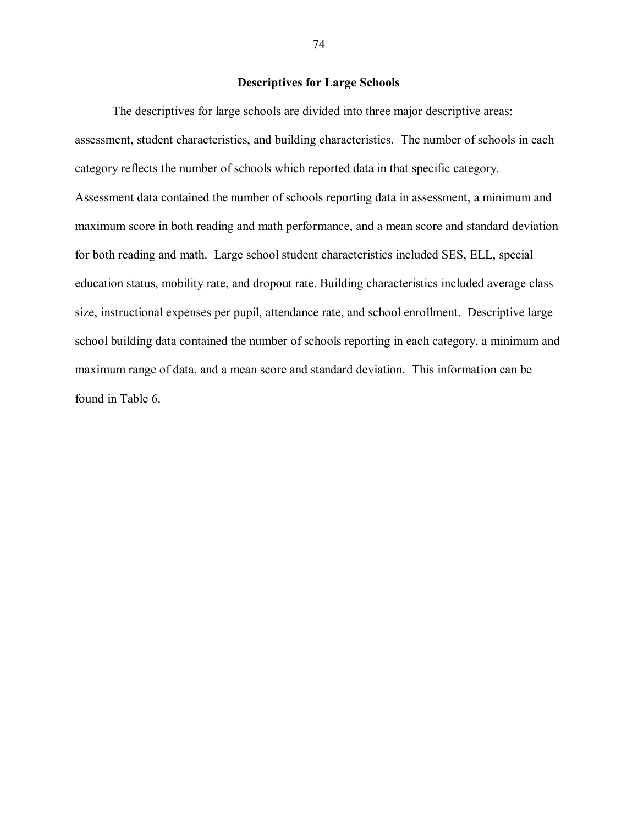# **Descriptives for Large Schools**

The descriptives for large schools are divided into three major descriptive areas: assessment, student characteristics, and building characteristics. The number of schools in each category reflects the number of schools which reported data in that specific category. Assessment data contained the number of schools reporting data in assessment, a minimum and maximum score in both reading and math performance, and a mean score and standard deviation for both reading and math. Large school student characteristics included SES, ELL, special education status, mobility rate, and dropout rate. Building characteristics included average class size, instructional expenses per pupil, attendance rate, and school enrollment. Descriptive large school building data contained the number of schools reporting in each category, a minimum and maximum range of data, and a mean score and standard deviation. This information can be found in Table 6.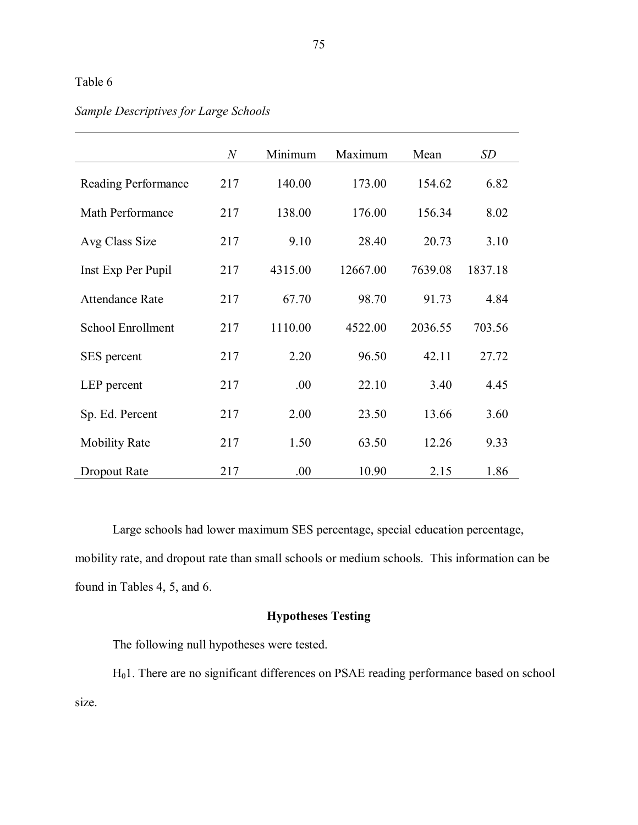|                          | $\boldsymbol{N}$ | Minimum | Maximum  | Mean    | <b>SD</b> |
|--------------------------|------------------|---------|----------|---------|-----------|
| Reading Performance      | 217              | 140.00  | 173.00   | 154.62  | 6.82      |
| Math Performance         | 217              | 138.00  | 176.00   | 156.34  | 8.02      |
| Avg Class Size           | 217              | 9.10    | 28.40    | 20.73   | 3.10      |
| Inst Exp Per Pupil       | 217              | 4315.00 | 12667.00 | 7639.08 | 1837.18   |
| <b>Attendance Rate</b>   | 217              | 67.70   | 98.70    | 91.73   | 4.84      |
| <b>School Enrollment</b> | 217              | 1110.00 | 4522.00  | 2036.55 | 703.56    |
| SES percent              | 217              | 2.20    | 96.50    | 42.11   | 27.72     |
| LEP percent              | 217              | .00     | 22.10    | 3.40    | 4.45      |
| Sp. Ed. Percent          | 217              | 2.00    | 23.50    | 13.66   | 3.60      |
| <b>Mobility Rate</b>     | 217              | 1.50    | 63.50    | 12.26   | 9.33      |
| Dropout Rate             | 217              | .00     | 10.90    | 2.15    | 1.86      |

# *Sample Descriptives for Large Schools*

Large schools had lower maximum SES percentage, special education percentage, mobility rate, and dropout rate than small schools or medium schools. This information can be found in Tables 4, 5, and 6.

# **Hypotheses Testing**

The following null hypotheses were tested.

H01. There are no significant differences on PSAE reading performance based on school size.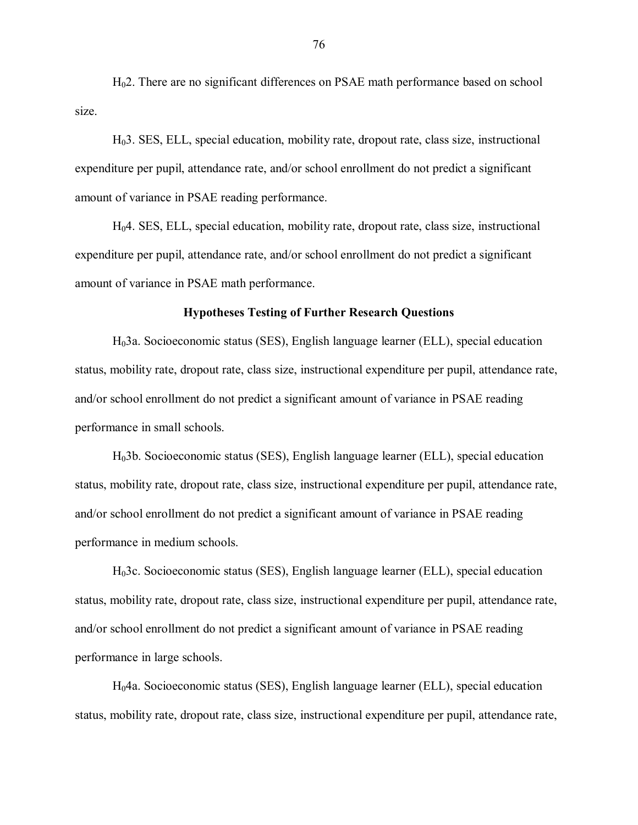H02. There are no significant differences on PSAE math performance based on school size.

H03. SES, ELL, special education, mobility rate, dropout rate, class size, instructional expenditure per pupil, attendance rate, and/or school enrollment do not predict a significant amount of variance in PSAE reading performance.

H04. SES, ELL, special education, mobility rate, dropout rate, class size, instructional expenditure per pupil, attendance rate, and/or school enrollment do not predict a significant amount of variance in PSAE math performance.

#### **Hypotheses Testing of Further Research Questions**

H03a. Socioeconomic status (SES), English language learner (ELL), special education status, mobility rate, dropout rate, class size, instructional expenditure per pupil, attendance rate, and/or school enrollment do not predict a significant amount of variance in PSAE reading performance in small schools.

H03b. Socioeconomic status (SES), English language learner (ELL), special education status, mobility rate, dropout rate, class size, instructional expenditure per pupil, attendance rate, and/or school enrollment do not predict a significant amount of variance in PSAE reading performance in medium schools.

H03c. Socioeconomic status (SES), English language learner (ELL), special education status, mobility rate, dropout rate, class size, instructional expenditure per pupil, attendance rate, and/or school enrollment do not predict a significant amount of variance in PSAE reading performance in large schools.

H04a. Socioeconomic status (SES), English language learner (ELL), special education status, mobility rate, dropout rate, class size, instructional expenditure per pupil, attendance rate,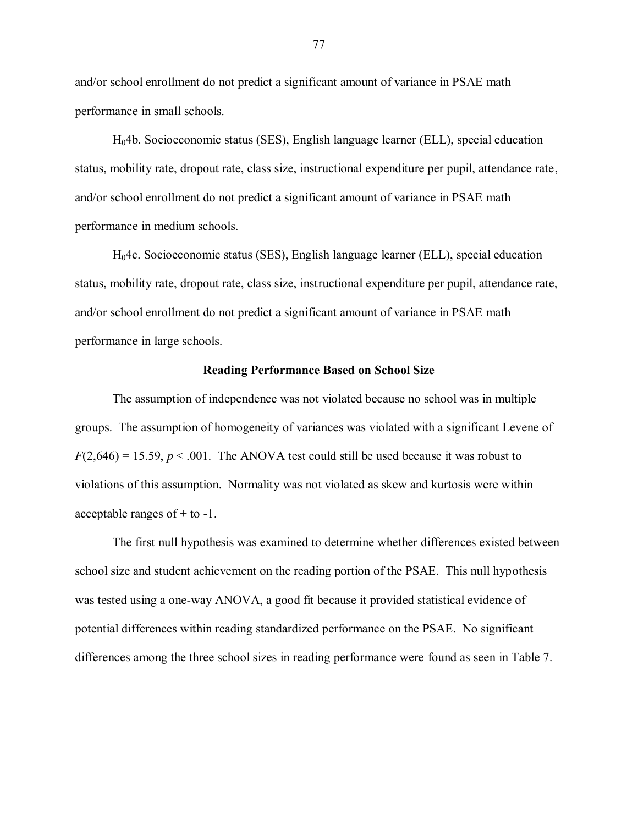and/or school enrollment do not predict a significant amount of variance in PSAE math performance in small schools.

H04b. Socioeconomic status (SES), English language learner (ELL), special education status, mobility rate, dropout rate, class size, instructional expenditure per pupil, attendance rate, and/or school enrollment do not predict a significant amount of variance in PSAE math performance in medium schools.

H04c. Socioeconomic status (SES), English language learner (ELL), special education status, mobility rate, dropout rate, class size, instructional expenditure per pupil, attendance rate, and/or school enrollment do not predict a significant amount of variance in PSAE math performance in large schools.

#### **Reading Performance Based on School Size**

The assumption of independence was not violated because no school was in multiple groups. The assumption of homogeneity of variances was violated with a significant Levene of  $F(2,646) = 15.59, p < .001$ . The ANOVA test could still be used because it was robust to violations of this assumption. Normality was not violated as skew and kurtosis were within acceptable ranges of + to -1.

The first null hypothesis was examined to determine whether differences existed between school size and student achievement on the reading portion of the PSAE. This null hypothesis was tested using a one-way ANOVA, a good fit because it provided statistical evidence of potential differences within reading standardized performance on the PSAE. No significant differences among the three school sizes in reading performance were found as seen in Table 7.

77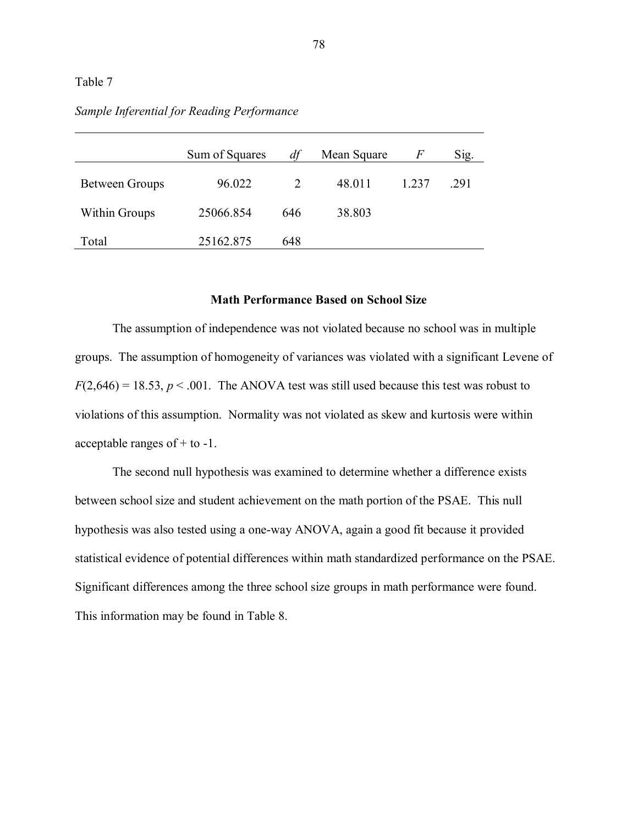|                      | Sum of Squares | df  | Mean Square | F       | Sig. |
|----------------------|----------------|-----|-------------|---------|------|
| Between Groups       | 96.022         |     | 48.011      | 1 2 3 7 | 291  |
| <b>Within Groups</b> | 25066.854      | 646 | 38.803      |         |      |
| Total                | 25162.875      | 648 |             |         |      |

# *Sample Inferential for Reading Performance*

# **Math Performance Based on School Size**

The assumption of independence was not violated because no school was in multiple groups. The assumption of homogeneity of variances was violated with a significant Levene of  $F(2,646) = 18.53$ ,  $p < .001$ . The ANOVA test was still used because this test was robust to violations of this assumption. Normality was not violated as skew and kurtosis were within acceptable ranges of + to -1.

The second null hypothesis was examined to determine whether a difference exists between school size and student achievement on the math portion of the PSAE. This null hypothesis was also tested using a one-way ANOVA, again a good fit because it provided statistical evidence of potential differences within math standardized performance on the PSAE. Significant differences among the three school size groups in math performance were found. This information may be found in Table 8.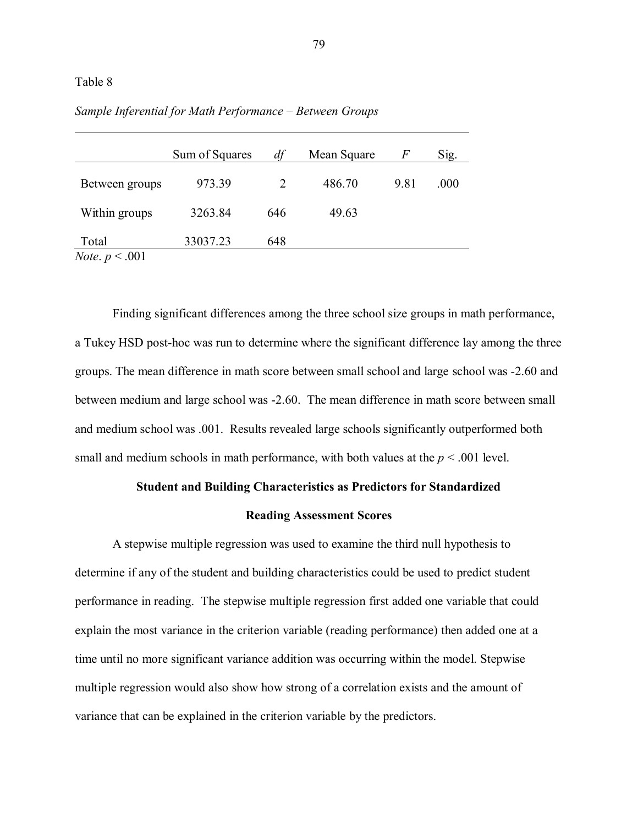| Sum of Squares | dt  | Mean Square | F    | Sig. |
|----------------|-----|-------------|------|------|
| 973.39         |     | 486.70      | 9.81 | .000 |
| 3263.84        | 646 | 49.63       |      |      |
| 33037.23       | 648 |             |      |      |
|                |     |             |      |      |

*Sample Inferential for Math Performance – Between Groups*

Finding significant differences among the three school size groups in math performance, a Tukey HSD post-hoc was run to determine where the significant difference lay among the three groups. The mean difference in math score between small school and large school was -2.60 and between medium and large school was -2.60. The mean difference in math score between small and medium school was .001. Results revealed large schools significantly outperformed both small and medium schools in math performance, with both values at the  $p < .001$  level.

#### **Student and Building Characteristics as Predictors for Standardized**

#### **Reading Assessment Scores**

A stepwise multiple regression was used to examine the third null hypothesis to determine if any of the student and building characteristics could be used to predict student performance in reading. The stepwise multiple regression first added one variable that could explain the most variance in the criterion variable (reading performance) then added one at a time until no more significant variance addition was occurring within the model. Stepwise multiple regression would also show how strong of a correlation exists and the amount of variance that can be explained in the criterion variable by the predictors.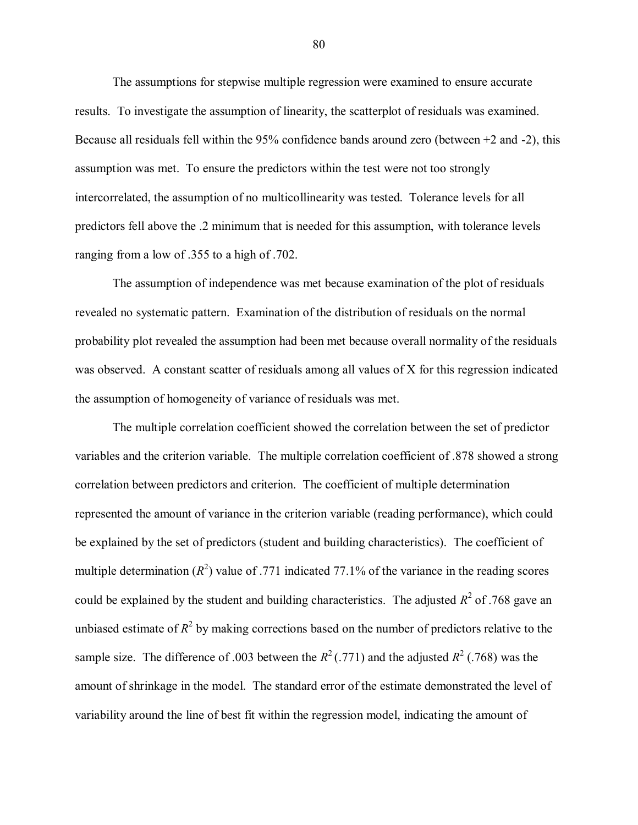The assumptions for stepwise multiple regression were examined to ensure accurate results. To investigate the assumption of linearity, the scatterplot of residuals was examined. Because all residuals fell within the 95% confidence bands around zero (between +2 and -2), this assumption was met. To ensure the predictors within the test were not too strongly intercorrelated, the assumption of no multicollinearity was tested. Tolerance levels for all predictors fell above the .2 minimum that is needed for this assumption, with tolerance levels ranging from a low of .355 to a high of .702.

The assumption of independence was met because examination of the plot of residuals revealed no systematic pattern. Examination of the distribution of residuals on the normal probability plot revealed the assumption had been met because overall normality of the residuals was observed. A constant scatter of residuals among all values of X for this regression indicated the assumption of homogeneity of variance of residuals was met.

The multiple correlation coefficient showed the correlation between the set of predictor variables and the criterion variable. The multiple correlation coefficient of .878 showed a strong correlation between predictors and criterion. The coefficient of multiple determination represented the amount of variance in the criterion variable (reading performance), which could be explained by the set of predictors (student and building characteristics). The coefficient of multiple determination  $(R^2)$  value of .771 indicated 77.1% of the variance in the reading scores could be explained by the student and building characteristics. The adjusted  $R^2$  of .768 gave an unbiased estimate of  $R^2$  by making corrections based on the number of predictors relative to the sample size. The difference of .003 between the  $R^2$  (.771) and the adjusted  $R^2$  (.768) was the amount of shrinkage in the model. The standard error of the estimate demonstrated the level of variability around the line of best fit within the regression model, indicating the amount of

80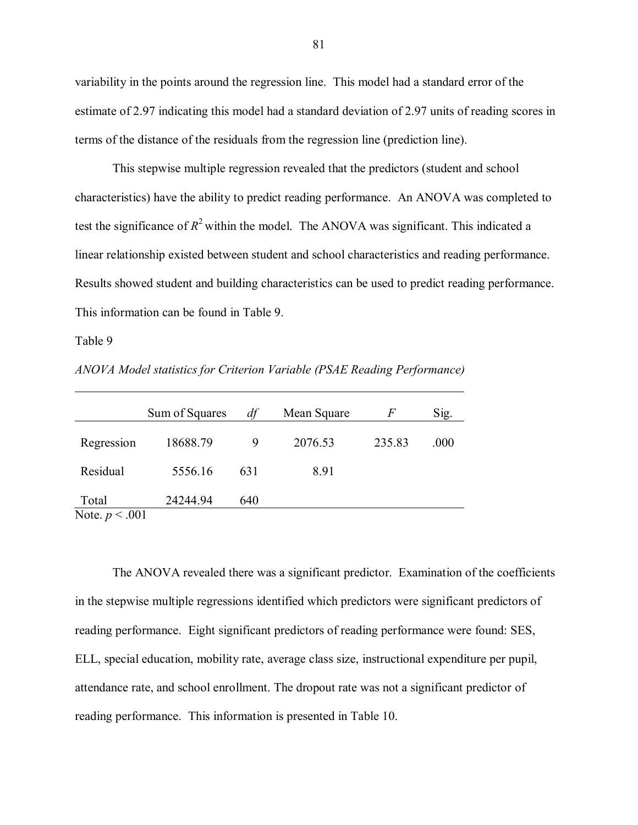variability in the points around the regression line. This model had a standard error of the estimate of 2.97 indicating this model had a standard deviation of 2.97 units of reading scores in terms of the distance of the residuals from the regression line (prediction line).

This stepwise multiple regression revealed that the predictors (student and school characteristics) have the ability to predict reading performance. An ANOVA was completed to test the significance of  $R^2$  within the model. The ANOVA was significant. This indicated a linear relationship existed between student and school characteristics and reading performance. Results showed student and building characteristics can be used to predict reading performance. This information can be found in Table 9.

#### Table 9

*ANOVA Model statistics for Criterion Variable (PSAE Reading Performance)*

|                                     | Sum of Squares | df  | Mean Square | F      | Sig. |
|-------------------------------------|----------------|-----|-------------|--------|------|
| Regression                          | 18688.79       | 9   | 2076.53     | 235.83 | .000 |
| Residual                            | 5556.16        | 631 | 8.91        |        |      |
| Total<br>$\mathbf{M}$<br>$\sim$ 001 | 24244.94       | 640 |             |        |      |

Note. *p* < .001

The ANOVA revealed there was a significant predictor. Examination of the coefficients in the stepwise multiple regressions identified which predictors were significant predictors of reading performance. Eight significant predictors of reading performance were found: SES, ELL, special education, mobility rate, average class size, instructional expenditure per pupil, attendance rate, and school enrollment. The dropout rate was not a significant predictor of reading performance. This information is presented in Table 10.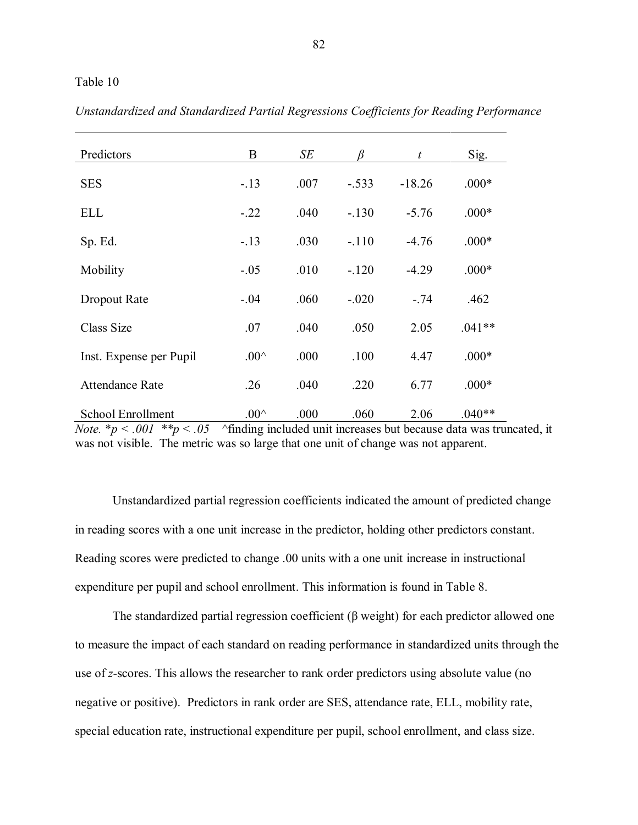| Predictors                                                          | B                                                                              | SE   |         | $\boldsymbol{t}$ | Sig.     |
|---------------------------------------------------------------------|--------------------------------------------------------------------------------|------|---------|------------------|----------|
| <b>SES</b>                                                          | $-.13$                                                                         | .007 | $-.533$ | $-18.26$         | $.000*$  |
| <b>ELL</b>                                                          | $-.22$                                                                         | .040 | $-.130$ | $-5.76$          | $.000*$  |
| Sp. Ed.                                                             | $-13$                                                                          | .030 | $-.110$ | $-4.76$          | $.000*$  |
| Mobility                                                            | $-.05$                                                                         | .010 | $-.120$ | $-4.29$          | $.000*$  |
| Dropout Rate                                                        | $-.04$                                                                         | .060 | $-.020$ | $-.74$           | .462     |
| Class Size                                                          | .07                                                                            | .040 | .050    | 2.05             | $.041**$ |
| Inst. Expense per Pupil                                             | $.00^{\wedge}$                                                                 | .000 | .100    | 4.47             | $.000*$  |
| <b>Attendance Rate</b>                                              | .26                                                                            | .040 | .220    | 6.77             | $.000*$  |
| <b>School Enrollment</b><br>$N_{\alpha}$ is $n < 0.01$ is $n < 0.5$ | $.00^{\wedge}$<br>Afinding included unit increases but because data was trunce | .000 | .060    | 2.06             | $.040**$ |

*Unstandardized and Standardized Partial Regressions Coefficients for Reading Performance*

*Note.* \* $p < .001$  \*\* $p < .05$  ^finding included unit increases but because data was truncated, it was not visible. The metric was so large that one unit of change was not apparent.

Unstandardized partial regression coefficients indicated the amount of predicted change in reading scores with a one unit increase in the predictor, holding other predictors constant. Reading scores were predicted to change .00 units with a one unit increase in instructional expenditure per pupil and school enrollment. This information is found in Table 8.

The standardized partial regression coefficient (β weight) for each predictor allowed one to measure the impact of each standard on reading performance in standardized units through the use of *z*-scores. This allows the researcher to rank order predictors using absolute value (no negative or positive). Predictors in rank order are SES, attendance rate, ELL, mobility rate, special education rate, instructional expenditure per pupil, school enrollment, and class size.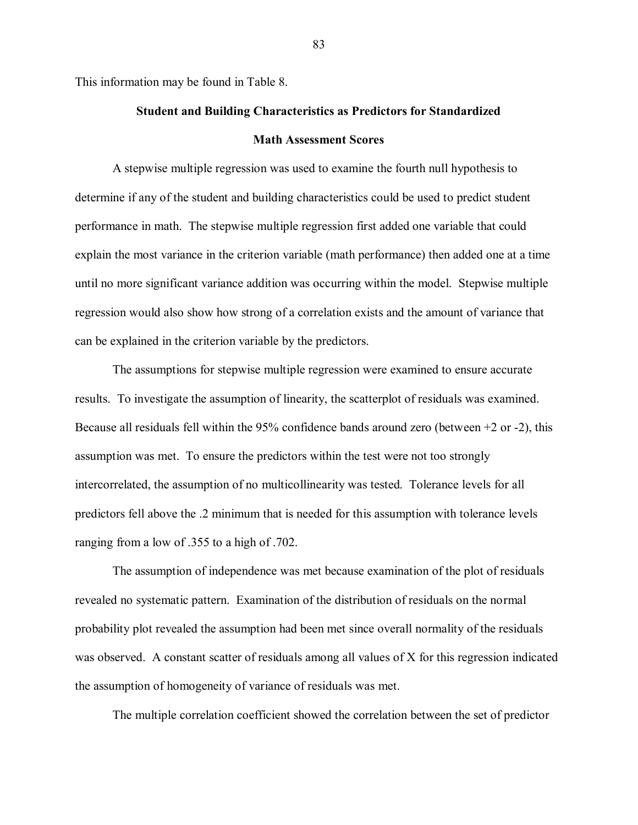This information may be found in Table 8.

# **Student and Building Characteristics as Predictors for Standardized Math Assessment Scores**

A stepwise multiple regression was used to examine the fourth null hypothesis to determine if any of the student and building characteristics could be used to predict student performance in math. The stepwise multiple regression first added one variable that could explain the most variance in the criterion variable (math performance) then added one at a time until no more significant variance addition was occurring within the model. Stepwise multiple regression would also show how strong of a correlation exists and the amount of variance that can be explained in the criterion variable by the predictors.

The assumptions for stepwise multiple regression were examined to ensure accurate results. To investigate the assumption of linearity, the scatterplot of residuals was examined. Because all residuals fell within the 95% confidence bands around zero (between +2 or -2), this assumption was met. To ensure the predictors within the test were not too strongly intercorrelated, the assumption of no multicollinearity was tested. Tolerance levels for all predictors fell above the .2 minimum that is needed for this assumption with tolerance levels ranging from a low of .355 to a high of .702.

The assumption of independence was met because examination of the plot of residuals revealed no systematic pattern. Examination of the distribution of residuals on the normal probability plot revealed the assumption had been met since overall normality of the residuals was observed. A constant scatter of residuals among all values of X for this regression indicated the assumption of homogeneity of variance of residuals was met.

The multiple correlation coefficient showed the correlation between the set of predictor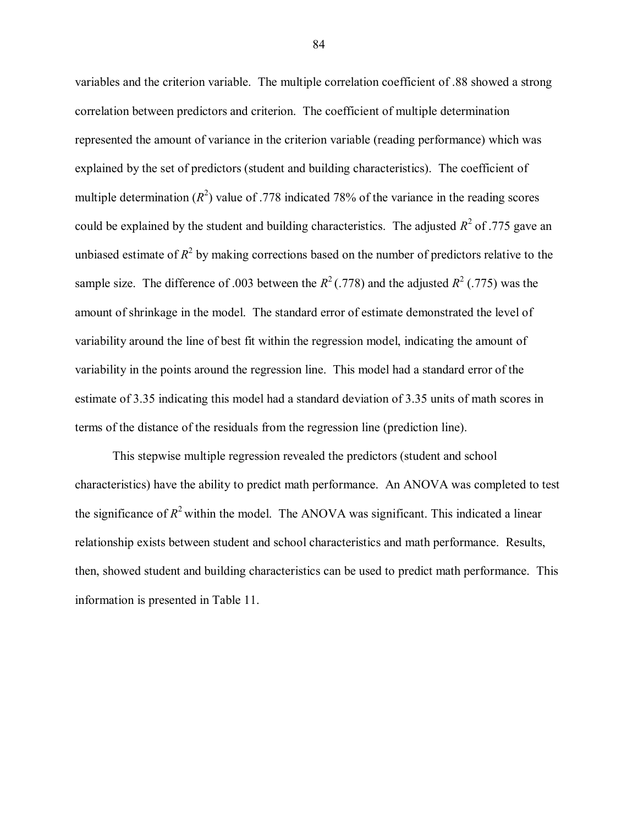variables and the criterion variable. The multiple correlation coefficient of .88 showed a strong correlation between predictors and criterion. The coefficient of multiple determination represented the amount of variance in the criterion variable (reading performance) which was explained by the set of predictors (student and building characteristics). The coefficient of multiple determination  $(R^2)$  value of .778 indicated 78% of the variance in the reading scores could be explained by the student and building characteristics. The adjusted  $R^2$  of .775 gave an unbiased estimate of  $R^2$  by making corrections based on the number of predictors relative to the sample size. The difference of .003 between the  $R^2$  (.778) and the adjusted  $R^2$  (.775) was the amount of shrinkage in the model. The standard error of estimate demonstrated the level of variability around the line of best fit within the regression model, indicating the amount of variability in the points around the regression line. This model had a standard error of the estimate of 3.35 indicating this model had a standard deviation of 3.35 units of math scores in terms of the distance of the residuals from the regression line (prediction line).

This stepwise multiple regression revealed the predictors (student and school characteristics) have the ability to predict math performance. An ANOVA was completed to test the significance of  $R^2$  within the model. The ANOVA was significant. This indicated a linear relationship exists between student and school characteristics and math performance. Results, then, showed student and building characteristics can be used to predict math performance. This information is presented in Table 11.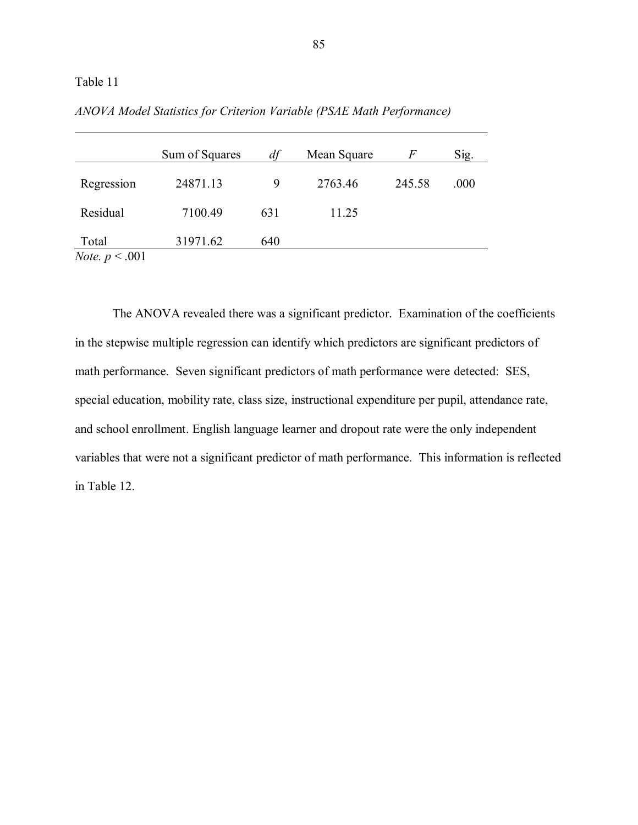|                                  | Sum of Squares | df  | Mean Square | F      | Sig. |
|----------------------------------|----------------|-----|-------------|--------|------|
| Regression                       | 24871.13       | 9   | 2763.46     | 245.58 | .000 |
| Residual                         | 7100.49        | 631 | 11.25       |        |      |
| Total<br><i>Note.</i> $p < .001$ | 31971.62       | 640 |             |        |      |

*ANOVA Model Statistics for Criterion Variable (PSAE Math Performance)*

The ANOVA revealed there was a significant predictor. Examination of the coefficients in the stepwise multiple regression can identify which predictors are significant predictors of math performance. Seven significant predictors of math performance were detected: SES, special education, mobility rate, class size, instructional expenditure per pupil, attendance rate, and school enrollment. English language learner and dropout rate were the only independent variables that were not a significant predictor of math performance. This information is reflected in Table 12.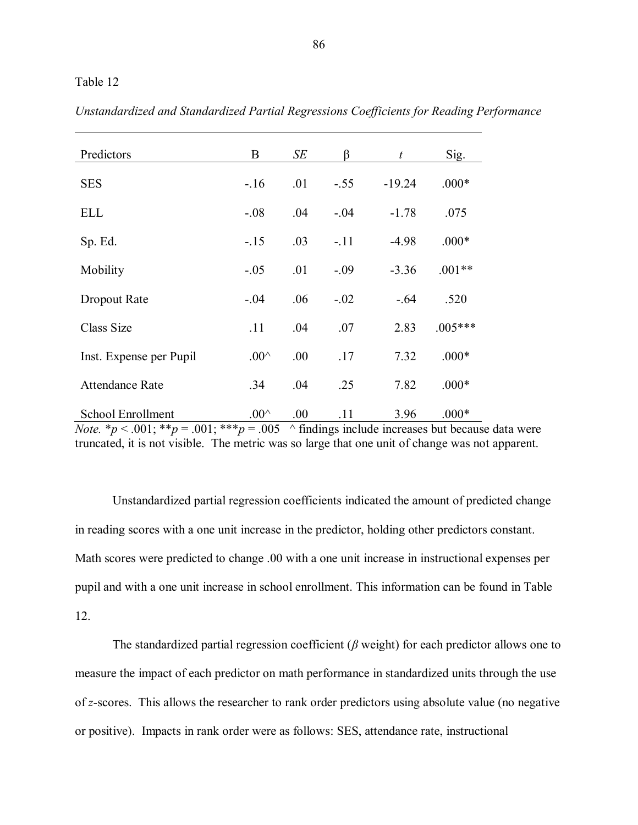| Predictors                                                                          | B              | SE   | ß      | $t_{\rm}$ | Sig.                                                              |
|-------------------------------------------------------------------------------------|----------------|------|--------|-----------|-------------------------------------------------------------------|
| <b>SES</b>                                                                          | $-.16$         | .01  | $-.55$ | $-19.24$  | $.000*$                                                           |
| <b>ELL</b>                                                                          | $-.08$         | .04  | $-.04$ | $-1.78$   | .075                                                              |
| Sp. Ed.                                                                             | $-15$          | .03  | $-.11$ | $-4.98$   | $.000*$                                                           |
| Mobility                                                                            | $-.05$         | .01  | $-.09$ | $-3.36$   | $.001**$                                                          |
| Dropout Rate                                                                        | $-.04$         | .06  | $-.02$ | $-0.64$   | .520                                                              |
| Class Size                                                                          | .11            | .04  | .07    | 2.83      | $.005***$                                                         |
| Inst. Expense per Pupil                                                             | $.00^{\wedge}$ | .00. | .17    | 7.32      | $.000*$                                                           |
| <b>Attendance Rate</b>                                                              | .34            | .04  | .25    | 7.82      | $.000*$                                                           |
| <b>School Enrollment</b><br><i>Note</i> . $*_p$ < .001: $*_p$ = .001: $**_p$ = .005 | $.00^{\wedge}$ | .00  | .11    | 3.96      | $.000*$<br>$\land$ findings include increases but because $\circ$ |

*Unstandardized and Standardized Partial Regressions Coefficients for Reading Performance*

*Note.*  $* p < .001$ ;  $** p = .001$ ;  $** p = .005$  ^ findings include increases but because data were truncated, it is not visible. The metric was so large that one unit of change was not apparent.

Unstandardized partial regression coefficients indicated the amount of predicted change in reading scores with a one unit increase in the predictor, holding other predictors constant. Math scores were predicted to change .00 with a one unit increase in instructional expenses per pupil and with a one unit increase in school enrollment. This information can be found in Table 12.

The standardized partial regression coefficient (*β* weight) for each predictor allows one to measure the impact of each predictor on math performance in standardized units through the use of *z*-scores. This allows the researcher to rank order predictors using absolute value (no negative or positive). Impacts in rank order were as follows: SES, attendance rate, instructional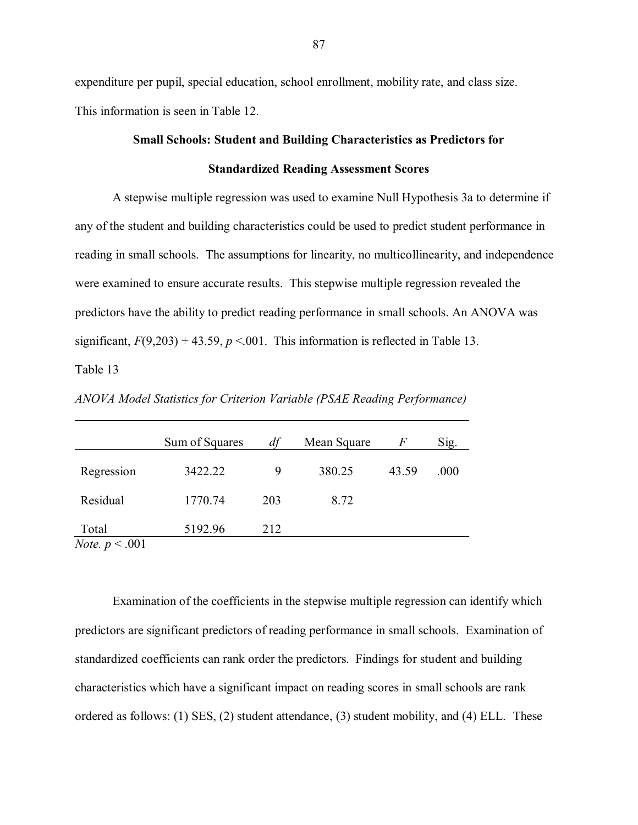expenditure per pupil, special education, school enrollment, mobility rate, and class size. This information is seen in Table 12.

# **Small Schools: Student and Building Characteristics as Predictors for Standardized Reading Assessment Scores**

A stepwise multiple regression was used to examine Null Hypothesis 3a to determine if any of the student and building characteristics could be used to predict student performance in reading in small schools. The assumptions for linearity, no multicollinearity, and independence were examined to ensure accurate results. This stepwise multiple regression revealed the predictors have the ability to predict reading performance in small schools. An ANOVA was significant,  $F(9,203) + 43.59$ ,  $p < 001$ . This information is reflected in Table 13. Table 13

|                                  | Sum of Squares | df  | Mean Square | F     | Sig. |
|----------------------------------|----------------|-----|-------------|-------|------|
| Regression                       | 3422.22        | 9   | 380.25      | 43.59 | .000 |
| Residual                         | 1770.74        | 203 | 8.72        |       |      |
| Total<br><i>Note.</i> $p < .001$ | 5192.96        | 212 |             |       |      |

*ANOVA Model Statistics for Criterion Variable (PSAE Reading Performance)*

Examination of the coefficients in the stepwise multiple regression can identify which predictors are significant predictors of reading performance in small schools. Examination of standardized coefficients can rank order the predictors. Findings for student and building characteristics which have a significant impact on reading scores in small schools are rank ordered as follows: (1) SES, (2) student attendance, (3) student mobility, and (4) ELL. These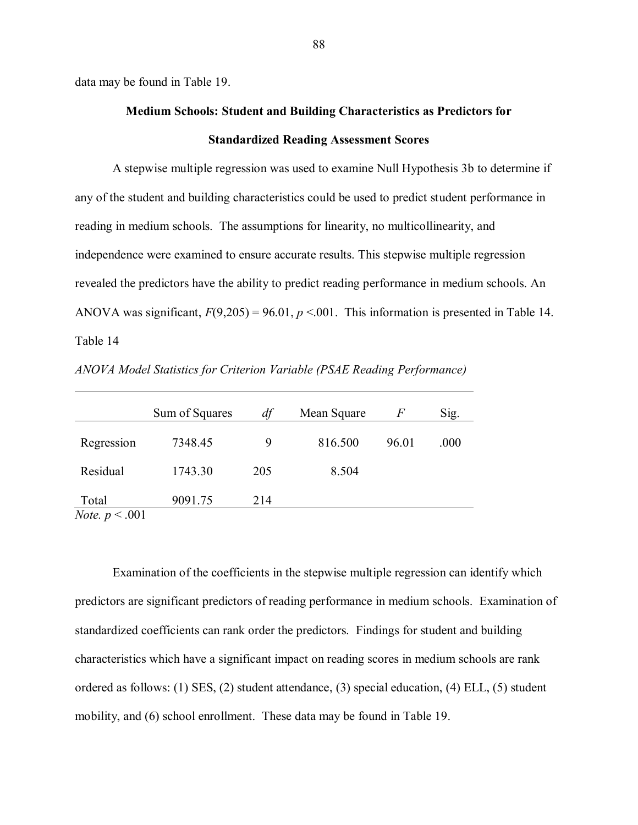data may be found in Table 19.

# **Medium Schools: Student and Building Characteristics as Predictors for Standardized Reading Assessment Scores**

A stepwise multiple regression was used to examine Null Hypothesis 3b to determine if any of the student and building characteristics could be used to predict student performance in reading in medium schools. The assumptions for linearity, no multicollinearity, and independence were examined to ensure accurate results. This stepwise multiple regression revealed the predictors have the ability to predict reading performance in medium schools. An ANOVA was significant,  $F(9,205) = 96.01$ ,  $p < 0.01$ . This information is presented in Table 14. Table 14

|                                      | Sum of Squares | df  | Mean Square | F     | Sig. |
|--------------------------------------|----------------|-----|-------------|-------|------|
| Regression                           | 7348.45        | 9   | 816.500     | 96.01 | .000 |
| Residual                             | 1743.30        | 205 | 8.504       |       |      |
| Total<br>$\mathbf{v}$<br>$\sim$ 0.01 | 9091.75        | 214 |             |       |      |

*ANOVA Model Statistics for Criterion Variable (PSAE Reading Performance)*

*Note. p* < .001

Examination of the coefficients in the stepwise multiple regression can identify which predictors are significant predictors of reading performance in medium schools. Examination of standardized coefficients can rank order the predictors. Findings for student and building characteristics which have a significant impact on reading scores in medium schools are rank ordered as follows: (1) SES, (2) student attendance, (3) special education, (4) ELL, (5) student mobility, and (6) school enrollment. These data may be found in Table 19.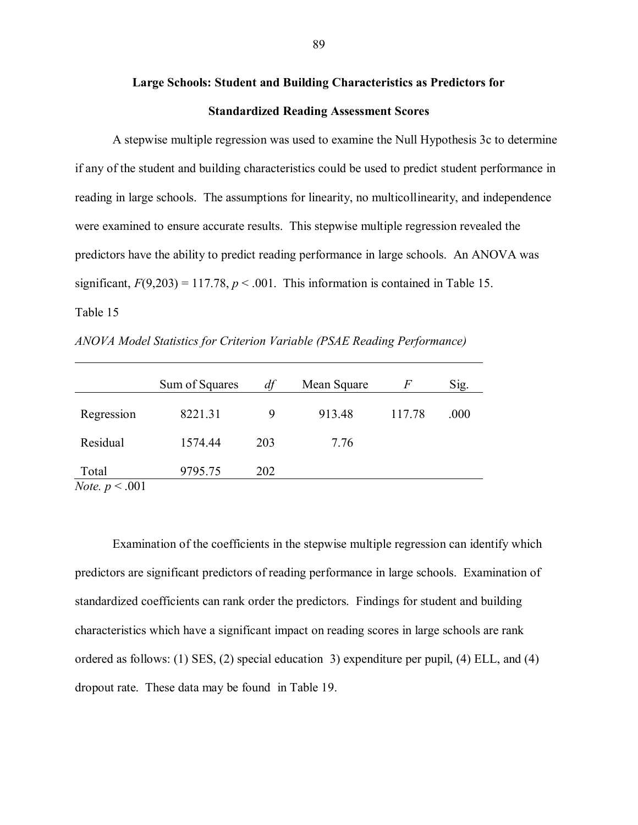# **Large Schools: Student and Building Characteristics as Predictors for Standardized Reading Assessment Scores**

A stepwise multiple regression was used to examine the Null Hypothesis 3c to determine if any of the student and building characteristics could be used to predict student performance in reading in large schools. The assumptions for linearity, no multicollinearity, and independence were examined to ensure accurate results. This stepwise multiple regression revealed the predictors have the ability to predict reading performance in large schools. An ANOVA was significant,  $F(9,203) = 117.78$ ,  $p < .001$ . This information is contained in Table 15. Table 15

*ANOVA Model Statistics for Criterion Variable (PSAE Reading Performance)*

|                                        | Sum of Squares | df  | Mean Square | $\,F$  | Sig. |
|----------------------------------------|----------------|-----|-------------|--------|------|
| Regression                             | 8221.31        | 9   | 913.48      | 117.78 | .000 |
| Residual                               | 1574.44        | 203 | 7.76        |        |      |
| Total<br>$N_{\text{obs}} \approx 0.01$ | 9795.75        | 202 |             |        |      |

*Note.*  $p < .001$ 

Examination of the coefficients in the stepwise multiple regression can identify which predictors are significant predictors of reading performance in large schools. Examination of standardized coefficients can rank order the predictors. Findings for student and building characteristics which have a significant impact on reading scores in large schools are rank ordered as follows: (1) SES, (2) special education 3) expenditure per pupil, (4) ELL, and (4) dropout rate. These data may be found in Table 19.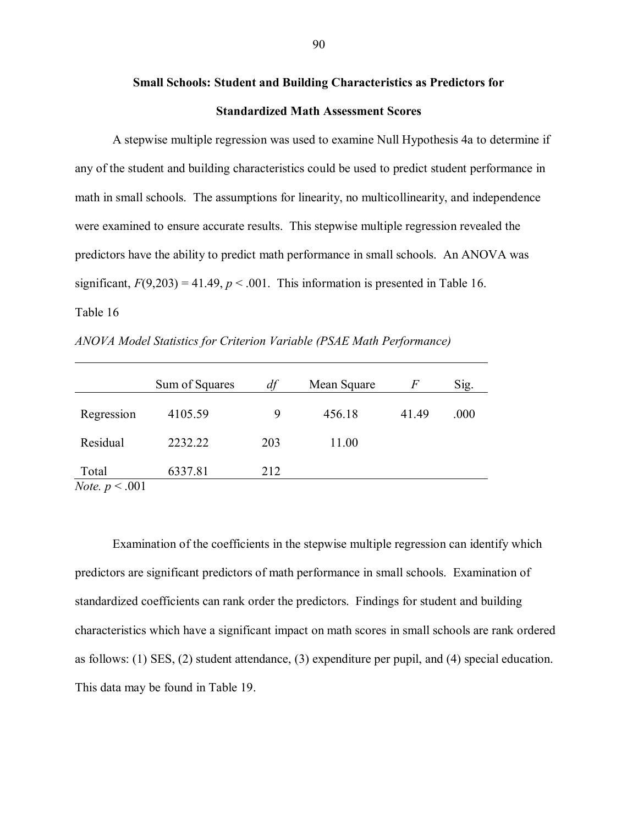# **Small Schools: Student and Building Characteristics as Predictors for Standardized Math Assessment Scores**

A stepwise multiple regression was used to examine Null Hypothesis 4a to determine if any of the student and building characteristics could be used to predict student performance in math in small schools. The assumptions for linearity, no multicollinearity, and independence were examined to ensure accurate results. This stepwise multiple regression revealed the predictors have the ability to predict math performance in small schools. An ANOVA was significant,  $F(9,203) = 41.49$ ,  $p < .001$ . This information is presented in Table 16. Table 16

*ANOVA Model Statistics for Criterion Variable (PSAE Math Performance)*

|                                  | Sum of Squares | df  | Mean Square | F     | Sig. |
|----------------------------------|----------------|-----|-------------|-------|------|
| Regression                       | 4105.59        | 9   | 456.18      | 41.49 | .000 |
| Residual                         | 2232.22        | 203 | 11.00       |       |      |
| Total<br>$N_{\alpha}$ $\sim$ 001 | 6337.81        | 212 |             |       |      |

*Note.*  $p \le 0.001$ 

Examination of the coefficients in the stepwise multiple regression can identify which predictors are significant predictors of math performance in small schools. Examination of standardized coefficients can rank order the predictors. Findings for student and building characteristics which have a significant impact on math scores in small schools are rank ordered as follows: (1) SES, (2) student attendance, (3) expenditure per pupil, and (4) special education. This data may be found in Table 19.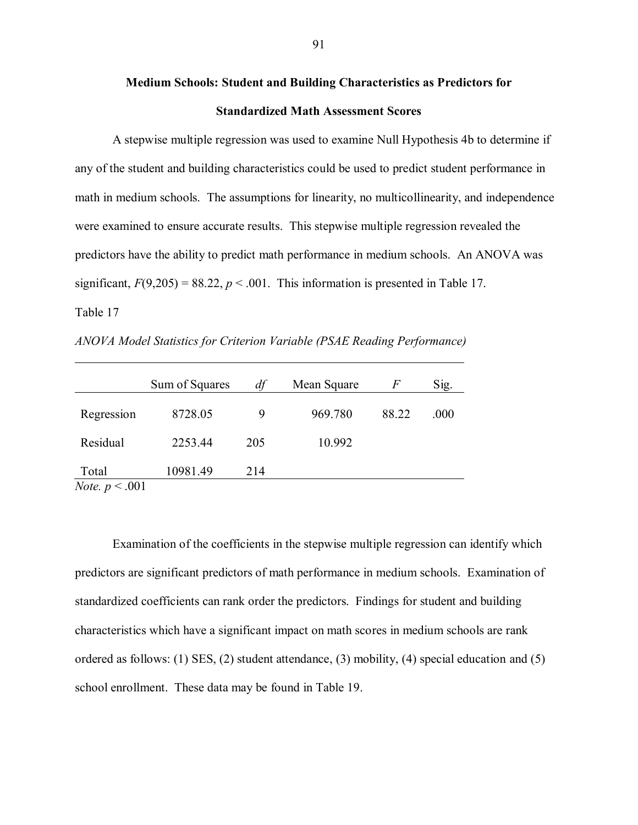# **Medium Schools: Student and Building Characteristics as Predictors for Standardized Math Assessment Scores**

A stepwise multiple regression was used to examine Null Hypothesis 4b to determine if any of the student and building characteristics could be used to predict student performance in math in medium schools. The assumptions for linearity, no multicollinearity, and independence were examined to ensure accurate results. This stepwise multiple regression revealed the predictors have the ability to predict math performance in medium schools. An ANOVA was significant,  $F(9,205) = 88.22$ ,  $p < .001$ . This information is presented in Table 17. Table 17

*ANOVA Model Statistics for Criterion Variable (PSAE Reading Performance)*

|                                     | Sum of Squares | df  | Mean Square | F     | Sig. |
|-------------------------------------|----------------|-----|-------------|-------|------|
| Regression                          | 8728.05        | 9   | 969.780     | 88.22 | .000 |
| Residual                            | 2253.44        | 205 | 10.992      |       |      |
| Total<br>$N_{\alpha}$ $\approx$ 001 | 10981.49       | 214 |             |       |      |

*Note.*  $p \le 0.001$ 

Examination of the coefficients in the stepwise multiple regression can identify which predictors are significant predictors of math performance in medium schools. Examination of standardized coefficients can rank order the predictors. Findings for student and building characteristics which have a significant impact on math scores in medium schools are rank ordered as follows: (1) SES, (2) student attendance, (3) mobility, (4) special education and (5) school enrollment. These data may be found in Table 19.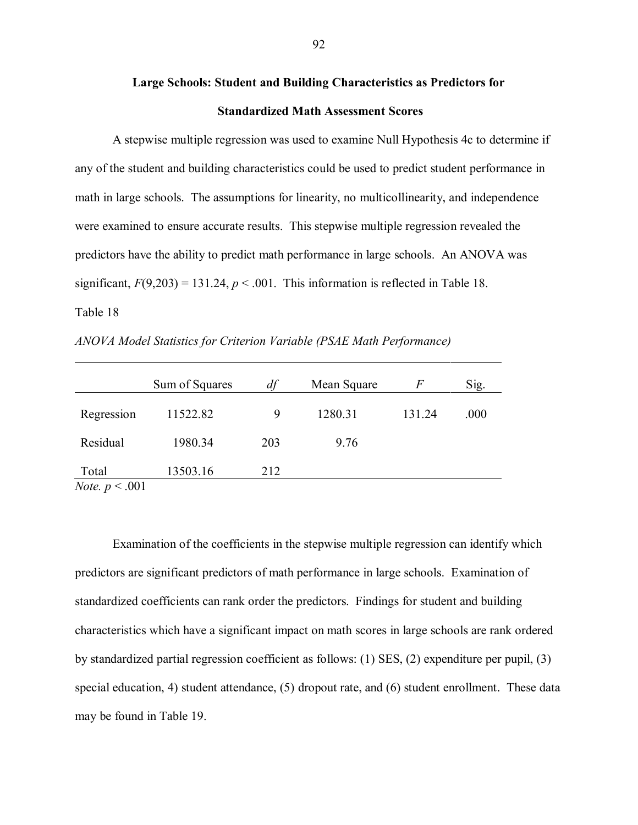# **Large Schools: Student and Building Characteristics as Predictors for Standardized Math Assessment Scores**

A stepwise multiple regression was used to examine Null Hypothesis 4c to determine if any of the student and building characteristics could be used to predict student performance in math in large schools. The assumptions for linearity, no multicollinearity, and independence were examined to ensure accurate results. This stepwise multiple regression revealed the predictors have the ability to predict math performance in large schools. An ANOVA was significant,  $F(9,203) = 131.24$ ,  $p < .001$ . This information is reflected in Table 18. Table 18

*ANOVA Model Statistics for Criterion Variable (PSAE Math Performance)*

|                                        | Sum of Squares | df  | Mean Square | F      | Sig. |
|----------------------------------------|----------------|-----|-------------|--------|------|
| Regression                             | 11522.82       | 9   | 1280.31     | 131.24 | .000 |
| Residual                               | 1980.34        | 203 | 9.76        |        |      |
| Total<br>$N_{\text{obs}} \approx 0.01$ | 13503.16       | 212 |             |        |      |

*Note. p* < .001

Examination of the coefficients in the stepwise multiple regression can identify which predictors are significant predictors of math performance in large schools. Examination of standardized coefficients can rank order the predictors. Findings for student and building characteristics which have a significant impact on math scores in large schools are rank ordered by standardized partial regression coefficient as follows: (1) SES, (2) expenditure per pupil, (3) special education, 4) student attendance, (5) dropout rate, and (6) student enrollment. These data may be found in Table 19.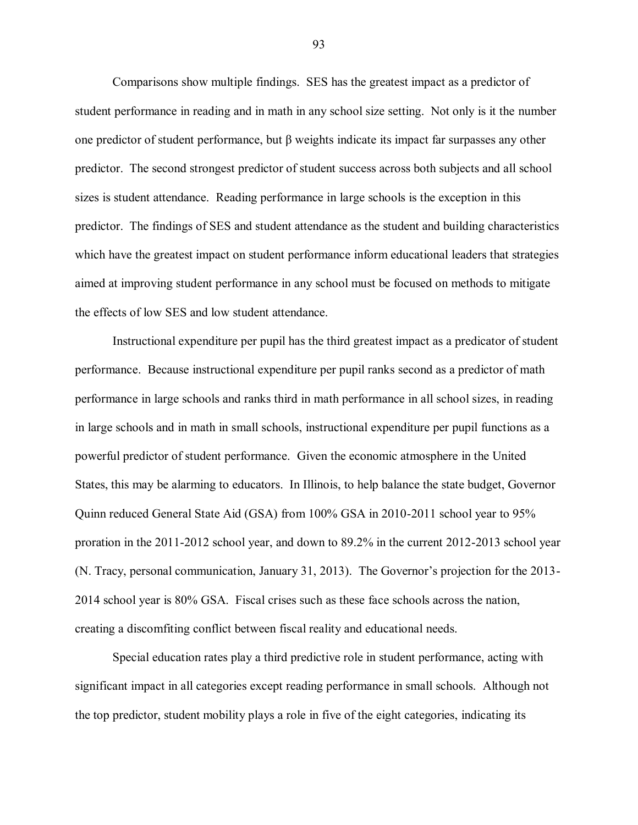Comparisons show multiple findings. SES has the greatest impact as a predictor of student performance in reading and in math in any school size setting. Not only is it the number one predictor of student performance, but β weights indicate its impact far surpasses any other predictor. The second strongest predictor of student success across both subjects and all school sizes is student attendance. Reading performance in large schools is the exception in this predictor. The findings of SES and student attendance as the student and building characteristics which have the greatest impact on student performance inform educational leaders that strategies aimed at improving student performance in any school must be focused on methods to mitigate the effects of low SES and low student attendance.

Instructional expenditure per pupil has the third greatest impact as a predicator of student performance. Because instructional expenditure per pupil ranks second as a predictor of math performance in large schools and ranks third in math performance in all school sizes, in reading in large schools and in math in small schools, instructional expenditure per pupil functions as a powerful predictor of student performance. Given the economic atmosphere in the United States, this may be alarming to educators. In Illinois, to help balance the state budget, Governor Quinn reduced General State Aid (GSA) from 100% GSA in 2010-2011 school year to 95% proration in the 2011-2012 school year, and down to 89.2% in the current 2012-2013 school year (N. Tracy, personal communication, January 31, 2013). The Governor"s projection for the 2013- 2014 school year is 80% GSA. Fiscal crises such as these face schools across the nation, creating a discomfiting conflict between fiscal reality and educational needs.

Special education rates play a third predictive role in student performance, acting with significant impact in all categories except reading performance in small schools. Although not the top predictor, student mobility plays a role in five of the eight categories, indicating its

93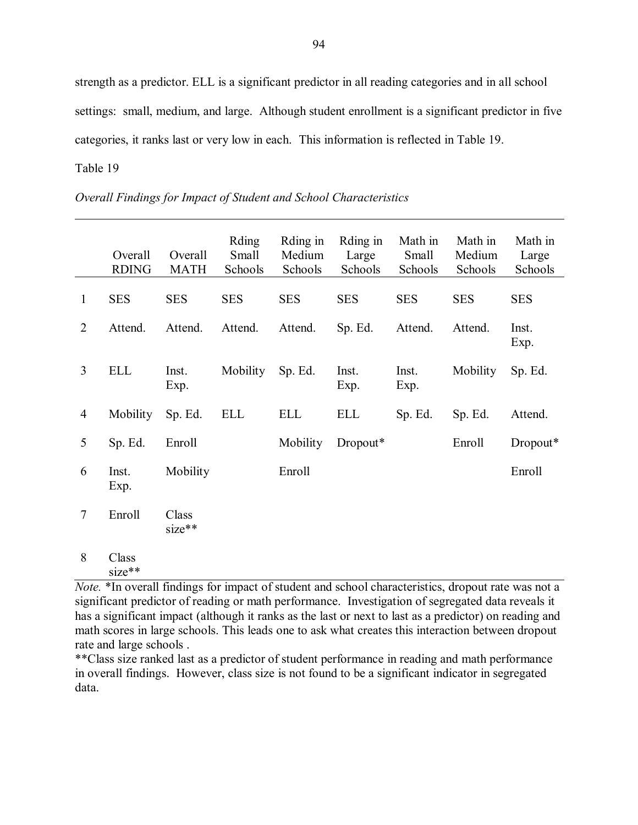strength as a predictor. ELL is a significant predictor in all reading categories and in all school settings: small, medium, and large. Although student enrollment is a significant predictor in five categories, it ranks last or very low in each. This information is reflected in Table 19. Table 19

|                | Overall<br><b>RDING</b> | Overall<br><b>MATH</b> | Rding<br>Small<br>Schools | Rding in<br>Medium<br>Schools | Rding in<br>Large<br>Schools | Math in<br>Small<br>Schools | Math in<br>Medium<br>Schools | Math in<br>Large<br>Schools |
|----------------|-------------------------|------------------------|---------------------------|-------------------------------|------------------------------|-----------------------------|------------------------------|-----------------------------|
| $\mathbf{1}$   | <b>SES</b>              | <b>SES</b>             | <b>SES</b>                | <b>SES</b>                    | <b>SES</b>                   | <b>SES</b>                  | <b>SES</b>                   | <b>SES</b>                  |
| $\overline{2}$ | Attend.                 | Attend.                | Attend.                   | Attend.                       | Sp. Ed.                      | Attend.                     | Attend.                      | Inst.<br>Exp.               |
| $\overline{3}$ | <b>ELL</b>              | Inst.<br>Exp.          | <b>Mobility</b>           | Sp. Ed.                       | Inst.<br>Exp.                | Inst.<br>Exp.               | <b>Mobility</b>              | Sp. Ed.                     |
| $\overline{4}$ | Mobility                | Sp. Ed.                | <b>ELL</b>                | <b>ELL</b>                    | <b>ELL</b>                   | Sp. Ed.                     | Sp. Ed.                      | Attend.                     |
| 5              | Sp. Ed.                 | Enroll                 |                           | Mobility                      | Dropout*                     |                             | Enroll                       | Dropout*                    |
| 6              | Inst.<br>Exp.           | Mobility               |                           | Enroll                        |                              |                             |                              | Enroll                      |
| $\tau$         | Enroll                  | Class<br>size**        |                           |                               |                              |                             |                              |                             |
| 8              | Class                   |                        |                           |                               |                              |                             |                              |                             |

*Overall Findings for Impact of Student and School Characteristics*

8 Class size\*\*

*Note.* \*In overall findings for impact of student and school characteristics, dropout rate was not a significant predictor of reading or math performance. Investigation of segregated data reveals it has a significant impact (although it ranks as the last or next to last as a predictor) on reading and math scores in large schools. This leads one to ask what creates this interaction between dropout rate and large schools .

\*\*Class size ranked last as a predictor of student performance in reading and math performance in overall findings. However, class size is not found to be a significant indicator in segregated data.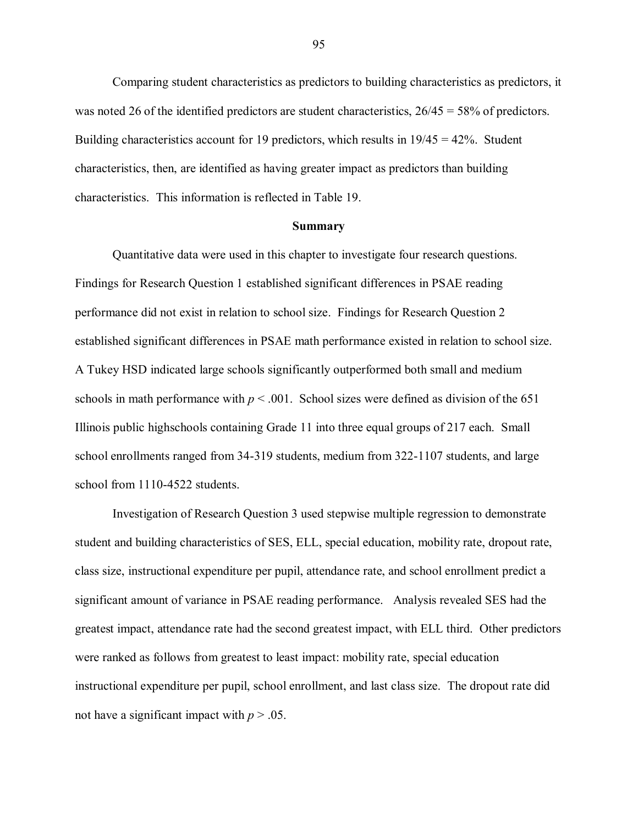Comparing student characteristics as predictors to building characteristics as predictors, it was noted 26 of the identified predictors are student characteristics,  $26/45 = 58\%$  of predictors. Building characteristics account for 19 predictors, which results in 19/45 = 42%. Student characteristics, then, are identified as having greater impact as predictors than building characteristics. This information is reflected in Table 19.

#### **Summary**

Quantitative data were used in this chapter to investigate four research questions. Findings for Research Question 1 established significant differences in PSAE reading performance did not exist in relation to school size. Findings for Research Question 2 established significant differences in PSAE math performance existed in relation to school size. A Tukey HSD indicated large schools significantly outperformed both small and medium schools in math performance with  $p < .001$ . School sizes were defined as division of the 651 Illinois public highschools containing Grade 11 into three equal groups of 217 each. Small school enrollments ranged from 34-319 students, medium from 322-1107 students, and large school from 1110-4522 students.

Investigation of Research Question 3 used stepwise multiple regression to demonstrate student and building characteristics of SES, ELL, special education, mobility rate, dropout rate, class size, instructional expenditure per pupil, attendance rate, and school enrollment predict a significant amount of variance in PSAE reading performance. Analysis revealed SES had the greatest impact, attendance rate had the second greatest impact, with ELL third. Other predictors were ranked as follows from greatest to least impact: mobility rate, special education instructional expenditure per pupil, school enrollment, and last class size. The dropout rate did not have a significant impact with  $p > .05$ .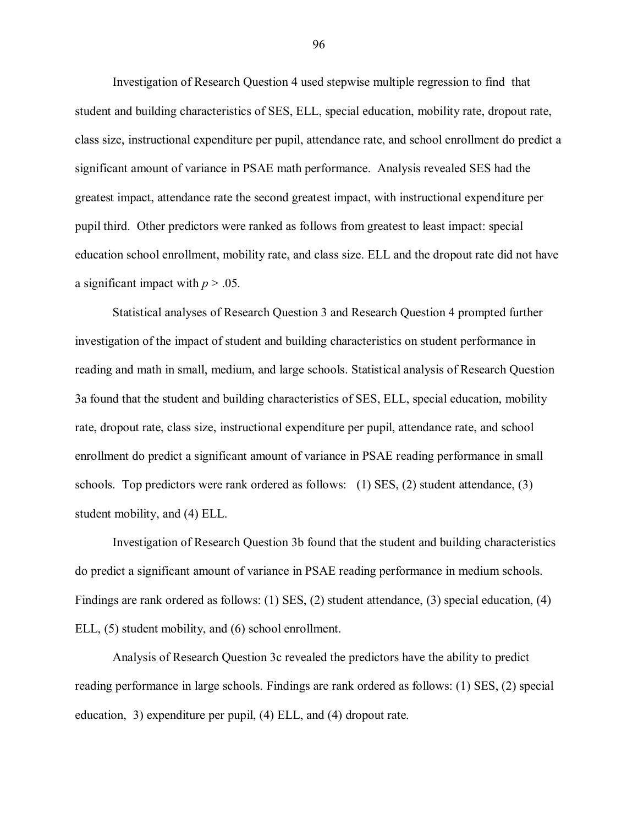Investigation of Research Question 4 used stepwise multiple regression to find that student and building characteristics of SES, ELL, special education, mobility rate, dropout rate, class size, instructional expenditure per pupil, attendance rate, and school enrollment do predict a significant amount of variance in PSAE math performance. Analysis revealed SES had the greatest impact, attendance rate the second greatest impact, with instructional expenditure per pupil third. Other predictors were ranked as follows from greatest to least impact: special education school enrollment, mobility rate, and class size. ELL and the dropout rate did not have a significant impact with  $p > .05$ .

Statistical analyses of Research Question 3 and Research Question 4 prompted further investigation of the impact of student and building characteristics on student performance in reading and math in small, medium, and large schools. Statistical analysis of Research Question 3a found that the student and building characteristics of SES, ELL, special education, mobility rate, dropout rate, class size, instructional expenditure per pupil, attendance rate, and school enrollment do predict a significant amount of variance in PSAE reading performance in small schools. Top predictors were rank ordered as follows: (1) SES, (2) student attendance, (3) student mobility, and (4) ELL.

Investigation of Research Question 3b found that the student and building characteristics do predict a significant amount of variance in PSAE reading performance in medium schools. Findings are rank ordered as follows: (1) SES, (2) student attendance, (3) special education, (4) ELL, (5) student mobility, and (6) school enrollment.

Analysis of Research Question 3c revealed the predictors have the ability to predict reading performance in large schools. Findings are rank ordered as follows: (1) SES, (2) special education, 3) expenditure per pupil, (4) ELL, and (4) dropout rate.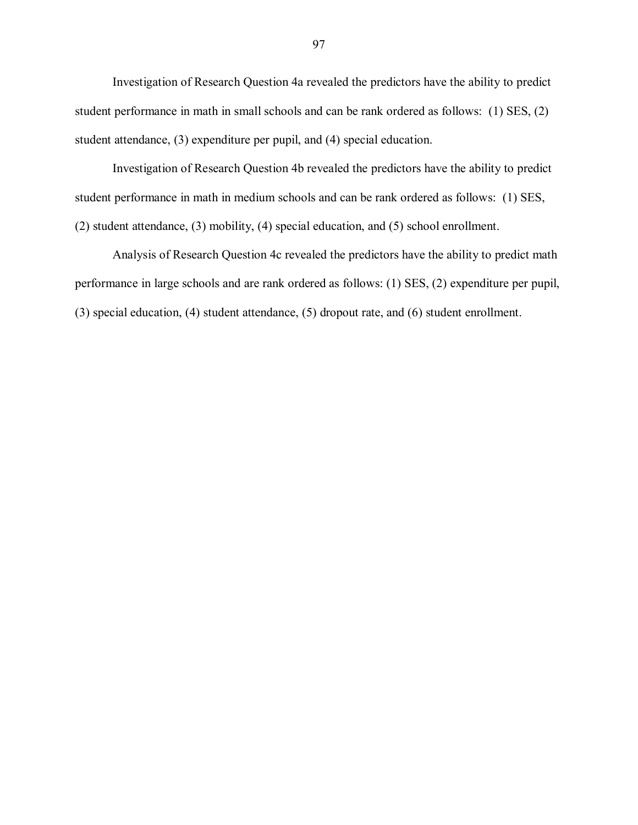Investigation of Research Question 4a revealed the predictors have the ability to predict student performance in math in small schools and can be rank ordered as follows: (1) SES, (2) student attendance, (3) expenditure per pupil, and (4) special education.

Investigation of Research Question 4b revealed the predictors have the ability to predict student performance in math in medium schools and can be rank ordered as follows: (1) SES, (2) student attendance, (3) mobility, (4) special education, and (5) school enrollment.

Analysis of Research Question 4c revealed the predictors have the ability to predict math performance in large schools and are rank ordered as follows: (1) SES, (2) expenditure per pupil, (3) special education, (4) student attendance, (5) dropout rate, and (6) student enrollment.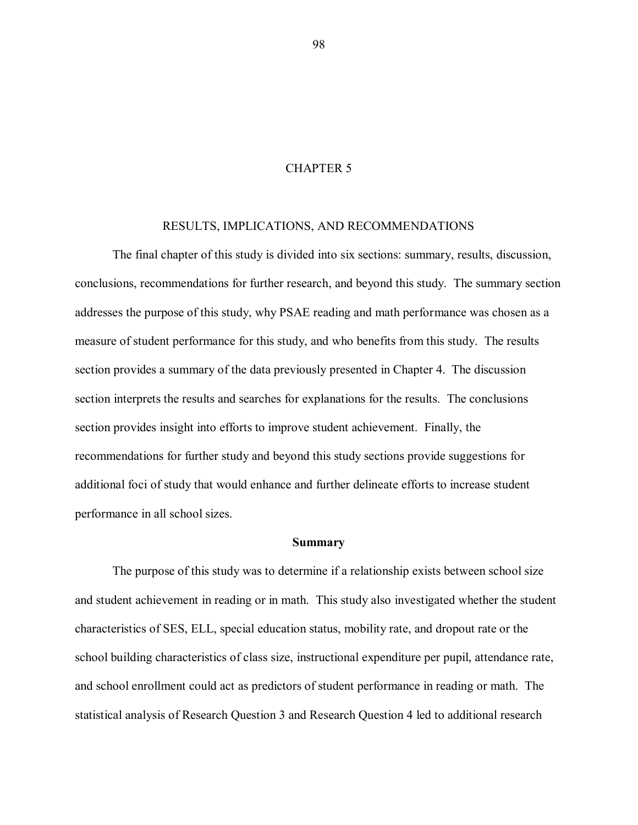# CHAPTER 5

### RESULTS, IMPLICATIONS, AND RECOMMENDATIONS

The final chapter of this study is divided into six sections: summary, results, discussion, conclusions, recommendations for further research, and beyond this study. The summary section addresses the purpose of this study, why PSAE reading and math performance was chosen as a measure of student performance for this study, and who benefits from this study. The results section provides a summary of the data previously presented in Chapter 4. The discussion section interprets the results and searches for explanations for the results. The conclusions section provides insight into efforts to improve student achievement. Finally, the recommendations for further study and beyond this study sections provide suggestions for additional foci of study that would enhance and further delineate efforts to increase student performance in all school sizes.

#### **Summary**

The purpose of this study was to determine if a relationship exists between school size and student achievement in reading or in math. This study also investigated whether the student characteristics of SES, ELL, special education status, mobility rate, and dropout rate or the school building characteristics of class size, instructional expenditure per pupil, attendance rate, and school enrollment could act as predictors of student performance in reading or math. The statistical analysis of Research Question 3 and Research Question 4 led to additional research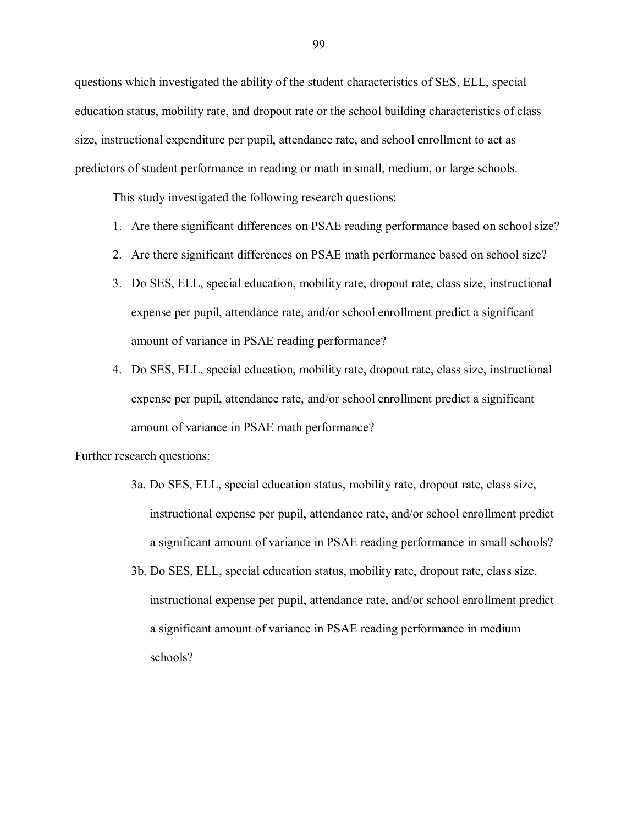questions which investigated the ability of the student characteristics of SES, ELL, special education status, mobility rate, and dropout rate or the school building characteristics of class size, instructional expenditure per pupil, attendance rate, and school enrollment to act as predictors of student performance in reading or math in small, medium, or large schools.

This study investigated the following research questions:

- 1. Are there significant differences on PSAE reading performance based on school size?
- 2. Are there significant differences on PSAE math performance based on school size?
- 3. Do SES, ELL, special education, mobility rate, dropout rate, class size, instructional expense per pupil, attendance rate, and/or school enrollment predict a significant amount of variance in PSAE reading performance?
- 4. Do SES, ELL, special education, mobility rate, dropout rate, class size, instructional expense per pupil, attendance rate, and/or school enrollment predict a significant amount of variance in PSAE math performance?

Further research questions:

- 3a. Do SES, ELL, special education status, mobility rate, dropout rate, class size, instructional expense per pupil, attendance rate, and/or school enrollment predict a significant amount of variance in PSAE reading performance in small schools?
- 3b. Do SES, ELL, special education status, mobility rate, dropout rate, class size, instructional expense per pupil, attendance rate, and/or school enrollment predict a significant amount of variance in PSAE reading performance in medium schools?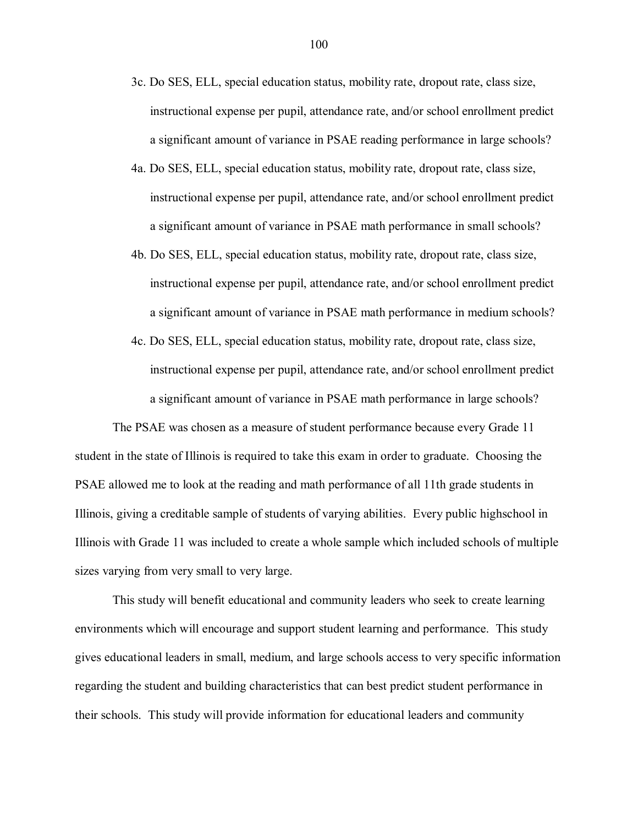- 3c. Do SES, ELL, special education status, mobility rate, dropout rate, class size, instructional expense per pupil, attendance rate, and/or school enrollment predict a significant amount of variance in PSAE reading performance in large schools?
- 4a. Do SES, ELL, special education status, mobility rate, dropout rate, class size, instructional expense per pupil, attendance rate, and/or school enrollment predict a significant amount of variance in PSAE math performance in small schools?
- 4b. Do SES, ELL, special education status, mobility rate, dropout rate, class size, instructional expense per pupil, attendance rate, and/or school enrollment predict a significant amount of variance in PSAE math performance in medium schools?
- 4c. Do SES, ELL, special education status, mobility rate, dropout rate, class size, instructional expense per pupil, attendance rate, and/or school enrollment predict a significant amount of variance in PSAE math performance in large schools?

The PSAE was chosen as a measure of student performance because every Grade 11 student in the state of Illinois is required to take this exam in order to graduate. Choosing the PSAE allowed me to look at the reading and math performance of all 11th grade students in Illinois, giving a creditable sample of students of varying abilities. Every public highschool in Illinois with Grade 11 was included to create a whole sample which included schools of multiple sizes varying from very small to very large.

This study will benefit educational and community leaders who seek to create learning environments which will encourage and support student learning and performance. This study gives educational leaders in small, medium, and large schools access to very specific information regarding the student and building characteristics that can best predict student performance in their schools. This study will provide information for educational leaders and community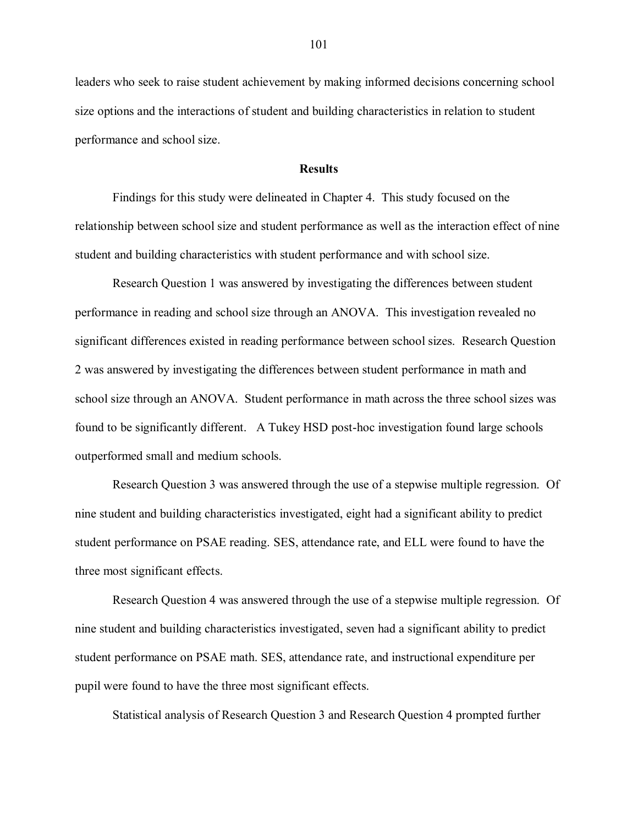leaders who seek to raise student achievement by making informed decisions concerning school size options and the interactions of student and building characteristics in relation to student performance and school size.

## **Results**

Findings for this study were delineated in Chapter 4. This study focused on the relationship between school size and student performance as well as the interaction effect of nine student and building characteristics with student performance and with school size.

Research Question 1 was answered by investigating the differences between student performance in reading and school size through an ANOVA. This investigation revealed no significant differences existed in reading performance between school sizes. Research Question 2 was answered by investigating the differences between student performance in math and school size through an ANOVA. Student performance in math across the three school sizes was found to be significantly different. A Tukey HSD post-hoc investigation found large schools outperformed small and medium schools.

Research Question 3 was answered through the use of a stepwise multiple regression. Of nine student and building characteristics investigated, eight had a significant ability to predict student performance on PSAE reading. SES, attendance rate, and ELL were found to have the three most significant effects.

Research Question 4 was answered through the use of a stepwise multiple regression. Of nine student and building characteristics investigated, seven had a significant ability to predict student performance on PSAE math. SES, attendance rate, and instructional expenditure per pupil were found to have the three most significant effects.

Statistical analysis of Research Question 3 and Research Question 4 prompted further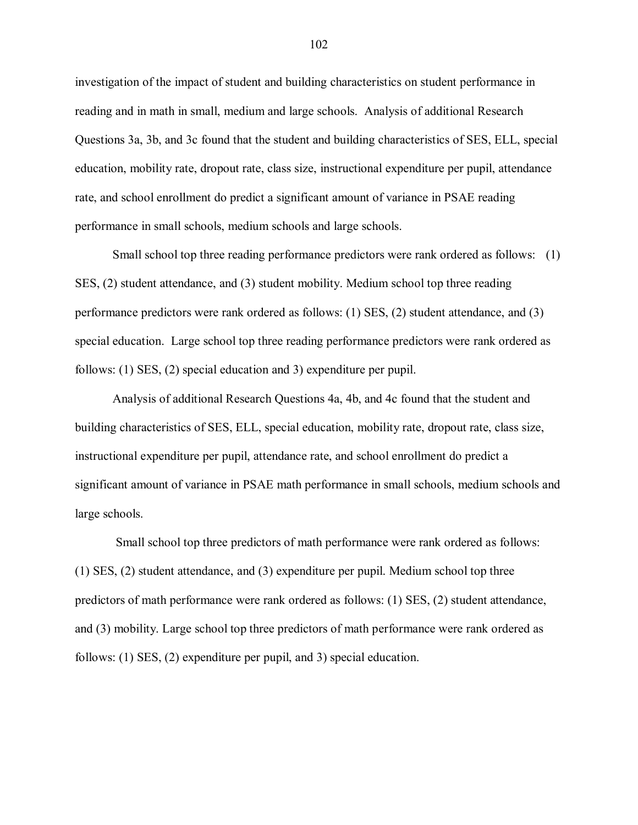investigation of the impact of student and building characteristics on student performance in reading and in math in small, medium and large schools. Analysis of additional Research Questions 3a, 3b, and 3c found that the student and building characteristics of SES, ELL, special education, mobility rate, dropout rate, class size, instructional expenditure per pupil, attendance rate, and school enrollment do predict a significant amount of variance in PSAE reading performance in small schools, medium schools and large schools.

Small school top three reading performance predictors were rank ordered as follows: (1) SES, (2) student attendance, and (3) student mobility. Medium school top three reading performance predictors were rank ordered as follows: (1) SES, (2) student attendance, and (3) special education. Large school top three reading performance predictors were rank ordered as follows: (1) SES, (2) special education and 3) expenditure per pupil.

Analysis of additional Research Questions 4a, 4b, and 4c found that the student and building characteristics of SES, ELL, special education, mobility rate, dropout rate, class size, instructional expenditure per pupil, attendance rate, and school enrollment do predict a significant amount of variance in PSAE math performance in small schools, medium schools and large schools.

Small school top three predictors of math performance were rank ordered as follows: (1) SES, (2) student attendance, and (3) expenditure per pupil. Medium school top three predictors of math performance were rank ordered as follows: (1) SES, (2) student attendance, and (3) mobility. Large school top three predictors of math performance were rank ordered as follows: (1) SES, (2) expenditure per pupil, and 3) special education.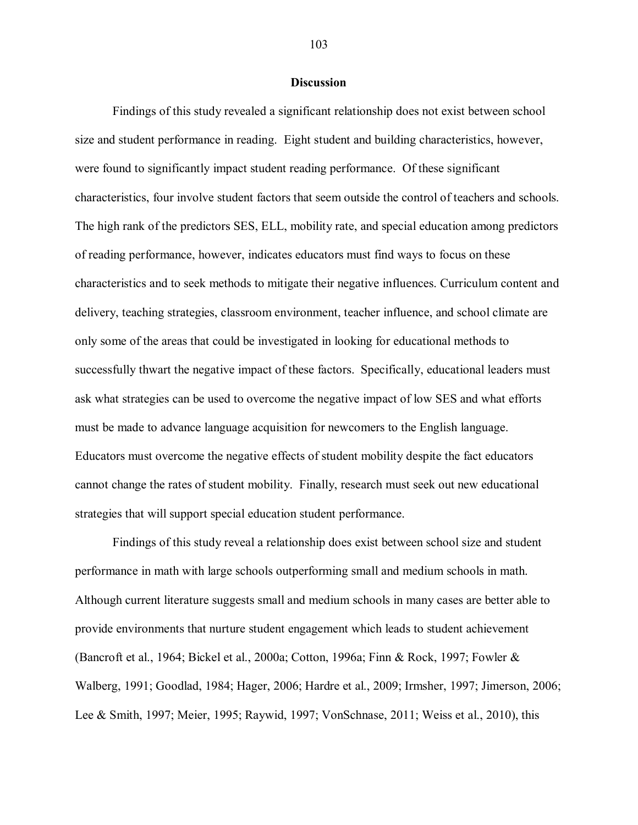### **Discussion**

Findings of this study revealed a significant relationship does not exist between school size and student performance in reading. Eight student and building characteristics, however, were found to significantly impact student reading performance. Of these significant characteristics, four involve student factors that seem outside the control of teachers and schools. The high rank of the predictors SES, ELL, mobility rate, and special education among predictors of reading performance, however, indicates educators must find ways to focus on these characteristics and to seek methods to mitigate their negative influences. Curriculum content and delivery, teaching strategies, classroom environment, teacher influence, and school climate are only some of the areas that could be investigated in looking for educational methods to successfully thwart the negative impact of these factors. Specifically, educational leaders must ask what strategies can be used to overcome the negative impact of low SES and what efforts must be made to advance language acquisition for newcomers to the English language. Educators must overcome the negative effects of student mobility despite the fact educators cannot change the rates of student mobility. Finally, research must seek out new educational strategies that will support special education student performance.

Findings of this study reveal a relationship does exist between school size and student performance in math with large schools outperforming small and medium schools in math. Although current literature suggests small and medium schools in many cases are better able to provide environments that nurture student engagement which leads to student achievement (Bancroft et al., 1964; Bickel et al., 2000a; Cotton, 1996a; Finn & Rock, 1997; Fowler & Walberg, 1991; Goodlad, 1984; Hager, 2006; Hardre et al., 2009; Irmsher, 1997; Jimerson, 2006; Lee & Smith, 1997; Meier, 1995; Raywid, 1997; VonSchnase, 2011; Weiss et al., 2010), this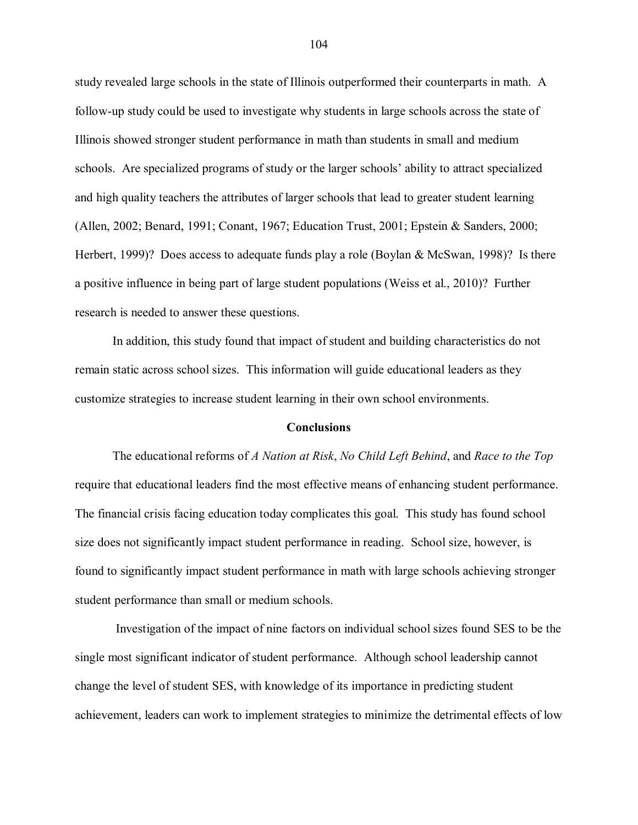study revealed large schools in the state of Illinois outperformed their counterparts in math. A follow-up study could be used to investigate why students in large schools across the state of Illinois showed stronger student performance in math than students in small and medium schools. Are specialized programs of study or the larger schools" ability to attract specialized and high quality teachers the attributes of larger schools that lead to greater student learning (Allen, 2002; Benard, 1991; Conant, 1967; Education Trust, 2001; Epstein & Sanders, 2000; Herbert, 1999)? Does access to adequate funds play a role (Boylan & McSwan, 1998)? Is there a positive influence in being part of large student populations (Weiss et al., 2010)? Further research is needed to answer these questions.

In addition, this study found that impact of student and building characteristics do not remain static across school sizes. This information will guide educational leaders as they customize strategies to increase student learning in their own school environments.

#### **Conclusions**

The educational reforms of *A Nation at Risk*, *No Child Left Behind*, and *Race to the Top* require that educational leaders find the most effective means of enhancing student performance. The financial crisis facing education today complicates this goal. This study has found school size does not significantly impact student performance in reading. School size, however, is found to significantly impact student performance in math with large schools achieving stronger student performance than small or medium schools.

Investigation of the impact of nine factors on individual school sizes found SES to be the single most significant indicator of student performance. Although school leadership cannot change the level of student SES, with knowledge of its importance in predicting student achievement, leaders can work to implement strategies to minimize the detrimental effects of low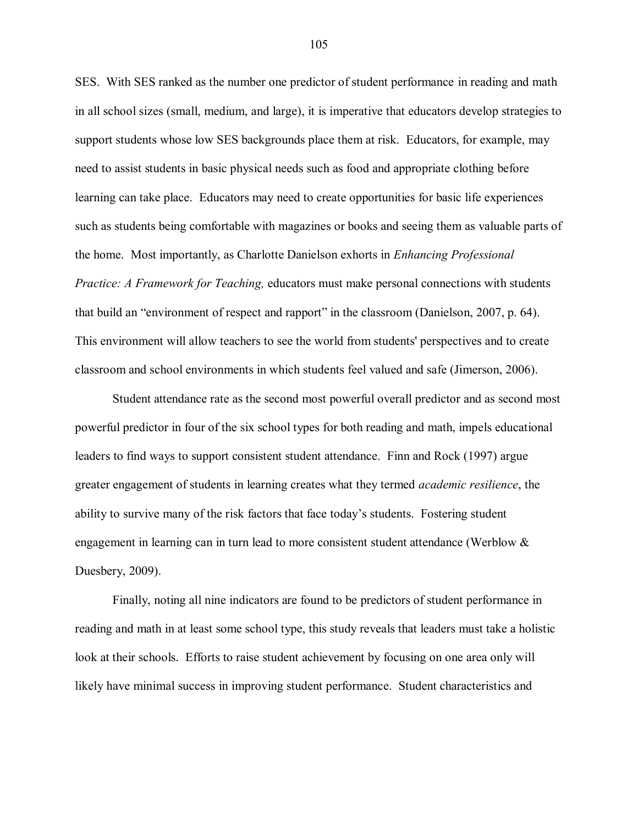SES. With SES ranked as the number one predictor of student performance in reading and math in all school sizes (small, medium, and large), it is imperative that educators develop strategies to support students whose low SES backgrounds place them at risk. Educators, for example, may need to assist students in basic physical needs such as food and appropriate clothing before learning can take place. Educators may need to create opportunities for basic life experiences such as students being comfortable with magazines or books and seeing them as valuable parts of the home. Most importantly, as Charlotte Danielson exhorts in *Enhancing Professional Practice: A Framework for Teaching,* educators must make personal connections with students that build an "environment of respect and rapport" in the classroom (Danielson, 2007, p. 64). This environment will allow teachers to see the world from students' perspectives and to create classroom and school environments in which students feel valued and safe (Jimerson, 2006).

Student attendance rate as the second most powerful overall predictor and as second most powerful predictor in four of the six school types for both reading and math, impels educational leaders to find ways to support consistent student attendance. Finn and Rock (1997) argue greater engagement of students in learning creates what they termed *academic resilience*, the ability to survive many of the risk factors that face today"s students. Fostering student engagement in learning can in turn lead to more consistent student attendance (Werblow & Duesbery, 2009).

Finally, noting all nine indicators are found to be predictors of student performance in reading and math in at least some school type, this study reveals that leaders must take a holistic look at their schools. Efforts to raise student achievement by focusing on one area only will likely have minimal success in improving student performance. Student characteristics and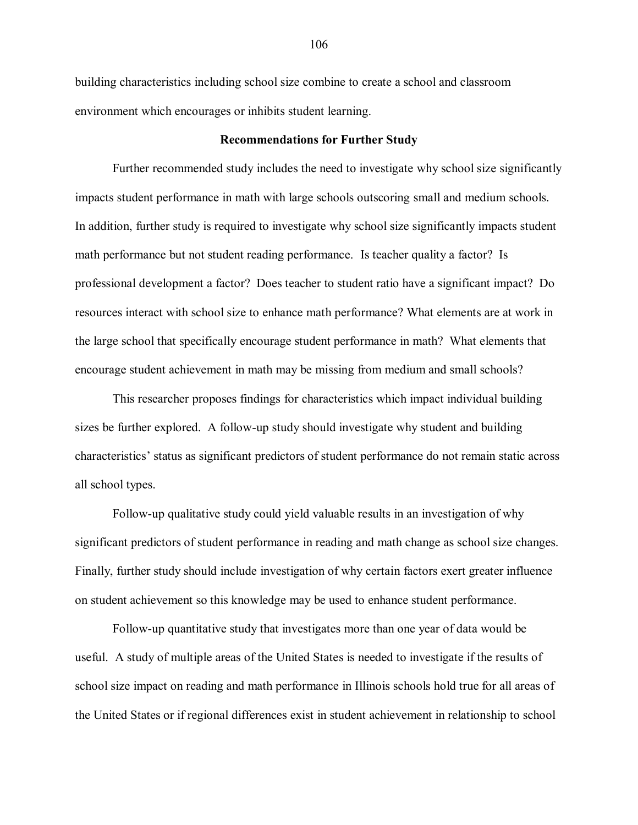building characteristics including school size combine to create a school and classroom environment which encourages or inhibits student learning.

### **Recommendations for Further Study**

Further recommended study includes the need to investigate why school size significantly impacts student performance in math with large schools outscoring small and medium schools. In addition, further study is required to investigate why school size significantly impacts student math performance but not student reading performance. Is teacher quality a factor? Is professional development a factor? Does teacher to student ratio have a significant impact? Do resources interact with school size to enhance math performance? What elements are at work in the large school that specifically encourage student performance in math? What elements that encourage student achievement in math may be missing from medium and small schools?

This researcher proposes findings for characteristics which impact individual building sizes be further explored. A follow-up study should investigate why student and building characteristics" status as significant predictors of student performance do not remain static across all school types.

Follow-up qualitative study could yield valuable results in an investigation of why significant predictors of student performance in reading and math change as school size changes. Finally, further study should include investigation of why certain factors exert greater influence on student achievement so this knowledge may be used to enhance student performance.

Follow-up quantitative study that investigates more than one year of data would be useful. A study of multiple areas of the United States is needed to investigate if the results of school size impact on reading and math performance in Illinois schools hold true for all areas of the United States or if regional differences exist in student achievement in relationship to school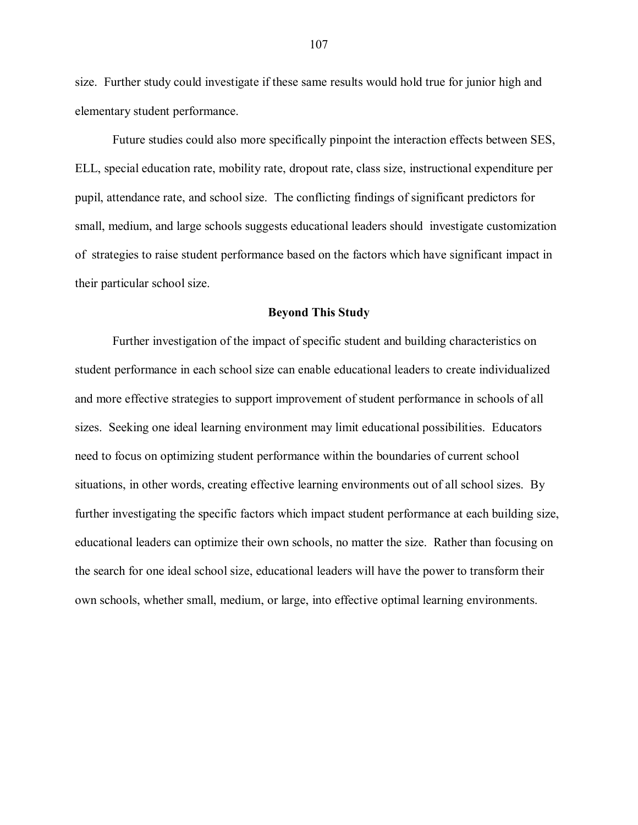size. Further study could investigate if these same results would hold true for junior high and elementary student performance.

Future studies could also more specifically pinpoint the interaction effects between SES, ELL, special education rate, mobility rate, dropout rate, class size, instructional expenditure per pupil, attendance rate, and school size. The conflicting findings of significant predictors for small, medium, and large schools suggests educational leaders should investigate customization of strategies to raise student performance based on the factors which have significant impact in their particular school size.

### **Beyond This Study**

Further investigation of the impact of specific student and building characteristics on student performance in each school size can enable educational leaders to create individualized and more effective strategies to support improvement of student performance in schools of all sizes. Seeking one ideal learning environment may limit educational possibilities. Educators need to focus on optimizing student performance within the boundaries of current school situations, in other words, creating effective learning environments out of all school sizes. By further investigating the specific factors which impact student performance at each building size, educational leaders can optimize their own schools, no matter the size. Rather than focusing on the search for one ideal school size, educational leaders will have the power to transform their own schools, whether small, medium, or large, into effective optimal learning environments.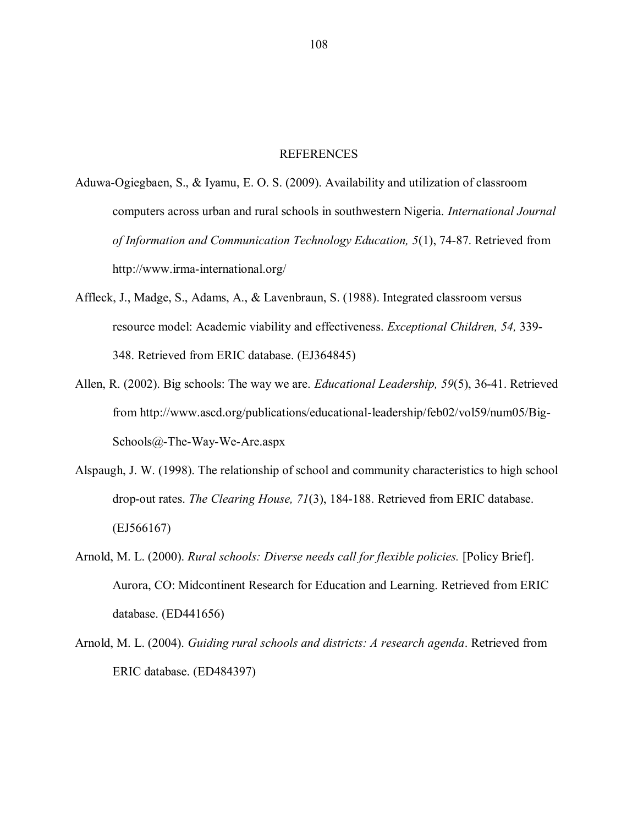#### REFERENCES

- Aduwa-Ogiegbaen, S., & Iyamu, E. O. S. (2009). Availability and utilization of classroom computers across urban and rural schools in southwestern Nigeria. *International Journal of Information and Communication Technology Education, 5*(1), 74-87. Retrieved from http://www.irma-international.org/
- Affleck, J., Madge, S., Adams, A., & Lavenbraun, S. (1988). Integrated classroom versus resource model: Academic viability and effectiveness. *Exceptional Children, 54,* 339- 348. Retrieved from ERIC database. (EJ364845)
- Allen, R. (2002). Big schools: The way we are. *Educational Leadership, 59*(5), 36-41. Retrieved from http://www.ascd.org/publications/educational-leadership/feb02/vol59/num05/Big-Schools@-The-Way-We-Are.aspx
- Alspaugh, J. W. (1998). The relationship of school and community characteristics to high school drop-out rates. *The Clearing House, 71*(3), 184-188. Retrieved from ERIC database. (EJ566167)
- Arnold, M. L. (2000). *Rural schools: Diverse needs call for flexible policies.* [Policy Brief]. Aurora, CO: Midcontinent Research for Education and Learning. Retrieved from ERIC database. (ED441656)
- Arnold, M. L. (2004). *Guiding rural schools and districts: A research agenda*. Retrieved from ERIC database. (ED484397)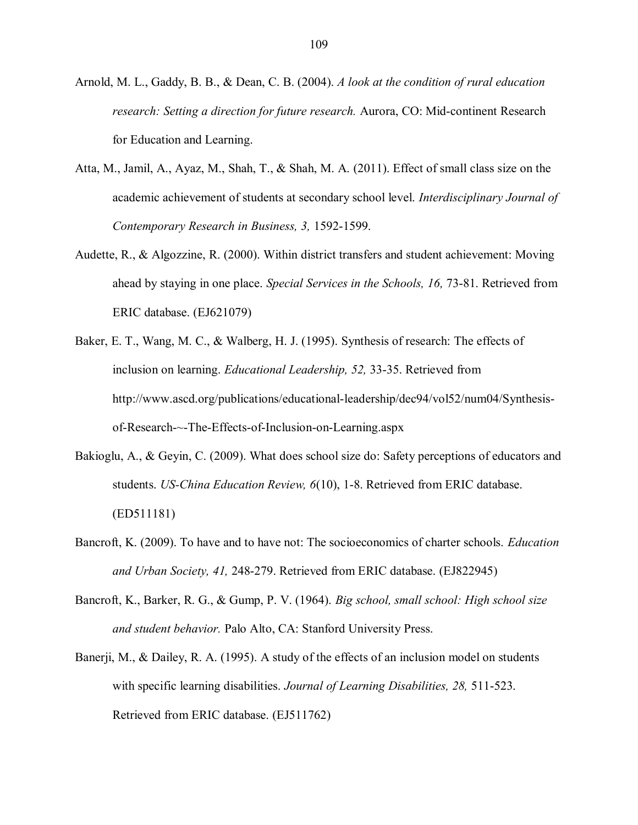- Arnold, M. L., Gaddy, B. B., & Dean, C. B. (2004). *A look at the condition of rural education research: Setting a direction for future research.* Aurora, CO: Mid-continent Research for Education and Learning.
- Atta, M., Jamil, A., Ayaz, M., Shah, T., & Shah, M. A. (2011). Effect of small class size on the academic achievement of students at secondary school level. *Interdisciplinary Journal of Contemporary Research in Business, 3,* 1592-1599.
- Audette, R., & Algozzine, R. (2000). Within district transfers and student achievement: Moving ahead by staying in one place. *Special Services in the Schools, 16,* 73-81. Retrieved from ERIC database. (EJ621079)
- Baker, E. T., Wang, M. C., & Walberg, H. J. (1995). Synthesis of research: The effects of inclusion on learning. *Educational Leadership, 52,* 33-35. Retrieved from http://www.ascd.org/publications/educational-leadership/dec94/vol52/num04/Synthesisof-Research-~-The-Effects-of-Inclusion-on-Learning.aspx
- Bakioglu, A., & Geyin, C. (2009). What does school size do: Safety perceptions of educators and students. *US-China Education Review, 6*(10), 1-8. Retrieved from ERIC database. (ED511181)
- Bancroft, K. (2009). To have and to have not: The socioeconomics of charter schools. *Education and Urban Society, 41,* 248-279. Retrieved from ERIC database. (EJ822945)
- Bancroft, K., Barker, R. G., & Gump, P. V. (1964). *Big school, small school: High school size and student behavior.* Palo Alto, CA: Stanford University Press.
- Banerji, M., & Dailey, R. A. (1995). A study of the effects of an inclusion model on students with specific learning disabilities. *Journal of Learning Disabilities, 28,* 511-523. Retrieved from ERIC database. (EJ511762)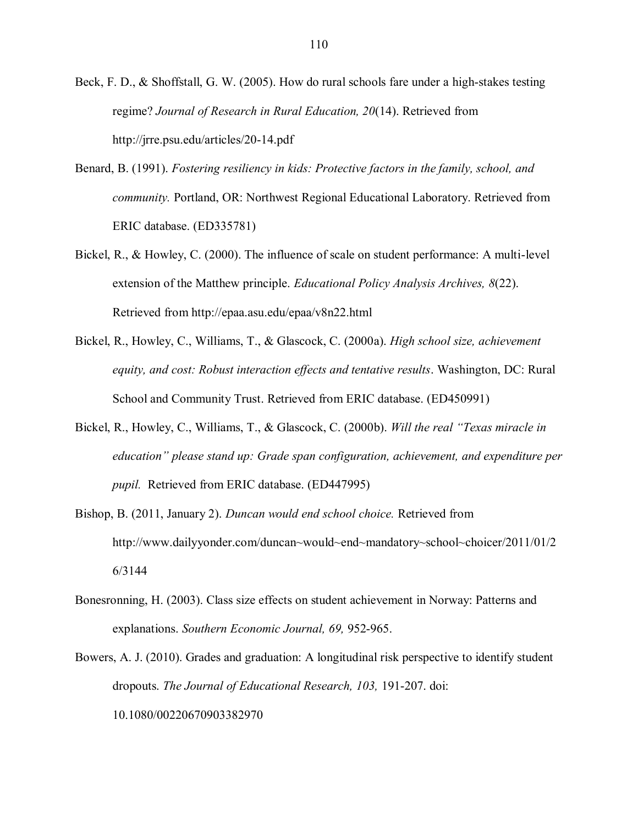Beck, F. D., & Shoffstall, G. W. (2005). How do rural schools fare under a high-stakes testing regime? *Journal of Research in Rural Education, 20*(14). Retrieved from http://jrre.psu.edu/articles/20-14.pdf

- Benard, B. (1991). *Fostering resiliency in kids: Protective factors in the family, school, and community.* Portland, OR: Northwest Regional Educational Laboratory. Retrieved from ERIC database. (ED335781)
- Bickel, R., & Howley, C. (2000). The influence of scale on student performance: A multi-level extension of the Matthew principle. *Educational Policy Analysis Archives, 8*(22). Retrieved from http://epaa.asu.edu/epaa/v8n22.html
- Bickel, R., Howley, C., Williams, T., & Glascock, C. (2000a). *High school size, achievement equity, and cost: Robust interaction effects and tentative results*. Washington, DC: Rural School and Community Trust. Retrieved from ERIC database. (ED450991)
- Bickel, R., Howley, C., Williams, T., & Glascock, C. (2000b). *Will the real "Texas miracle in education" please stand up: Grade span configuration, achievement, and expenditure per pupil.* Retrieved from ERIC database. (ED447995)
- Bishop, B. (2011, January 2). *Duncan would end school choice.* Retrieved from http://www.dailyyonder.com/duncan~would~end~mandatory~school~choicer/2011/01/2 [6/3144](http://www.dailyyonder.com/duncan~would~end~mandatory~school~choicer/2011/01/26/3144)
- Bonesronning, H. (2003). Class size effects on student achievement in Norway: Patterns and explanations. *Southern Economic Journal, 69,* 952-965.
- Bowers, A. J. (2010). Grades and graduation: A longitudinal risk perspective to identify student dropouts. *The Journal of Educational Research, 103,* 191-207. doi: 10.1080/00220670903382970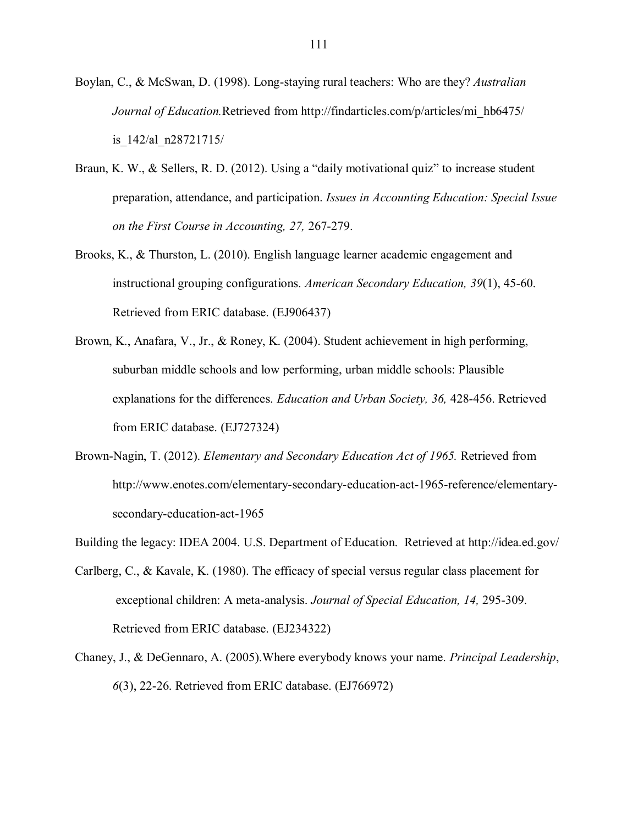- Boylan, C., & McSwan, D. (1998). Long-staying rural teachers: Who are they? *Australian Journal of Education.*Retrieved from http://findarticles.com/p/articles/mi\_hb6475/ is\_142/al\_n28721715/
- Braun, K. W., & Sellers, R. D. (2012). Using a "daily motivational quiz" to increase student preparation, attendance, and participation. *Issues in Accounting Education: Special Issue on the First Course in Accounting, 27,* 267-279.
- Brooks, K., & Thurston, L. (2010). English language learner academic engagement and instructional grouping configurations. *American Secondary Education, 39*(1), 45-60. Retrieved from ERIC database. (EJ906437)
- Brown, K., Anafara, V., Jr., & Roney, K. (2004). Student achievement in high performing, suburban middle schools and low performing, urban middle schools: Plausible explanations for the differences. *Education and Urban Society, 36,* 428-456. Retrieved from ERIC database. (EJ727324)
- Brown-Nagin, T. (2012). *Elementary and Secondary Education Act of 1965.* Retrieved from [http://www.enotes.com/elementary-secondary-education-act-1965-reference/elementary](http://www.enotes.com/elementary-secondary-education-act-1965-reference/elementary-secondary-education-act-1965)[secondary-education-act-1965](http://www.enotes.com/elementary-secondary-education-act-1965-reference/elementary-secondary-education-act-1965)
- Building the legacy: IDEA 2004. U.S. Department of Education. Retrieved at http://idea.ed.gov/
- Carlberg, C., & Kavale, K. (1980). The efficacy of special versus regular class placement for exceptional children: A meta-analysis. *Journal of Special Education, 14,* 295-309. Retrieved from ERIC database. (EJ234322)
- Chaney, J., & DeGennaro, A. (2005).Where everybody knows your name. *Principal Leadership*, *6*(3), 22-26. Retrieved from ERIC database. (EJ766972)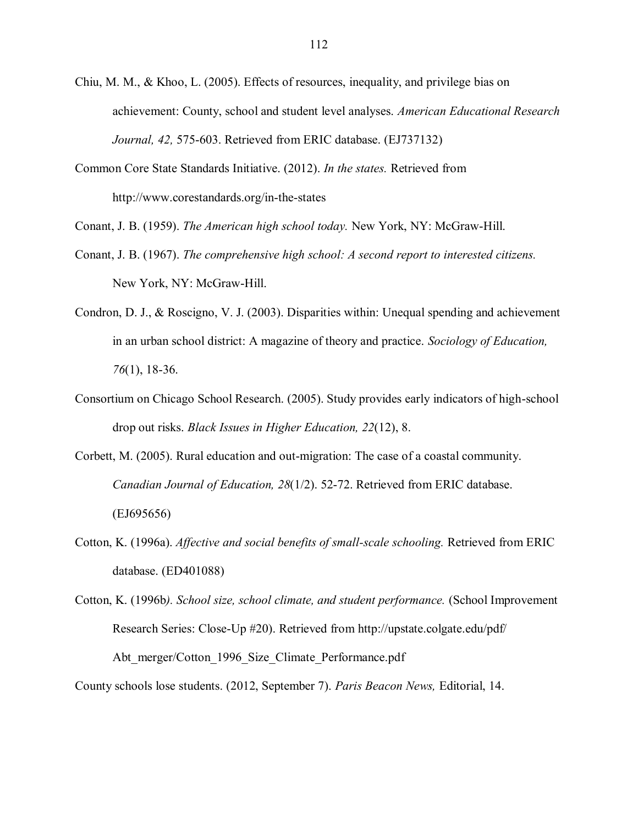- Chiu, M. M., & Khoo, L. (2005). Effects of resources, inequality, and privilege bias on achievement: County, school and student level analyses. *American Educational Research Journal, 42,* 575-603. Retrieved from ERIC database. (EJ737132)
- Common Core State Standards Initiative. (2012). *In the states.* Retrieved from http://www.corestandards.org/in-the-states
- Conant, J. B. (1959). *The American high school today.* New York, NY: McGraw-Hill.
- Conant, J. B. (1967). *The comprehensive high school: A second report to interested citizens.*  New York, NY: McGraw-Hill.
- Condron, D. J., & Roscigno, V. J. (2003). Disparities within: Unequal spending and achievement in an urban school district: A magazine of theory and practice. *Sociology of Education, 76*(1), 18-36.
- Consortium on Chicago School Research. (2005). Study provides early indicators of high-school drop out risks. *Black Issues in Higher Education, 22*(12), 8.
- Corbett, M. (2005). Rural education and out-migration: The case of a coastal community. *Canadian Journal of Education, 28*(1/2). 52-72. Retrieved from ERIC database. (EJ695656)
- Cotton, K. (1996a). *Affective and social benefits of small-scale schooling.* Retrieved from ERIC database. (ED401088)
- Cotton, K. (1996b*). School size, school climate, and student performance.* (School Improvement Research Series: Close-Up #20). Retrieved from http://upstate.colgate.edu/pdf/ Abt merger/Cotton 1996 Size Climate Performance.pdf

County schools lose students. (2012, September 7). *Paris Beacon News,* Editorial, 14.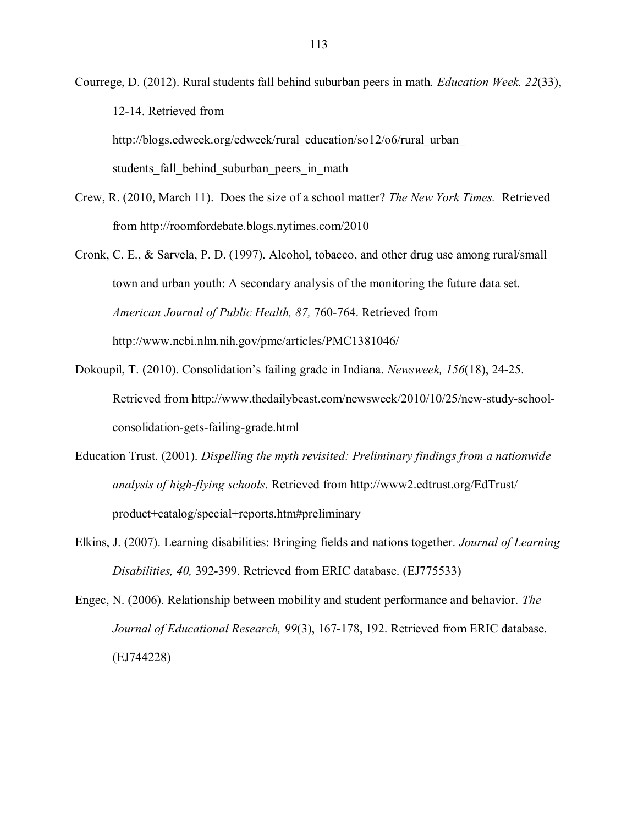Courrege, D. (2012). Rural students fall behind suburban peers in math. *Education Week. 22*(33), 12-14. Retrieved from

http://blogs.edweek.org/edweek/rural\_education/so12/o6/rural\_urban

students fall behind suburban peers in math

- Crew, R. (2010, March 11). Does the size of a school matter? *The New York Times.* Retrieved from http://roomfordebate.blogs.nytimes.com/2010
- Cronk, C. E., & Sarvela, P. D. (1997). Alcohol, tobacco, and other drug use among rural/small town and urban youth: A secondary analysis of the monitoring the future data set. *American Journal of Public Health, 87,* 760-764. Retrieved from http://www.ncbi.nlm.nih.gov/pmc/articles/PMC1381046/
- Dokoupil, T. (2010). Consolidation"s failing grade in Indiana. *Newsweek, 156*(18), 24-25. Retrieved from [http://www.thedailybeast.com/newsweek/2010/10/25/new-study-school](http://www.thedailybeast.com/newsweek/2010/10/25/new-study-school-consolidation-gets-failing-grade.html)[consolidation-gets-failing-grade.html](http://www.thedailybeast.com/newsweek/2010/10/25/new-study-school-consolidation-gets-failing-grade.html)
- Education Trust. (2001). *Dispelling the myth revisited: Preliminary findings from a nationwide analysis of high-flying schools*. Retrieved from http://www2.edtrust.org/EdTrust/ product+catalog/special+reports.htm#preliminary
- Elkins, J. (2007). Learning disabilities: Bringing fields and nations together. *Journal of Learning Disabilities, 40,* 392-399. Retrieved from ERIC database. (EJ775533)

Engec, N. (2006). Relationship between mobility and student performance and behavior. *The Journal of Educational Research, 99*(3), 167-178, 192. Retrieved from ERIC database. (EJ744228)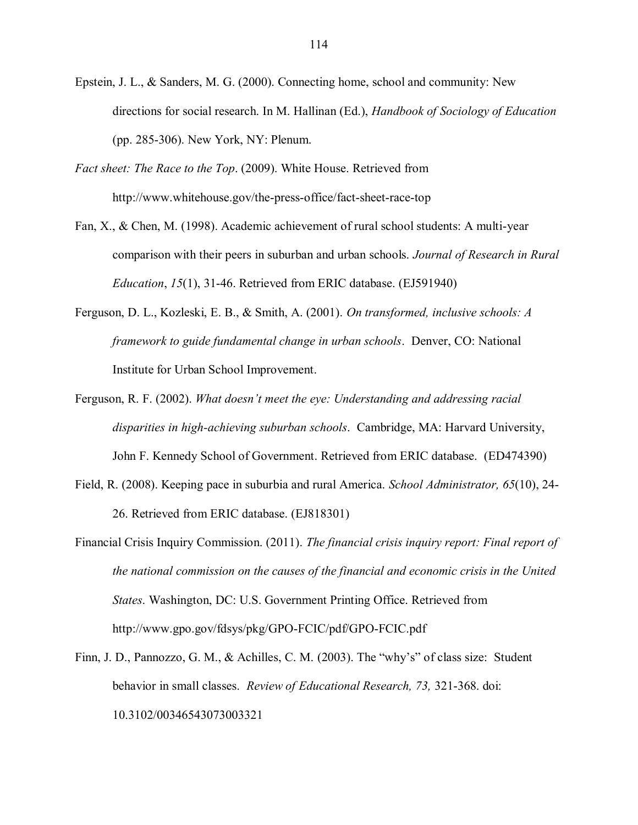- Epstein, J. L., & Sanders, M. G. (2000). Connecting home, school and community: New directions for social research. In M. Hallinan (Ed.), *Handbook of Sociology of Education*  (pp. 285-306). New York, NY: Plenum.
- *Fact sheet: The Race to the Top*. (2009). White House. Retrieved from http://www.whitehouse.gov/the-press-office/fact-sheet-race-top
- Fan, X., & Chen, M. (1998). Academic achievement of rural school students: A multi-year comparison with their peers in suburban and urban schools. *Journal of Research in Rural Education*, *15*(1), 31-46. Retrieved from ERIC database. (EJ591940)
- Ferguson, D. L., Kozleski, E. B., & Smith, A. (2001). *On transformed, inclusive schools: A framework to guide fundamental change in urban schools*. Denver, CO: National Institute for Urban School Improvement.
- Ferguson, R. F. (2002). *What doesn't meet the eye: Understanding and addressing racial disparities in high-achieving suburban schools*. Cambridge, MA: Harvard University, John F. Kennedy School of Government. Retrieved from ERIC database. (ED474390)
- Field, R. (2008). Keeping pace in suburbia and rural America. *School Administrator, 65*(10), 24- 26. Retrieved from ERIC database. (EJ818301)
- Financial Crisis Inquiry Commission. (2011). *The financial crisis inquiry report: Final report of the national commission on the causes of the financial and economic crisis in the United States*. Washington, DC: U.S. Government Printing Office. Retrieved from http://www.gpo.gov/fdsys/pkg/GPO-FCIC/pdf/GPO-FCIC.pdf
- Finn, J. D., Pannozzo, G. M., & Achilles, C. M. (2003). The "why"s" of class size: Student behavior in small classes. *Review of Educational Research, 73,* 321-368. doi: 10.3102/00346543073003321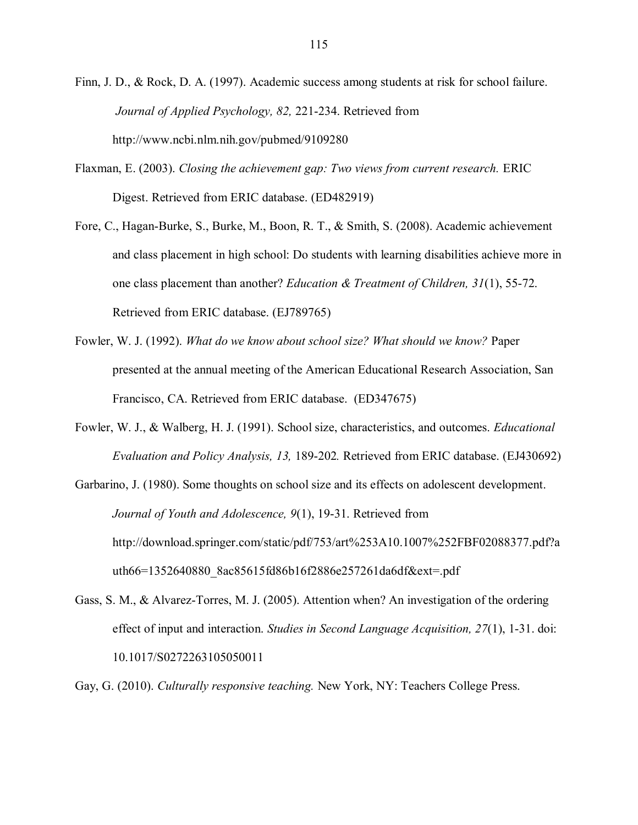Finn, J. D., & Rock, D. A. (1997). Academic success among students at risk for school failure. *Journal of Applied Psychology, 82,* 221-234. Retrieved from http://www.ncbi.nlm.nih.gov/pubmed/9109280

- Flaxman, E. (2003). *Closing the achievement gap: Two views from current research.* ERIC Digest. Retrieved from ERIC database. (ED482919)
- Fore, C., Hagan-Burke, S., Burke, M., Boon, R. T., & Smith, S. (2008). Academic achievement and class placement in high school: Do students with learning disabilities achieve more in one class placement than another? *Education & Treatment of Children, 31*(1), 55-72. Retrieved from ERIC database. (EJ789765)
- Fowler, W. J. (1992). *What do we know about school size? What should we know?* Paper presented at the annual meeting of the American Educational Research Association, San Francisco, CA. Retrieved from ERIC database. (ED347675)
- Fowler, W. J., & Walberg, H. J. (1991). School size, characteristics, and outcomes. *Educational Evaluation and Policy Analysis, 13,* 189-202*.* Retrieved from ERIC database. (EJ430692)
- Garbarino, J. (1980). Some thoughts on school size and its effects on adolescent development. *Journal of Youth and Adolescence, 9*(1), 19-31. Retrieved from http://download.springer.com/static/pdf/753/art%253A10.1007%252FBF02088377.pdf?a uth66=1352640880\_8ac85615fd86b16f2886e257261da6df&ext=.pdf
- Gass, S. M., & Alvarez-Torres, M. J. (2005). Attention when? An investigation of the ordering effect of input and interaction. *Studies in Second Language Acquisition, 27*(1), 1-31. doi: 10.1017/S0272263105050011
- Gay, G. (2010). *Culturally responsive teaching.* New York, NY: Teachers College Press.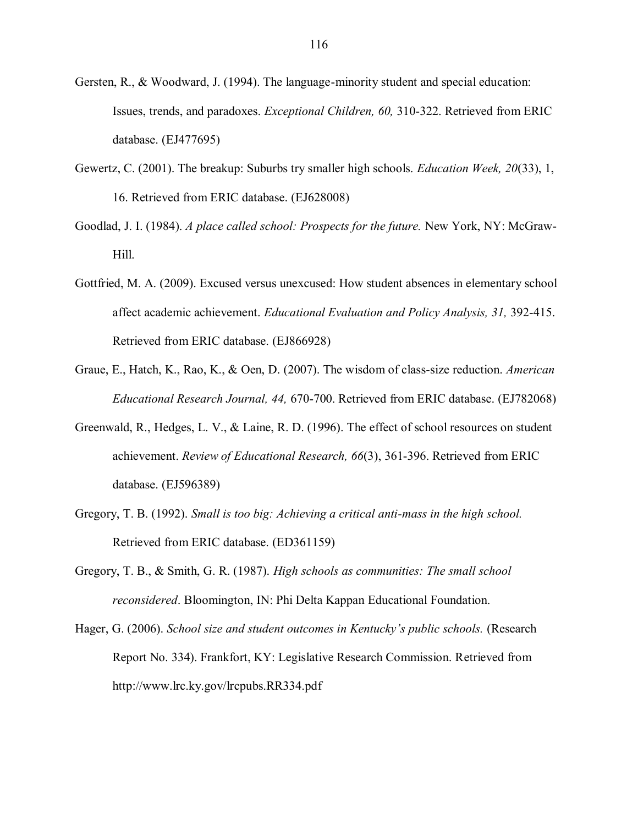- Gersten, R., & Woodward, J. (1994). The language-minority student and special education: Issues, trends, and paradoxes. *Exceptional Children, 60,* 310-322. Retrieved from ERIC database. (EJ477695)
- Gewertz, C. (2001). The breakup: Suburbs try smaller high schools. *Education Week, 20*(33), 1, 16. Retrieved from ERIC database. (EJ628008)
- Goodlad, J. I. (1984). *A place called school: Prospects for the future.* New York, NY: McGraw-Hill.
- Gottfried, M. A. (2009). Excused versus unexcused: How student absences in elementary school affect academic achievement. *Educational Evaluation and Policy Analysis, 31,* 392-415. Retrieved from ERIC database. (EJ866928)
- Graue, E., Hatch, K., Rao, K., & Oen, D. (2007). The wisdom of class-size reduction. *American Educational Research Journal, 44,* 670-700. Retrieved from ERIC database. (EJ782068)
- Greenwald, R., Hedges, L. V., & Laine, R. D. (1996). The effect of school resources on student achievement. *Review of Educational Research, 66*(3), 361-396. Retrieved from ERIC database. (EJ596389)
- Gregory, T. B. (1992). *Small is too big: Achieving a critical anti-mass in the high school.* Retrieved from ERIC database. (ED361159)
- Gregory, T. B., & Smith, G. R. (1987). *High schools as communities: The small school reconsidered*. Bloomington, IN: Phi Delta Kappan Educational Foundation.
- Hager, G. (2006). *School size and student outcomes in Kentucky's public schools.* (Research Report No. 334). Frankfort, KY: Legislative Research Commission. Retrieved from http://www.lrc.ky.gov/lrcpubs.RR334.pdf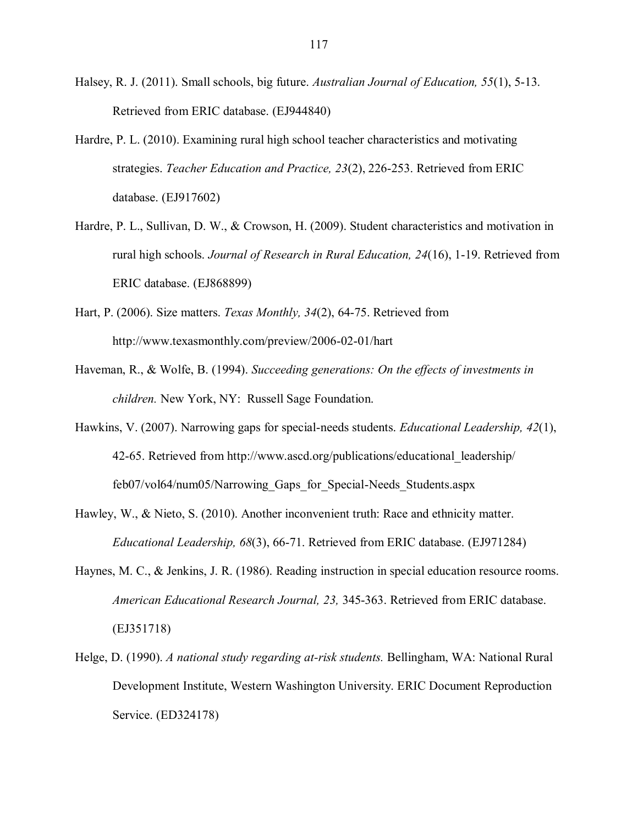- Halsey, R. J. (2011). Small schools, big future. *Australian Journal of Education, 55*(1), 5-13. Retrieved from ERIC database. (EJ944840)
- Hardre, P. L. (2010). Examining rural high school teacher characteristics and motivating strategies. *Teacher Education and Practice, 23*(2), 226-253. Retrieved from ERIC database. (EJ917602)
- Hardre, P. L., Sullivan, D. W., & Crowson, H. (2009). Student characteristics and motivation in rural high schools. *Journal of Research in Rural Education, 24*(16), 1-19. Retrieved from ERIC database. (EJ868899)
- Hart, P. (2006). Size matters. *Texas Monthly, 34*(2), 64-75. Retrieved from http://www.texasmonthly.com/preview/2006-02-01/hart
- Haveman, R., & Wolfe, B. (1994). *Succeeding generations: On the effects of investments in children.* New York, NY: Russell Sage Foundation.
- Hawkins, V. (2007). Narrowing gaps for special-needs students. *Educational Leadership, 42*(1), 42-65. Retrieved from [http://www.ascd.org/publications/educational\\_leadership/](http://www.ascd.org/publications/educational_leadership/feb07/vol64/num05/Narrowing_Gaps_for_Special-Needs_Students.aspx) [feb07/vol64/num05/Narrowing\\_Gaps\\_for\\_Special-Needs\\_Students.aspx](http://www.ascd.org/publications/educational_leadership/feb07/vol64/num05/Narrowing_Gaps_for_Special-Needs_Students.aspx)
- Hawley, W., & Nieto, S. (2010). Another inconvenient truth: Race and ethnicity matter. *Educational Leadership, 68*(3), 66-71. Retrieved from ERIC database. (EJ971284)
- Haynes, M. C., & Jenkins, J. R. (1986). Reading instruction in special education resource rooms. *American Educational Research Journal, 23,* 345-363. Retrieved from ERIC database. (EJ351718)
- Helge, D. (1990). *A national study regarding at-risk students.* Bellingham, WA: National Rural Development Institute, Western Washington University. ERIC Document Reproduction Service. (ED324178)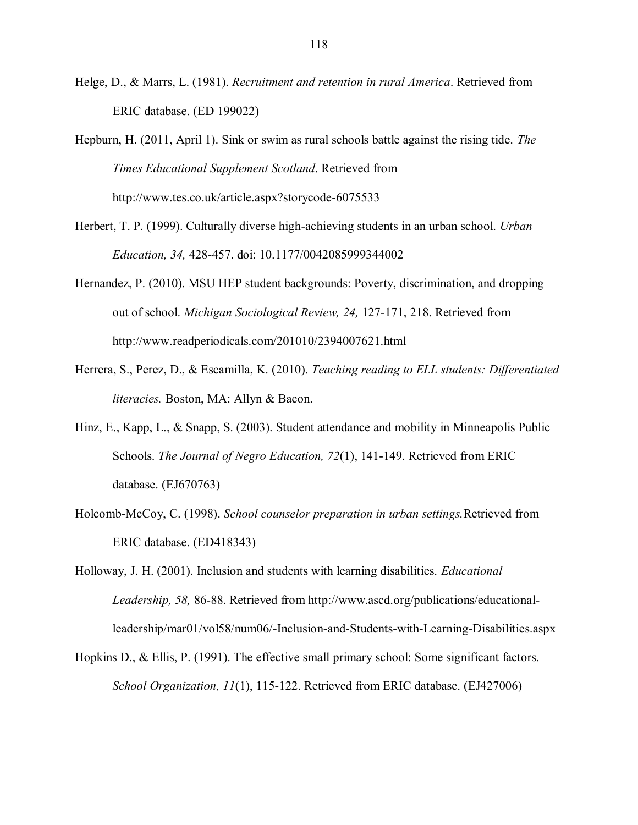- Helge, D., & Marrs, L. (1981). *Recruitment and retention in rural America*. Retrieved from ERIC database. (ED 199022)
- Hepburn, H. (2011, April 1). Sink or swim as rural schools battle against the rising tide. *The Times Educational Supplement Scotland*. Retrieved from http://www.tes.co.uk/article.aspx?storycode-6075533
- Herbert, T. P. (1999). Culturally diverse high-achieving students in an urban school. *Urban Education, 34,* 428-457. doi: 10.1177/0042085999344002
- Hernandez, P. (2010). MSU HEP student backgrounds: Poverty, discrimination, and dropping out of school. *Michigan Sociological Review, 24,* 127-171, 218. Retrieved from http://www.readperiodicals.com/201010/2394007621.html
- Herrera, S., Perez, D., & Escamilla, K. (2010). *Teaching reading to ELL students: Differentiated literacies.* Boston, MA: Allyn & Bacon.
- Hinz, E., Kapp, L., & Snapp, S. (2003). Student attendance and mobility in Minneapolis Public Schools. *The Journal of Negro Education, 72*(1), 141-149. Retrieved from ERIC database. (EJ670763)
- Holcomb-McCoy, C. (1998). *School counselor preparation in urban settings.*Retrieved from ERIC database. (ED418343)
- Holloway, J. H. (2001). Inclusion and students with learning disabilities. *Educational Leadership, 58,* 86-88. Retrieved from http://www.ascd.org/publications/educationalleadership/mar01/vol58/num06/-Inclusion-and-Students-with-Learning-Disabilities.aspx
- Hopkins D., & Ellis, P. (1991). The effective small primary school: Some significant factors. *School Organization, 11*(1), 115-122. Retrieved from ERIC database. (EJ427006)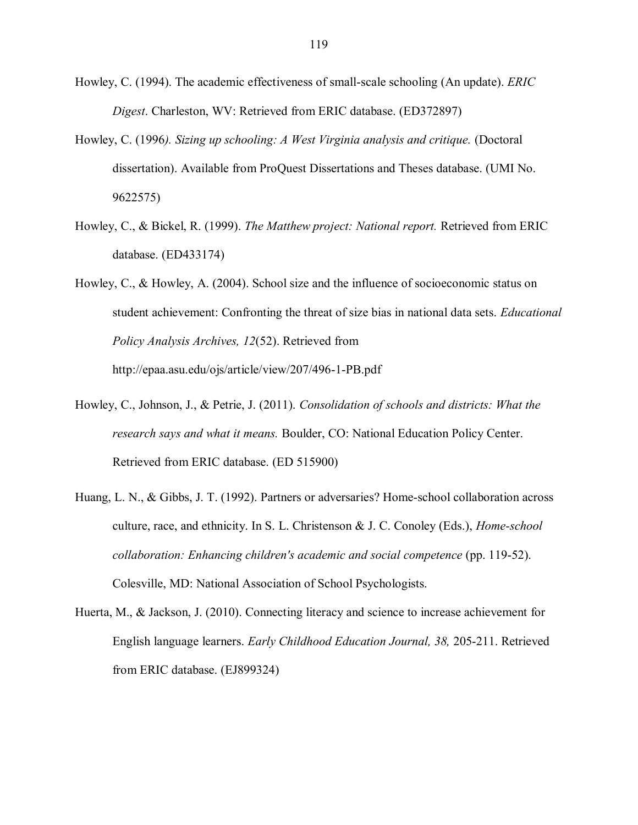Howley, C. (1994). The academic effectiveness of small-scale schooling (An update). *ERIC Digest*. Charleston, WV: Retrieved from ERIC database. (ED372897)

- Howley, C. (1996*). Sizing up schooling: A West Virginia analysis and critique.* (Doctoral dissertation). Available from ProQuest Dissertations and Theses database. (UMI No. 9622575)
- Howley, C., & Bickel, R. (1999). *The Matthew project: National report.* Retrieved from ERIC database. (ED433174)
- Howley, C., & Howley, A. (2004). School size and the influence of socioeconomic status on student achievement: Confronting the threat of size bias in national data sets. *Educational Policy Analysis Archives, 12*(52). Retrieved from http://epaa.asu.edu/ojs/article/view/207/496-1-PB.pdf
- Howley, C., Johnson, J., & Petrie, J. (2011). *Consolidation of schools and districts: What the research says and what it means.* Boulder, CO: National Education Policy Center. Retrieved from ERIC database. (ED 515900)
- Huang, L. N., & Gibbs, J. T. (1992). Partners or adversaries? Home-school collaboration across culture, race, and ethnicity. In S. L. Christenson & J. C. Conoley (Eds.), *Home-school collaboration: Enhancing children's academic and social competence* (pp. 119-52). Colesville, MD: National Association of School Psychologists.
- Huerta, M., & Jackson, J. (2010). Connecting literacy and science to increase achievement for English language learners. *Early Childhood Education Journal, 38,* 205-211. Retrieved from ERIC database. (EJ899324)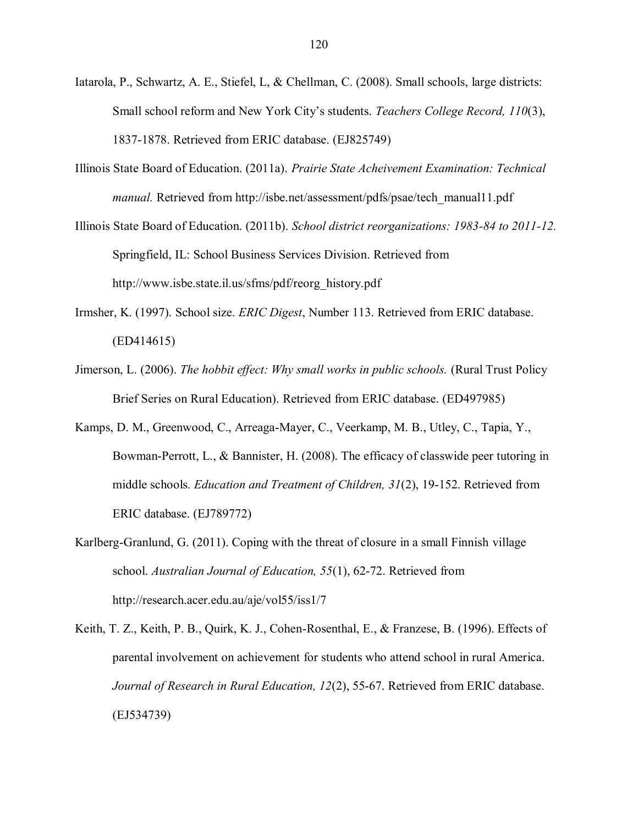- Iatarola, P., Schwartz, A. E., Stiefel, L, & Chellman, C. (2008). Small schools, large districts: Small school reform and New York City"s students. *Teachers College Record, 110*(3), 1837-1878. Retrieved from ERIC database. (EJ825749)
- Illinois State Board of Education. (2011a). *Prairie State Acheivement Examination: Technical manual.* Retrieved from http://isbe.net/assessment/pdfs/psae/tech\_manual11.pdf
- Illinois State Board of Education. (2011b). *School district reorganizations: 1983-84 to 2011-12.* Springfield, IL: School Business Services Division. Retrieved from http://www.isbe.state.il.us/sfms/pdf/reorg\_history.pdf
- Irmsher, K. (1997). School size. *ERIC Digest*, Number 113. Retrieved from ERIC database. (ED414615)
- Jimerson, L. (2006). *The hobbit effect: Why small works in public schools.* (Rural Trust Policy Brief Series on Rural Education). Retrieved from ERIC database. (ED497985)
- Kamps, D. M., Greenwood, C., Arreaga-Mayer, C., Veerkamp, M. B., Utley, C., Tapia, Y., Bowman-Perrott, L., & Bannister, H. (2008). The efficacy of classwide peer tutoring in middle schools. *Education and Treatment of Children, 31*(2), 19-152. Retrieved from ERIC database. (EJ789772)
- Karlberg-Granlund, G. (2011). Coping with the threat of closure in a small Finnish village school. *Australian Journal of Education, 55*(1), 62-72. Retrieved from http://research.acer.edu.au/aje/vol55/iss1/7
- Keith, T. Z., Keith, P. B., Quirk, K. J., Cohen-Rosenthal, E., & Franzese, B. (1996). Effects of parental involvement on achievement for students who attend school in rural America. *Journal of Research in Rural Education, 12*(2), 55-67. Retrieved from ERIC database. (EJ534739)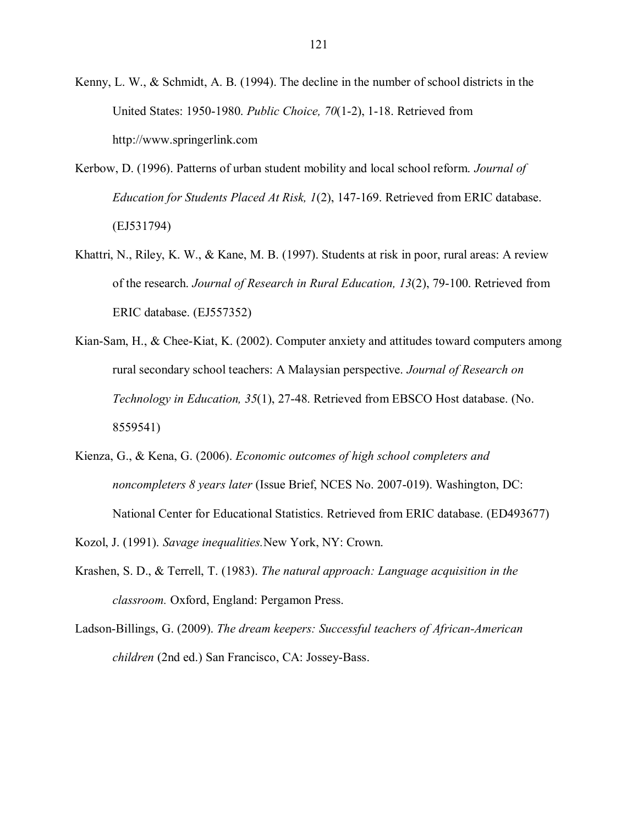Kenny, L. W., & Schmidt, A. B. (1994). The decline in the number of school districts in the United States: 1950-1980. *Public Choice, 70*(1-2), 1-18. Retrieved from http://www.springerlink.com

- Kerbow, D. (1996). Patterns of urban student mobility and local school reform. *Journal of Education for Students Placed At Risk, 1*(2), 147-169. Retrieved from ERIC database. (EJ531794)
- Khattri, N., Riley, K. W., & Kane, M. B. (1997). Students at risk in poor, rural areas: A review of the research. *Journal of Research in Rural Education, 13*(2), 79-100. Retrieved from ERIC database. (EJ557352)
- Kian-Sam, H., & Chee-Kiat, K. (2002). Computer anxiety and attitudes toward computers among rural secondary school teachers: A Malaysian perspective. *Journal of Research on Technology in Education, 35*(1), 27-48. Retrieved from EBSCO Host database. (No. 8559541)
- Kienza, G., & Kena, G. (2006). *Economic outcomes of high school completers and noncompleters 8 years later* (Issue Brief, NCES No. 2007-019). Washington, DC: National Center for Educational Statistics. Retrieved from ERIC database. (ED493677)
- Kozol, J. (1991). *Savage inequalities.*New York, NY: Crown.
- Krashen, S. D., & Terrell, T. (1983). *The natural approach: Language acquisition in the classroom.* Oxford, England: Pergamon Press.
- Ladson-Billings, G. (2009). *The dream keepers: Successful teachers of African-American children* (2nd ed.) San Francisco, CA: Jossey-Bass.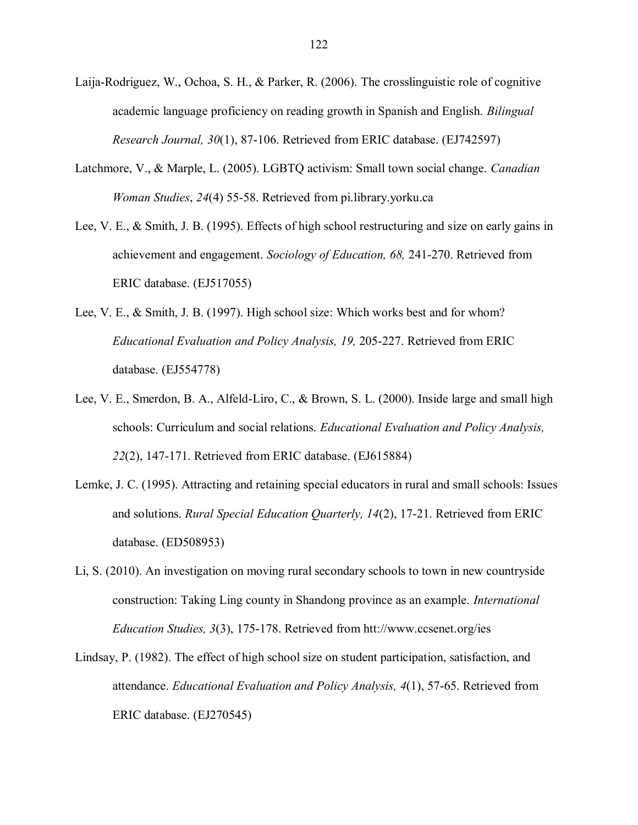- Laija-Rodriguez, W., Ochoa, S. H., & Parker, R. (2006). The crosslinguistic role of cognitive academic language proficiency on reading growth in Spanish and English. *Bilingual Research Journal, 30*(1), 87-106. Retrieved from ERIC database. (EJ742597)
- Latchmore, V., & Marple, L. (2005). LGBTQ activism: Small town social change. *Canadian Woman Studies*, *24*(4) 55-58. Retrieved from pi.library.yorku.ca
- Lee, V. E., & Smith, J. B. (1995). Effects of high school restructuring and size on early gains in achievement and engagement. *Sociology of Education, 68,* 241-270. Retrieved from ERIC database. (EJ517055)
- Lee, V. E., & Smith, J. B. (1997). High school size: Which works best and for whom? *Educational Evaluation and Policy Analysis, 19,* 205-227. Retrieved from ERIC database. (EJ554778)
- Lee, V. E., Smerdon, B. A., Alfeld-Liro, C., & Brown, S. L. (2000). Inside large and small high schools: Curriculum and social relations. *Educational Evaluation and Policy Analysis, 22*(2), 147-171. Retrieved from ERIC database. (EJ615884)
- Lemke, J. C. (1995). Attracting and retaining special educators in rural and small schools: Issues and solutions. *Rural Special Education Quarterly, 14*(2), 17-21. Retrieved from ERIC database. (ED508953)
- Li, S. (2010). An investigation on moving rural secondary schools to town in new countryside construction: Taking Ling county in Shandong province as an example. *International Education Studies, 3*(3), 175-178. Retrieved from htt://www.ccsenet.org/ies
- Lindsay, P. (1982). The effect of high school size on student participation, satisfaction, and attendance. *Educational Evaluation and Policy Analysis, 4*(1), 57-65. Retrieved from ERIC database. (EJ270545)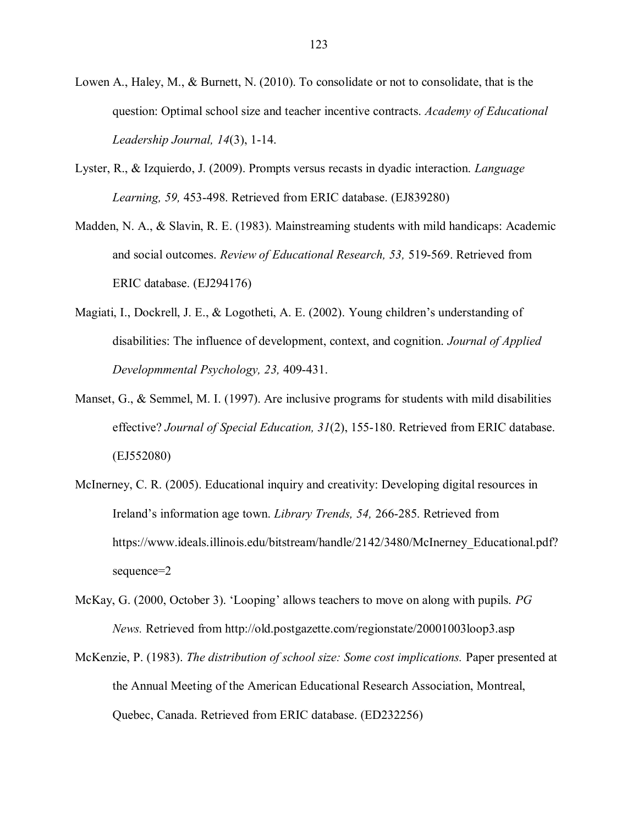- Lowen A., Haley, M., & Burnett, N. (2010). To consolidate or not to consolidate, that is the question: Optimal school size and teacher incentive contracts. *Academy of Educational Leadership Journal, 14*(3), 1-14.
- Lyster, R., & Izquierdo, J. (2009). Prompts versus recasts in dyadic interaction. *Language Learning, 59,* 453-498. Retrieved from ERIC database. (EJ839280)
- Madden, N. A., & Slavin, R. E. (1983). Mainstreaming students with mild handicaps: Academic and social outcomes. *Review of Educational Research, 53,* 519-569. Retrieved from ERIC database. (EJ294176)
- Magiati, I., Dockrell, J. E., & Logotheti, A. E. (2002). Young children"s understanding of disabilities: The influence of development, context, and cognition. *Journal of Applied Developmmental Psychology, 23,* 409-431.
- Manset, G., & Semmel, M. I. (1997). Are inclusive programs for students with mild disabilities effective? *Journal of Special Education, 31*(2), 155-180. Retrieved from ERIC database. (EJ552080)
- McInerney, C. R. (2005). Educational inquiry and creativity: Developing digital resources in Ireland"s information age town. *Library Trends, 54,* 266-285. Retrieved from https://www.ideals.illinois.edu/bitstream/handle/2142/3480/McInerney\_Educational.pdf? sequence=2
- McKay, G. (2000, October 3). "Looping" allows teachers to move on along with pupils. *PG News.* Retrieved from<http://old.postgazette.com/regionstate/20001003loop3.asp>
- McKenzie, P. (1983). *The distribution of school size: Some cost implications.* Paper presented at the Annual Meeting of the American Educational Research Association, Montreal, Quebec, Canada. Retrieved from ERIC database. (ED232256)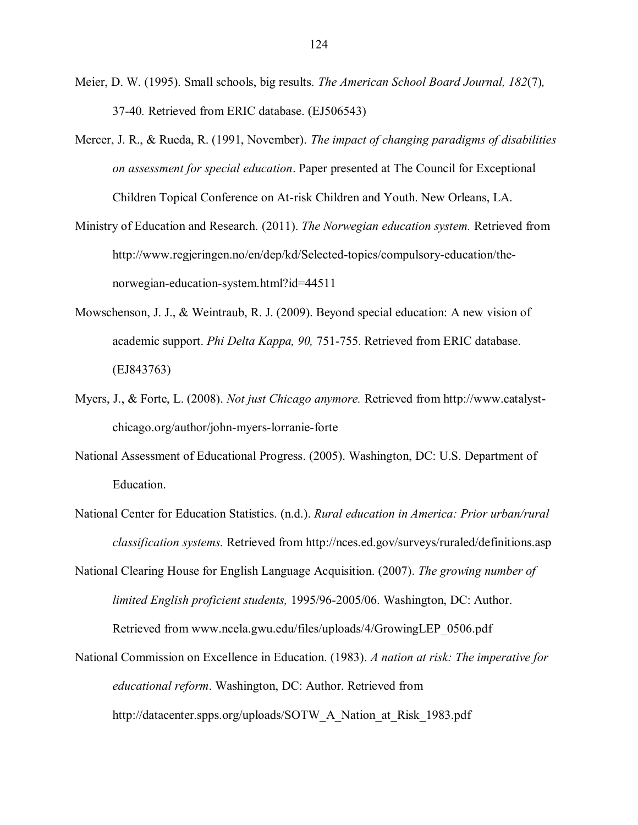- Meier, D. W. (1995). Small schools, big results. *The American School Board Journal, 182*(7)*,*  37-40*.* Retrieved from ERIC database. (EJ506543)
- Mercer, J. R., & Rueda, R. (1991, November). *The impact of changing paradigms of disabilities on assessment for special education*. Paper presented at The Council for Exceptional Children Topical Conference on At-risk Children and Youth. New Orleans, LA.
- Ministry of Education and Research. (2011). *The Norwegian education system.* Retrieved from [http://www.regjeringen.no/en/dep/kd/Selected-topics/compulsory-e](http://www.regjeringen.no/en/dep/kd/Selected-topics/compulsory-)ducation/thenorwegian-education-system.html?id=44511
- Mowschenson, J. J., & Weintraub, R. J. (2009). Beyond special education: A new vision of academic support. *Phi Delta Kappa, 90,* 751-755. Retrieved from ERIC database. (EJ843763)
- Myers, J., & Forte, L. (2008). *Not just Chicago anymore.* Retrieved from http://www.catalystchicago.org/author/john-myers-lorranie-forte
- National Assessment of Educational Progress. (2005). Washington, DC: U.S. Department of Education.
- National Center for Education Statistics. (n.d.). *Rural education in America: Prior urban/rural classification systems.* Retrieved from<http://nces.ed.gov/surveys/ruraled/definitions.asp>
- National Clearing House for English Language Acquisition. (2007). *The growing number of limited English proficient students,* 1995/96-2005/06. Washington, DC: Author. Retrieved from www.ncela.gwu.edu/files/uploads/4/GrowingLEP\_0506.pdf
- National Commission on Excellence in Education. (1983). *A nation at risk: The imperative for educational reform*. Washington, DC: Author. Retrieved from http://datacenter.spps.org/uploads/SOTW\_A\_Nation\_at\_Risk\_1983.pdf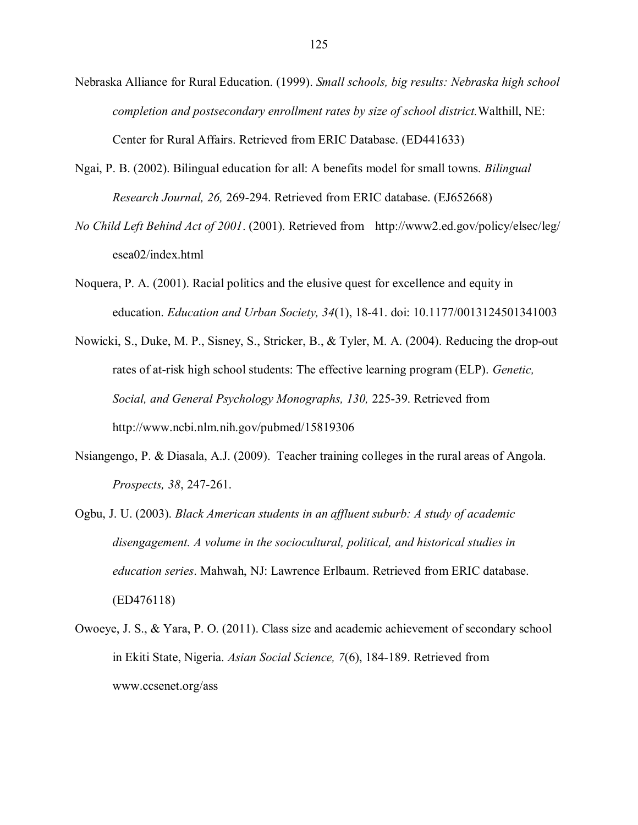- Nebraska Alliance for Rural Education. (1999). *Small schools, big results: Nebraska high school completion and postsecondary enrollment rates by size of school district.*Walthill, NE: Center for Rural Affairs. Retrieved from ERIC Database. (ED441633)
- Ngai, P. B. (2002). Bilingual education for all: A benefits model for small towns. *Bilingual Research Journal, 26,* 269-294. Retrieved from ERIC database. (EJ652668)
- *No Child Left Behind Act of 2001*. (2001). Retrieved from http://www2.ed.gov/policy/elsec/leg/ esea02/index.html
- Noquera, P. A. (2001). Racial politics and the elusive quest for excellence and equity in education. *Education and Urban Society, 34*(1), 18-41. doi: 10.1177/0013124501341003
- Nowicki, S., Duke, M. P., Sisney, S., Stricker, B., & Tyler, M. A. (2004). Reducing the drop-out rates of at-risk high school students: The effective learning program (ELP). *Genetic, Social, and General Psychology Monographs, 130,* 225-39. Retrieved from http://www.ncbi.nlm.nih.gov/pubmed/15819306
- Nsiangengo, P. & Diasala, A.J. (2009). Teacher training colleges in the rural areas of Angola. *Prospects, 38*, 247-261.
- Ogbu, J. U. (2003). *Black American students in an affluent suburb: A study of academic disengagement. A volume in the sociocultural, political, and historical studies in education series*. Mahwah, NJ: Lawrence Erlbaum. Retrieved from ERIC database. (ED476118)
- Owoeye, J. S., & Yara, P. O. (2011). Class size and academic achievement of secondary school in Ekiti State, Nigeria. *Asian Social Science, 7*(6), 184-189. Retrieved from www.ccsenet.org/ass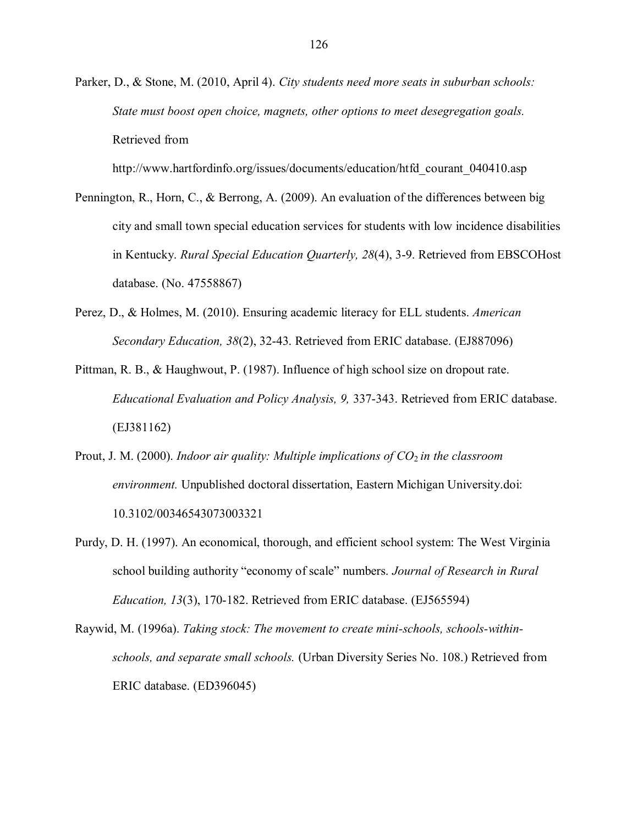Parker, D., & Stone, M. (2010, April 4). *City students need more seats in suburban schools: State must boost open choice, magnets, other options to meet desegregation goals.* Retrieved from

http://www.hartfordinfo.org/issues/documents/education/htfd\_courant\_040410.asp

- Pennington, R., Horn, C., & Berrong, A. (2009). An evaluation of the differences between big city and small town special education services for students with low incidence disabilities in Kentucky. *Rural Special Education Quarterly, 28*(4), 3-9. Retrieved from EBSCOHost database. (No. 47558867)
- Perez, D., & Holmes, M. (2010). Ensuring academic literacy for ELL students. *American Secondary Education, 38*(2), 32-43. Retrieved from ERIC database. (EJ887096)
- Pittman, R. B., & Haughwout, P. (1987). Influence of high school size on dropout rate. *Educational Evaluation and Policy Analysis, 9,* 337-343. Retrieved from ERIC database. (EJ381162)
- Prout, J. M. (2000). *Indoor air quality: Multiple implications of CO*<sub>2</sub> in the classroom *environment.* Unpublished doctoral dissertation, Eastern Michigan University.doi: 10.3102/00346543073003321
- Purdy, D. H. (1997). An economical, thorough, and efficient school system: The West Virginia school building authority "economy of scale" numbers. *Journal of Research in Rural Education, 13*(3), 170-182. Retrieved from ERIC database. (EJ565594)

Raywid, M. (1996a). *Taking stock: The movement to create mini-schools, schools-withinschools, and separate small schools.* (Urban Diversity Series No. 108.) Retrieved from ERIC database. (ED396045)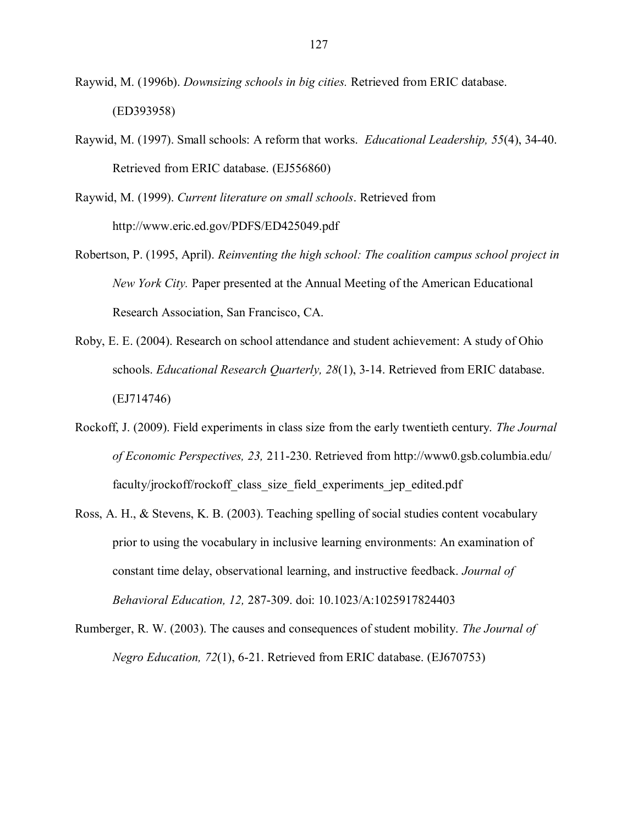- Raywid, M. (1996b). *Downsizing schools in big cities.* Retrieved from ERIC database. (ED393958)
- Raywid, M. (1997). Small schools: A reform that works. *Educational Leadership, 55*(4), 34-40. Retrieved from ERIC database. (EJ556860)
- Raywid, M. (1999). *Current literature on small schools*. Retrieved from <http://www.eric.ed.gov/PDFS/ED425049.pdf>
- Robertson, P. (1995, April). *Reinventing the high school: The coalition campus school project in New York City.* Paper presented at the Annual Meeting of the American Educational Research Association, San Francisco, CA.
- Roby, E. E. (2004). Research on school attendance and student achievement: A study of Ohio schools. *Educational Research Quarterly, 28*(1), 3-14. Retrieved from ERIC database. (EJ714746)
- Rockoff, J. (2009). Field experiments in class size from the early twentieth century. *The Journal of Economic Perspectives, 23,* 211-230. Retrieved from http://www0.gsb.columbia.edu/ faculty/jrockoff/rockoff class size field experiments jep edited.pdf
- Ross, A. H., & Stevens, K. B. (2003). Teaching spelling of social studies content vocabulary prior to using the vocabulary in inclusive learning environments: An examination of constant time delay, observational learning, and instructive feedback. *Journal of Behavioral Education, 12,* 287-309. doi: 10.1023/A:1025917824403
- Rumberger, R. W. (2003). The causes and consequences of student mobility. *The Journal of Negro Education, 72*(1), 6-21. Retrieved from ERIC database. (EJ670753)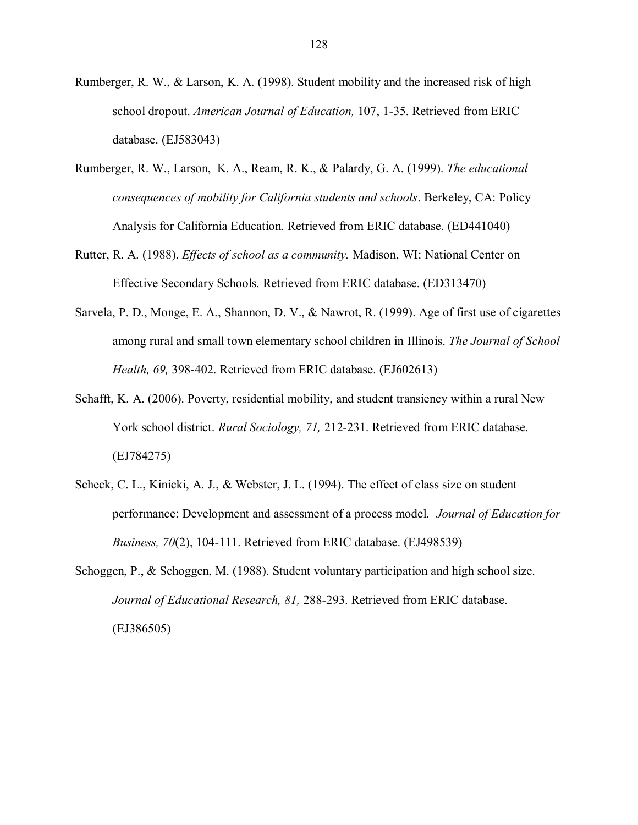- Rumberger, R. W., & Larson, K. A. (1998). Student mobility and the increased risk of high school dropout. *American Journal of Education,* 107, 1-35. Retrieved from ERIC database. (EJ583043)
- Rumberger, R. W., Larson, K. A., Ream, R. K., & Palardy, G. A. (1999). *The educational consequences of mobility for California students and schools*. Berkeley, CA: Policy Analysis for California Education. Retrieved from ERIC database. (ED441040)
- Rutter, R. A. (1988). *Effects of school as a community.* Madison, WI: National Center on Effective Secondary Schools. Retrieved from ERIC database. (ED313470)
- Sarvela, P. D., Monge, E. A., Shannon, D. V., & Nawrot, R. (1999). Age of first use of cigarettes among rural and small town elementary school children in Illinois. *The Journal of School Health, 69,* 398-402. Retrieved from ERIC database. (EJ602613)
- Schafft, K. A. (2006). Poverty, residential mobility, and student transiency within a rural New York school district. *Rural Sociology, 71,* 212-231. Retrieved from ERIC database. (EJ784275)
- Scheck, C. L., Kinicki, A. J., & Webster, J. L. (1994). The effect of class size on student performance: Development and assessment of a process model. *Journal of Education for Business, 70*(2), 104-111. Retrieved from ERIC database. (EJ498539)
- Schoggen, P., & Schoggen, M. (1988). Student voluntary participation and high school size. *Journal of Educational Research, 81,* 288-293. Retrieved from ERIC database. (EJ386505)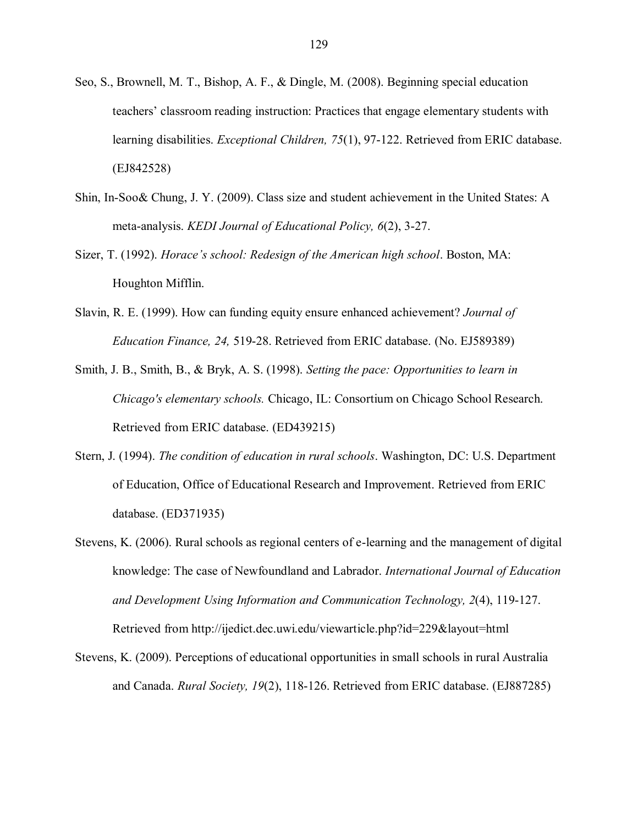- Seo, S., Brownell, M. T., Bishop, A. F., & Dingle, M. (2008). Beginning special education teachers" classroom reading instruction: Practices that engage elementary students with learning disabilities. *Exceptional Children, 75*(1), 97-122. Retrieved from ERIC database. (EJ842528)
- Shin, In-Soo& Chung, J. Y. (2009). Class size and student achievement in the United States: A meta-analysis. *KEDI Journal of Educational Policy, 6*(2), 3-27.
- Sizer, T. (1992). *Horace's school: Redesign of the American high school*. Boston, MA: Houghton Mifflin.
- Slavin, R. E. (1999). How can funding equity ensure enhanced achievement? *Journal of Education Finance, 24,* 519-28. Retrieved from ERIC database. (No. EJ589389)
- Smith, J. B., Smith, B., & Bryk, A. S. (1998). *Setting the pace: Opportunities to learn in Chicago's elementary schools.* Chicago, IL: Consortium on Chicago School Research. Retrieved from ERIC database. (ED439215)
- Stern, J. (1994). *The condition of education in rural schools*. Washington, DC: U.S. Department of Education, Office of Educational Research and Improvement. Retrieved from ERIC database. (ED371935)
- Stevens, K. (2006). Rural schools as regional centers of e-learning and the management of digital knowledge: The case of Newfoundland and Labrador. *International Journal of Education and Development Using Information and Communication Technology, 2*(4), 119-127. Retrieved from http://ijedict.dec.uwi.edu/viewarticle.php?id=229&layout=html
- Stevens, K. (2009). Perceptions of educational opportunities in small schools in rural Australia and Canada. *Rural Society, 19*(2), 118-126. Retrieved from ERIC database. (EJ887285)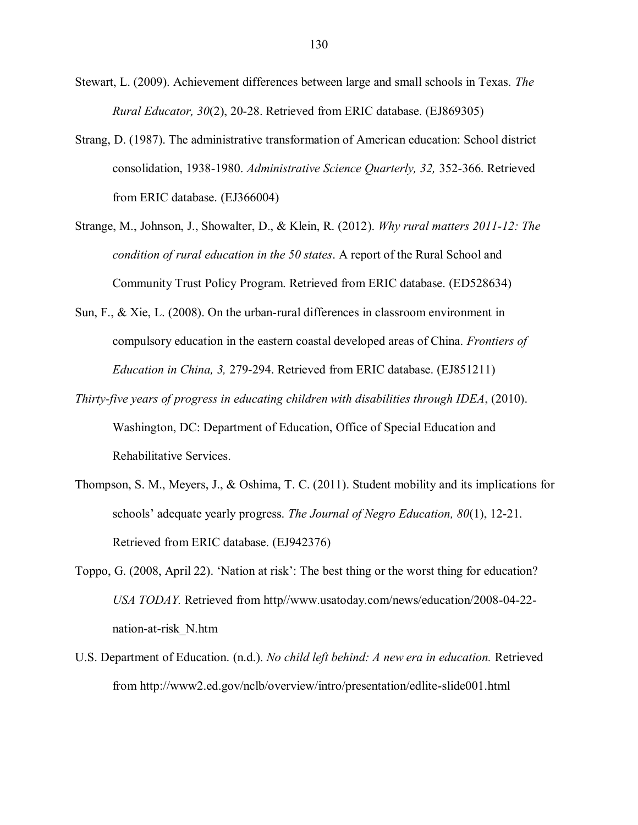Stewart, L. (2009). Achievement differences between large and small schools in Texas. *The Rural Educator, 30*(2), 20-28. Retrieved from ERIC database. (EJ869305)

- Strang, D. (1987). The administrative transformation of American education: School district consolidation, 1938-1980. *Administrative Science Quarterly, 32,* 352-366. Retrieved from ERIC database. (EJ366004)
- Strange, M., Johnson, J., Showalter, D., & Klein, R. (2012). *Why rural matters 2011-12: The condition of rural education in the 50 states*. A report of the Rural School and Community Trust Policy Program. Retrieved from ERIC database. (ED528634)
- Sun, F., & Xie, L. (2008). On the urban-rural differences in classroom environment in compulsory education in the eastern coastal developed areas of China. *Frontiers of Education in China, 3,* 279-294. Retrieved from ERIC database. (EJ851211)
- *Thirty-five years of progress in educating children with disabilities through IDEA*, (2010). Washington, DC: Department of Education, Office of Special Education and Rehabilitative Services.
- Thompson, S. M., Meyers, J., & Oshima, T. C. (2011). Student mobility and its implications for schools" adequate yearly progress. *The Journal of Negro Education, 80*(1), 12-21. Retrieved from ERIC database. (EJ942376)
- Toppo, G. (2008, April 22). "Nation at risk": The best thing or the worst thing for education? *USA TODAY.* Retrieved from http//www.usatoday.com/news/education/2008-04-22 nation-at-risk\_N.htm
- U.S. Department of Education. (n.d.). *No child left behind: A new era in education.* Retrieved from<http://www2.ed.gov/nclb/overview/intro/presentation/edlite-slide001.html>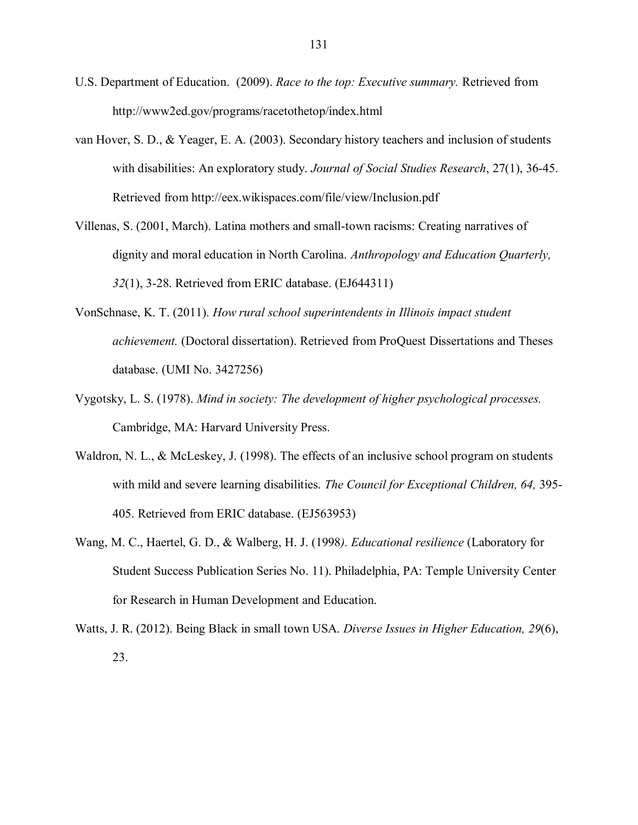- U.S. Department of Education. (2009). *Race to the top: Executive summary.* Retrieved from http://www2ed.gov/programs/racetothetop/index.html
- van Hover, S. D., & Yeager, E. A. (2003). Secondary history teachers and inclusion of students with disabilities: An exploratory study. *Journal of Social Studies Research*, 27(1), 36-45. Retrieved from http://eex.wikispaces.com/file/view/Inclusion.pdf
- Villenas, S. (2001, March). Latina mothers and small-town racisms: Creating narratives of dignity and moral education in North Carolina. *Anthropology and Education Quarterly, 32*(1), 3-28. Retrieved from ERIC database. (EJ644311)
- VonSchnase, K. T. (2011). *How rural school superintendents in Illinois impact student achievement.* (Doctoral dissertation). Retrieved from ProQuest Dissertations and Theses database. (UMI No. 3427256)
- Vygotsky, L. S. (1978). *Mind in society: The development of higher psychological processes.* Cambridge, MA: Harvard University Press.
- Waldron, N. L., & McLeskey, J. (1998). The effects of an inclusive school program on students with mild and severe learning disabilities. *The Council for Exceptional Children, 64,* 395- 405. Retrieved from ERIC database. (EJ563953)
- Wang, M. C., Haertel, G. D., & Walberg, H. J. (1998*). Educational resilience* (Laboratory for Student Success Publication Series No. 11). Philadelphia, PA: Temple University Center for Research in Human Development and Education.
- Watts, J. R. (2012). Being Black in small town USA. *Diverse Issues in Higher Education, 29*(6), 23.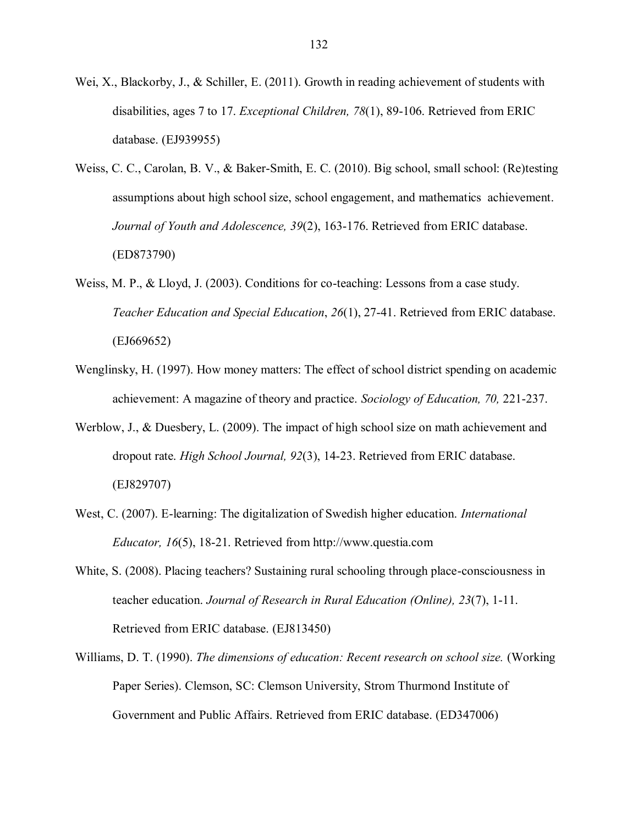- Wei, X., Blackorby, J., & Schiller, E. (2011). Growth in reading achievement of students with disabilities, ages 7 to 17. *Exceptional Children, 78*(1), 89-106. Retrieved from ERIC database. (EJ939955)
- Weiss, C. C., Carolan, B. V., & Baker-Smith, E. C. (2010). Big school, small school: (Re)testing assumptions about high school size, school engagement, and mathematics achievement. *Journal of Youth and Adolescence, 39*(2), 163-176. Retrieved from ERIC database. (ED873790)
- Weiss, M. P., & Lloyd, J. (2003). Conditions for co-teaching: Lessons from a case study. *Teacher Education and Special Education*, *26*(1), 27-41. Retrieved from ERIC database. (EJ669652)
- Wenglinsky, H. (1997). How money matters: The effect of school district spending on academic achievement: A magazine of theory and practice. *Sociology of Education, 70,* 221-237.
- Werblow, J., & Duesbery, L. (2009). The impact of high school size on math achievement and dropout rate. *High School Journal, 92*(3), 14-23. Retrieved from ERIC database. (EJ829707)
- West, C. (2007). E-learning: The digitalization of Swedish higher education. *International Educator, 16*(5), 18-21. Retrieved from http://www.questia.com
- White, S. (2008). Placing teachers? Sustaining rural schooling through place-consciousness in teacher education. *Journal of Research in Rural Education (Online), 23*(7), 1-11. Retrieved from ERIC database. (EJ813450)
- Williams, D. T. (1990). *The dimensions of education: Recent research on school size.* (Working Paper Series). Clemson, SC: Clemson University, Strom Thurmond Institute of Government and Public Affairs. Retrieved from ERIC database. (ED347006)